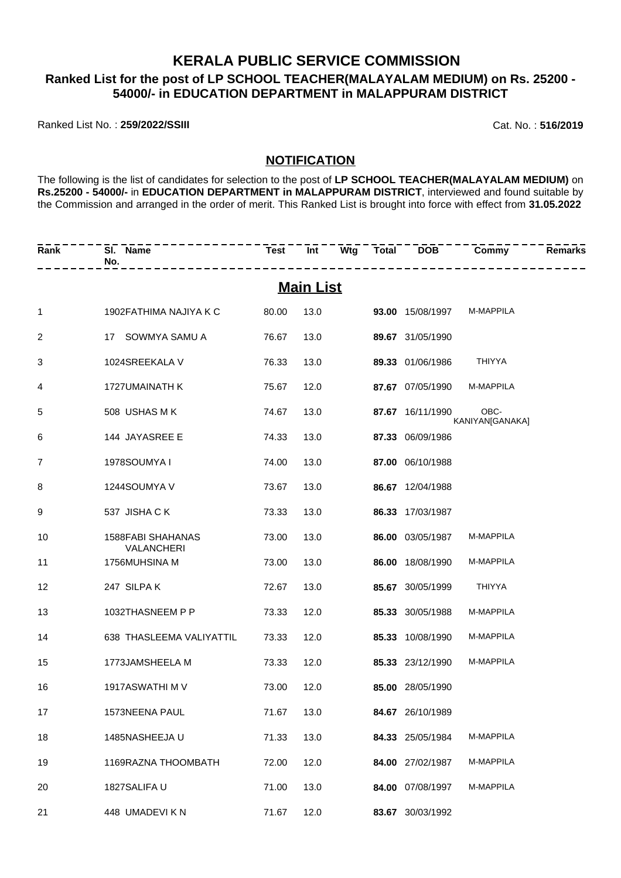## **KERALA PUBLIC SERVICE COMMISSION Ranked List for the post of LP SCHOOL TEACHER(MALAYALAM MEDIUM) on Rs. 25200 - 54000/- in EDUCATION DEPARTMENT in MALAPPURAM DISTRICT**

Ranked List No. : **259/2022/SSIII** Cat. No. : **516/2019**

## **NOTIFICATION**

The following is the list of candidates for selection to the post of **LP SCHOOL TEACHER(MALAYALAM MEDIUM)** on **Rs.25200 - 54000/-** in **EDUCATION DEPARTMENT in MALAPPURAM DISTRICT**, interviewed and found suitable by the Commission and arranged in the order of merit. This Ranked List is brought into force with effect from **31.05.2022**

| Rank | SI. Name<br>No.                               |       |                  |                         | Test Int Wtg Total DOB Commy | <b>Remarks</b> |
|------|-----------------------------------------------|-------|------------------|-------------------------|------------------------------|----------------|
|      |                                               |       | <b>Main List</b> |                         |                              |                |
| 1    | 1902 FATHIMA NAJIYA K C                       | 80.00 | 13.0             | <b>93.00</b> 15/08/1997 | M-MAPPILA                    |                |
| 2    | 17 SOWMYA SAMU A                              | 76.67 | 13.0             | 89.67 31/05/1990        |                              |                |
| 3    | 1024SREEKALA V                                | 76.33 | 13.0             | 89.33 01/06/1986        | <b>THIYYA</b>                |                |
| 4    | 1727UMAINATH K                                | 75.67 | 12.0             | 87.67 07/05/1990        | M-MAPPILA                    |                |
| 5    | 508 USHAS M K                                 | 74.67 | 13.0             | 87.67 16/11/1990        | OBC-<br>KANIYAN[GANAKA]      |                |
| 6    | 144 JAYASREE E                                | 74.33 | 13.0             | 87.33 06/09/1986        |                              |                |
| 7    | 1978SOUMYA I                                  | 74.00 | 13.0             | 87.00 06/10/1988        |                              |                |
| 8    | 1244SOUMYA V                                  | 73.67 | 13.0             | 86.67 12/04/1988        |                              |                |
| 9    | 537 JISHA C K                                 | 73.33 | 13.0             | 86.33 17/03/1987        |                              |                |
| 10   | <b>1588FABI SHAHANAS</b><br><b>VALANCHERI</b> | 73.00 | 13.0             | 86.00 03/05/1987        | M-MAPPILA                    |                |
| 11   | 1756MUHSINA M                                 | 73.00 | 13.0             | 86.00 18/08/1990        | M-MAPPILA                    |                |
| 12   | 247 SILPAK                                    | 72.67 | 13.0             | 85.67 30/05/1999        | <b>THIYYA</b>                |                |
| 13   | 1032THASNEEM P P                              | 73.33 | 12.0             | 85.33 30/05/1988        | M-MAPPILA                    |                |
| 14   | 638 THASLEEMA VALIYATTIL                      | 73.33 | 12.0             | 85.33 10/08/1990        | M-MAPPILA                    |                |
| 15   | 1773JAMSHEELA M                               | 73.33 | 12.0             | 85.33 23/12/1990        | M-MAPPILA                    |                |
| 16   | 1917ASWATHI M V                               | 73.00 | 12.0             | 85.00 28/05/1990        |                              |                |
| 17   | 1573NEENA PAUL                                | 71.67 | 13.0             | 84.67 26/10/1989        |                              |                |
| 18   | 1485NASHEEJA U                                | 71.33 | 13.0             | 84.33 25/05/1984        | M-MAPPILA                    |                |
| 19   | 1169RAZNA THOOMBATH                           | 72.00 | 12.0             | 84.00 27/02/1987        | M-MAPPILA                    |                |
| 20   | 1827SALIFA U                                  | 71.00 | 13.0             | 84.00 07/08/1997        | M-MAPPILA                    |                |
| 21   | 448 UMADEVI K N                               | 71.67 | 12.0             | 83.67 30/03/1992        |                              |                |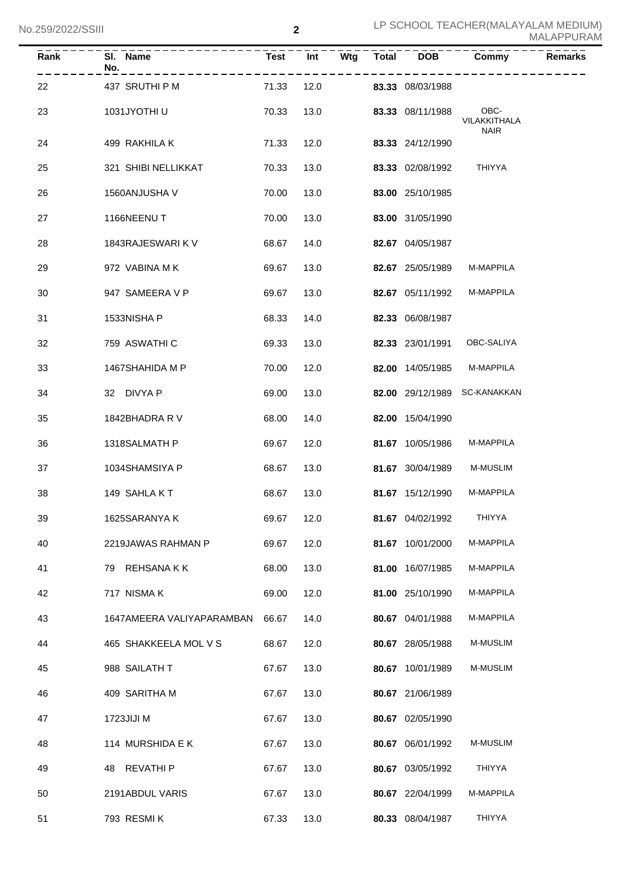| $\bar{R}$ an $\bar{k}$ | SI. Name<br>No.           | <b>Test</b> | $\overline{Int}$ | Wtg | <b>Total</b> | <b>DOB</b>              | Commy                               | <b>Remarks</b> |
|------------------------|---------------------------|-------------|------------------|-----|--------------|-------------------------|-------------------------------------|----------------|
| 22                     | 437 SRUTHI P M            | 71.33       | 12.0             |     |              | <b>83.33</b> 08/03/1988 |                                     |                |
| 23                     | 1031JYOTHI U              | 70.33       | 13.0             |     |              | 83.33 08/11/1988        | OBC-<br>VILAKKITHALA<br><b>NAIR</b> |                |
| 24                     | 499 RAKHILA K             | 71.33       | 12.0             |     |              | 83.33 24/12/1990        |                                     |                |
| 25                     | 321 SHIBI NELLIKKAT       | 70.33       | 13.0             |     |              | 83.33 02/08/1992        | THIYYA                              |                |
| 26                     | 1560ANJUSHA V             | 70.00       | 13.0             |     |              | 83.00 25/10/1985        |                                     |                |
| 27                     | 1166NEENUT                | 70.00       | 13.0             |     |              | 83.00 31/05/1990        |                                     |                |
| 28                     | 1843RAJESWARI K V         | 68.67       | 14.0             |     |              | 82.67 04/05/1987        |                                     |                |
| 29                     | 972 VABINA MK             | 69.67       | 13.0             |     |              | 82.67 25/05/1989        | M-MAPPILA                           |                |
| 30                     | 947 SAMEERA V P           | 69.67       | 13.0             |     |              | 82.67 05/11/1992        | M-MAPPILA                           |                |
| 31                     | 1533NISHA P               | 68.33       | 14.0             |     |              | 82.33 06/08/1987        |                                     |                |
| 32                     | 759 ASWATHI C             | 69.33       | 13.0             |     |              | 82.33 23/01/1991        | OBC-SALIYA                          |                |
| 33                     | 1467SHAHIDA M P           | 70.00       | 12.0             |     |              | 82.00 14/05/1985        | M-MAPPILA                           |                |
| 34                     | 32 DIVYA P                | 69.00       | 13.0             |     |              |                         | 82.00 29/12/1989 SC-KANAKKAN        |                |
| 35                     | 1842BHADRA R V            | 68.00       | 14.0             |     |              | 82.00 15/04/1990        |                                     |                |
| 36                     | 1318SALMATH P             | 69.67       | 12.0             |     |              | 81.67 10/05/1986        | M-MAPPILA                           |                |
| 37                     | 1034SHAMSIYA P            | 68.67       | 13.0             |     |              | 81.67 30/04/1989        | <b>M-MUSLIM</b>                     |                |
| 38                     | 149 SAHLAKT               | 68.67       | 13.0             |     |              | 81.67 15/12/1990        | M-MAPPILA                           |                |
| 39                     | 1625SARANYA K             | 69.67       | 12.0             |     |              | 81.67 04/02/1992        | THIYYA                              |                |
| 40                     | 2219JAWAS RAHMAN P        | 69.67       | 12.0             |     |              | 81.67 10/01/2000        | M-MAPPILA                           |                |
| 41                     | REHSANA K K<br>79         | 68.00       | 13.0             |     |              | 81.00 16/07/1985        | M-MAPPILA                           |                |
| 42                     | 717 NISMA K               | 69.00       | 12.0             |     |              | 81.00 25/10/1990        | M-MAPPILA                           |                |
| 43                     | 1647AMEERA VALIYAPARAMBAN | 66.67       | 14.0             |     |              | 80.67 04/01/1988        | M-MAPPILA                           |                |
| 44                     | 465 SHAKKEELA MOL V S     | 68.67       | 12.0             |     |              | 80.67 28/05/1988        | <b>M-MUSLIM</b>                     |                |
| 45                     | 988 SAILATH T             | 67.67       | 13.0             |     |              | 80.67 10/01/1989        | M-MUSLIM                            |                |
| 46                     | 409 SARITHA M             | 67.67       | 13.0             |     |              | 80.67 21/06/1989        |                                     |                |
| 47                     | 1723JIJI M                | 67.67       | 13.0             |     |              | 80.67 02/05/1990        |                                     |                |
| 48                     | 114 MURSHIDA E K          | 67.67       | 13.0             |     |              | 80.67 06/01/1992        | M-MUSLIM                            |                |
| 49                     | REVATHI P<br>48           | 67.67       | 13.0             |     |              | 80.67 03/05/1992        | <b>THIYYA</b>                       |                |
| 50                     | 2191ABDUL VARIS           | 67.67       | 13.0             |     |              | 80.67 22/04/1999        | M-MAPPILA                           |                |
| 51                     | 793 RESMIK                | 67.33       | 13.0             |     |              | 80.33 08/04/1987        | THIYYA                              |                |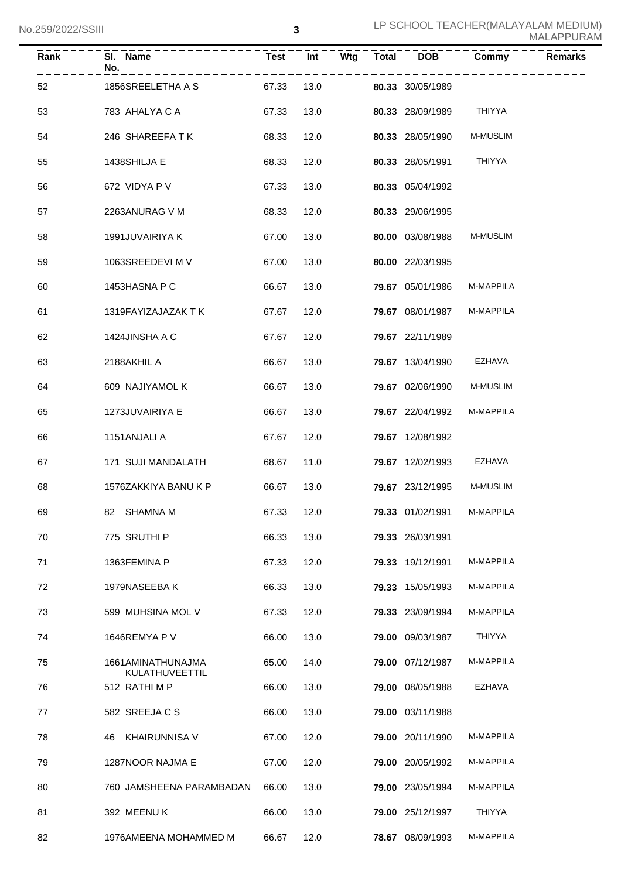| <b>Rank</b> | SI. Name<br>No.                     | <b>Test</b> | Int  | $\overline{\mathsf{W}}$ tg | Total | <b>DOB</b>       | Commy            | <b>Remarks</b> |
|-------------|-------------------------------------|-------------|------|----------------------------|-------|------------------|------------------|----------------|
| 52          | 1856SREELETHA A S                   | 67.33       | 13.0 |                            |       | 80.33 30/05/1989 |                  |                |
| 53          | 783 AHALYA C A                      | 67.33       | 13.0 |                            |       | 80.33 28/09/1989 | <b>THIYYA</b>    |                |
| 54          | 246 SHAREEFATK                      | 68.33       | 12.0 |                            |       | 80.33 28/05/1990 | <b>M-MUSLIM</b>  |                |
| 55          | 1438SHILJA E                        | 68.33       | 12.0 |                            |       | 80.33 28/05/1991 | <b>THIYYA</b>    |                |
| 56          | 672 VIDYA P V                       | 67.33       | 13.0 |                            |       | 80.33 05/04/1992 |                  |                |
| 57          | 2263ANURAG V M                      | 68.33       | 12.0 |                            |       | 80.33 29/06/1995 |                  |                |
| 58          | 1991JUVAIRIYA K                     | 67.00       | 13.0 |                            |       | 80.00 03/08/1988 | M-MUSLIM         |                |
| 59          | 1063SREEDEVI M V                    | 67.00       | 13.0 |                            |       | 80.00 22/03/1995 |                  |                |
| 60          | 1453HASNA P C                       | 66.67       | 13.0 |                            |       | 79.67 05/01/1986 | M-MAPPILA        |                |
| 61          | 1319FAYIZAJAZAK T K                 | 67.67       | 12.0 |                            |       | 79.67 08/01/1987 | M-MAPPILA        |                |
| 62          | 1424JINSHA A C                      | 67.67       | 12.0 |                            |       | 79.67 22/11/1989 |                  |                |
| 63          | 2188AKHIL A                         | 66.67       | 13.0 |                            |       | 79.67 13/04/1990 | <b>EZHAVA</b>    |                |
| 64          | 609 NAJIYAMOL K                     | 66.67       | 13.0 |                            |       | 79.67 02/06/1990 | <b>M-MUSLIM</b>  |                |
| 65          | 1273JUVAIRIYA E                     | 66.67       | 13.0 |                            |       | 79.67 22/04/1992 | M-MAPPILA        |                |
| 66          | 1151ANJALI A                        | 67.67       | 12.0 |                            |       | 79.67 12/08/1992 |                  |                |
| 67          | 171 SUJI MANDALATH                  | 68.67       | 11.0 |                            |       | 79.67 12/02/1993 | EZHAVA           |                |
| 68          | 1576ZAKKIYA BANU K P                | 66.67       | 13.0 |                            |       | 79.67 23/12/1995 | <b>M-MUSLIM</b>  |                |
| 69          | 82 SHAMNA M                         | 67.33       | 12.0 |                            |       | 79.33 01/02/1991 | <b>M-MAPPILA</b> |                |
| 70          | 775 SRUTHI P                        | 66.33       | 13.0 |                            |       | 79.33 26/03/1991 |                  |                |
| 71          | 1363FEMINA P                        | 67.33       | 12.0 |                            |       | 79.33 19/12/1991 | M-MAPPILA        |                |
| 72          | 1979NASEEBA K                       | 66.33       | 13.0 |                            |       | 79.33 15/05/1993 | M-MAPPILA        |                |
| 73          | 599 MUHSINA MOL V                   | 67.33       | 12.0 |                            |       | 79.33 23/09/1994 | M-MAPPILA        |                |
| 74          | 1646REMYA P V                       | 66.00       | 13.0 |                            |       | 79.00 09/03/1987 | THIYYA           |                |
| 75          | 1661AMINATHUNAJMA<br>KULATHUVEETTIL | 65.00       | 14.0 |                            |       | 79.00 07/12/1987 | M-MAPPILA        |                |
| 76          | 512 RATHIMP                         | 66.00       | 13.0 |                            |       | 79.00 08/05/1988 | EZHAVA           |                |
| 77          | 582 SREEJA C S                      | 66.00       | 13.0 |                            |       | 79.00 03/11/1988 |                  |                |
| 78          | 46 KHAIRUNNISA V                    | 67.00       | 12.0 |                            |       | 79.00 20/11/1990 | M-MAPPILA        |                |
| 79          | 1287NOOR NAJMA E                    | 67.00       | 12.0 |                            |       | 79.00 20/05/1992 | M-MAPPILA        |                |
| 80          | 760 JAMSHEENA PARAMBADAN            | 66.00       | 13.0 |                            |       | 79.00 23/05/1994 | M-MAPPILA        |                |
| 81          | 392 MEENUK                          | 66.00       | 13.0 |                            |       | 79.00 25/12/1997 | <b>THIYYA</b>    |                |
| 82          | 1976AMEENA MOHAMMED M               | 66.67       | 12.0 |                            |       | 78.67 08/09/1993 | M-MAPPILA        |                |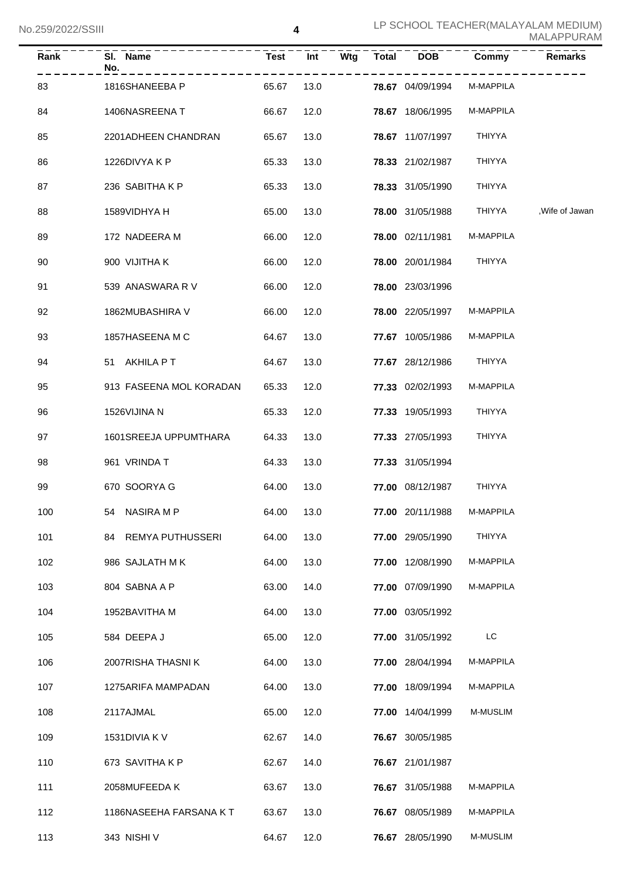| Rank | SI. Name<br>No.         | Test       | $\overline{Int}$ | Wtg | Total | DOB                        | Commy            | <b>Remarks</b>  |
|------|-------------------------|------------|------------------|-----|-------|----------------------------|------------------|-----------------|
| 83   | 1816SHANEEBA P          | 65.67      | 13.0             |     |       | <b>78.67</b> 04/09/1994    | M-MAPPILA        |                 |
| 84   | 1406NASREENAT           | 66.67      | 12.0             |     |       | 78.67 18/06/1995           | <b>M-MAPPILA</b> |                 |
| 85   | 2201ADHEEN CHANDRAN     | 65.67      | 13.0             |     |       | 78.67 11/07/1997           | <b>THIYYA</b>    |                 |
| 86   | 1226DIVYA K P           | 65.33      | 13.0             |     |       | 78.33 21/02/1987           | <b>THIYYA</b>    |                 |
| 87   | 236 SABITHA K P         | 65.33      | 13.0             |     |       | 78.33 31/05/1990           | <b>THIYYA</b>    |                 |
| 88   | 1589VIDHYA H            | 65.00      | 13.0             |     |       | 78.00 31/05/1988           | THIYYA           | , Wife of Jawan |
| 89   | 172 NADEERA M           | 66.00      | 12.0             |     |       | 78.00 02/11/1981           | M-MAPPILA        |                 |
| 90   | 900 VIJITHA K           | 66.00      | 12.0             |     |       | 78.00 20/01/1984           | <b>THIYYA</b>    |                 |
| 91   | 539 ANASWARA R V        | 66.00      | 12.0             |     |       | 78.00 23/03/1996           |                  |                 |
| 92   | 1862MUBASHIRA V         | 66.00      | 12.0             |     |       | 78.00 22/05/1997           | M-MAPPILA        |                 |
| 93   | 1857HASEENA M C         | 64.67      | 13.0             |     |       | 77.67 10/05/1986           | <b>M-MAPPILA</b> |                 |
| 94   | 51 AKHILA PT            | 64.67      | 13.0             |     |       | 77.67 28/12/1986           | <b>THIYYA</b>    |                 |
| 95   | 913 FASEENA MOL KORADAN | 65.33      | 12.0             |     |       | 77.33 02/02/1993           | M-MAPPILA        |                 |
| 96   | 1526VIJINA N            | 65.33      | 12.0             |     |       | 77.33 19/05/1993           | THIYYA           |                 |
| 97   | 1601SREEJA UPPUMTHARA   | 64.33      | 13.0             |     |       | 77.33 27/05/1993           | <b>THIYYA</b>    |                 |
| 98   | 961 VRINDA T            | 64.33      | 13.0             |     |       | 77.33 31/05/1994           |                  |                 |
| 99   | 670 SOORYA G            | 64.00      | 13.0             |     |       | 77.00 08/12/1987           | THIYYA           |                 |
| 100  | 54 NASIRA M P           | 64.00 13.0 |                  |     |       | 77.00 20/11/1988 M-MAPPILA |                  |                 |
| 101  | 84 REMYA PUTHUSSERI     | 64.00      | 13.0             |     |       | 77.00 29/05/1990           | <b>THIYYA</b>    |                 |
| 102  | 986 SAJLATH MK          | 64.00      | 13.0             |     |       | 77.00 12/08/1990           | M-MAPPILA        |                 |
| 103  | 804 SABNA A P           | 63.00      | 14.0             |     |       | 77.00 07/09/1990           | M-MAPPILA        |                 |
| 104  | 1952BAVITHA M           | 64.00      | 13.0             |     |       | 77.00 03/05/1992           |                  |                 |
| 105  | 584 DEEPA J             | 65.00      | 12.0             |     |       | 77.00 31/05/1992           | LC               |                 |
| 106  | 2007RISHA THASNIK       | 64.00      | 13.0             |     |       | 77.00 28/04/1994           | M-MAPPILA        |                 |
| 107  | 1275ARIFA MAMPADAN      | 64.00      | 13.0             |     |       | 77.00 18/09/1994           | M-MAPPILA        |                 |
| 108  | 2117AJMAL               | 65.00      | 12.0             |     |       | 77.00 14/04/1999           | <b>M-MUSLIM</b>  |                 |
| 109  | 1531 DIVIA K V          | 62.67      | 14.0             |     |       | 76.67 30/05/1985           |                  |                 |
| 110  | 673 SAVITHA K P         | 62.67      | 14.0             |     |       | 76.67 21/01/1987           |                  |                 |
| 111  | 2058MUFEEDA K           | 63.67      | 13.0             |     |       | 76.67 31/05/1988           | M-MAPPILA        |                 |
| 112  | 1186NASEEHA FARSANA KT  | 63.67      | 13.0             |     |       | 76.67 08/05/1989           | M-MAPPILA        |                 |
| 113  | 343 NISHI V             | 64.67      | 12.0             |     |       | 76.67 28/05/1990           | M-MUSLIM         |                 |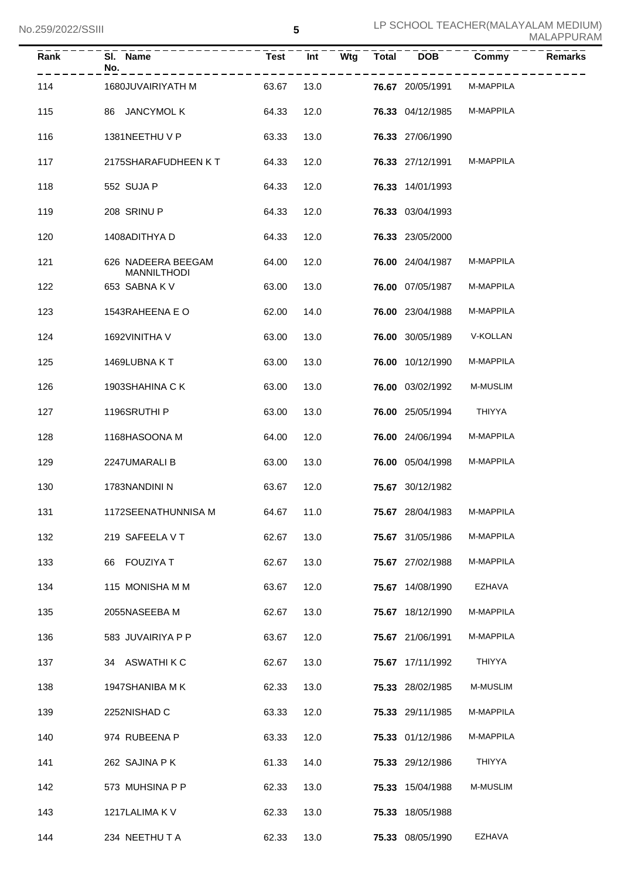| Rank | SI. Name<br>No.                          | <b>Test</b> | Int  | Wtg | <b>Total</b> | <b>DOB</b>       | Commy            | <b>Remarks</b> |
|------|------------------------------------------|-------------|------|-----|--------------|------------------|------------------|----------------|
| 114  | 1680JUVAIRIYATH M                        | 63.67       | 13.0 |     |              | 76.67 20/05/1991 | M-MAPPILA        |                |
| 115  | 86 JANCYMOL K                            | 64.33       | 12.0 |     |              | 76.33 04/12/1985 | M-MAPPILA        |                |
| 116  | 1381NEETHU V P                           | 63.33       | 13.0 |     |              | 76.33 27/06/1990 |                  |                |
| 117  | 2175SHARAFUDHEEN KT                      | 64.33       | 12.0 |     |              | 76.33 27/12/1991 | M-MAPPILA        |                |
| 118  | 552 SUJA P                               | 64.33       | 12.0 |     |              | 76.33 14/01/1993 |                  |                |
| 119  | 208 SRINU P                              | 64.33       | 12.0 |     |              | 76.33 03/04/1993 |                  |                |
| 120  | 1408ADITHYA D                            | 64.33       | 12.0 |     |              | 76.33 23/05/2000 |                  |                |
| 121  | 626 NADEERA BEEGAM<br><b>MANNILTHODI</b> | 64.00       | 12.0 |     |              | 76.00 24/04/1987 | M-MAPPILA        |                |
| 122  | 653 SABNAKV                              | 63.00       | 13.0 |     |              | 76.00 07/05/1987 | M-MAPPILA        |                |
| 123  | 1543RAHEENA E O                          | 62.00       | 14.0 |     |              | 76.00 23/04/1988 | M-MAPPILA        |                |
| 124  | 1692VINITHA V                            | 63.00       | 13.0 |     |              | 76.00 30/05/1989 | V-KOLLAN         |                |
| 125  | 1469LUBNA KT                             | 63.00       | 13.0 |     |              | 76.00 10/12/1990 | M-MAPPILA        |                |
| 126  | 1903SHAHINA C K                          | 63.00       | 13.0 |     |              | 76.00 03/02/1992 | M-MUSLIM         |                |
| 127  | 1196SRUTHI P                             | 63.00       | 13.0 |     |              | 76.00 25/05/1994 | <b>THIYYA</b>    |                |
| 128  | 1168HASOONA M                            | 64.00       | 12.0 |     |              | 76.00 24/06/1994 | M-MAPPILA        |                |
| 129  | 2247UMARALI B                            | 63.00       | 13.0 |     |              | 76.00 05/04/1998 | M-MAPPILA        |                |
| 130  | 1783NANDINI N                            | 63.67       | 12.0 |     |              | 75.67 30/12/1982 |                  |                |
| 131  | 1172SEENATHUNNISA M                      | 64.67 11.0  |      |     |              | 75.67 28/04/1983 | <b>M-MAPPILA</b> |                |
| 132  | 219 SAFEELA V T                          | 62.67       | 13.0 |     |              | 75.67 31/05/1986 | M-MAPPILA        |                |
| 133  | 66 FOUZIYA T                             | 62.67       | 13.0 |     |              | 75.67 27/02/1988 | M-MAPPILA        |                |
| 134  | 115 MONISHA M M                          | 63.67       | 12.0 |     |              | 75.67 14/08/1990 | EZHAVA           |                |
| 135  | 2055NASEEBA M                            | 62.67       | 13.0 |     |              | 75.67 18/12/1990 | M-MAPPILA        |                |
| 136  | 583 JUVAIRIYA P P                        | 63.67       | 12.0 |     |              | 75.67 21/06/1991 | M-MAPPILA        |                |
| 137  | 34 ASWATHIKC                             | 62.67       | 13.0 |     |              | 75.67 17/11/1992 | THIYYA           |                |
| 138  | 1947SHANIBA M K                          | 62.33       | 13.0 |     |              | 75.33 28/02/1985 | M-MUSLIM         |                |
| 139  | 2252NISHAD C                             | 63.33       | 12.0 |     |              | 75.33 29/11/1985 | M-MAPPILA        |                |
| 140  | 974 RUBEENA P                            | 63.33       | 12.0 |     |              | 75.33 01/12/1986 | M-MAPPILA        |                |
| 141  | 262 SAJINA PK                            | 61.33       | 14.0 |     |              | 75.33 29/12/1986 | THIYYA           |                |
| 142  | 573 MUHSINA P P                          | 62.33       | 13.0 |     |              | 75.33 15/04/1988 | M-MUSLIM         |                |
| 143  | 1217LALIMA K V                           | 62.33       | 13.0 |     |              | 75.33 18/05/1988 |                  |                |
| 144  | 234 NEETHU T A                           | 62.33       | 13.0 |     |              | 75.33 08/05/1990 | EZHAVA           |                |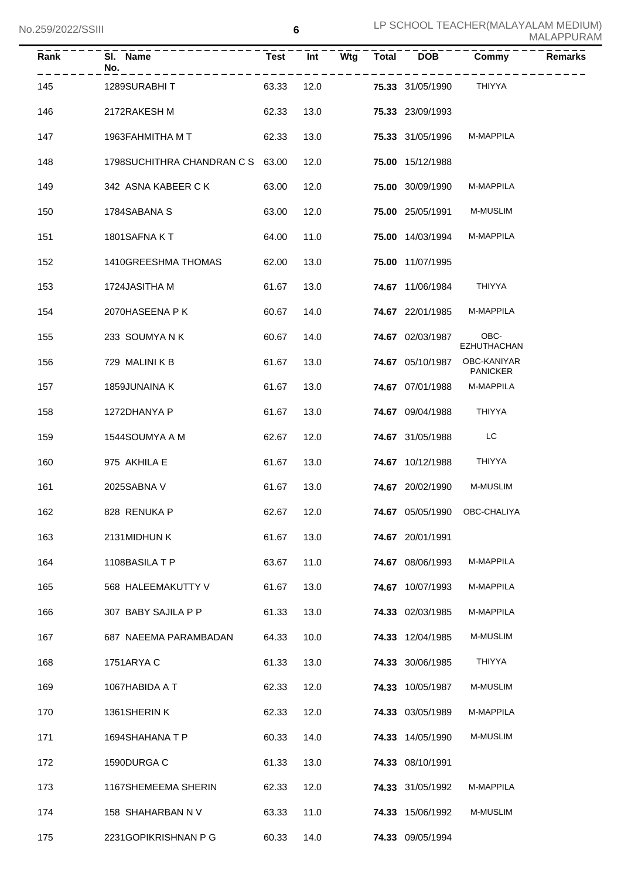| Rank | SI. Name<br>No.                  | Test       | Int  | Wtg | <b>Total</b> | <b>DOB</b>              | Commy                          | <b>Remarks</b> |
|------|----------------------------------|------------|------|-----|--------------|-------------------------|--------------------------------|----------------|
| 145  | 1289SURABHIT                     | 63.33      | 12.0 |     |              | <b>75.33</b> 31/05/1990 | THIYYA                         |                |
| 146  | 2172RAKESH M                     | 62.33      | 13.0 |     |              | 75.33 23/09/1993        |                                |                |
| 147  | 1963FAHMITHA M T                 | 62.33      | 13.0 |     |              | 75.33 31/05/1996        | M-MAPPILA                      |                |
| 148  | 1798SUCHITHRA CHANDRAN C S 63.00 |            | 12.0 |     |              | 75.00 15/12/1988        |                                |                |
| 149  | 342 ASNA KABEER C K              | 63.00      | 12.0 |     |              | 75.00 30/09/1990        | M-MAPPILA                      |                |
| 150  | 1784SABANA S                     | 63.00      | 12.0 |     |              | 75.00 25/05/1991        | <b>M-MUSLIM</b>                |                |
| 151  | 1801SAFNA KT                     | 64.00      | 11.0 |     |              | 75.00 14/03/1994        | M-MAPPILA                      |                |
| 152  | 1410GREESHMA THOMAS              | 62.00      | 13.0 |     |              | 75.00 11/07/1995        |                                |                |
| 153  | 1724JASITHA M                    | 61.67      | 13.0 |     |              | 74.67 11/06/1984        | THIYYA                         |                |
| 154  | 2070HASEENA P K                  | 60.67      | 14.0 |     |              | 74.67 22/01/1985        | M-MAPPILA                      |                |
| 155  | 233 SOUMYANK                     | 60.67      | 14.0 |     |              | 74.67 02/03/1987        | OBC-<br>EZHUTHACHAN            |                |
| 156  | 729 MALINI K B                   | 61.67      | 13.0 |     |              | 74.67 05/10/1987        | OBC-KANIYAR<br><b>PANICKER</b> |                |
| 157  | 1859JUNAINA K                    | 61.67      | 13.0 |     |              | 74.67 07/01/1988        | <b>M-MAPPILA</b>               |                |
| 158  | 1272DHANYA P                     | 61.67      | 13.0 |     |              | 74.67 09/04/1988        | THIYYA                         |                |
| 159  | 1544SOUMYA A M                   | 62.67      | 12.0 |     |              | 74.67 31/05/1988        | LC                             |                |
| 160  | 975 AKHILA E                     | 61.67      | 13.0 |     |              | 74.67 10/12/1988        | THIYYA                         |                |
| 161  | 2025SABNA V                      | 61.67      | 13.0 |     |              | 74.67 20/02/1990        | <b>M-MUSLIM</b>                |                |
| 162  | 828 RENUKA P                     | 62.67 12.0 |      |     |              |                         | 74.67 05/05/1990 OBC-CHALIYA   |                |
| 163  | 2131MIDHUN K                     | 61.67      | 13.0 |     |              | 74.67 20/01/1991        |                                |                |
| 164  | 1108BASILATP                     | 63.67      | 11.0 |     |              | 74.67 08/06/1993        | M-MAPPILA                      |                |
| 165  | 568 HALEEMAKUTTY V               | 61.67      | 13.0 |     |              | 74.67 10/07/1993        | M-MAPPILA                      |                |
| 166  | 307 BABY SAJILA P P              | 61.33      | 13.0 |     |              | 74.33 02/03/1985        | M-MAPPILA                      |                |
| 167  | 687 NAEEMA PARAMBADAN            | 64.33      | 10.0 |     |              | 74.33 12/04/1985        | M-MUSLIM                       |                |
| 168  | 1751ARYA C                       | 61.33      | 13.0 |     |              | 74.33 30/06/1985        | THIYYA                         |                |
| 169  | 1067HABIDA A T                   | 62.33      | 12.0 |     |              | 74.33 10/05/1987        | M-MUSLIM                       |                |
| 170  | 1361SHERIN K                     | 62.33      | 12.0 |     |              | 74.33 03/05/1989        | M-MAPPILA                      |                |
| 171  | 1694SHAHANA T P                  | 60.33      | 14.0 |     |              | 74.33 14/05/1990        | M-MUSLIM                       |                |
| 172  | 1590DURGA C                      | 61.33      | 13.0 |     |              | 74.33 08/10/1991        |                                |                |
| 173  | 1167SHEMEEMA SHERIN              | 62.33      | 12.0 |     |              | 74.33 31/05/1992        | M-MAPPILA                      |                |
| 174  | 158 SHAHARBAN N V                | 63.33      | 11.0 |     |              | 74.33 15/06/1992        | M-MUSLIM                       |                |
| 175  | 2231GOPIKRISHNAN P G             | 60.33      | 14.0 |     |              | 74.33 09/05/1994        |                                |                |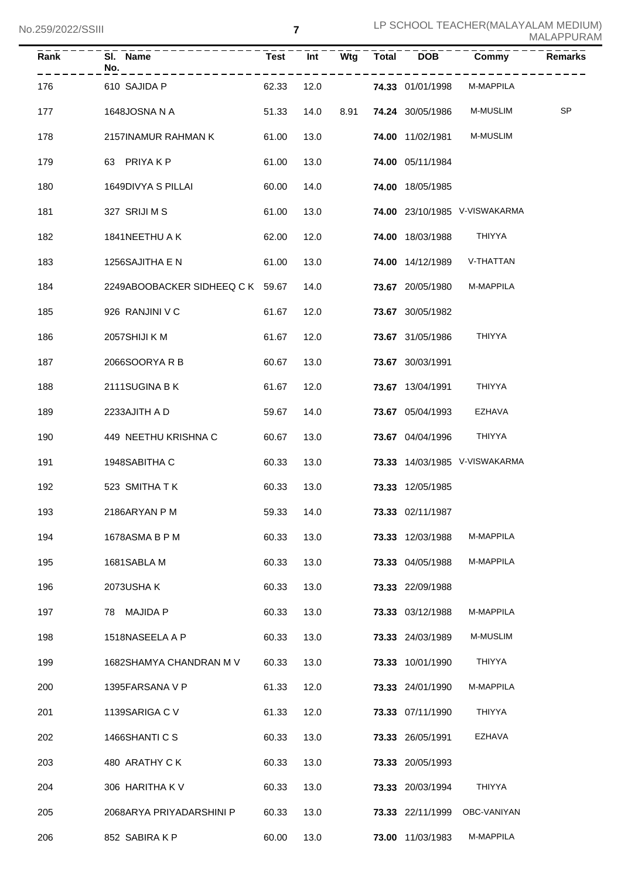| Rank | SI. Name<br>No.                  | <b>Test</b> | Int  | Wtg  | <b>Total</b> | <b>DOB</b>       | Commy                         | <b>Remarks</b> |
|------|----------------------------------|-------------|------|------|--------------|------------------|-------------------------------|----------------|
| 176  | 610 SAJIDA P                     | 62.33       | 12.0 |      |              | 74.33 01/01/1998 | M-MAPPILA                     |                |
| 177  | 1648JOSNA N A                    | 51.33       | 14.0 | 8.91 |              | 74.24 30/05/1986 | M-MUSLIM                      | SP             |
| 178  | 2157INAMUR RAHMAN K              | 61.00       | 13.0 |      |              | 74.00 11/02/1981 | M-MUSLIM                      |                |
| 179  | 63 PRIYAKP                       | 61.00       | 13.0 |      |              | 74.00 05/11/1984 |                               |                |
| 180  | 1649DIVYA S PILLAI               | 60.00       | 14.0 |      |              | 74.00 18/05/1985 |                               |                |
| 181  | 327 SRIJI M S                    | 61.00       | 13.0 |      |              |                  | 74.00 23/10/1985 V-VISWAKARMA |                |
| 182  | 1841NEETHU A K                   | 62.00       | 12.0 |      |              | 74.00 18/03/1988 | <b>THIYYA</b>                 |                |
| 183  | 1256SAJITHA E N                  | 61.00       | 13.0 |      |              | 74.00 14/12/1989 | V-THATTAN                     |                |
| 184  | 2249ABOOBACKER SIDHEEQ C K 59.67 |             | 14.0 |      |              | 73.67 20/05/1980 | M-MAPPILA                     |                |
| 185  | 926 RANJINI V C                  | 61.67       | 12.0 |      |              | 73.67 30/05/1982 |                               |                |
| 186  | 2057SHIJI K M                    | 61.67       | 12.0 |      |              | 73.67 31/05/1986 | <b>THIYYA</b>                 |                |
| 187  | 2066SOORYARB                     | 60.67       | 13.0 |      |              | 73.67 30/03/1991 |                               |                |
| 188  | 2111SUGINA B K                   | 61.67       | 12.0 |      |              | 73.67 13/04/1991 | <b>THIYYA</b>                 |                |
| 189  | 2233AJITH A D                    | 59.67       | 14.0 |      |              | 73.67 05/04/1993 | <b>EZHAVA</b>                 |                |
| 190  | 449 NEETHU KRISHNA C             | 60.67       | 13.0 |      |              | 73.67 04/04/1996 | THIYYA                        |                |
| 191  | 1948SABITHA C                    | 60.33       | 13.0 |      |              |                  | 73.33 14/03/1985 V-VISWAKARMA |                |
| 192  | 523 SMITHATK                     | 60.33       | 13.0 |      |              | 73.33 12/05/1985 |                               |                |
| 193  | 2186ARYAN P M                    | 59.33       | 14.0 |      |              | 73.33 02/11/1987 |                               |                |
| 194  | 1678ASMA B P M                   | 60.33       | 13.0 |      |              | 73.33 12/03/1988 | M-MAPPILA                     |                |
| 195  | 1681SABLA M                      | 60.33       | 13.0 |      |              | 73.33 04/05/1988 | M-MAPPILA                     |                |
| 196  | 2073USHA K                       | 60.33       | 13.0 |      |              | 73.33 22/09/1988 |                               |                |
| 197  | 78 MAJIDA P                      | 60.33       | 13.0 |      |              | 73.33 03/12/1988 | M-MAPPILA                     |                |
| 198  | 1518NASEELA A P                  | 60.33       | 13.0 |      |              | 73.33 24/03/1989 | M-MUSLIM                      |                |
| 199  | 1682SHAMYA CHANDRAN M V          | 60.33       | 13.0 |      |              | 73.33 10/01/1990 | THIYYA                        |                |
| 200  | 1395FARSANA V P                  | 61.33       | 12.0 |      |              | 73.33 24/01/1990 | M-MAPPILA                     |                |
| 201  | 1139SARIGA C V                   | 61.33       | 12.0 |      |              | 73.33 07/11/1990 | THIYYA                        |                |
| 202  | 1466SHANTI C S                   | 60.33       | 13.0 |      |              | 73.33 26/05/1991 | EZHAVA                        |                |
| 203  | 480 ARATHY CK                    | 60.33       | 13.0 |      |              | 73.33 20/05/1993 |                               |                |
| 204  | 306 HARITHA KV                   | 60.33       | 13.0 |      |              | 73.33 20/03/1994 | <b>THIYYA</b>                 |                |
| 205  | 2068ARYA PRIYADARSHINI P         | 60.33       | 13.0 |      |              | 73.33 22/11/1999 | OBC-VANIYAN                   |                |
| 206  | 852 SABIRA K P                   | 60.00       | 13.0 |      |              | 73.00 11/03/1983 | M-MAPPILA                     |                |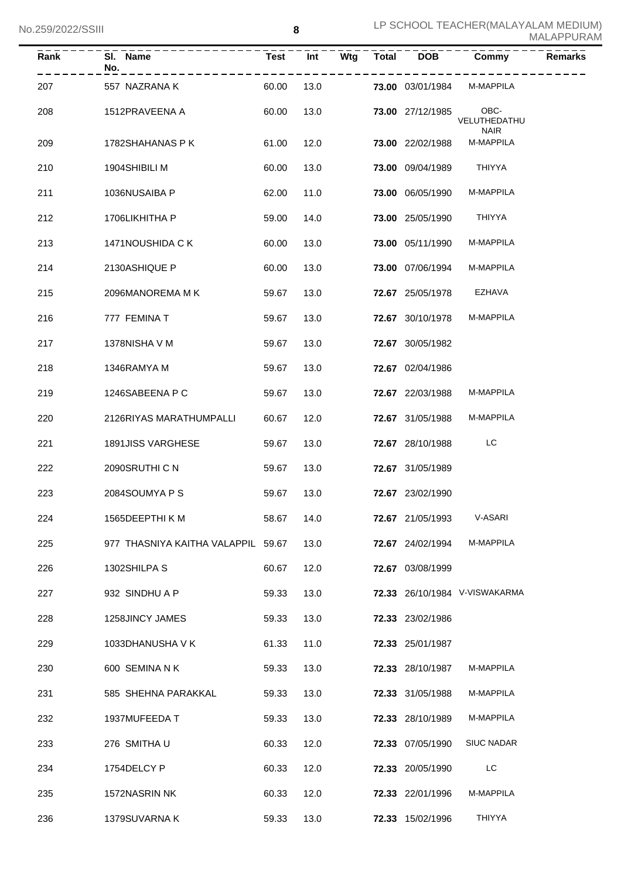| <b>Rank</b> | SI. Name<br>No.                    | Test  | $\overline{Int}$ | Wtg | <b>Total</b> | <b>DOB</b>              | Commy                               | <b>Remarks</b> |
|-------------|------------------------------------|-------|------------------|-----|--------------|-------------------------|-------------------------------------|----------------|
| 207         | 557 NAZRANA K                      | 60.00 | 13.0             |     |              | <b>73.00</b> 03/01/1984 | M-MAPPILA                           |                |
| 208         | 1512PRAVEENA A                     | 60.00 | 13.0             |     |              | 73.00 27/12/1985        | OBC-<br>VELUTHEDATHU<br><b>NAIR</b> |                |
| 209         | 1782SHAHANAS P K                   | 61.00 | 12.0             |     |              | 73.00 22/02/1988        | M-MAPPILA                           |                |
| 210         | 1904SHIBILI M                      | 60.00 | 13.0             |     |              | 73.00 09/04/1989        | THIYYA                              |                |
| 211         | 1036NUSAIBA P                      | 62.00 | 11.0             |     |              | 73.00 06/05/1990        | M-MAPPILA                           |                |
| 212         | 1706LIKHITHA P                     | 59.00 | 14.0             |     |              | 73.00 25/05/1990        | THIYYA                              |                |
| 213         | 1471NOUSHIDA C K                   | 60.00 | 13.0             |     |              | 73.00 05/11/1990        | M-MAPPILA                           |                |
| 214         | 2130ASHIQUE P                      | 60.00 | 13.0             |     |              | 73.00 07/06/1994        | M-MAPPILA                           |                |
| 215         | 2096MANOREMA M K                   | 59.67 | 13.0             |     |              | 72.67 25/05/1978        | EZHAVA                              |                |
| 216         | 777 FEMINA T                       | 59.67 | 13.0             |     |              | 72.67 30/10/1978        | M-MAPPILA                           |                |
| 217         | 1378NISHA V M                      | 59.67 | 13.0             |     |              | 72.67 30/05/1982        |                                     |                |
| 218         | 1346RAMYA M                        | 59.67 | 13.0             |     |              | 72.67 02/04/1986        |                                     |                |
| 219         | 1246SABEENA P C                    | 59.67 | 13.0             |     |              | 72.67 22/03/1988        | M-MAPPILA                           |                |
| 220         | 2126RIYAS MARATHUMPALLI            | 60.67 | 12.0             |     |              | 72.67 31/05/1988        | M-MAPPILA                           |                |
| 221         | <b>1891JISS VARGHESE</b>           | 59.67 | 13.0             |     |              | 72.67 28/10/1988        | LC.                                 |                |
| 222         | 2090SRUTHI C N                     | 59.67 | 13.0             |     |              | 72.67 31/05/1989        |                                     |                |
| 223         | 2084SOUMYA P S                     | 59.67 | 13.0             |     |              | 72.67 23/02/1990        |                                     |                |
| 224         | 1565DEEPTHIKM                      | 58.67 | 14.0             |     |              | 72.67 21/05/1993        | V-ASARI                             |                |
| 225         | 977 THASNIYA KAITHA VALAPPIL 59.67 |       | 13.0             |     |              | 72.67 24/02/1994        | M-MAPPILA                           |                |
| 226         | 1302SHILPA S                       | 60.67 | 12.0             |     |              | 72.67 03/08/1999        |                                     |                |
| 227         | 932 SINDHU A P                     | 59.33 | 13.0             |     |              |                         | 72.33 26/10/1984 V-VISWAKARMA       |                |
| 228         | 1258JINCY JAMES                    | 59.33 | 13.0             |     |              | 72.33 23/02/1986        |                                     |                |
| 229         | 1033DHANUSHA V K                   | 61.33 | 11.0             |     |              | 72.33 25/01/1987        |                                     |                |
| 230         | 600 SEMINA N K                     | 59.33 | 13.0             |     |              | 72.33 28/10/1987        | M-MAPPILA                           |                |
| 231         | 585 SHEHNA PARAKKAL                | 59.33 | 13.0             |     |              | 72.33 31/05/1988        | M-MAPPILA                           |                |
| 232         | 1937MUFEEDA T                      | 59.33 | 13.0             |     |              | 72.33 28/10/1989        | M-MAPPILA                           |                |
| 233         | 276 SMITHAU                        | 60.33 | 12.0             |     |              | 72.33 07/05/1990        | <b>SIUC NADAR</b>                   |                |
| 234         | 1754DELCY P                        | 60.33 | 12.0             |     |              | 72.33 20/05/1990        | LC                                  |                |
| 235         | 1572NASRIN NK                      | 60.33 | 12.0             |     |              | 72.33 22/01/1996        | M-MAPPILA                           |                |
| 236         | 1379SUVARNA K                      | 59.33 | 13.0             |     |              | 72.33 15/02/1996        | THIYYA                              |                |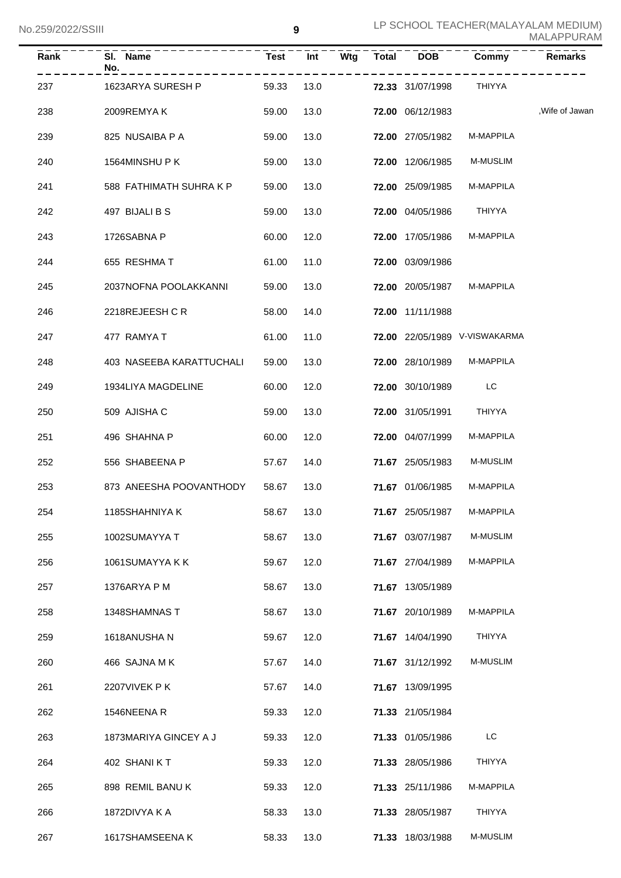| Rank | SI. Name<br>No.          | Test  | Int  | Wtg | <b>Total</b> | <b>DOB</b>              | Commy                         | <b>Remarks</b>  |
|------|--------------------------|-------|------|-----|--------------|-------------------------|-------------------------------|-----------------|
| 237  | 1623ARYA SURESH P        | 59.33 | 13.0 |     |              | <b>72.33</b> 31/07/1998 | THIYYA                        |                 |
| 238  | 2009REMYAK               | 59.00 | 13.0 |     |              | 72.00 06/12/1983        |                               | , Wife of Jawan |
| 239  | 825 NUSAIBA P A          | 59.00 | 13.0 |     |              | 72.00 27/05/1982        | M-MAPPILA                     |                 |
| 240  | 1564MINSHUPK             | 59.00 | 13.0 |     |              | 72.00 12/06/1985        | <b>M-MUSLIM</b>               |                 |
| 241  | 588 FATHIMATH SUHRA K P  | 59.00 | 13.0 |     |              | 72.00 25/09/1985        | M-MAPPILA                     |                 |
| 242  | 497 BIJALI B S           | 59.00 | 13.0 |     |              | <b>72.00 04/05/1986</b> | THIYYA                        |                 |
| 243  | 1726SABNA P              | 60.00 | 12.0 |     |              | <b>72.00 17/05/1986</b> | M-MAPPILA                     |                 |
| 244  | 655 RESHMA T             | 61.00 | 11.0 |     |              | 72.00 03/09/1986        |                               |                 |
| 245  | 2037NOFNA POOLAKKANNI    | 59.00 | 13.0 |     |              | 72.00 20/05/1987        | M-MAPPILA                     |                 |
| 246  | 2218REJEESH CR           | 58.00 | 14.0 |     |              | 72.00 11/11/1988        |                               |                 |
| 247  | 477 RAMYA T              | 61.00 | 11.0 |     |              |                         | 72.00 22/05/1989 V-VISWAKARMA |                 |
| 248  | 403 NASEEBA KARATTUCHALI | 59.00 | 13.0 |     |              | 72.00 28/10/1989        | M-MAPPILA                     |                 |
| 249  | 1934LIYA MAGDELINE       | 60.00 | 12.0 |     |              | 72.00 30/10/1989        | LC                            |                 |
| 250  | 509 AJISHA C             | 59.00 | 13.0 |     |              | 72.00 31/05/1991        | THIYYA                        |                 |
| 251  | 496 SHAHNA P             | 60.00 | 12.0 |     |              | 72.00 04/07/1999        | M-MAPPILA                     |                 |
| 252  | 556 SHABEENA P           | 57.67 | 14.0 |     |              | 71.67 25/05/1983        | <b>M-MUSLIM</b>               |                 |
| 253  | 873 ANEESHA POOVANTHODY  | 58.67 | 13.0 |     |              | 71.67 01/06/1985        | <b>M-MAPPILA</b>              |                 |
| 254  | 1185SHAHNIYA K           | 58.67 | 13.0 |     |              | 71.67 25/05/1987        | <b>M-MAPPILA</b>              |                 |
| 255  | 1002SUMAYYA T            | 58.67 | 13.0 |     |              | 71.67 03/07/1987        | <b>M-MUSLIM</b>               |                 |
| 256  | 1061SUMAYYA K K          | 59.67 | 12.0 |     |              | 71.67 27/04/1989        | M-MAPPILA                     |                 |
| 257  | 1376ARYA P M             | 58.67 | 13.0 |     |              | 71.67 13/05/1989        |                               |                 |
| 258  | 1348SHAMNAS T            | 58.67 | 13.0 |     |              | 71.67 20/10/1989        | M-MAPPILA                     |                 |
| 259  | 1618ANUSHA N             | 59.67 | 12.0 |     |              | 71.67 14/04/1990        | <b>THIYYA</b>                 |                 |
| 260  | 466 SAJNA MK             | 57.67 | 14.0 |     |              | 71.67 31/12/1992        | M-MUSLIM                      |                 |
| 261  | 2207VIVEK PK             | 57.67 | 14.0 |     |              | 71.67 13/09/1995        |                               |                 |
| 262  | 1546NEENA R              | 59.33 | 12.0 |     |              | 71.33 21/05/1984        |                               |                 |
| 263  | 1873MARIYA GINCEY A J    | 59.33 | 12.0 |     |              | 71.33 01/05/1986        | LC                            |                 |
| 264  | 402 SHANIKT              | 59.33 | 12.0 |     |              | 71.33 28/05/1986        | THIYYA                        |                 |
| 265  | 898 REMIL BANU K         | 59.33 | 12.0 |     |              | 71.33 25/11/1986        | M-MAPPILA                     |                 |
| 266  | 1872DIVYA K A            | 58.33 | 13.0 |     |              | 71.33 28/05/1987        | THIYYA                        |                 |
| 267  | 1617SHAMSEENA K          | 58.33 | 13.0 |     |              | 71.33 18/03/1988        | M-MUSLIM                      |                 |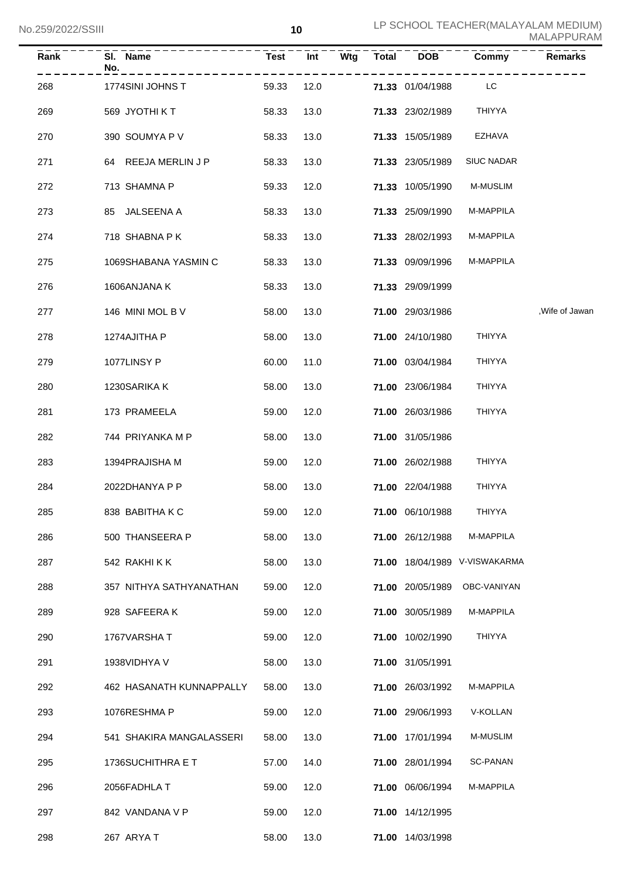| Rank | SI. Name<br>No.          | <b>Test</b> | Int  | Wtg | <b>Total</b> | <b>DOB</b>              | Commy                         | <b>Remarks</b>  |
|------|--------------------------|-------------|------|-----|--------------|-------------------------|-------------------------------|-----------------|
| 268  | 1774SINI JOHNS T         | 59.33       | 12.0 |     |              | <b>71.33</b> 01/04/1988 | <b>LC</b>                     |                 |
| 269  | 569 JYOTHI KT            | 58.33       | 13.0 |     |              | 71.33 23/02/1989        | THIYYA                        |                 |
| 270  | 390 SOUMYA P V           | 58.33       | 13.0 |     |              | 71.33 15/05/1989        | EZHAVA                        |                 |
| 271  | 64 REEJA MERLIN J P      | 58.33       | 13.0 |     |              | 71.33 23/05/1989        | <b>SIUC NADAR</b>             |                 |
| 272  | 713 SHAMNA P             | 59.33       | 12.0 |     |              | 71.33 10/05/1990        | <b>M-MUSLIM</b>               |                 |
| 273  | 85 JALSEENA A            | 58.33       | 13.0 |     |              | 71.33 25/09/1990        | M-MAPPILA                     |                 |
| 274  | 718 SHABNA PK            | 58.33       | 13.0 |     |              | 71.33 28/02/1993        | M-MAPPILA                     |                 |
| 275  | 1069SHABANA YASMIN C     | 58.33       | 13.0 |     |              | 71.33 09/09/1996        | M-MAPPILA                     |                 |
| 276  | 1606ANJANA K             | 58.33       | 13.0 |     |              | 71.33 29/09/1999        |                               |                 |
| 277  | 146 MINI MOL B V         | 58.00       | 13.0 |     |              | 71.00 29/03/1986        |                               | , Wife of Jawan |
| 278  | 1274AJITHA P             | 58.00       | 13.0 |     |              | 71.00 24/10/1980        | THIYYA                        |                 |
| 279  | 1077LINSY P              | 60.00       | 11.0 |     |              | 71.00 03/04/1984        | <b>THIYYA</b>                 |                 |
| 280  | 1230SARIKA K             | 58.00       | 13.0 |     |              | 71.00 23/06/1984        | <b>THIYYA</b>                 |                 |
| 281  | 173 PRAMEELA             | 59.00       | 12.0 |     |              | 71.00 26/03/1986        | THIYYA                        |                 |
| 282  | 744 PRIYANKA M P         | 58.00       | 13.0 |     |              | 71.00 31/05/1986        |                               |                 |
| 283  | 1394PRAJISHA M           | 59.00       | 12.0 |     |              | 71.00 26/02/1988        | THIYYA                        |                 |
| 284  | 2022DHANYA P P           | 58.00       | 13.0 |     |              | 71.00 22/04/1988        | <b>THIYYA</b>                 |                 |
| 285  | 838 BABITHA K C          | 59.00 12.0  |      |     |              | 71.00 06/10/1988        | <b>THIYYA</b>                 |                 |
| 286  | 500 THANSEERA P          | 58.00       | 13.0 |     |              | 71.00 26/12/1988        | M-MAPPILA                     |                 |
| 287  | 542 RAKHIKK              | 58.00       | 13.0 |     |              |                         | 71.00 18/04/1989 V-VISWAKARMA |                 |
| 288  | 357 NITHYA SATHYANATHAN  | 59.00       | 12.0 |     |              | 71.00 20/05/1989        | OBC-VANIYAN                   |                 |
| 289  | 928 SAFEERAK             | 59.00       | 12.0 |     |              | 71.00 30/05/1989        | M-MAPPILA                     |                 |
| 290  | 1767VARSHAT              | 59.00       | 12.0 |     |              | 71.00 10/02/1990        | <b>THIYYA</b>                 |                 |
| 291  | 1938VIDHYA V             | 58.00       | 13.0 |     |              | 71.00 31/05/1991        |                               |                 |
| 292  | 462 HASANATH KUNNAPPALLY | 58.00       | 13.0 |     |              | 71.00 26/03/1992        | M-MAPPILA                     |                 |
| 293  | 1076RESHMA P             | 59.00       | 12.0 |     |              | 71.00 29/06/1993        | V-KOLLAN                      |                 |
| 294  | 541 SHAKIRA MANGALASSERI | 58.00       | 13.0 |     |              | 71.00 17/01/1994        | M-MUSLIM                      |                 |
| 295  | 1736SUCHITHRA E T        | 57.00       | 14.0 |     |              | 71.00 28/01/1994        | SC-PANAN                      |                 |
| 296  | 2056FADHLA T             | 59.00       | 12.0 |     |              | 71.00 06/06/1994        | M-MAPPILA                     |                 |
| 297  | 842 VANDANA V P          | 59.00       | 12.0 |     |              | 71.00 14/12/1995        |                               |                 |
| 298  | 267 ARYA T               | 58.00       | 13.0 |     |              | 71.00 14/03/1998        |                               |                 |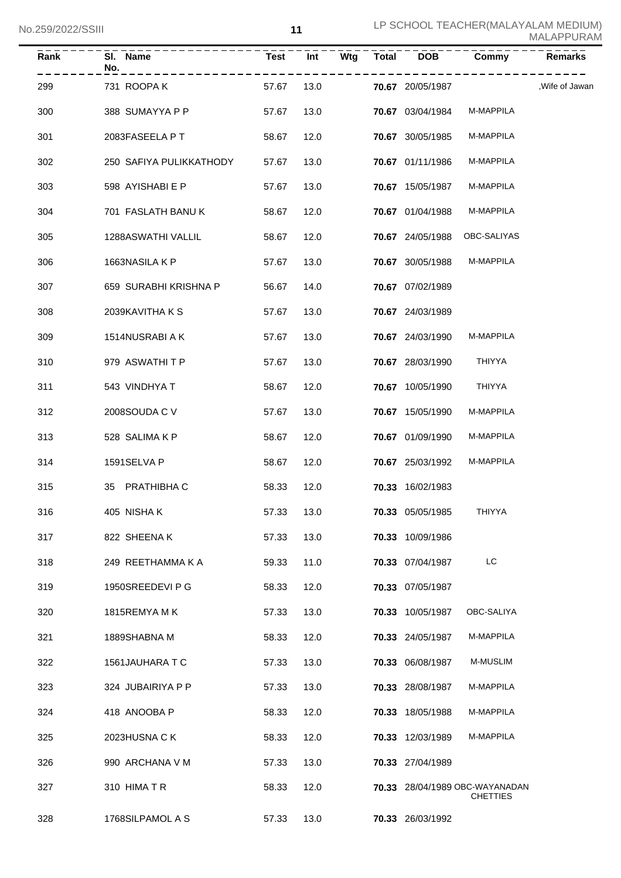| Rank | SI. Name<br>No.         | <b>Test</b> | Int  | Wtg | <b>Total</b> | <b>DOB</b>              | Commy                                             | Remarks         |
|------|-------------------------|-------------|------|-----|--------------|-------------------------|---------------------------------------------------|-----------------|
| 299  | 731 ROOPA K             | 57.67       | 13.0 |     |              | <b>70.67</b> 20/05/1987 |                                                   | , Wife of Jawan |
| 300  | 388 SUMAYYA P P         | 57.67       | 13.0 |     |              | 70.67 03/04/1984        | M-MAPPILA                                         |                 |
| 301  | 2083FASEELA P T         | 58.67       | 12.0 |     |              | 70.67 30/05/1985        | M-MAPPILA                                         |                 |
| 302  | 250 SAFIYA PULIKKATHODY | 57.67       | 13.0 |     |              | 70.67 01/11/1986        | M-MAPPILA                                         |                 |
| 303  | 598 AYISHABI E P        | 57.67       | 13.0 |     |              | 70.67 15/05/1987        | M-MAPPILA                                         |                 |
| 304  | 701 FASLATH BANU K      | 58.67       | 12.0 |     |              | 70.67 01/04/1988        | M-MAPPILA                                         |                 |
| 305  | 1288ASWATHI VALLIL      | 58.67       | 12.0 |     |              | 70.67 24/05/1988        | OBC-SALIYAS                                       |                 |
| 306  | 1663NASILA K P          | 57.67       | 13.0 |     |              | 70.67 30/05/1988        | M-MAPPILA                                         |                 |
| 307  | 659 SURABHI KRISHNA P   | 56.67       | 14.0 |     |              | 70.67 07/02/1989        |                                                   |                 |
| 308  | 2039KAVITHA K S         | 57.67       | 13.0 |     |              | 70.67 24/03/1989        |                                                   |                 |
| 309  | 1514NUSRABI A K         | 57.67       | 13.0 |     |              | 70.67 24/03/1990        | M-MAPPILA                                         |                 |
| 310  | 979 ASWATHITP           | 57.67       | 13.0 |     |              | 70.67 28/03/1990        | THIYYA                                            |                 |
| 311  | 543 VINDHYA T           | 58.67       | 12.0 |     |              | 70.67 10/05/1990        | THIYYA                                            |                 |
| 312  | 2008SOUDA C V           | 57.67       | 13.0 |     |              | 70.67 15/05/1990        | M-MAPPILA                                         |                 |
| 313  | 528 SALIMA K P          | 58.67       | 12.0 |     |              | 70.67 01/09/1990        | M-MAPPILA                                         |                 |
| 314  | 1591SELVA P             | 58.67       | 12.0 |     |              | 70.67 25/03/1992        | M-MAPPILA                                         |                 |
| 315  | 35 PRATHIBHA C          | 58.33       | 12.0 |     |              | 70.33 16/02/1983        |                                                   |                 |
| 316  | 405 NISHAK              | 57.33 13.0  |      |     |              | 70.33 05/05/1985 THIYYA |                                                   |                 |
| 317  | 822 SHEENAK             | 57.33       | 13.0 |     |              | 70.33 10/09/1986        |                                                   |                 |
| 318  | 249 REETHAMMA K A       | 59.33       | 11.0 |     |              | 70.33 07/04/1987        | LC                                                |                 |
| 319  | 1950SREEDEVI P G        | 58.33       | 12.0 |     |              | 70.33 07/05/1987        |                                                   |                 |
| 320  | 1815REMYA M K           | 57.33       | 13.0 |     |              | 70.33 10/05/1987        | OBC-SALIYA                                        |                 |
| 321  | 1889SHABNA M            | 58.33       | 12.0 |     |              | 70.33 24/05/1987        | M-MAPPILA                                         |                 |
| 322  | 1561JAUHARA T C         | 57.33       | 13.0 |     |              | 70.33 06/08/1987        | M-MUSLIM                                          |                 |
| 323  | 324 JUBAIRIYA P P       | 57.33       | 13.0 |     |              | 70.33 28/08/1987        | M-MAPPILA                                         |                 |
| 324  | 418 ANOOBA P            | 58.33       | 12.0 |     |              | 70.33 18/05/1988        | M-MAPPILA                                         |                 |
| 325  | 2023HUSNA CK            | 58.33       | 12.0 |     |              | 70.33 12/03/1989        | M-MAPPILA                                         |                 |
| 326  | 990 ARCHANA V M         | 57.33       | 13.0 |     |              | 70.33 27/04/1989        |                                                   |                 |
| 327  | 310 HIMATR              | 58.33       | 12.0 |     |              |                         | 70.33 28/04/1989 OBC-WAYANADAN<br><b>CHETTIES</b> |                 |
| 328  | 1768SILPAMOL A S        | 57.33       | 13.0 |     |              | 70.33 26/03/1992        |                                                   |                 |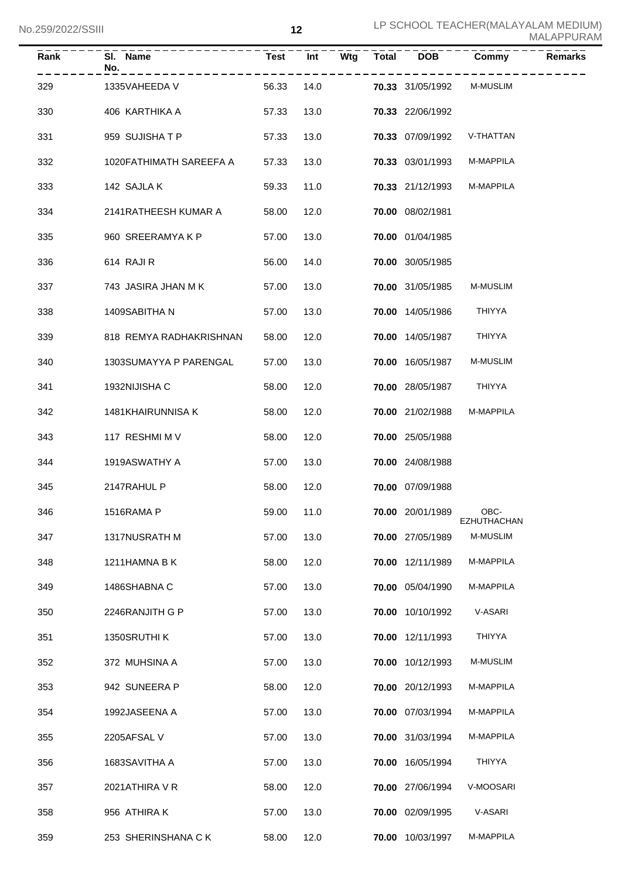| LUCC (SUZZ/USITI |                         |             | 14   |     |       |                  |                            | MALAPPURAM     |
|------------------|-------------------------|-------------|------|-----|-------|------------------|----------------------------|----------------|
| Rank             | SI. Name<br>No.         | <b>Test</b> | Int  | Wtg | Total | <b>DOB</b>       | Commy                      | <b>Remarks</b> |
| 329              | 1335VAHEEDA V           | 56.33       | 14.0 |     |       | 70.33 31/05/1992 | <b>M-MUSLIM</b>            |                |
| 330              | 406 KARTHIKA A          | 57.33       | 13.0 |     |       | 70.33 22/06/1992 |                            |                |
| 331              | 959 SUJISHATP           | 57.33       | 13.0 |     |       | 70.33 07/09/1992 | V-THATTAN                  |                |
| 332              | 1020FATHIMATH SAREEFA A | 57.33       | 13.0 |     |       | 70.33 03/01/1993 | M-MAPPILA                  |                |
| 333              | 142 SAJLA K             | 59.33       | 11.0 |     |       | 70.33 21/12/1993 | M-MAPPILA                  |                |
| 334              | 2141RATHEESH KUMAR A    | 58.00       | 12.0 |     |       | 70.00 08/02/1981 |                            |                |
| 335              | 960 SREERAMYA K P       | 57.00       | 13.0 |     |       | 70.00 01/04/1985 |                            |                |
| 336              | 614 RAJI R              | 56.00       | 14.0 |     |       | 70.00 30/05/1985 |                            |                |
| 337              | 743 JASIRA JHAN M K     | 57.00       | 13.0 |     |       | 70.00 31/05/1985 | <b>M-MUSLIM</b>            |                |
| 338              | 1409SABITHA N           | 57.00       | 13.0 |     |       | 70.00 14/05/1986 | THIYYA                     |                |
| 339              | 818 REMYA RADHAKRISHNAN | 58.00       | 12.0 |     |       | 70.00 14/05/1987 | THIYYA                     |                |
| 340              | 1303SUMAYYA P PARENGAL  | 57.00       | 13.0 |     |       | 70.00 16/05/1987 | <b>M-MUSLIM</b>            |                |
| 341              | 1932NIJISHA C           | 58.00       | 12.0 |     |       | 70.00 28/05/1987 | THIYYA                     |                |
| 342              | 1481KHAIRUNNISA K       | 58.00       | 12.0 |     |       | 70.00 21/02/1988 | M-MAPPILA                  |                |
| 343              | 117 RESHMI M V          | 58.00       | 12.0 |     |       | 70.00 25/05/1988 |                            |                |
| 344              | 1919ASWATHY A           | 57.00       | 13.0 |     |       | 70.00 24/08/1988 |                            |                |
| 345              | 2147RAHUL P             | 58.00       | 12.0 |     |       | 70.00 07/09/1988 |                            |                |
| 346              | 1516RAMA P              | 59.00       | 11.0 |     |       | 70.00 20/01/1989 | OBC-<br><b>EZHUTHACHAN</b> |                |
| 347              | 1317NUSRATH M           | 57.00       | 13.0 |     |       | 70.00 27/05/1989 | M-MUSLIM                   |                |
| 348              | 1211HAMNA B K           | 58.00       | 12.0 |     |       | 70.00 12/11/1989 | M-MAPPILA                  |                |
| 349              | 1486SHABNA C            | 57.00       | 13.0 |     |       | 70.00 05/04/1990 | M-MAPPILA                  |                |
| 350              | 2246RANJITH G P         | 57.00       | 13.0 |     |       | 70.00 10/10/1992 | V-ASARI                    |                |
| 351              | 1350SRUTHI K            | 57.00       | 13.0 |     |       | 70.00 12/11/1993 | THIYYA                     |                |
| 352              | 372 MUHSINA A           | 57.00       | 13.0 |     |       | 70.00 10/12/1993 | M-MUSLIM                   |                |
| 353              | 942 SUNEERA P           | 58.00       | 12.0 |     |       | 70.00 20/12/1993 | M-MAPPILA                  |                |
| 354              | 1992JASEENA A           | 57.00       | 13.0 |     |       | 70.00 07/03/1994 | M-MAPPILA                  |                |
| 355              | 2205AFSAL V             | 57.00       | 13.0 |     |       | 70.00 31/03/1994 | M-MAPPILA                  |                |
| 356              | 1683SAVITHA A           | 57.00       | 13.0 |     |       | 70.00 16/05/1994 | THIYYA                     |                |
| 357              | 2021ATHIRA V R          | 58.00       | 12.0 |     |       | 70.00 27/06/1994 | V-MOOSARI                  |                |
| 358              | 956 ATHIRA K            | 57.00       | 13.0 |     |       | 70.00 02/09/1995 | V-ASARI                    |                |
| 359              | 253 SHERINSHANA CK      | 58.00       | 12.0 |     |       | 70.00 10/03/1997 | M-MAPPILA                  |                |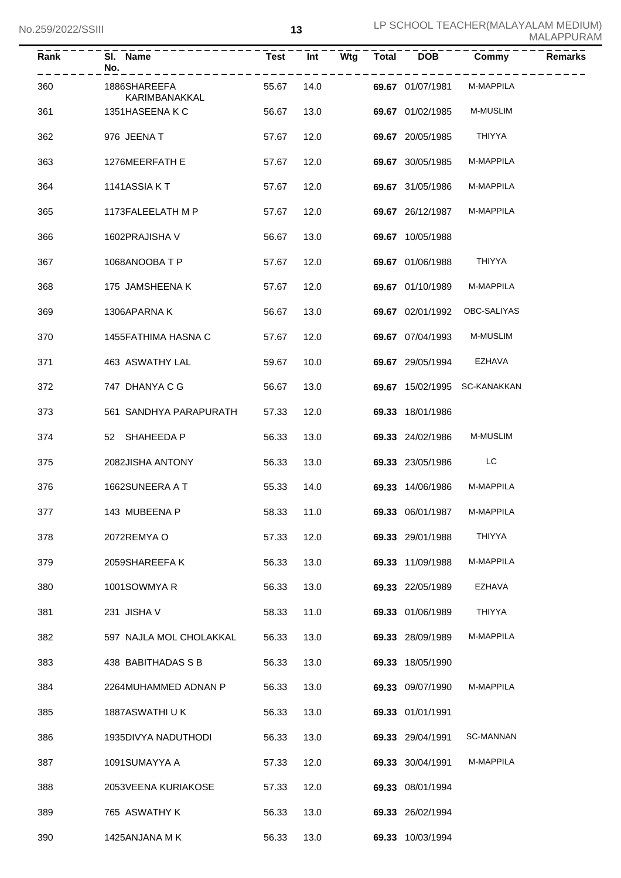| Rank | SI. Name<br>No.               | <b>Test</b> | Int  | Wtg | <b>Total</b> | <b>DOB</b>       | Commy           | <b>Remarks</b> |
|------|-------------------------------|-------------|------|-----|--------------|------------------|-----------------|----------------|
| 360  | 1886SHAREEFA<br>KARIMBANAKKAL | 55.67       | 14.0 |     |              | 69.67 01/07/1981 | M-MAPPILA       |                |
| 361  | 1351HASEENAKC                 | 56.67       | 13.0 |     |              | 69.67 01/02/1985 | <b>M-MUSLIM</b> |                |
| 362  | 976 JEENA T                   | 57.67       | 12.0 |     |              | 69.67 20/05/1985 | THIYYA          |                |
| 363  | 1276MEERFATH E                | 57.67       | 12.0 |     |              | 69.67 30/05/1985 | M-MAPPILA       |                |
| 364  | 1141ASSIA KT                  | 57.67       | 12.0 |     |              | 69.67 31/05/1986 | M-MAPPILA       |                |
| 365  | 1173FALEELATH M P             | 57.67       | 12.0 |     |              | 69.67 26/12/1987 | M-MAPPILA       |                |
| 366  | 1602PRAJISHA V                | 56.67       | 13.0 |     |              | 69.67 10/05/1988 |                 |                |
| 367  | 1068ANOOBATP                  | 57.67       | 12.0 |     |              | 69.67 01/06/1988 | <b>THIYYA</b>   |                |
| 368  | 175 JAMSHEENA K               | 57.67       | 12.0 |     |              | 69.67 01/10/1989 | M-MAPPILA       |                |
| 369  | 1306APARNAK                   | 56.67       | 13.0 |     |              | 69.67 02/01/1992 | OBC-SALIYAS     |                |
| 370  | 1455FATHIMA HASNA C           | 57.67       | 12.0 |     |              | 69.67 07/04/1993 | <b>M-MUSLIM</b> |                |
| 371  | 463 ASWATHY LAL               | 59.67       | 10.0 |     |              | 69.67 29/05/1994 | EZHAVA          |                |
| 372  | 747 DHANYA C G                | 56.67       | 13.0 |     |              | 69.67 15/02/1995 | SC-KANAKKAN     |                |
| 373  | 561 SANDHYA PARAPURATH        | 57.33       | 12.0 |     |              | 69.33 18/01/1986 |                 |                |
| 374  | 52 SHAHEEDA P                 | 56.33       | 13.0 |     |              | 69.33 24/02/1986 | <b>M-MUSLIM</b> |                |
| 375  | 2082JISHA ANTONY              | 56.33       | 13.0 |     |              | 69.33 23/05/1986 | LC              |                |
| 376  | 1662SUNEERA A T               | 55.33       | 14.0 |     |              | 69.33 14/06/1986 | M-MAPPILA       |                |
| 377  | 143 MUBEENA P                 | 58.33       | 11.0 |     |              | 69.33 06/01/1987 | M-MAPPILA       |                |
| 378  | 2072REMYAO                    | 57.33       | 12.0 |     |              | 69.33 29/01/1988 | THIYYA          |                |
| 379  | 2059SHAREEFA K                | 56.33       | 13.0 |     |              | 69.33 11/09/1988 | M-MAPPILA       |                |
| 380  | 1001SOWMYAR                   | 56.33       | 13.0 |     |              | 69.33 22/05/1989 | EZHAVA          |                |
| 381  | 231 JISHA V                   | 58.33       | 11.0 |     |              | 69.33 01/06/1989 | <b>THIYYA</b>   |                |
| 382  | 597 NAJLA MOL CHOLAKKAL       | 56.33       | 13.0 |     |              | 69.33 28/09/1989 | M-MAPPILA       |                |
| 383  | 438 BABITHADAS S B            | 56.33       | 13.0 |     |              | 69.33 18/05/1990 |                 |                |
| 384  | 2264MUHAMMED ADNAN P          | 56.33       | 13.0 |     |              | 69.33 09/07/1990 | M-MAPPILA       |                |
| 385  | 1887ASWATHI U K               | 56.33       | 13.0 |     |              | 69.33 01/01/1991 |                 |                |
| 386  | 1935DIVYA NADUTHODI           | 56.33       | 13.0 |     |              | 69.33 29/04/1991 | SC-MANNAN       |                |
| 387  | 1091SUMAYYA A                 | 57.33       | 12.0 |     |              | 69.33 30/04/1991 | M-MAPPILA       |                |
| 388  | 2053VEENA KURIAKOSE           | 57.33       | 12.0 |     |              | 69.33 08/01/1994 |                 |                |
| 389  | 765 ASWATHY K                 | 56.33       | 13.0 |     |              | 69.33 26/02/1994 |                 |                |
| 390  | 1425ANJANA MK                 | 56.33       | 13.0 |     |              | 69.33 10/03/1994 |                 |                |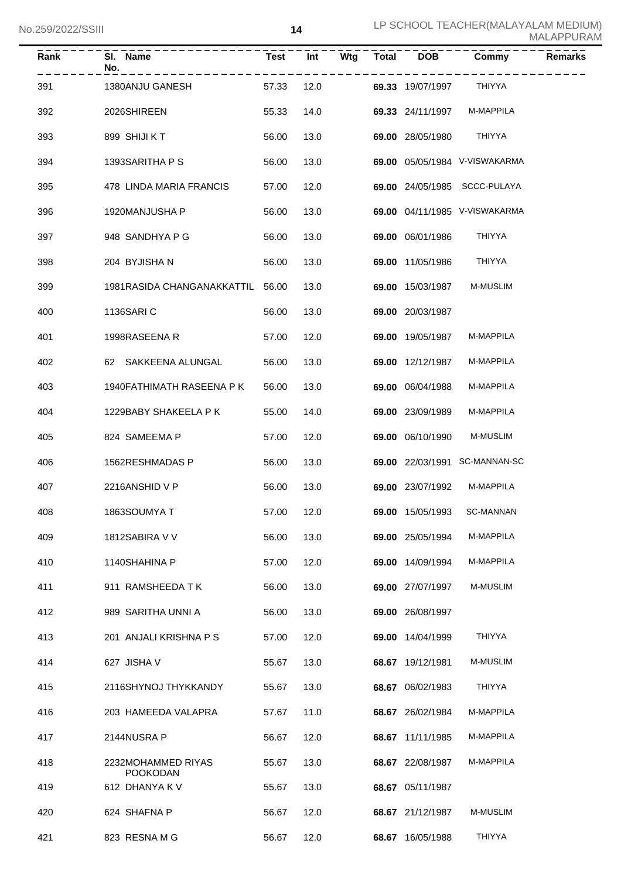| $\overline{\mathsf{Rank}}$ | SI. Name<br>No.<br>--------           | <b>Test</b> | Int  | Wtg | <b>Total</b> | <b>DOB</b>       | Commy                         | <b>Remarks</b> |
|----------------------------|---------------------------------------|-------------|------|-----|--------------|------------------|-------------------------------|----------------|
| 391                        | 1380ANJU GANESH                       | 57.33       | 12.0 |     |              | 69.33 19/07/1997 | THIYYA                        |                |
| 392                        | 2026SHIREEN                           | 55.33       | 14.0 |     |              | 69.33 24/11/1997 | M-MAPPILA                     |                |
| 393                        | 899 SHIJI KT                          | 56.00       | 13.0 |     |              | 69.00 28/05/1980 | THIYYA                        |                |
| 394                        | 1393SARITHA P S                       | 56.00       | 13.0 |     |              |                  | 69.00 05/05/1984 V-VISWAKARMA |                |
| 395                        | 478 LINDA MARIA FRANCIS               | 57.00       | 12.0 |     |              |                  | 69.00 24/05/1985 SCCC-PULAYA  |                |
| 396                        | 1920MANJUSHA P                        | 56.00       | 13.0 |     |              |                  | 69.00 04/11/1985 V-VISWAKARMA |                |
| 397                        | 948 SANDHYA P G                       | 56.00       | 13.0 |     |              | 69.00 06/01/1986 | THIYYA                        |                |
| 398                        | 204 BYJISHA N                         | 56.00       | 13.0 |     |              | 69.00 11/05/1986 | THIYYA                        |                |
| 399                        | 1981RASIDA CHANGANAKKATTIL 56.00      |             | 13.0 |     |              | 69.00 15/03/1987 | <b>M-MUSLIM</b>               |                |
| 400                        | 1136SARI C                            | 56.00       | 13.0 |     |              | 69.00 20/03/1987 |                               |                |
| 401                        | 1998RASEENA R                         | 57.00       | 12.0 |     |              | 69.00 19/05/1987 | M-MAPPILA                     |                |
| 402                        | 62 SAKKEENA ALUNGAL                   | 56.00       | 13.0 |     |              | 69.00 12/12/1987 | M-MAPPILA                     |                |
| 403                        | 1940FATHIMATH RASEENA P K             | 56.00       | 13.0 |     |              | 69.00 06/04/1988 | M-MAPPILA                     |                |
| 404                        | 1229BABY SHAKEELA P K                 | 55.00       | 14.0 |     |              | 69.00 23/09/1989 | M-MAPPILA                     |                |
| 405                        | 824 SAMEEMA P                         | 57.00       | 12.0 |     |              | 69.00 06/10/1990 | <b>M-MUSLIM</b>               |                |
| 406                        | 1562RESHMADAS P                       | 56.00       | 13.0 |     |              |                  | 69.00 22/03/1991 SC-MANNAN-SC |                |
| 407                        | 2216ANSHID V P                        | 56.00       | 13.0 |     |              | 69.00 23/07/1992 | M-MAPPILA                     |                |
| 408                        | 1863SOUMYA T                          | 57.00 12.0  |      |     |              |                  | 69.00 15/05/1993 SC-MANNAN    |                |
| 409                        | 1812SABIRA V V                        | 56.00       | 13.0 |     |              | 69.00 25/05/1994 | M-MAPPILA                     |                |
| 410                        | 1140SHAHINA P                         | 57.00       | 12.0 |     |              | 69.00 14/09/1994 | M-MAPPILA                     |                |
| 411                        | 911 RAMSHEEDA T K                     | 56.00       | 13.0 |     |              | 69.00 27/07/1997 | M-MUSLIM                      |                |
| 412                        | 989 SARITHA UNNI A                    | 56.00       | 13.0 |     |              | 69.00 26/08/1997 |                               |                |
| 413                        | 201 ANJALI KRISHNA P S                | 57.00       | 12.0 |     |              | 69.00 14/04/1999 | THIYYA                        |                |
| 414                        | 627 JISHA V                           | 55.67       | 13.0 |     |              | 68.67 19/12/1981 | M-MUSLIM                      |                |
| 415                        | 2116SHYNOJ THYKKANDY                  | 55.67       | 13.0 |     |              | 68.67 06/02/1983 | <b>THIYYA</b>                 |                |
| 416                        | 203 HAMEEDA VALAPRA                   | 57.67       | 11.0 |     |              | 68.67 26/02/1984 | M-MAPPILA                     |                |
| 417                        | 2144NUSRA P                           | 56.67       | 12.0 |     |              | 68.67 11/11/1985 | M-MAPPILA                     |                |
| 418                        | 2232MOHAMMED RIYAS<br><b>POOKODAN</b> | 55.67       | 13.0 |     |              | 68.67 22/08/1987 | M-MAPPILA                     |                |
| 419                        | 612 DHANYA K V                        | 55.67       | 13.0 |     |              | 68.67 05/11/1987 |                               |                |
| 420                        | 624 SHAFNA P                          | 56.67       | 12.0 |     |              | 68.67 21/12/1987 | M-MUSLIM                      |                |
| 421                        | 823 RESNAMG                           | 56.67       | 12.0 |     |              | 68.67 16/05/1988 | THIYYA                        |                |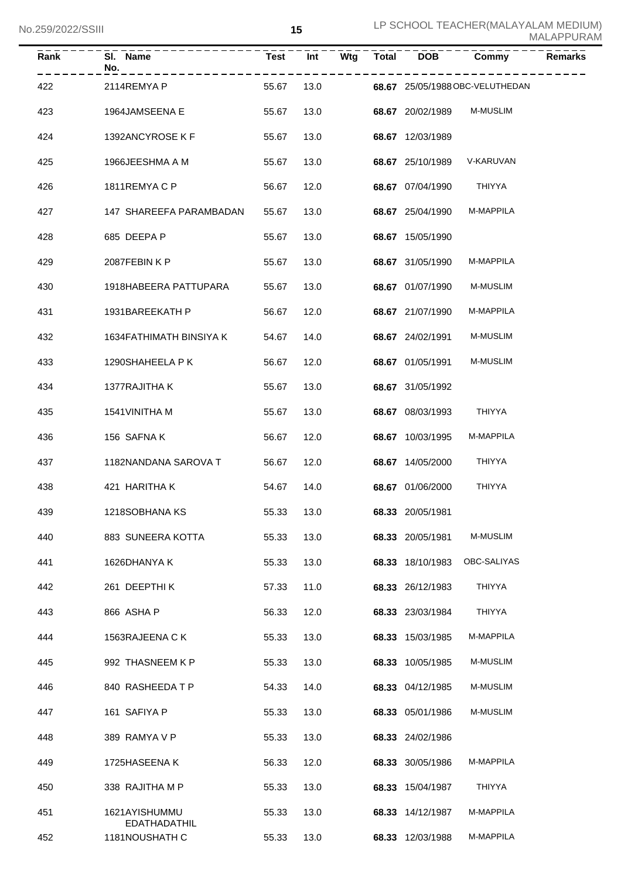| <b>ZUSIZUZZIOOIII</b> |                                      |             | IJ   |     |       |                  |                                 | MALAPPURAM     |
|-----------------------|--------------------------------------|-------------|------|-----|-------|------------------|---------------------------------|----------------|
| Rank                  | SI. Name<br>No.                      | <b>Test</b> | Int  | Wtg | Total | <b>DOB</b>       | Commy                           | <b>Remarks</b> |
| 422                   | 2114REMYA P                          | 55.67       | 13.0 |     |       |                  | 68.67 25/05/1988 OBC-VELUTHEDAN |                |
| 423                   | 1964JAMSEENA E                       | 55.67       | 13.0 |     |       | 68.67 20/02/1989 | <b>M-MUSLIM</b>                 |                |
| 424                   | 1392ANCYROSE K F                     | 55.67       | 13.0 |     |       | 68.67 12/03/1989 |                                 |                |
| 425                   | 1966JEESHMA A M                      | 55.67       | 13.0 |     |       | 68.67 25/10/1989 | V-KARUVAN                       |                |
| 426                   | 1811REMYACP                          | 56.67       | 12.0 |     |       | 68.67 07/04/1990 | THIYYA                          |                |
| 427                   | 147 SHAREEFA PARAMBADAN              | 55.67       | 13.0 |     |       | 68.67 25/04/1990 | M-MAPPILA                       |                |
| 428                   | 685 DEEPA P                          | 55.67       | 13.0 |     |       | 68.67 15/05/1990 |                                 |                |
| 429                   | 2087FEBIN K P                        | 55.67       | 13.0 |     |       | 68.67 31/05/1990 | M-MAPPILA                       |                |
| 430                   | 1918HABEERA PATTUPARA                | 55.67       | 13.0 |     |       | 68.67 01/07/1990 | M-MUSLIM                        |                |
| 431                   | 1931BAREEKATH P                      | 56.67       | 12.0 |     |       | 68.67 21/07/1990 | M-MAPPILA                       |                |
| 432                   | 1634FATHIMATH BINSIYA K              | 54.67       | 14.0 |     |       | 68.67 24/02/1991 | M-MUSLIM                        |                |
| 433                   | 1290SHAHEELA P K                     | 56.67       | 12.0 |     |       | 68.67 01/05/1991 | M-MUSLIM                        |                |
| 434                   | 1377RAJITHA K                        | 55.67       | 13.0 |     |       | 68.67 31/05/1992 |                                 |                |
| 435                   | 1541 VINITHA M                       | 55.67       | 13.0 |     |       | 68.67 08/03/1993 | THIYYA                          |                |
| 436                   | 156 SAFNA K                          | 56.67       | 12.0 |     |       | 68.67 10/03/1995 | M-MAPPILA                       |                |
| 437                   | 1182NANDANA SAROVA T                 | 56.67       | 12.0 |     |       | 68.67 14/05/2000 | THIYYA                          |                |
| 438                   | 421 HARITHA K                        | 54.67       | 14.0 |     |       | 68.67 01/06/2000 | THIYYA                          |                |
| 439                   | 1218SOBHANA KS                       | 55.33       | 13.0 |     |       | 68.33 20/05/1981 |                                 |                |
| 440                   | 883 SUNEERA KOTTA                    | 55.33       | 13.0 |     |       | 68.33 20/05/1981 | M-MUSLIM                        |                |
| 441                   | 1626DHANYA K                         | 55.33       | 13.0 |     |       | 68.33 18/10/1983 | OBC-SALIYAS                     |                |
| 442                   | 261 DEEPTHIK                         | 57.33       | 11.0 |     |       | 68.33 26/12/1983 | THIYYA                          |                |
| 443                   | 866 ASHA P                           | 56.33       | 12.0 |     |       | 68.33 23/03/1984 | THIYYA                          |                |
| 444                   | 1563RAJEENA C K                      | 55.33       | 13.0 |     |       | 68.33 15/03/1985 | M-MAPPILA                       |                |
| 445                   | 992 THASNEEM K P                     | 55.33       | 13.0 |     |       | 68.33 10/05/1985 | M-MUSLIM                        |                |
| 446                   | 840 RASHEEDATP                       | 54.33       | 14.0 |     |       | 68.33 04/12/1985 | M-MUSLIM                        |                |
| 447                   | 161 SAFIYA P                         | 55.33       | 13.0 |     |       | 68.33 05/01/1986 | M-MUSLIM                        |                |
| 448                   | 389 RAMYA V P                        | 55.33       | 13.0 |     |       | 68.33 24/02/1986 |                                 |                |
| 449                   | 1725HASEENA K                        | 56.33       | 12.0 |     |       | 68.33 30/05/1986 | M-MAPPILA                       |                |
| 450                   | 338 RAJITHA M P                      | 55.33       | 13.0 |     |       | 68.33 15/04/1987 | THIYYA                          |                |
| 451                   | 1621AYISHUMMU<br><b>EDATHADATHIL</b> | 55.33       | 13.0 |     |       | 68.33 14/12/1987 | M-MAPPILA                       |                |
| 452                   | 1181NOUSHATH C                       | 55.33       | 13.0 |     |       | 68.33 12/03/1988 | M-MAPPILA                       |                |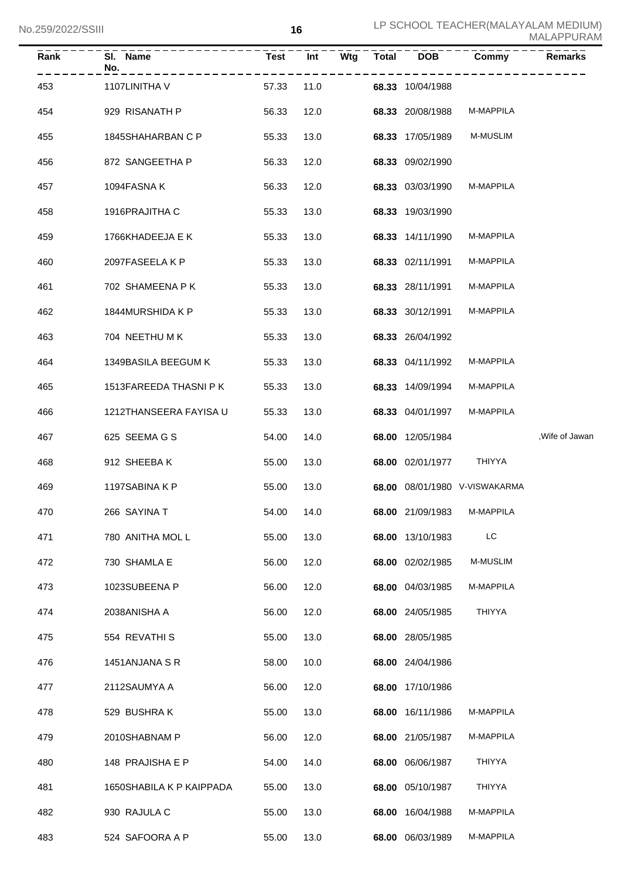| Rank | SI.<br><b>Name</b><br>No. | <b>Test</b> | Wtg<br>Int | <b>Total</b> | <b>DOB</b>       | Commy                         | <b>Remarks</b> |
|------|---------------------------|-------------|------------|--------------|------------------|-------------------------------|----------------|
| 453  | 1107LINITHA V             | 57.33       | 11.0       |              | 68.33 10/04/1988 |                               |                |
| 454  | 929 RISANATH P            | 56.33       | 12.0       |              | 68.33 20/08/1988 | M-MAPPILA                     |                |
| 455  | 1845SHAHARBAN C P         | 55.33       | 13.0       |              | 68.33 17/05/1989 | M-MUSLIM                      |                |
| 456  | 872 SANGEETHA P           | 56.33       | 12.0       |              | 68.33 09/02/1990 |                               |                |
| 457  | 1094FASNA K               | 56.33       | 12.0       |              | 68.33 03/03/1990 | M-MAPPILA                     |                |
| 458  | 1916PRAJITHA C            | 55.33       | 13.0       |              | 68.33 19/03/1990 |                               |                |
| 459  | 1766KHADEEJA E K          | 55.33       | 13.0       |              | 68.33 14/11/1990 | M-MAPPILA                     |                |
| 460  | 2097FASEELA K P           | 55.33       | 13.0       |              | 68.33 02/11/1991 | M-MAPPILA                     |                |
| 461  | 702 SHAMEENA P K          | 55.33       | 13.0       |              | 68.33 28/11/1991 | M-MAPPILA                     |                |
| 462  | 1844MURSHIDA K P          | 55.33       | 13.0       |              | 68.33 30/12/1991 | M-MAPPILA                     |                |
| 463  | 704 NEETHU M K            | 55.33       | 13.0       |              | 68.33 26/04/1992 |                               |                |
| 464  | 1349BASILA BEEGUM K       | 55.33       | 13.0       |              | 68.33 04/11/1992 | M-MAPPILA                     |                |
| 465  | 1513FAREEDA THASNI P K    | 55.33       | 13.0       |              | 68.33 14/09/1994 | M-MAPPILA                     |                |
| 466  | 1212THANSEERA FAYISA U    | 55.33       | 13.0       |              | 68.33 04/01/1997 | M-MAPPILA                     |                |
| 467  | 625 SEEMA G S             | 54.00       | 14.0       |              | 68.00 12/05/1984 |                               | ,Wife of Jawan |
| 468  | 912 SHEEBAK               | 55.00       | 13.0       |              | 68.00 02/01/1977 | <b>THIYYA</b>                 |                |
| 469  | 1197SABINA K P            | 55.00       | 13.0       |              |                  | 68.00 08/01/1980 V-VISWAKARMA |                |
| 470  | 266 SAYINA T              | 54.00       | 14.0       |              | 68.00 21/09/1983 | M-MAPPILA                     |                |
| 471  | 780 ANITHA MOL L          | 55.00       | 13.0       |              | 68.00 13/10/1983 | LC                            |                |
| 472  | 730 SHAMLA E              | 56.00       | 12.0       |              | 68.00 02/02/1985 | M-MUSLIM                      |                |
| 473  | 1023SUBEENA P             | 56.00       | 12.0       |              | 68.00 04/03/1985 | M-MAPPILA                     |                |
| 474  | 2038ANISHA A              | 56.00       | 12.0       |              | 68.00 24/05/1985 | <b>THIYYA</b>                 |                |
| 475  | 554 REVATHI S             | 55.00       | 13.0       |              | 68.00 28/05/1985 |                               |                |
| 476  | 1451ANJANA S R            | 58.00       | 10.0       |              | 68.00 24/04/1986 |                               |                |
| 477  | 2112SAUMYA A              | 56.00       | 12.0       |              | 68.00 17/10/1986 |                               |                |
| 478  | 529 BUSHRAK               | 55.00       | 13.0       |              | 68.00 16/11/1986 | M-MAPPILA                     |                |
| 479  | 2010SHABNAM P             | 56.00       | 12.0       |              | 68.00 21/05/1987 | M-MAPPILA                     |                |
| 480  | 148 PRAJISHA E P          | 54.00       | 14.0       |              | 68.00 06/06/1987 | THIYYA                        |                |
| 481  | 1650SHABILA K P KAIPPADA  | 55.00       | 13.0       |              | 68.00 05/10/1987 | <b>THIYYA</b>                 |                |
| 482  | 930 RAJULA C              | 55.00       | 13.0       |              | 68.00 16/04/1988 | M-MAPPILA                     |                |
| 483  | 524 SAFOORA A P           | 55.00       | 13.0       |              | 68.00 06/03/1989 | M-MAPPILA                     |                |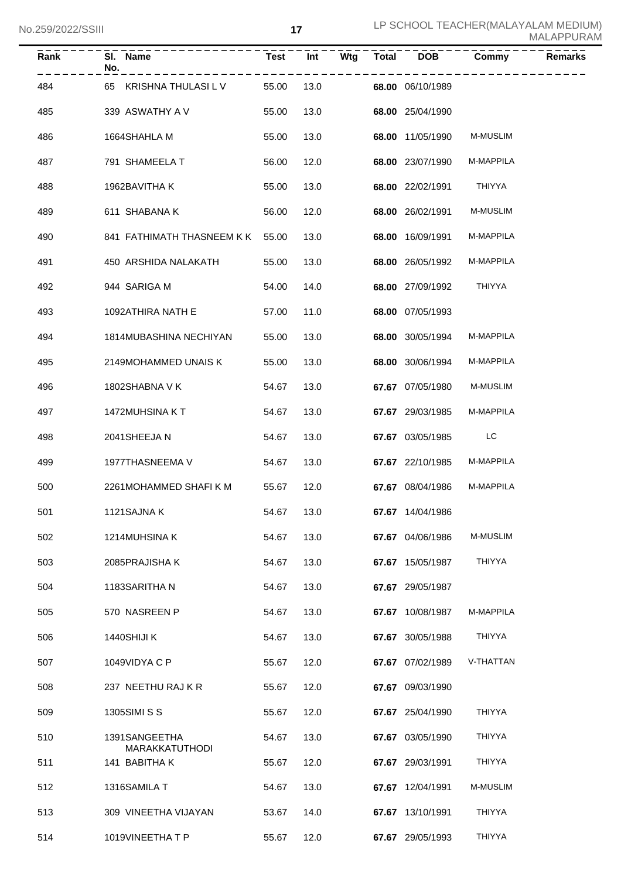| Rank | SI. Name<br>No.                        | <b>Test</b> | Int        | Wtg | <b>Total</b> | <b>DOB</b>       | Commy         | <b>Remarks</b> |
|------|----------------------------------------|-------------|------------|-----|--------------|------------------|---------------|----------------|
| 484  | 65 KRISHNA THULASI L V                 | 55.00       | 13.0       |     |              | 68.00 06/10/1989 |               |                |
| 485  | 339 ASWATHY A V                        | 55.00       | 13.0       |     |              | 68.00 25/04/1990 |               |                |
| 486  | 1664SHAHLA M                           | 55.00       | 13.0       |     |              | 68.00 11/05/1990 | M-MUSLIM      |                |
| 487  | 791 SHAMEELA T                         | 56.00       | 12.0       |     |              | 68.00 23/07/1990 | M-MAPPILA     |                |
| 488  | 1962BAVITHA K                          | 55.00       | 13.0       |     |              | 68.00 22/02/1991 | THIYYA        |                |
| 489  | 611 SHABANA K                          | 56.00       | 12.0       |     |              | 68.00 26/02/1991 | M-MUSLIM      |                |
| 490  | 841 FATHIMATH THASNEEM K K             | 55.00       | 13.0       |     |              | 68.00 16/09/1991 | M-MAPPILA     |                |
| 491  | 450 ARSHIDA NALAKATH                   | 55.00       | 13.0       |     |              | 68.00 26/05/1992 | M-MAPPILA     |                |
| 492  | 944 SARIGA M                           | 54.00       | 14.0       |     |              | 68.00 27/09/1992 | THIYYA        |                |
| 493  | 1092ATHIRA NATH E                      | 57.00       | 11.0       |     |              | 68.00 07/05/1993 |               |                |
| 494  | 1814MUBASHINA NECHIYAN                 | 55.00       | 13.0       |     |              | 68.00 30/05/1994 | M-MAPPILA     |                |
| 495  | 2149MOHAMMED UNAIS K                   | 55.00       | 13.0       |     |              | 68.00 30/06/1994 | M-MAPPILA     |                |
| 496  | 1802SHABNA V K                         | 54.67       | 13.0       |     |              | 67.67 07/05/1980 | M-MUSLIM      |                |
| 497  | 1472MUHSINA KT                         | 54.67       | 13.0       |     |              | 67.67 29/03/1985 | M-MAPPILA     |                |
| 498  | 2041SHEEJAN                            | 54.67       | 13.0       |     |              | 67.67 03/05/1985 | LC            |                |
| 499  | 1977THASNEEMA V                        | 54.67       | 13.0       |     |              | 67.67 22/10/1985 | M-MAPPILA     |                |
| 500  | 2261MOHAMMED SHAFIKM                   | 55.67       | 12.0       |     |              | 67.67 08/04/1986 | M-MAPPILA     |                |
| 501  | 1121SAJNA K                            |             | 54.67 13.0 |     |              | 67.67 14/04/1986 |               |                |
| 502  | 1214MUHSINA K                          | 54.67       | 13.0       |     |              | 67.67 04/06/1986 | M-MUSLIM      |                |
| 503  | 2085PRAJISHA K                         | 54.67       | 13.0       |     |              | 67.67 15/05/1987 | <b>THIYYA</b> |                |
| 504  | 1183SARITHA N                          | 54.67       | 13.0       |     |              | 67.67 29/05/1987 |               |                |
| 505  | 570 NASREEN P                          | 54.67       | 13.0       |     |              | 67.67 10/08/1987 | M-MAPPILA     |                |
| 506  | 1440SHIJI K                            | 54.67       | 13.0       |     |              | 67.67 30/05/1988 | <b>THIYYA</b> |                |
| 507  | 1049VIDYA C P                          | 55.67       | 12.0       |     |              | 67.67 07/02/1989 | V-THATTAN     |                |
| 508  | 237 NEETHU RAJ K R                     | 55.67       | 12.0       |     |              | 67.67 09/03/1990 |               |                |
| 509  | 1305SIMI S S                           | 55.67       | 12.0       |     |              | 67.67 25/04/1990 | <b>THIYYA</b> |                |
| 510  | 1391SANGEETHA                          | 54.67       | 13.0       |     |              | 67.67 03/05/1990 | <b>THIYYA</b> |                |
| 511  | <b>MARAKKATUTHODI</b><br>141 BABITHA K | 55.67       | 12.0       |     |              | 67.67 29/03/1991 | <b>THIYYA</b> |                |
| 512  | 1316SAMILA T                           | 54.67       | 13.0       |     |              | 67.67 12/04/1991 | M-MUSLIM      |                |
| 513  | 309 VINEETHA VIJAYAN                   | 53.67       | 14.0       |     |              | 67.67 13/10/1991 | <b>THIYYA</b> |                |
| 514  | 1019VINEETHATP                         | 55.67       | 12.0       |     |              | 67.67 29/05/1993 | THIYYA        |                |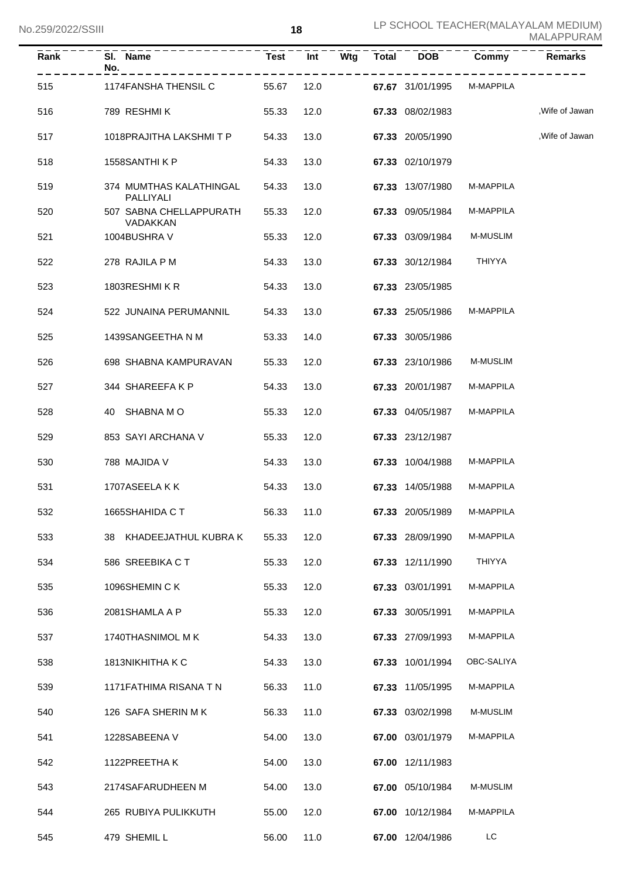| Rank | SI. Name<br>No.                      | <b>Test</b> | Int  | Wtg<br>--------- | Total | <b>DOB</b>       | Commy                           | Remarks         |
|------|--------------------------------------|-------------|------|------------------|-------|------------------|---------------------------------|-----------------|
| 515  | 1174FANSHA THENSIL C 55.67           |             |      |                  |       |                  | 12.0 67.67 31/01/1995 M-MAPPILA |                 |
| 516  | 789 RESHMI K                         | 55.33       | 12.0 |                  |       | 67.33 08/02/1983 |                                 | Wife of Jawan,  |
| 517  | 1018PRAJITHA LAKSHMI T P             | 54.33       | 13.0 |                  |       | 67.33 20/05/1990 |                                 | , Wife of Jawan |
| 518  | 1558SANTHI K P                       | 54.33       | 13.0 |                  |       | 67.33 02/10/1979 |                                 |                 |
| 519  | 374 MUMTHAS KALATHINGAL<br>PALLIYALI | 54.33       | 13.0 |                  |       | 67.33 13/07/1980 | M-MAPPILA                       |                 |
| 520  | 507 SABNA CHELLAPPURATH<br>VADAKKAN  | 55.33       | 12.0 |                  |       | 67.33 09/05/1984 | M-MAPPILA                       |                 |
| 521  | 1004BUSHRA V                         | 55.33       | 12.0 |                  |       | 67.33 03/09/1984 | M-MUSLIM                        |                 |
| 522  | 278 RAJILA P M                       | 54.33       | 13.0 |                  |       | 67.33 30/12/1984 | THIYYA                          |                 |
| 523  | 1803RESHMIKR                         | 54.33       | 13.0 |                  |       | 67.33 23/05/1985 |                                 |                 |
| 524  | 522 JUNAINA PERUMANNIL               | 54.33       | 13.0 |                  |       | 67.33 25/05/1986 | M-MAPPILA                       |                 |
| 525  | 1439SANGEETHA N M                    | 53.33       | 14.0 |                  |       | 67.33 30/05/1986 |                                 |                 |
| 526  | 698 SHABNA KAMPURAVAN                | 55.33       | 12.0 |                  |       | 67.33 23/10/1986 | <b>M-MUSLIM</b>                 |                 |
| 527  | 344 SHAREEFAKP                       | 54.33       | 13.0 |                  |       | 67.33 20/01/1987 | M-MAPPILA                       |                 |
| 528  | 40 SHABNA M O                        | 55.33       | 12.0 |                  |       | 67.33 04/05/1987 | M-MAPPILA                       |                 |
| 529  | 853 SAYI ARCHANA V                   | 55.33       | 12.0 |                  |       | 67.33 23/12/1987 |                                 |                 |
| 530  | 788 MAJIDA V                         | 54.33       | 13.0 |                  |       | 67.33 10/04/1988 | M-MAPPILA                       |                 |
| 531  | 1707ASEELA K K                       | 54.33       | 13.0 |                  |       | 67.33 14/05/1988 | M-MAPPILA                       |                 |
| 532  | 1665SHAHIDA CT<br>56.33              |             | 11.0 |                  |       | 67.33 20/05/1989 | M-MAPPILA                       |                 |
| 533  | 38 KHADEEJATHUL KUBRA K              | 55.33       | 12.0 |                  |       | 67.33 28/09/1990 | M-MAPPILA                       |                 |
| 534  | 586 SREEBIKA C T                     | 55.33       | 12.0 |                  |       | 67.33 12/11/1990 | THIYYA                          |                 |
| 535  | 1096SHEMIN CK                        | 55.33       | 12.0 |                  |       | 67.33 03/01/1991 | M-MAPPILA                       |                 |
| 536  | 2081SHAMLA A P                       | 55.33       | 12.0 |                  |       | 67.33 30/05/1991 | M-MAPPILA                       |                 |
| 537  | 1740THASNIMOL M K                    | 54.33       | 13.0 |                  |       | 67.33 27/09/1993 | M-MAPPILA                       |                 |
| 538  | 1813NIKHITHA K C                     | 54.33       | 13.0 |                  |       | 67.33 10/01/1994 | OBC-SALIYA                      |                 |
| 539  | 1171 FATHIMA RISANA TN               | 56.33       | 11.0 |                  |       | 67.33 11/05/1995 | M-MAPPILA                       |                 |
| 540  | 126 SAFA SHERIN MK                   | 56.33       | 11.0 |                  |       | 67.33 03/02/1998 | M-MUSLIM                        |                 |
| 541  | 1228SABEENA V                        | 54.00       | 13.0 |                  |       | 67.00 03/01/1979 | M-MAPPILA                       |                 |
| 542  | 1122PREETHAK                         | 54.00       | 13.0 |                  |       | 67.00 12/11/1983 |                                 |                 |
| 543  | 2174SAFARUDHEEN M                    | 54.00       | 13.0 |                  |       | 67.00 05/10/1984 | M-MUSLIM                        |                 |
| 544  | 265 RUBIYA PULIKKUTH                 | 55.00       | 12.0 |                  |       | 67.00 10/12/1984 | M-MAPPILA                       |                 |
| 545  | 479 SHEMIL L                         | 56.00       | 11.0 |                  |       | 67.00 12/04/1986 | LC                              |                 |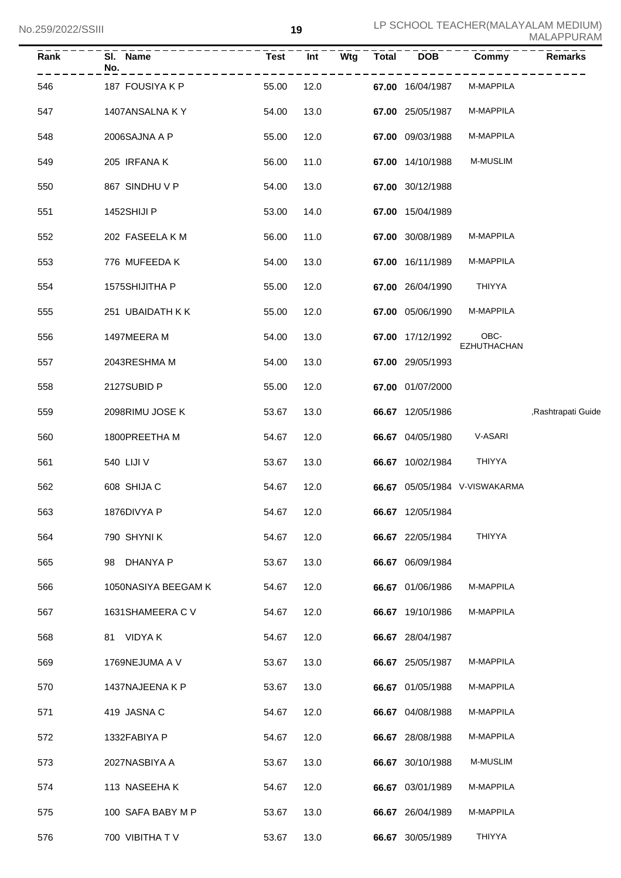| Rank | SI. Name<br>No.      | Test  | Int  | Wtg<br><b>Total</b> | <b>DOB</b>              | Commy                         | <b>Remarks</b>     |
|------|----------------------|-------|------|---------------------|-------------------------|-------------------------------|--------------------|
| 546  | 187 FOUSIYA K P      | 55.00 | 12.0 |                     |                         | 67.00 16/04/1987 M-MAPPILA    |                    |
| 547  | 1407ANSALNA K Y      | 54.00 | 13.0 |                     | <b>67.00</b> 25/05/1987 | M-MAPPILA                     |                    |
| 548  | 2006SAJNA A P        | 55.00 | 12.0 |                     | 67.00 09/03/1988        | M-MAPPILA                     |                    |
| 549  | 205 IRFANA K         | 56.00 | 11.0 |                     | 67.00 14/10/1988        | <b>M-MUSLIM</b>               |                    |
| 550  | 867 SINDHU V P       | 54.00 | 13.0 |                     | 67.00 30/12/1988        |                               |                    |
| 551  | 1452SHIJI P          | 53.00 | 14.0 |                     | 67.00 15/04/1989        |                               |                    |
| 552  | 202 FASEELA K M      | 56.00 | 11.0 |                     | 67.00 30/08/1989        | M-MAPPILA                     |                    |
| 553  | 776 MUFEEDA K        | 54.00 | 13.0 |                     | <b>67.00</b> 16/11/1989 | M-MAPPILA                     |                    |
| 554  | 1575SHIJITHA P       | 55.00 | 12.0 |                     | 67.00 26/04/1990        | THIYYA                        |                    |
| 555  | 251 UBAIDATH K K     | 55.00 | 12.0 |                     | 67.00 05/06/1990        | M-MAPPILA                     |                    |
| 556  | 1497MEERA M          | 54.00 | 13.0 |                     | 67.00 17/12/1992        | OBC-<br><b>EZHUTHACHAN</b>    |                    |
| 557  | 2043RESHMA M         | 54.00 | 13.0 |                     | 67.00 29/05/1993        |                               |                    |
| 558  | 2127SUBID P          | 55.00 | 12.0 |                     | 67.00 01/07/2000        |                               |                    |
| 559  | 2098RIMU JOSE K      | 53.67 | 13.0 |                     | 66.67 12/05/1986        |                               | ,Rashtrapati Guide |
| 560  | 1800PREETHA M        | 54.67 | 12.0 |                     | 66.67 04/05/1980        | V-ASARI                       |                    |
| 561  | 540 LIJI V           | 53.67 | 13.0 |                     | <b>66.67</b> 10/02/1984 | THIYYA                        |                    |
| 562  | 608 SHIJA C          | 54.67 | 12.0 |                     |                         | 66.67 05/05/1984 V-VISWAKARMA |                    |
| 563  | 1876DIVYA P<br>54.67 |       | 12.0 |                     | 66.67 12/05/1984        |                               |                    |
| 564  | 790 SHYNI K          | 54.67 | 12.0 |                     | 66.67 22/05/1984        | THIYYA                        |                    |
| 565  | 98 DHANYA P          | 53.67 | 13.0 |                     | 66.67 06/09/1984        |                               |                    |
| 566  | 1050NASIYA BEEGAM K  | 54.67 | 12.0 |                     | 66.67 01/06/1986        | M-MAPPILA                     |                    |
| 567  | 1631SHAMEERA C V     | 54.67 | 12.0 |                     | 66.67 19/10/1986        | M-MAPPILA                     |                    |
| 568  | 81 VIDYAK            | 54.67 | 12.0 |                     | 66.67 28/04/1987        |                               |                    |
| 569  | 1769NEJUMA A V       | 53.67 | 13.0 |                     | 66.67 25/05/1987        | M-MAPPILA                     |                    |
| 570  | 1437NAJEENA K P      | 53.67 | 13.0 |                     | 66.67 01/05/1988        | M-MAPPILA                     |                    |
| 571  | 419 JASNA C          | 54.67 | 12.0 |                     | 66.67 04/08/1988        | M-MAPPILA                     |                    |
| 572  | 1332FABIYA P         | 54.67 | 12.0 |                     | 66.67 28/08/1988        | M-MAPPILA                     |                    |
| 573  | 2027NASBIYA A        | 53.67 | 13.0 |                     | 66.67 30/10/1988        | M-MUSLIM                      |                    |
| 574  | 113 NASEEHAK         | 54.67 | 12.0 |                     | 66.67 03/01/1989        | M-MAPPILA                     |                    |
| 575  | 100 SAFA BABY M P    | 53.67 | 13.0 |                     | 66.67 26/04/1989        | M-MAPPILA                     |                    |
| 576  | 700 VIBITHA TV       | 53.67 | 13.0 |                     | 66.67 30/05/1989        | THIYYA                        |                    |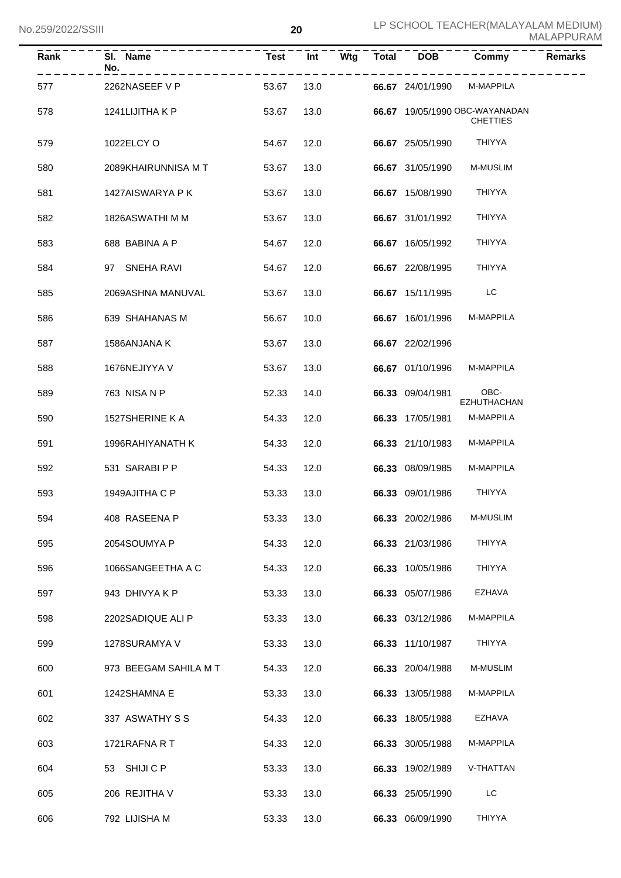| <b>Rank</b> | SI. Name<br>No.       |       | $Test$ $Int$ |      | Wtg Total DOB    | Commy                                             | <b>Remarks</b> |
|-------------|-----------------------|-------|--------------|------|------------------|---------------------------------------------------|----------------|
| 577         | 2262NASEEF V P        | 53.67 |              | 13.0 | 66.67 24/01/1990 | M-MAPPILA                                         |                |
| 578         | 1241LIJITHA K P       | 53.67 | 13.0         |      |                  | 66.67 19/05/1990 OBC-WAYANADAN<br><b>CHETTIES</b> |                |
| 579         | 1022ELCY O            | 54.67 | 12.0         |      | 66.67 25/05/1990 | THIYYA                                            |                |
| 580         | 2089KHAIRUNNISA MT    | 53.67 | 13.0         |      | 66.67 31/05/1990 | M-MUSLIM                                          |                |
| 581         | 1427AISWARYA P K      | 53.67 | 13.0         |      | 66.67 15/08/1990 | THIYYA                                            |                |
| 582         | 1826ASWATHI M M       | 53.67 | 13.0         |      | 66.67 31/01/1992 | <b>THIYYA</b>                                     |                |
| 583         | 688 BABINA A P        | 54.67 | 12.0         |      | 66.67 16/05/1992 | <b>THIYYA</b>                                     |                |
| 584         | 97 SNEHA RAVI         | 54.67 | 12.0         |      | 66.67 22/08/1995 | <b>THIYYA</b>                                     |                |
| 585         | 2069ASHNA MANUVAL     | 53.67 | 13.0         |      | 66.67 15/11/1995 | LC                                                |                |
| 586         | 639 SHAHANAS M        | 56.67 | 10.0         |      | 66.67 16/01/1996 | <b>M-MAPPILA</b>                                  |                |
| 587         | 1586ANJANA K          | 53.67 | 13.0         |      | 66.67 22/02/1996 |                                                   |                |
| 588         | 1676NEJIYYA V         | 53.67 | 13.0         |      | 66.67 01/10/1996 | M-MAPPILA                                         |                |
| 589         | 763 NISA N P          | 52.33 | 14.0         |      | 66.33 09/04/1981 | OBC-<br>EZHUTHACHAN                               |                |
| 590         | 1527SHERINE KA        | 54.33 | 12.0         |      | 66.33 17/05/1981 | M-MAPPILA                                         |                |
| 591         | 1996RAHIYANATH K      | 54.33 | 12.0         |      | 66.33 21/10/1983 | M-MAPPILA                                         |                |
| 592         | 531 SARABI P P        | 54.33 | 12.0         |      | 66.33 08/09/1985 | M-MAPPILA                                         |                |
| 593         | 1949AJITHA C P        | 53.33 | 13.0         |      | 66.33 09/01/1986 | <b>THIYYA</b>                                     |                |
| 594         | 408 RASEENA P         | 53.33 | 13.0         |      | 66.33 20/02/1986 | M-MUSLIM                                          |                |
| 595         | 2054SOUMYA P          | 54.33 | 12.0         |      | 66.33 21/03/1986 | <b>THIYYA</b>                                     |                |
| 596         | 1066SANGEETHA A C     | 54.33 | 12.0         |      | 66.33 10/05/1986 | <b>THIYYA</b>                                     |                |
| 597         | 943 DHIVYA K P        | 53.33 | 13.0         |      | 66.33 05/07/1986 | EZHAVA                                            |                |
| 598         | 2202SADIQUE ALI P     | 53.33 | 13.0         |      | 66.33 03/12/1986 | M-MAPPILA                                         |                |
| 599         | 1278SURAMYA V         | 53.33 | 13.0         |      | 66.33 11/10/1987 | <b>THIYYA</b>                                     |                |
| 600         | 973 BEEGAM SAHILA M T | 54.33 | 12.0         |      | 66.33 20/04/1988 | M-MUSLIM                                          |                |
| 601         | 1242SHAMNA E          | 53.33 | 13.0         |      | 66.33 13/05/1988 | M-MAPPILA                                         |                |
| 602         | 337 ASWATHY S S       | 54.33 | 12.0         |      | 66.33 18/05/1988 | EZHAVA                                            |                |
| 603         | 1721RAFNA R T         | 54.33 | 12.0         |      | 66.33 30/05/1988 | M-MAPPILA                                         |                |
| 604         | 53 SHIJI C P          | 53.33 | 13.0         |      | 66.33 19/02/1989 | V-THATTAN                                         |                |
| 605         | 206 REJITHA V         | 53.33 | 13.0         |      | 66.33 25/05/1990 | LC                                                |                |
| 606         | 792 LIJISHA M         | 53.33 | 13.0         |      | 66.33 06/09/1990 | THIYYA                                            |                |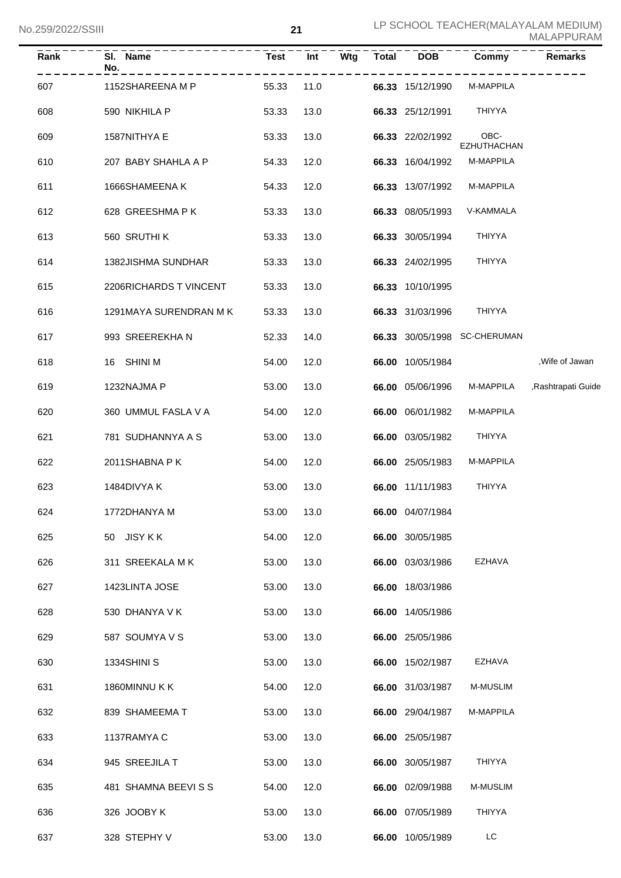| Rank | SI. Name<br>No.        | <b>Test</b> | Int  | Wtg | Total | <b>DOB</b>       | Commy                        | <b>Remarks</b>     |
|------|------------------------|-------------|------|-----|-------|------------------|------------------------------|--------------------|
| 607  | 1152SHAREENA M P       | 55.33       | 11.0 |     |       | 66.33 15/12/1990 | M-MAPPILA                    |                    |
| 608  | 590 NIKHILA P          | 53.33       | 13.0 |     |       | 66.33 25/12/1991 | THIYYA                       |                    |
| 609  | 1587NITHYA E           | 53.33       | 13.0 |     |       | 66.33 22/02/1992 | OBC-<br><b>EZHUTHACHAN</b>   |                    |
| 610  | 207 BABY SHAHLA A P    | 54.33       | 12.0 |     |       | 66.33 16/04/1992 | M-MAPPILA                    |                    |
| 611  | 1666SHAMEENA K         | 54.33       | 12.0 |     |       | 66.33 13/07/1992 | M-MAPPILA                    |                    |
| 612  | 628 GREESHMA P K       | 53.33       | 13.0 |     |       | 66.33 08/05/1993 | V-KAMMALA                    |                    |
| 613  | 560 SRUTHI K           | 53.33       | 13.0 |     |       | 66.33 30/05/1994 | <b>THIYYA</b>                |                    |
| 614  | 1382JISHMA SUNDHAR     | 53.33       | 13.0 |     |       | 66.33 24/02/1995 | <b>THIYYA</b>                |                    |
| 615  | 2206RICHARDS T VINCENT | 53.33       | 13.0 |     |       | 66.33 10/10/1995 |                              |                    |
| 616  | 1291MAYA SURENDRAN M K | 53.33       | 13.0 |     |       | 66.33 31/03/1996 | <b>THIYYA</b>                |                    |
| 617  | 993 SREEREKHAN         | 52.33       | 14.0 |     |       |                  | 66.33 30/05/1998 SC-CHERUMAN |                    |
| 618  | 16 SHINI M             | 54.00       | 12.0 |     |       | 66.00 10/05/1984 |                              | , Wife of Jawan    |
| 619  | 1232NAJMA P            | 53.00       | 13.0 |     |       | 66.00 05/06/1996 | M-MAPPILA                    | ,Rashtrapati Guide |
| 620  | 360 UMMUL FASLA V A    | 54.00       | 12.0 |     |       | 66.00 06/01/1982 | M-MAPPILA                    |                    |
| 621  | 781 SUDHANNYA A S      | 53.00       | 13.0 |     |       | 66.00 03/05/1982 | THIYYA                       |                    |
| 622  | 2011SHABNA P K         | 54.00       | 12.0 |     |       | 66.00 25/05/1983 | M-MAPPILA                    |                    |
| 623  | 1484DIVYA K            | 53.00       | 13.0 |     |       | 66.00 11/11/1983 | <b>THIYYA</b>                |                    |
| 624  | 1772DHANYA M           | 53.00       | 13.0 |     |       | 66.00 04/07/1984 |                              |                    |
| 625  | 50 JISY K K            | 54.00       | 12.0 |     |       | 66.00 30/05/1985 |                              |                    |
| 626  | 311 SREEKALA MK        | 53.00       | 13.0 |     |       | 66.00 03/03/1986 | EZHAVA                       |                    |
| 627  | 1423LINTA JOSE         | 53.00       | 13.0 |     |       | 66.00 18/03/1986 |                              |                    |
| 628  | 530 DHANYA V K         | 53.00       | 13.0 |     |       | 66.00 14/05/1986 |                              |                    |
| 629  | 587 SOUMYA V S         | 53.00       | 13.0 |     |       | 66.00 25/05/1986 |                              |                    |
| 630  | 1334SHINI S            | 53.00       | 13.0 |     |       | 66.00 15/02/1987 | EZHAVA                       |                    |
| 631  | 1860MINNU K K          | 54.00       | 12.0 |     |       | 66.00 31/03/1987 | M-MUSLIM                     |                    |
| 632  | 839 SHAMEEMA T         | 53.00       | 13.0 |     |       | 66.00 29/04/1987 | M-MAPPILA                    |                    |
| 633  | 1137RAMYA C            | 53.00       | 13.0 |     |       | 66.00 25/05/1987 |                              |                    |
| 634  | 945 SREEJILA T         | 53.00       | 13.0 |     |       | 66.00 30/05/1987 | THIYYA                       |                    |
| 635  | 481 SHAMNA BEEVISS     | 54.00       | 12.0 |     |       | 66.00 02/09/1988 | M-MUSLIM                     |                    |
| 636  | 326 JOOBY K            | 53.00       | 13.0 |     |       | 66.00 07/05/1989 | THIYYA                       |                    |
| 637  | 328 STEPHY V           | 53.00       | 13.0 |     |       | 66.00 10/05/1989 | LC                           |                    |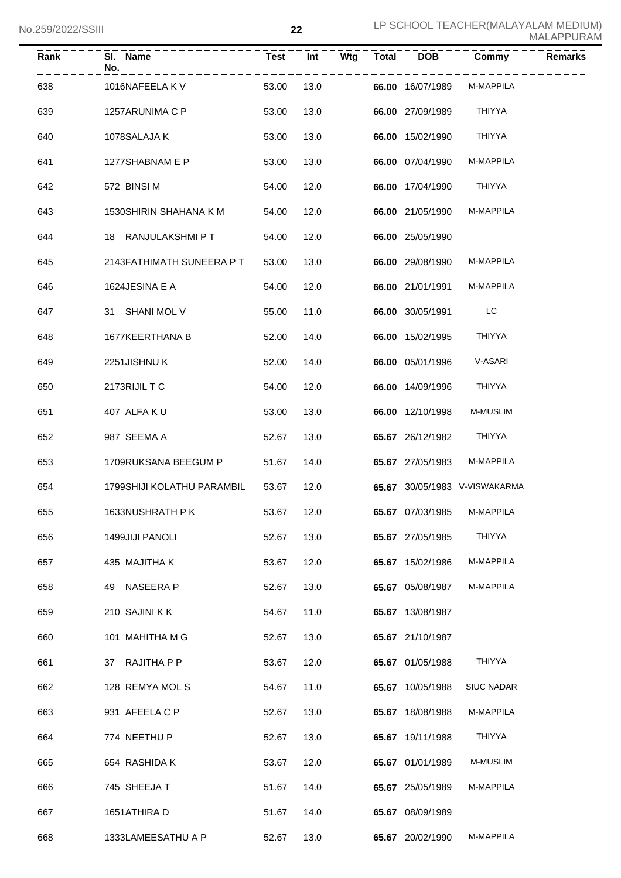| Rank | SI. Name<br>No.            | Test       | Int  | Wtg | Total | <b>DOB</b>       | Commy                         | <b>Remarks</b> |
|------|----------------------------|------------|------|-----|-------|------------------|-------------------------------|----------------|
| 638  | 1016NAFEELA K V            | 53.00      | 13.0 |     |       | 66.00 16/07/1989 | M-MAPPILA                     |                |
| 639  | 1257ARUNIMA C P            | 53.00      | 13.0 |     |       | 66.00 27/09/1989 | <b>THIYYA</b>                 |                |
| 640  | 1078SALAJA K               | 53.00      | 13.0 |     |       | 66.00 15/02/1990 | THIYYA                        |                |
| 641  | 1277SHABNAM E P            | 53.00      | 13.0 |     |       | 66.00 07/04/1990 | M-MAPPILA                     |                |
| 642  | 572 BINSI M                | 54.00      | 12.0 |     |       | 66.00 17/04/1990 | THIYYA                        |                |
| 643  | 1530SHIRIN SHAHANA K M     | 54.00      | 12.0 |     |       | 66.00 21/05/1990 | M-MAPPILA                     |                |
| 644  | 18 RANJULAKSHMI P T        | 54.00      | 12.0 |     |       | 66.00 25/05/1990 |                               |                |
| 645  | 2143FATHIMATH SUNEERA P T  | 53.00      | 13.0 |     |       | 66.00 29/08/1990 | M-MAPPILA                     |                |
| 646  | 1624JESINA E A             | 54.00      | 12.0 |     |       | 66.00 21/01/1991 | M-MAPPILA                     |                |
| 647  | 31 SHANI MOL V             | 55.00      | 11.0 |     |       | 66.00 30/05/1991 | LC                            |                |
| 648  | 1677KEERTHANA B            | 52.00      | 14.0 |     |       | 66.00 15/02/1995 | THIYYA                        |                |
| 649  | 2251JISHNUK                | 52.00      | 14.0 |     |       | 66.00 05/01/1996 | V-ASARI                       |                |
| 650  | 2173RIJIL T C              | 54.00      | 12.0 |     |       | 66.00 14/09/1996 | <b>THIYYA</b>                 |                |
| 651  | 407 ALFAKU                 | 53.00      | 13.0 |     |       | 66.00 12/10/1998 | M-MUSLIM                      |                |
| 652  | 987 SEEMA A                | 52.67      | 13.0 |     |       | 65.67 26/12/1982 | THIYYA                        |                |
| 653  | 1709RUKSANA BEEGUM P       | 51.67      | 14.0 |     |       | 65.67 27/05/1983 | M-MAPPILA                     |                |
| 654  | 1799SHIJI KOLATHU PARAMBIL | 53.67      | 12.0 |     |       |                  | 65.67 30/05/1983 V-VISWAKARMA |                |
| 655  | 1633NUSHRATH P K           | 53.67 12.0 |      |     |       | 65.67 07/03/1985 | M-MAPPILA                     |                |
| 656  | 1499JIJI PANOLI            | 52.67      | 13.0 |     |       | 65.67 27/05/1985 | THIYYA                        |                |
| 657  | 435 MAJITHA K              | 53.67      | 12.0 |     |       | 65.67 15/02/1986 | M-MAPPILA                     |                |
| 658  | 49 NASEERA P               | 52.67      | 13.0 |     |       | 65.67 05/08/1987 | M-MAPPILA                     |                |
| 659  | 210 SAJINI KK              | 54.67      | 11.0 |     |       | 65.67 13/08/1987 |                               |                |
| 660  | 101 MAHITHA M G            | 52.67      | 13.0 |     |       | 65.67 21/10/1987 |                               |                |
| 661  | 37 RAJITHA P P             | 53.67      | 12.0 |     |       | 65.67 01/05/1988 | THIYYA                        |                |
| 662  | 128 REMYA MOL S            | 54.67      | 11.0 |     |       | 65.67 10/05/1988 | <b>SIUC NADAR</b>             |                |
| 663  | 931 AFEELA C P             | 52.67      | 13.0 |     |       | 65.67 18/08/1988 | M-MAPPILA                     |                |
| 664  | 774 NEETHU P               | 52.67      | 13.0 |     |       | 65.67 19/11/1988 | THIYYA                        |                |
| 665  | 654 RASHIDA K              | 53.67      | 12.0 |     |       | 65.67 01/01/1989 | M-MUSLIM                      |                |
| 666  | 745 SHEEJA T               | 51.67      | 14.0 |     |       | 65.67 25/05/1989 | M-MAPPILA                     |                |
| 667  | 1651ATHIRA D               | 51.67      | 14.0 |     |       | 65.67 08/09/1989 |                               |                |
| 668  | 1333LAMEESATHU A P         | 52.67      | 13.0 |     |       | 65.67 20/02/1990 | M-MAPPILA                     |                |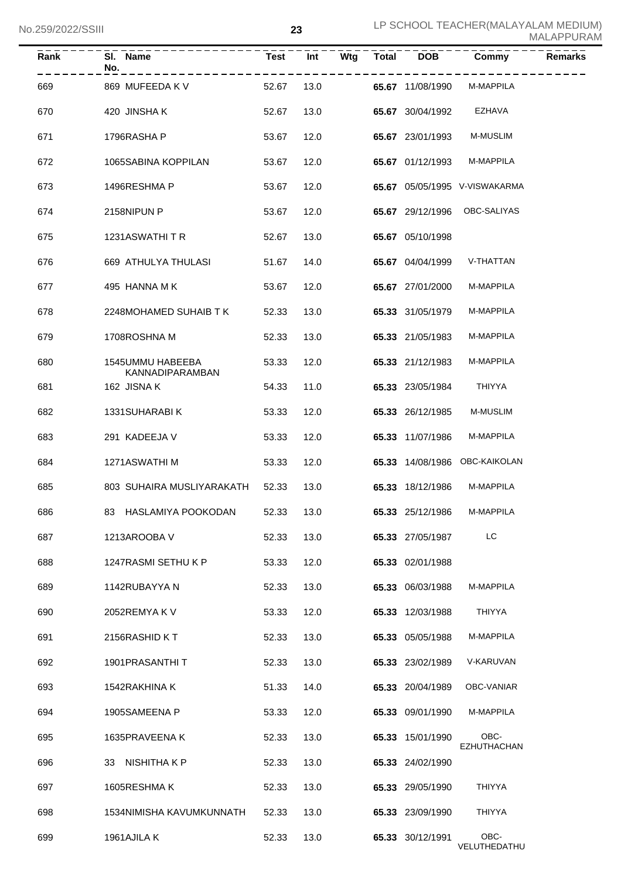| Rank | SI. Name<br>No.                     | Test       | Int  | Wtg Total | <b>DOB</b>       | Commy                         | <b>Remarks</b> |
|------|-------------------------------------|------------|------|-----------|------------------|-------------------------------|----------------|
| 669  | 869 MUFEEDA K V                     | 52.67      | 13.0 |           | 65.67 11/08/1990 | M-MAPPILA                     |                |
| 670  | 420 JINSHAK                         | 52.67      | 13.0 |           | 65.67 30/04/1992 | EZHAVA                        |                |
| 671  | 1796RASHA P                         | 53.67      | 12.0 |           | 65.67 23/01/1993 | M-MUSLIM                      |                |
| 672  | 1065SABINA KOPPILAN                 | 53.67      | 12.0 |           | 65.67 01/12/1993 | M-MAPPILA                     |                |
| 673  | 1496RESHMA P                        | 53.67      | 12.0 |           |                  | 65.67 05/05/1995 V-VISWAKARMA |                |
| 674  | 2158NIPUN P                         | 53.67      | 12.0 |           | 65.67 29/12/1996 | OBC-SALIYAS                   |                |
| 675  | 1231ASWATHITR                       | 52.67      | 13.0 |           | 65.67 05/10/1998 |                               |                |
| 676  | 669 ATHULYA THULASI                 | 51.67      | 14.0 |           | 65.67 04/04/1999 | V-THATTAN                     |                |
| 677  | 495 HANNA M K                       | 53.67      | 12.0 |           | 65.67 27/01/2000 | M-MAPPILA                     |                |
| 678  | 2248MOHAMED SUHAIB T K              | 52.33      | 13.0 |           | 65.33 31/05/1979 | M-MAPPILA                     |                |
| 679  | 1708ROSHNA M                        | 52.33      | 13.0 |           | 65.33 21/05/1983 | M-MAPPILA                     |                |
| 680  | 1545UMMU HABEEBA<br>KANNADIPARAMBAN | 53.33      | 12.0 |           | 65.33 21/12/1983 | M-MAPPILA                     |                |
| 681  | 162 JISNA K                         | 54.33      | 11.0 |           | 65.33 23/05/1984 | THIYYA                        |                |
| 682  | 1331SUHARABI K                      | 53.33      | 12.0 |           | 65.33 26/12/1985 | M-MUSLIM                      |                |
| 683  | 291 KADEEJA V                       | 53.33      | 12.0 |           | 65.33 11/07/1986 | M-MAPPILA                     |                |
| 684  | 1271ASWATHI M                       | 53.33      | 12.0 |           |                  | 65.33 14/08/1986 OBC-KAIKOLAN |                |
| 685  | 803 SUHAIRA MUSLIYARAKATH 52.33     |            | 13.0 |           | 65.33 18/12/1986 | M-MAPPILA                     |                |
| 686  | 83 HASLAMIYA POOKODAN               | 52.33 13.0 |      |           | 65.33 25/12/1986 | M-MAPPILA                     |                |
| 687  | 1213AROOBA V                        | 52.33      | 13.0 |           | 65.33 27/05/1987 | LC                            |                |
| 688  | 1247RASMI SETHU K P                 | 53.33      | 12.0 |           | 65.33 02/01/1988 |                               |                |
| 689  | 1142RUBAYYA N                       | 52.33      | 13.0 |           | 65.33 06/03/1988 | M-MAPPILA                     |                |
| 690  | 2052REMYAKV                         | 53.33      | 12.0 |           | 65.33 12/03/1988 | <b>THIYYA</b>                 |                |
| 691  | 2156RASHID KT                       | 52.33      | 13.0 |           | 65.33 05/05/1988 | M-MAPPILA                     |                |
| 692  | 1901PRASANTHIT                      | 52.33      | 13.0 |           | 65.33 23/02/1989 | V-KARUVAN                     |                |
| 693  | 1542RAKHINA K                       | 51.33      | 14.0 |           | 65.33 20/04/1989 | OBC-VANIAR                    |                |
| 694  | 1905SAMEENA P                       | 53.33      | 12.0 |           | 65.33 09/01/1990 | M-MAPPILA                     |                |
| 695  | 1635PRAVEENA K                      | 52.33      | 13.0 |           | 65.33 15/01/1990 | OBC-<br>EZHUTHACHAN           |                |
| 696  | 33 NISHITHAKP                       | 52.33      | 13.0 |           | 65.33 24/02/1990 |                               |                |
| 697  | 1605RESHMAK                         | 52.33      | 13.0 |           | 65.33 29/05/1990 | <b>THIYYA</b>                 |                |
| 698  | 1534NIMISHA KAVUMKUNNATH            | 52.33      | 13.0 |           | 65.33 23/09/1990 | <b>THIYYA</b>                 |                |
| 699  | 1961AJILA K                         | 52.33      | 13.0 |           | 65.33 30/12/1991 | OBC-<br>VELUTHEDATHU          |                |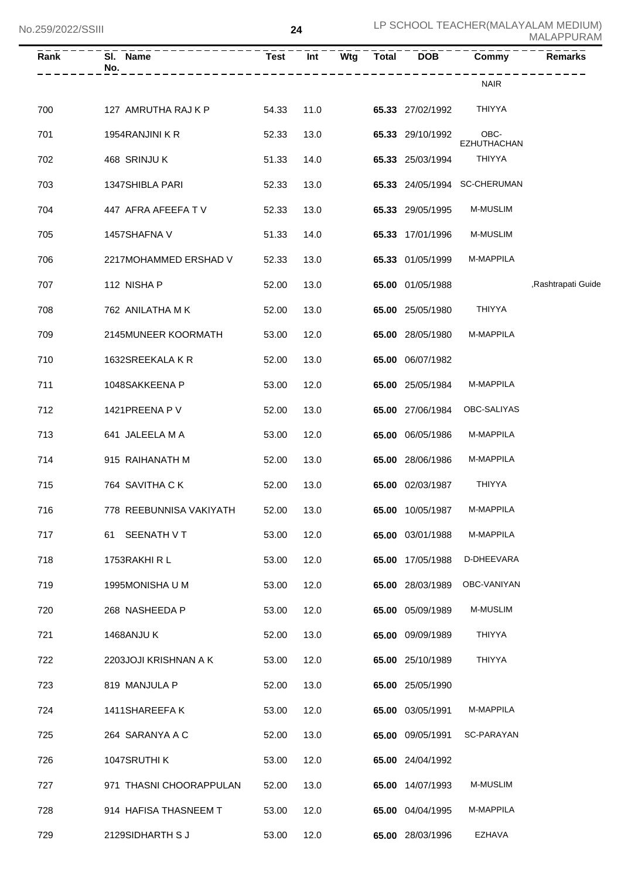| Rank | SI. Name<br>No.         | <b>Test</b> | Int  | $\overline{\mathsf{W}}$ tg | – – – – – –<br>g       Total | $\overline{DOB}$ | Commy                        | <b>Remarks</b>     |
|------|-------------------------|-------------|------|----------------------------|------------------------------|------------------|------------------------------|--------------------|
|      |                         |             |      |                            |                              |                  | <b>NAIR</b>                  |                    |
| 700  | 127 AMRUTHA RAJ K P     | 54.33       | 11.0 |                            |                              | 65.33 27/02/1992 | <b>THIYYA</b>                |                    |
| 701  | 1954RANJINI K R         | 52.33       | 13.0 |                            |                              | 65.33 29/10/1992 | OBC-<br><b>EZHUTHACHAN</b>   |                    |
| 702  | 468 SRINJU K            | 51.33       | 14.0 |                            |                              | 65.33 25/03/1994 | <b>THIYYA</b>                |                    |
| 703  | 1347SHIBLA PARI         | 52.33       | 13.0 |                            |                              |                  | 65.33 24/05/1994 SC-CHERUMAN |                    |
| 704  | 447 AFRA AFEEFA TV      | 52.33       | 13.0 |                            |                              | 65.33 29/05/1995 | M-MUSLIM                     |                    |
| 705  | 1457SHAFNA V            | 51.33       | 14.0 |                            |                              | 65.33 17/01/1996 | M-MUSLIM                     |                    |
| 706  | 2217MOHAMMED ERSHAD V   | 52.33       | 13.0 |                            |                              | 65.33 01/05/1999 | M-MAPPILA                    |                    |
| 707  | 112 NISHA P             | 52.00       | 13.0 |                            |                              | 65.00 01/05/1988 |                              | ,Rashtrapati Guide |
| 708  | 762 ANILATHA MK         | 52.00       | 13.0 |                            |                              | 65.00 25/05/1980 | <b>THIYYA</b>                |                    |
| 709  | 2145MUNEER KOORMATH     | 53.00       | 12.0 |                            |                              | 65.00 28/05/1980 | M-MAPPILA                    |                    |
| 710  | 1632SREEKALA K R        | 52.00       | 13.0 |                            |                              | 65.00 06/07/1982 |                              |                    |
| 711  | 1048SAKKEENA P          | 53.00       | 12.0 |                            |                              | 65.00 25/05/1984 | M-MAPPILA                    |                    |
| 712  | 1421 PREENA P V         | 52.00       | 13.0 |                            |                              | 65.00 27/06/1984 | OBC-SALIYAS                  |                    |
| 713  | 641 JALEELA M A         | 53.00       | 12.0 |                            |                              | 65.00 06/05/1986 | M-MAPPILA                    |                    |
| 714  | 915 RAIHANATH M         | 52.00       | 13.0 |                            |                              | 65.00 28/06/1986 | M-MAPPILA                    |                    |
| 715  | 764 SAVITHA CK          | 52.00       | 13.0 |                            |                              | 65.00 02/03/1987 | <b>THIYYA</b>                |                    |
| 716  | 778 REEBUNNISA VAKIYATH | 52.00       | 13.0 |                            |                              | 65.00 10/05/1987 | M-MAPPILA                    |                    |
| 717  | 61 SEENATH V T          | 53.00       | 12.0 |                            |                              | 65.00 03/01/1988 | M-MAPPILA                    |                    |
| 718  | 1753RAKHIRL             | 53.00       | 12.0 |                            |                              | 65.00 17/05/1988 | D-DHEEVARA                   |                    |
| 719  | 1995MONISHA U M         | 53.00       | 12.0 |                            |                              | 65.00 28/03/1989 | OBC-VANIYAN                  |                    |
| 720  | 268 NASHEEDA P          | 53.00       | 12.0 |                            |                              | 65.00 05/09/1989 | M-MUSLIM                     |                    |
| 721  | <b>1468ANJU K</b>       | 52.00       | 13.0 |                            |                              | 65.00 09/09/1989 | THIYYA                       |                    |
| 722  | 2203JOJI KRISHNAN A K   | 53.00       | 12.0 |                            |                              | 65.00 25/10/1989 | THIYYA                       |                    |
| 723  | 819 MANJULA P           | 52.00       | 13.0 |                            |                              | 65.00 25/05/1990 |                              |                    |
| 724  | 1411SHAREEFA K          | 53.00       | 12.0 |                            |                              | 65.00 03/05/1991 | M-MAPPILA                    |                    |
| 725  | 264 SARANYA A C         | 52.00       | 13.0 |                            |                              | 65.00 09/05/1991 | SC-PARAYAN                   |                    |
| 726  | 1047SRUTHI K            | 53.00       | 12.0 |                            |                              | 65.00 24/04/1992 |                              |                    |
| 727  | 971 THASNI CHOORAPPULAN | 52.00       | 13.0 |                            |                              | 65.00 14/07/1993 | M-MUSLIM                     |                    |
| 728  | 914 HAFISA THASNEEM T   | 53.00       | 12.0 |                            |                              | 65.00 04/04/1995 | M-MAPPILA                    |                    |
| 729  | 2129SIDHARTH S J        | 53.00       | 12.0 |                            |                              | 65.00 28/03/1996 | EZHAVA                       |                    |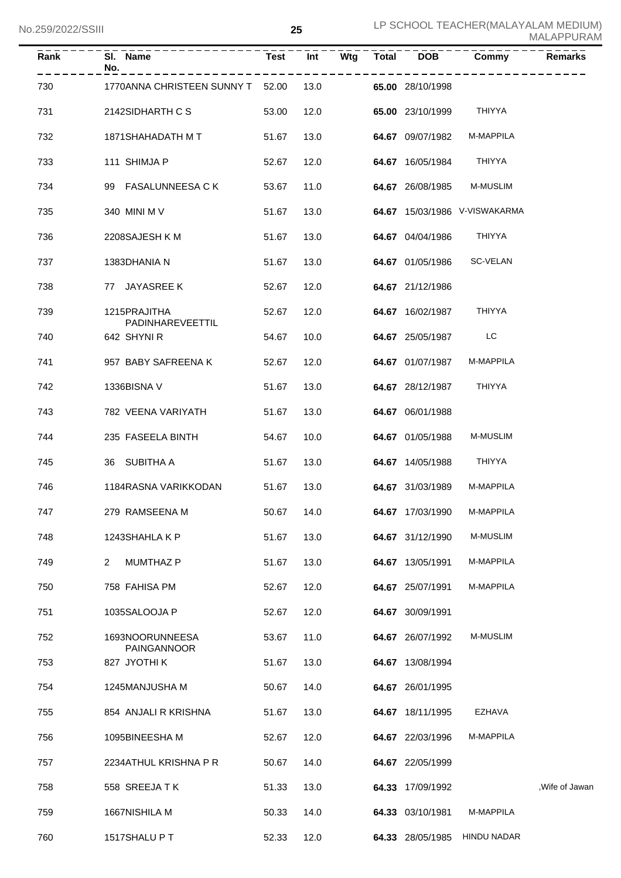| Rank | SI. Name<br>No.                       | <b>Test</b> | Int  | Wtg | <b>Total</b> | <b>DOB</b>       | Commy                         | Remarks       |
|------|---------------------------------------|-------------|------|-----|--------------|------------------|-------------------------------|---------------|
| 730  | 1770ANNA CHRISTEEN SUNNY T 52.00      |             | 13.0 |     |              | 65.00 28/10/1998 |                               |               |
| 731  | 2142SIDHARTH C S                      | 53.00       | 12.0 |     |              | 65.00 23/10/1999 | THIYYA                        |               |
| 732  | 1871SHAHADATH M T                     | 51.67       | 13.0 |     |              | 64.67 09/07/1982 | M-MAPPILA                     |               |
| 733  | 111 SHIMJA P                          | 52.67       | 12.0 |     |              | 64.67 16/05/1984 | THIYYA                        |               |
| 734  | 99 FASALUNNEESA C K                   | 53.67       | 11.0 |     |              | 64.67 26/08/1985 | <b>M-MUSLIM</b>               |               |
| 735  | 340 MINI M V                          | 51.67       | 13.0 |     |              |                  | 64.67 15/03/1986 V-VISWAKARMA |               |
| 736  | 2208SAJESH K M                        | 51.67       | 13.0 |     |              | 64.67 04/04/1986 | THIYYA                        |               |
| 737  | 1383DHANIA N                          | 51.67       | 13.0 |     |              | 64.67 01/05/1986 | SC-VELAN                      |               |
| 738  | 77 JAYASREE K                         | 52.67       | 12.0 |     |              | 64.67 21/12/1986 |                               |               |
| 739  | 1215PRAJITHA<br>PADINHAREVEETTIL      | 52.67       | 12.0 |     |              | 64.67 16/02/1987 | THIYYA                        |               |
| 740  | 642 SHYNIR                            | 54.67       | 10.0 |     |              | 64.67 25/05/1987 | LC                            |               |
| 741  | 957 BABY SAFREENA K                   | 52.67       | 12.0 |     |              | 64.67 01/07/1987 | M-MAPPILA                     |               |
| 742  | 1336BISNA V                           | 51.67       | 13.0 |     |              | 64.67 28/12/1987 | THIYYA                        |               |
| 743  | 782 VEENA VARIYATH                    | 51.67       | 13.0 |     |              | 64.67 06/01/1988 |                               |               |
| 744  | 235 FASEELA BINTH                     | 54.67       | 10.0 |     |              | 64.67 01/05/1988 | <b>M-MUSLIM</b>               |               |
| 745  | 36 SUBITHA A                          | 51.67       | 13.0 |     |              | 64.67 14/05/1988 | THIYYA                        |               |
| 746  | 1184RASNA VARIKKODAN                  | 51.67       | 13.0 |     |              | 64.67 31/03/1989 | M-MAPPILA                     |               |
| 747  | 279 RAMSEENA M                        | 50.67 14.0  |      |     |              | 64.67 17/03/1990 | M-MAPPILA                     |               |
| 748  | 1243SHAHLA K P                        | 51.67       | 13.0 |     |              | 64.67 31/12/1990 | M-MUSLIM                      |               |
| 749  | <b>MUMTHAZ P</b><br>$\overline{2}$    | 51.67       | 13.0 |     |              | 64.67 13/05/1991 | M-MAPPILA                     |               |
| 750  | 758 FAHISA PM                         | 52.67       | 12.0 |     |              | 64.67 25/07/1991 | M-MAPPILA                     |               |
| 751  | 1035SALOOJA P                         | 52.67       | 12.0 |     |              | 64.67 30/09/1991 |                               |               |
| 752  | 1693NOORUNNEESA<br><b>PAINGANNOOR</b> | 53.67       | 11.0 |     |              | 64.67 26/07/1992 | M-MUSLIM                      |               |
| 753  | 827 JYOTHI K                          | 51.67       | 13.0 |     |              | 64.67 13/08/1994 |                               |               |
| 754  | 1245MANJUSHA M                        | 50.67       | 14.0 |     |              | 64.67 26/01/1995 |                               |               |
| 755  | 854 ANJALI R KRISHNA                  | 51.67       | 13.0 |     |              | 64.67 18/11/1995 | EZHAVA                        |               |
| 756  | 1095BINEESHA M                        | 52.67       | 12.0 |     |              | 64.67 22/03/1996 | M-MAPPILA                     |               |
| 757  | 2234ATHUL KRISHNA P R                 | 50.67       | 14.0 |     |              | 64.67 22/05/1999 |                               |               |
| 758  | 558 SREEJA TK                         | 51.33       | 13.0 |     |              | 64.33 17/09/1992 |                               | Wife of Jawan |
| 759  | 1667NISHILA M                         | 50.33       | 14.0 |     |              | 64.33 03/10/1981 | M-MAPPILA                     |               |
| 760  | 1517SHALU PT                          | 52.33       | 12.0 |     |              | 64.33 28/05/1985 | <b>HINDU NADAR</b>            |               |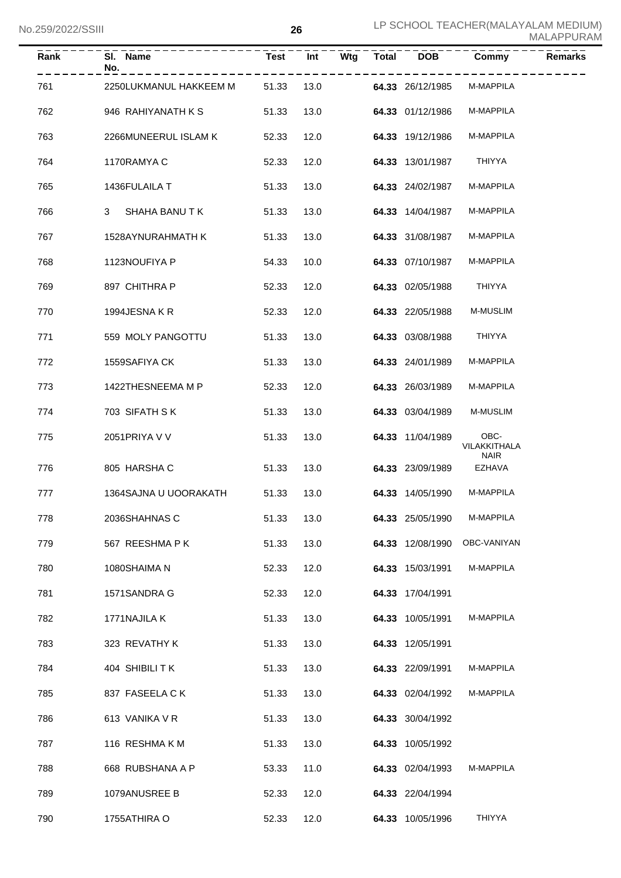| Rank | SI. Name<br>No.        | <b>Test</b> | Int  | Wtg | <b>Total</b> | <b>DOB</b>       | Commy                               | <b>Remarks</b> |
|------|------------------------|-------------|------|-----|--------------|------------------|-------------------------------------|----------------|
| 761  | 2250LUKMANUL HAKKEEM M | 51.33       | 13.0 |     |              | 64.33 26/12/1985 | M-MAPPILA                           |                |
| 762  | 946 RAHIYANATH K S     | 51.33       | 13.0 |     |              | 64.33 01/12/1986 | M-MAPPILA                           |                |
| 763  | 2266MUNEERUL ISLAM K   | 52.33       | 12.0 |     |              | 64.33 19/12/1986 | M-MAPPILA                           |                |
| 764  | 1170RAMYA C            | 52.33       | 12.0 |     |              | 64.33 13/01/1987 | <b>THIYYA</b>                       |                |
| 765  | 1436FULAILA T          | 51.33       | 13.0 |     |              | 64.33 24/02/1987 | M-MAPPILA                           |                |
| 766  | 3<br>SHAHA BANU TK     | 51.33       | 13.0 |     |              | 64.33 14/04/1987 | M-MAPPILA                           |                |
| 767  | 1528AYNURAHMATH K      | 51.33       | 13.0 |     |              | 64.33 31/08/1987 | M-MAPPILA                           |                |
| 768  | 1123NOUFIYA P          | 54.33       | 10.0 |     |              | 64.33 07/10/1987 | M-MAPPILA                           |                |
| 769  | 897 CHITHRA P          | 52.33       | 12.0 |     |              | 64.33 02/05/1988 | <b>THIYYA</b>                       |                |
| 770  | 1994JESNA KR           | 52.33       | 12.0 |     |              | 64.33 22/05/1988 | M-MUSLIM                            |                |
| 771  | 559 MOLY PANGOTTU      | 51.33       | 13.0 |     |              | 64.33 03/08/1988 | <b>THIYYA</b>                       |                |
| 772  | 1559SAFIYA CK          | 51.33       | 13.0 |     |              | 64.33 24/01/1989 | M-MAPPILA                           |                |
| 773  | 1422THESNEEMA M P      | 52.33       | 12.0 |     |              | 64.33 26/03/1989 | M-MAPPILA                           |                |
| 774  | 703 SIFATH SK          | 51.33       | 13.0 |     |              | 64.33 03/04/1989 | M-MUSLIM                            |                |
| 775  | 2051 PRIYA V V         | 51.33       | 13.0 |     |              | 64.33 11/04/1989 | OBC-<br>VILAKKITHALA<br><b>NAIR</b> |                |
| 776  | 805 HARSHA C           | 51.33       | 13.0 |     |              | 64.33 23/09/1989 | <b>EZHAVA</b>                       |                |
| 777  | 1364SAJNA U UOORAKATH  | 51.33       | 13.0 |     |              | 64.33 14/05/1990 | M-MAPPILA                           |                |
| 778  | 2036SHAHNAS C          | 51.33       | 13.0 |     |              | 64.33 25/05/1990 | M-MAPPILA                           |                |
| 779  | 567 REESHMA PK         | 51.33       | 13.0 |     |              | 64.33 12/08/1990 | OBC-VANIYAN                         |                |
| 780  | 1080SHAIMA N           | 52.33       | 12.0 |     |              | 64.33 15/03/1991 | M-MAPPILA                           |                |
| 781  | 1571SANDRA G           | 52.33       | 12.0 |     |              | 64.33 17/04/1991 |                                     |                |
| 782  | 1771NAJILA K           | 51.33       | 13.0 |     |              | 64.33 10/05/1991 | M-MAPPILA                           |                |
| 783  | 323 REVATHY K          | 51.33       | 13.0 |     |              | 64.33 12/05/1991 |                                     |                |
| 784  | 404 SHIBILITK          | 51.33       | 13.0 |     |              | 64.33 22/09/1991 | M-MAPPILA                           |                |
| 785  | 837 FASEELA CK         | 51.33       | 13.0 |     |              | 64.33 02/04/1992 | M-MAPPILA                           |                |
| 786  | 613 VANIKA V R         | 51.33       | 13.0 |     |              | 64.33 30/04/1992 |                                     |                |
| 787  | 116 RESHMAKM           | 51.33       | 13.0 |     |              | 64.33 10/05/1992 |                                     |                |
| 788  | 668 RUBSHANA A P       | 53.33       | 11.0 |     |              | 64.33 02/04/1993 | M-MAPPILA                           |                |
| 789  | 1079ANUSREE B          | 52.33       | 12.0 |     |              | 64.33 22/04/1994 |                                     |                |
| 790  | 1755ATHIRA O           | 52.33       | 12.0 |     |              | 64.33 10/05/1996 | THIYYA                              |                |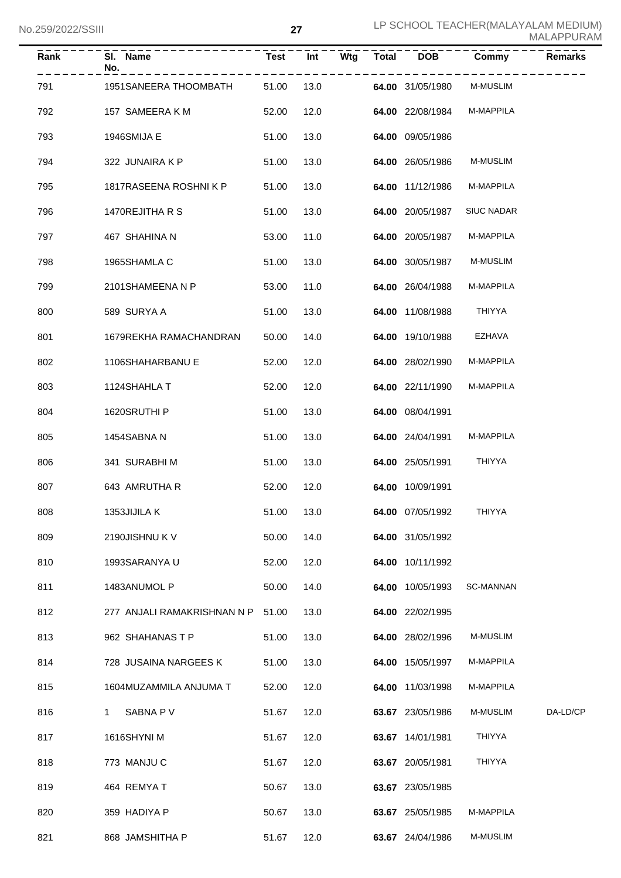| Rank | SI. Name<br>No.                   | <b>Test</b> | Int  | Wtg | Total | <b>DOB</b>       | Commy             | <b>Remarks</b> |
|------|-----------------------------------|-------------|------|-----|-------|------------------|-------------------|----------------|
| 791  | 1951SANEERA THOOMBATH             | 51.00       | 13.0 |     |       | 64.00 31/05/1980 | M-MUSLIM          |                |
| 792  | 157 SAMEERA K M                   | 52.00       | 12.0 |     |       | 64.00 22/08/1984 | M-MAPPILA         |                |
| 793  | 1946SMIJA E                       | 51.00       | 13.0 |     |       | 64.00 09/05/1986 |                   |                |
| 794  | 322 JUNAIRA K P                   | 51.00       | 13.0 |     |       | 64.00 26/05/1986 | M-MUSLIM          |                |
| 795  | 1817RASEENA ROSHNIK P             | 51.00       | 13.0 |     |       | 64.00 11/12/1986 | M-MAPPILA         |                |
| 796  | 1470REJITHA R S                   | 51.00       | 13.0 |     |       | 64.00 20/05/1987 | <b>SIUC NADAR</b> |                |
| 797  | 467 SHAHINA N                     | 53.00       | 11.0 |     |       | 64.00 20/05/1987 | M-MAPPILA         |                |
| 798  | 1965SHAMLA C                      | 51.00       | 13.0 |     |       | 64.00 30/05/1987 | <b>M-MUSLIM</b>   |                |
| 799  | 2101SHAMEENA N P                  | 53.00       | 11.0 |     |       | 64.00 26/04/1988 | M-MAPPILA         |                |
| 800  | 589 SURYA A                       | 51.00       | 13.0 |     |       | 64.00 11/08/1988 | THIYYA            |                |
| 801  | 1679REKHA RAMACHANDRAN            | 50.00       | 14.0 |     |       | 64.00 19/10/1988 | <b>EZHAVA</b>     |                |
| 802  | 1106SHAHARBANU E                  | 52.00       | 12.0 |     |       | 64.00 28/02/1990 | M-MAPPILA         |                |
| 803  | 1124SHAHLA T                      | 52.00       | 12.0 |     |       | 64.00 22/11/1990 | M-MAPPILA         |                |
| 804  | 1620SRUTHI P                      | 51.00       | 13.0 |     |       | 64.00 08/04/1991 |                   |                |
| 805  | 1454SABNA N                       | 51.00       | 13.0 |     |       | 64.00 24/04/1991 | M-MAPPILA         |                |
| 806  | 341 SURABHIM                      | 51.00       | 13.0 |     |       | 64.00 25/05/1991 | THIYYA            |                |
| 807  | 643 AMRUTHA R                     | 52.00       | 12.0 |     |       | 64.00 10/09/1991 |                   |                |
| 808  | 1353JIJILA K                      | 51.00 13.0  |      |     |       | 64.00 07/05/1992 | <b>THIYYA</b>     |                |
| 809  | 2190JISHNU K V                    | 50.00       | 14.0 |     |       | 64.00 31/05/1992 |                   |                |
| 810  | 1993SARANYA U                     | 52.00       | 12.0 |     |       | 64.00 10/11/1992 |                   |                |
| 811  | 1483ANUMOL P                      | 50.00       | 14.0 |     |       | 64.00 10/05/1993 | <b>SC-MANNAN</b>  |                |
| 812  | 277 ANJALI RAMAKRISHNAN N P 51.00 |             | 13.0 |     |       | 64.00 22/02/1995 |                   |                |
| 813  | 962 SHAHANAS T P                  | 51.00       | 13.0 |     |       | 64.00 28/02/1996 | M-MUSLIM          |                |
| 814  | 728 JUSAINA NARGEES K             | 51.00       | 13.0 |     |       | 64.00 15/05/1997 | M-MAPPILA         |                |
| 815  | 1604MUZAMMILA ANJUMA T            | 52.00       | 12.0 |     |       | 64.00 11/03/1998 | M-MAPPILA         |                |
| 816  | SABNA P V<br>1.                   | 51.67       | 12.0 |     |       | 63.67 23/05/1986 | M-MUSLIM          | DA-LD/CP       |
| 817  | 1616SHYNI M                       | 51.67       | 12.0 |     |       | 63.67 14/01/1981 | THIYYA            |                |
| 818  | 773 MANJU C                       | 51.67       | 12.0 |     |       | 63.67 20/05/1981 | <b>THIYYA</b>     |                |
| 819  | 464 REMYAT                        | 50.67       | 13.0 |     |       | 63.67 23/05/1985 |                   |                |
| 820  | 359 HADIYA P                      | 50.67       | 13.0 |     |       | 63.67 25/05/1985 | M-MAPPILA         |                |
| 821  | 868 JAMSHITHA P                   | 51.67       | 12.0 |     |       | 63.67 24/04/1986 | M-MUSLIM          |                |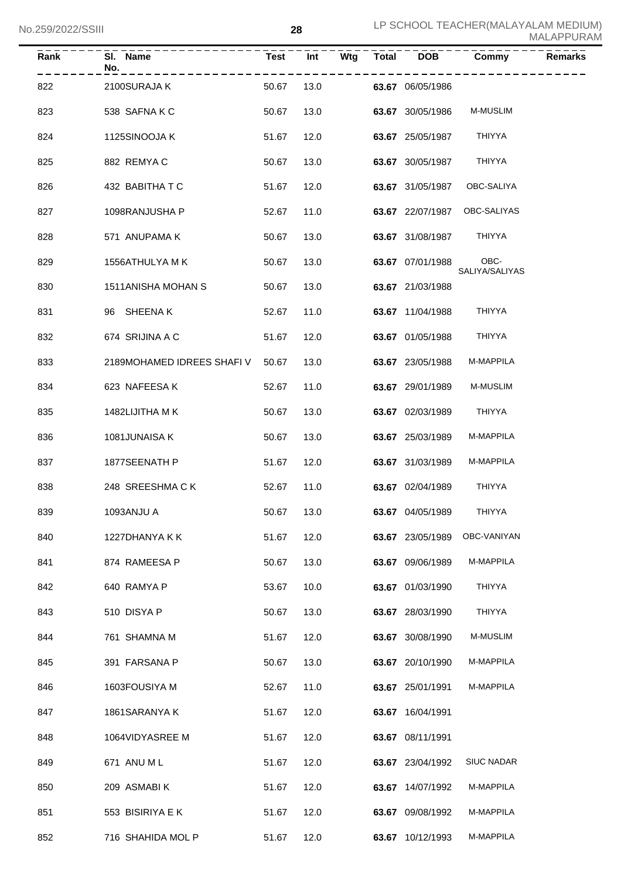| Rank | SI. Name<br>No.                  | <b>Test</b> | Int  | Wtg | <b>Total</b> | <b>DOB</b>       | Commy                  | <b>Remarks</b> |
|------|----------------------------------|-------------|------|-----|--------------|------------------|------------------------|----------------|
| 822  | 2100SURAJA K                     | 50.67       | 13.0 |     |              | 63.67 06/05/1986 |                        |                |
| 823  | 538 SAFNAKC                      | 50.67       | 13.0 |     |              | 63.67 30/05/1986 | <b>M-MUSLIM</b>        |                |
| 824  | 1125SINOOJA K                    | 51.67       | 12.0 |     |              | 63.67 25/05/1987 | THIYYA                 |                |
| 825  | 882 REMYAC                       | 50.67       | 13.0 |     |              | 63.67 30/05/1987 | <b>THIYYA</b>          |                |
| 826  | 432 BABITHATC                    | 51.67       | 12.0 |     |              | 63.67 31/05/1987 | OBC-SALIYA             |                |
| 827  | 1098RANJUSHA P                   | 52.67       | 11.0 |     |              | 63.67 22/07/1987 | OBC-SALIYAS            |                |
| 828  | 571 ANUPAMA K                    | 50.67       | 13.0 |     |              | 63.67 31/08/1987 | THIYYA                 |                |
| 829  | 1556ATHULYA M K                  | 50.67       | 13.0 |     |              | 63.67 07/01/1988 | OBC-<br>SALIYA/SALIYAS |                |
| 830  | 1511ANISHA MOHAN S               | 50.67       | 13.0 |     |              | 63.67 21/03/1988 |                        |                |
| 831  | 96 SHEENAK                       | 52.67       | 11.0 |     |              | 63.67 11/04/1988 | THIYYA                 |                |
| 832  | 674 SRIJINA A C                  | 51.67       | 12.0 |     |              | 63.67 01/05/1988 | <b>THIYYA</b>          |                |
| 833  | 2189MOHAMED IDREES SHAFI V 50.67 |             | 13.0 |     |              | 63.67 23/05/1988 | M-MAPPILA              |                |
| 834  | 623 NAFEESA K                    | 52.67       | 11.0 |     |              | 63.67 29/01/1989 | <b>M-MUSLIM</b>        |                |
| 835  | 1482LIJITHA M K                  | 50.67       | 13.0 |     |              | 63.67 02/03/1989 | THIYYA                 |                |
| 836  | 1081JUNAISA K                    | 50.67       | 13.0 |     |              | 63.67 25/03/1989 | M-MAPPILA              |                |
| 837  | 1877SEENATH P                    | 51.67       | 12.0 |     |              | 63.67 31/03/1989 | M-MAPPILA              |                |
| 838  | 248 SREESHMACK                   | 52.67       | 11.0 |     |              | 63.67 02/04/1989 | THIYYA                 |                |
| 839  | 1093ANJU A                       | 50.67 13.0  |      |     |              | 63.67 04/05/1989 | THIYYA                 |                |
| 840  | 1227DHANYA K K                   | 51.67       | 12.0 |     |              | 63.67 23/05/1989 | OBC-VANIYAN            |                |
| 841  | 874 RAMEESA P                    | 50.67       | 13.0 |     |              | 63.67 09/06/1989 | M-MAPPILA              |                |
| 842  | 640 RAMYA P                      | 53.67       | 10.0 |     |              | 63.67 01/03/1990 | <b>THIYYA</b>          |                |
| 843  | 510 DISYA P                      | 50.67       | 13.0 |     |              | 63.67 28/03/1990 | <b>THIYYA</b>          |                |
| 844  | 761 SHAMNA M                     | 51.67       | 12.0 |     |              | 63.67 30/08/1990 | M-MUSLIM               |                |
| 845  | 391 FARSANA P                    | 50.67       | 13.0 |     |              | 63.67 20/10/1990 | M-MAPPILA              |                |
| 846  | 1603FOUSIYA M                    | 52.67       | 11.0 |     |              | 63.67 25/01/1991 | M-MAPPILA              |                |
| 847  | 1861SARANYA K                    | 51.67       | 12.0 |     |              | 63.67 16/04/1991 |                        |                |
| 848  | 1064VIDYASREE M                  | 51.67       | 12.0 |     |              | 63.67 08/11/1991 |                        |                |
| 849  | 671 ANU ML                       | 51.67       | 12.0 |     |              | 63.67 23/04/1992 | <b>SIUC NADAR</b>      |                |
| 850  | 209 ASMABIK                      | 51.67       | 12.0 |     |              | 63.67 14/07/1992 | M-MAPPILA              |                |
| 851  | 553 BISIRIYA E K                 | 51.67       | 12.0 |     |              | 63.67 09/08/1992 | M-MAPPILA              |                |
| 852  | 716 SHAHIDA MOL P                | 51.67       | 12.0 |     |              | 63.67 10/12/1993 | M-MAPPILA              |                |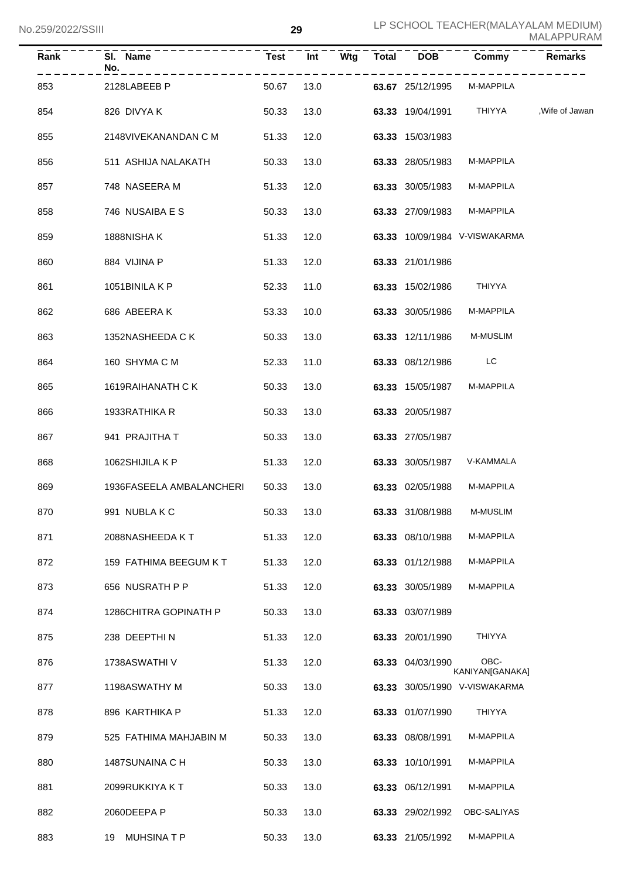| Rank | SI. Name<br>No.          | <b>Test</b> | Int  | Wtg | <b>Total</b> | <b>DOB</b>       | Commy                         | Remarks         |
|------|--------------------------|-------------|------|-----|--------------|------------------|-------------------------------|-----------------|
| 853  | 2128LABEEB P             | 50.67       | 13.0 |     |              | 63.67 25/12/1995 | M-MAPPILA                     |                 |
| 854  | 826 DIVYA K              | 50.33       | 13.0 |     |              | 63.33 19/04/1991 | THIYYA                        | , Wife of Jawan |
| 855  | 2148VIVEKANANDAN C M     | 51.33       | 12.0 |     |              | 63.33 15/03/1983 |                               |                 |
| 856  | 511 ASHIJA NALAKATH      | 50.33       | 13.0 |     |              | 63.33 28/05/1983 | M-MAPPILA                     |                 |
| 857  | 748 NASEERA M            | 51.33       | 12.0 |     |              | 63.33 30/05/1983 | M-MAPPILA                     |                 |
| 858  | 746 NUSAIBA E S          | 50.33       | 13.0 |     |              | 63.33 27/09/1983 | M-MAPPILA                     |                 |
| 859  | 1888NISHA K              | 51.33       | 12.0 |     |              |                  | 63.33 10/09/1984 V-VISWAKARMA |                 |
| 860  | 884 VIJINA P             | 51.33       | 12.0 |     |              | 63.33 21/01/1986 |                               |                 |
| 861  | 1051BINILA K P           | 52.33       | 11.0 |     |              | 63.33 15/02/1986 | <b>THIYYA</b>                 |                 |
| 862  | 686 ABEERAK              | 53.33       | 10.0 |     |              | 63.33 30/05/1986 | M-MAPPILA                     |                 |
| 863  | 1352NASHEEDA C K         | 50.33       | 13.0 |     |              | 63.33 12/11/1986 | M-MUSLIM                      |                 |
| 864  | 160 SHYMA C M            | 52.33       | 11.0 |     |              | 63.33 08/12/1986 | LC                            |                 |
| 865  | 1619RAIHANATH C K        | 50.33       | 13.0 |     |              | 63.33 15/05/1987 | M-MAPPILA                     |                 |
| 866  | 1933RATHIKA R            | 50.33       | 13.0 |     |              | 63.33 20/05/1987 |                               |                 |
| 867  | 941 PRAJITHA T           | 50.33       | 13.0 |     |              | 63.33 27/05/1987 |                               |                 |
| 868  | 1062SHIJILA K P          | 51.33       | 12.0 |     |              | 63.33 30/05/1987 | V-KAMMALA                     |                 |
| 869  | 1936FASEELA AMBALANCHERI | 50.33       | 13.0 |     |              | 63.33 02/05/1988 | M-MAPPILA                     |                 |
| 870  | 991 NUBLAKC              | 50.33       | 13.0 |     |              | 63.33 31/08/1988 | <b>M-MUSLIM</b>               |                 |
| 871  | 2088NASHEEDA KT          | 51.33       | 12.0 |     |              | 63.33 08/10/1988 | M-MAPPILA                     |                 |
| 872  | 159 FATHIMA BEEGUM K T   | 51.33       | 12.0 |     |              | 63.33 01/12/1988 | M-MAPPILA                     |                 |
| 873  | 656 NUSRATH P P          | 51.33       | 12.0 |     |              | 63.33 30/05/1989 | M-MAPPILA                     |                 |
| 874  | 1286CHITRA GOPINATH P    | 50.33       | 13.0 |     |              | 63.33 03/07/1989 |                               |                 |
| 875  | 238 DEEPTHIN             | 51.33       | 12.0 |     |              | 63.33 20/01/1990 | <b>THIYYA</b>                 |                 |
| 876  | 1738ASWATHI V            | 51.33       | 12.0 |     |              | 63.33 04/03/1990 | OBC-<br>KANIYAN[GANAKA]       |                 |
| 877  | 1198ASWATHY M            | 50.33       | 13.0 |     |              |                  | 63.33 30/05/1990 V-VISWAKARMA |                 |
| 878  | 896 KARTHIKA P           | 51.33       | 12.0 |     |              | 63.33 01/07/1990 | <b>THIYYA</b>                 |                 |
| 879  | 525 FATHIMA MAHJABIN M   | 50.33       | 13.0 |     |              | 63.33 08/08/1991 | M-MAPPILA                     |                 |
| 880  | 1487SUNAINA C H          | 50.33       | 13.0 |     |              | 63.33 10/10/1991 | M-MAPPILA                     |                 |
| 881  | 2099RUKKIYA KT           | 50.33       | 13.0 |     |              | 63.33 06/12/1991 | M-MAPPILA                     |                 |
| 882  | 2060DEEPA P              | 50.33       | 13.0 |     |              | 63.33 29/02/1992 | OBC-SALIYAS                   |                 |
| 883  | 19 MUHSINATP             | 50.33       | 13.0 |     |              | 63.33 21/05/1992 | M-MAPPILA                     |                 |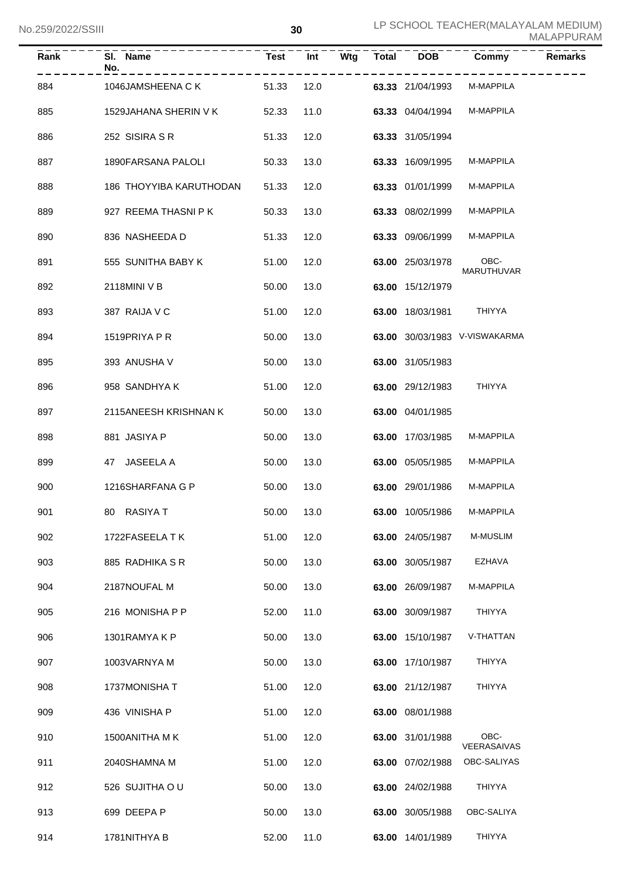| Rank | SI. Name<br>No.         | <b>Test</b> | Int  | Wtg | <b>Total</b> | DOB              | Commy                         | <b>Remarks</b> |
|------|-------------------------|-------------|------|-----|--------------|------------------|-------------------------------|----------------|
| 884  | 1046JAMSHEENA C K       | 51.33       | 12.0 |     |              | 63.33 21/04/1993 | M-MAPPILA                     |                |
| 885  | 1529JAHANA SHERIN V K   | 52.33       | 11.0 |     |              | 63.33 04/04/1994 | M-MAPPILA                     |                |
| 886  | 252 SISIRA S R          | 51.33       | 12.0 |     |              | 63.33 31/05/1994 |                               |                |
| 887  | 1890FARSANA PALOLI      | 50.33       | 13.0 |     |              | 63.33 16/09/1995 | M-MAPPILA                     |                |
| 888  | 186 THOYYIBA KARUTHODAN | 51.33       | 12.0 |     |              | 63.33 01/01/1999 | M-MAPPILA                     |                |
| 889  | 927 REEMA THASNI P K    | 50.33       | 13.0 |     |              | 63.33 08/02/1999 | M-MAPPILA                     |                |
| 890  | 836 NASHEEDA D          | 51.33       | 12.0 |     |              | 63.33 09/06/1999 | M-MAPPILA                     |                |
| 891  | 555 SUNITHA BABY K      | 51.00       | 12.0 |     |              | 63.00 25/03/1978 | OBC-<br><b>MARUTHUVAR</b>     |                |
| 892  | 2118MINI V B            | 50.00       | 13.0 |     |              | 63.00 15/12/1979 |                               |                |
| 893  | 387 RAIJA V C           | 51.00       | 12.0 |     |              | 63.00 18/03/1981 | <b>THIYYA</b>                 |                |
| 894  | 1519PRIYA P R           | 50.00       | 13.0 |     |              |                  | 63.00 30/03/1983 V-VISWAKARMA |                |
| 895  | 393 ANUSHA V            | 50.00       | 13.0 |     |              | 63.00 31/05/1983 |                               |                |
| 896  | 958 SANDHYA K           | 51.00       | 12.0 |     |              | 63.00 29/12/1983 | <b>THIYYA</b>                 |                |
| 897  | 2115ANEESH KRISHNAN K   | 50.00       | 13.0 |     |              | 63.00 04/01/1985 |                               |                |
| 898  | 881 JASIYA P            | 50.00       | 13.0 |     |              | 63.00 17/03/1985 | M-MAPPILA                     |                |
| 899  | 47 JASEELA A            | 50.00       | 13.0 |     |              | 63.00 05/05/1985 | M-MAPPILA                     |                |
| 900  | 1216SHARFANA G P        | 50.00       | 13.0 |     |              | 63.00 29/01/1986 | M-MAPPILA                     |                |
| 901  | 80 RASIYA T             | 50.00 13.0  |      |     |              | 63.00 10/05/1986 | M-MAPPILA                     |                |
| 902  | 1722FASEELA T K         | 51.00       | 12.0 |     |              | 63.00 24/05/1987 | M-MUSLIM                      |                |
| 903  | 885 RADHIKA S R         | 50.00       | 13.0 |     |              | 63.00 30/05/1987 | <b>EZHAVA</b>                 |                |
| 904  | 2187NOUFAL M            | 50.00       | 13.0 |     |              | 63.00 26/09/1987 | M-MAPPILA                     |                |
| 905  | 216 MONISHA P P         | 52.00       | 11.0 |     |              | 63.00 30/09/1987 | <b>THIYYA</b>                 |                |
| 906  | 1301RAMYAKP             | 50.00       | 13.0 |     |              | 63.00 15/10/1987 | V-THATTAN                     |                |
| 907  | 1003VARNYA M            | 50.00       | 13.0 |     |              | 63.00 17/10/1987 | <b>THIYYA</b>                 |                |
| 908  | 1737MONISHA T           | 51.00       | 12.0 |     |              | 63.00 21/12/1987 | <b>THIYYA</b>                 |                |
| 909  | 436 VINISHA P           | 51.00       | 12.0 |     |              | 63.00 08/01/1988 |                               |                |
| 910  | 1500 ANITHA MK          | 51.00       | 12.0 |     |              | 63.00 31/01/1988 | OBC-<br>VEERASAIVAS           |                |
| 911  | 2040SHAMNA M            | 51.00       | 12.0 |     |              | 63.00 07/02/1988 | OBC-SALIYAS                   |                |
| 912  | 526 SUJITHA OU          | 50.00       | 13.0 |     |              | 63.00 24/02/1988 | <b>THIYYA</b>                 |                |
| 913  | 699 DEEPA P             | 50.00       | 13.0 |     |              | 63.00 30/05/1988 | OBC-SALIYA                    |                |
| 914  | 1781NITHYA B            | 52.00       | 11.0 |     |              | 63.00 14/01/1989 | THIYYA                        |                |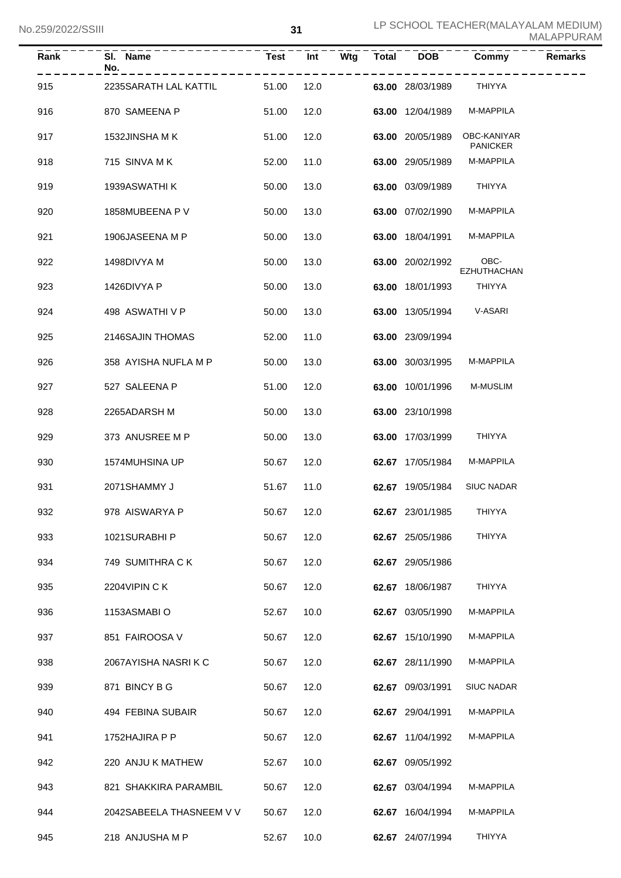| <b>Rank</b> | SI. Name<br>No.          | <b>Test</b> | Int  | Wtg | <b>Total</b> | DOB              | Commy                          | <b>Remarks</b> |
|-------------|--------------------------|-------------|------|-----|--------------|------------------|--------------------------------|----------------|
| 915         | 2235SARATH LAL KATTIL    | 51.00       | 12.0 |     |              | 63.00 28/03/1989 | THIYYA                         |                |
| 916         | 870 SAMEENA P            | 51.00       | 12.0 |     |              | 63.00 12/04/1989 | M-MAPPILA                      |                |
| 917         | 1532JINSHA MK            | 51.00       | 12.0 |     |              | 63.00 20/05/1989 | OBC-KANIYAR<br><b>PANICKER</b> |                |
| 918         | 715 SINVA M K            | 52.00       | 11.0 |     |              | 63.00 29/05/1989 | M-MAPPILA                      |                |
| 919         | 1939ASWATHI K            | 50.00       | 13.0 |     |              | 63.00 03/09/1989 | THIYYA                         |                |
| 920         | 1858MUBEENA P V          | 50.00       | 13.0 |     |              | 63.00 07/02/1990 | M-MAPPILA                      |                |
| 921         | 1906JASEENA M P          | 50.00       | 13.0 |     |              | 63.00 18/04/1991 | M-MAPPILA                      |                |
| 922         | 1498DIVYA M              | 50.00       | 13.0 |     |              | 63.00 20/02/1992 | OBC-<br><b>EZHUTHACHAN</b>     |                |
| 923         | 1426DIVYA P              | 50.00       | 13.0 |     |              | 63.00 18/01/1993 | THIYYA                         |                |
| 924         | 498 ASWATHIVP            | 50.00       | 13.0 |     |              | 63.00 13/05/1994 | V-ASARI                        |                |
| 925         | 2146SAJIN THOMAS         | 52.00       | 11.0 |     |              | 63.00 23/09/1994 |                                |                |
| 926         | 358 AYISHA NUFLA M P     | 50.00       | 13.0 |     |              | 63.00 30/03/1995 | M-MAPPILA                      |                |
| 927         | 527 SALEENA P            | 51.00       | 12.0 |     |              | 63.00 10/01/1996 | M-MUSLIM                       |                |
| 928         | 2265ADARSH M             | 50.00       | 13.0 |     |              | 63.00 23/10/1998 |                                |                |
| 929         | 373 ANUSREE M P          | 50.00       | 13.0 |     |              | 63.00 17/03/1999 | THIYYA                         |                |
| 930         | 1574MUHSINA UP           | 50.67       | 12.0 |     |              | 62.67 17/05/1984 | M-MAPPILA                      |                |
| 931         | 2071SHAMMY J             | 51.67       | 11.0 |     |              | 62.67 19/05/1984 | <b>SIUC NADAR</b>              |                |
| 932         | 978 AISWARYA P           | 50.67 12.0  |      |     |              | 62.67 23/01/1985 | <b>THIYYA</b>                  |                |
| 933         | 1021SURABHI P            | 50.67       | 12.0 |     |              | 62.67 25/05/1986 | THIYYA                         |                |
| 934         | 749 SUMITHRA CK          | 50.67       | 12.0 |     |              | 62.67 29/05/1986 |                                |                |
| 935         | 2204VIPIN CK             | 50.67       | 12.0 |     |              | 62.67 18/06/1987 | THIYYA                         |                |
| 936         | 1153ASMABIO              | 52.67       | 10.0 |     |              | 62.67 03/05/1990 | M-MAPPILA                      |                |
| 937         | 851 FAIROOSA V           | 50.67       | 12.0 |     |              | 62.67 15/10/1990 | M-MAPPILA                      |                |
| 938         | 2067AYISHA NASRIKC       | 50.67       | 12.0 |     |              | 62.67 28/11/1990 | M-MAPPILA                      |                |
| 939         | 871 BINCY B G            | 50.67       | 12.0 |     |              | 62.67 09/03/1991 | <b>SIUC NADAR</b>              |                |
| 940         | 494 FEBINA SUBAIR        | 50.67       | 12.0 |     |              | 62.67 29/04/1991 | M-MAPPILA                      |                |
| 941         | 1752HAJIRA P P           | 50.67       | 12.0 |     |              | 62.67 11/04/1992 | M-MAPPILA                      |                |
| 942         | 220 ANJU K MATHEW        | 52.67       | 10.0 |     |              | 62.67 09/05/1992 |                                |                |
| 943         | 821 SHAKKIRA PARAMBIL    | 50.67       | 12.0 |     |              | 62.67 03/04/1994 | M-MAPPILA                      |                |
| 944         | 2042SABEELA THASNEEM V V | 50.67       | 12.0 |     |              | 62.67 16/04/1994 | M-MAPPILA                      |                |
| 945         | 218 ANJUSHA M P          | 52.67       | 10.0 |     |              | 62.67 24/07/1994 | THIYYA                         |                |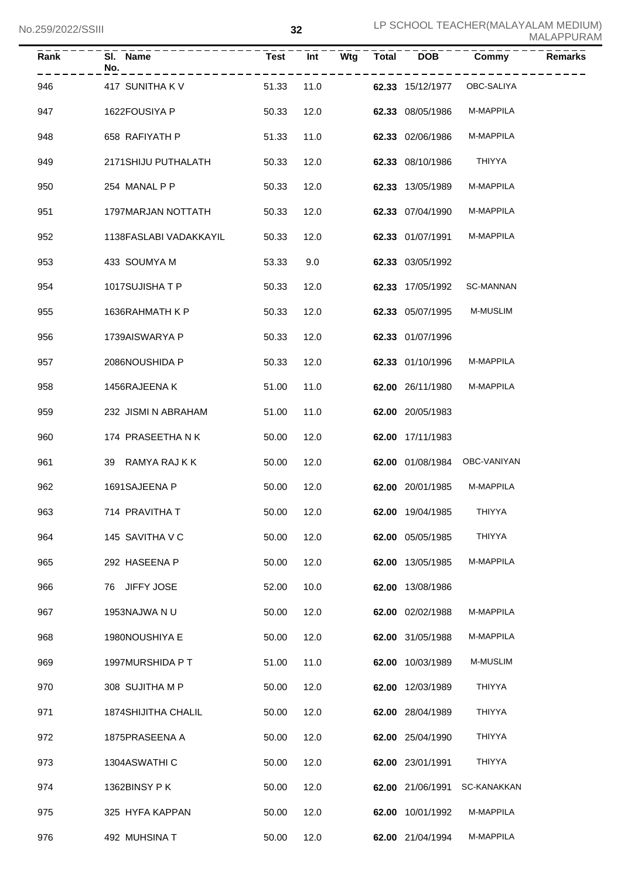| <b>Rank</b> | SI. Name<br>No.            | <b>Test</b> | Int  | Wtg | <b>Total</b> | <b>DOB</b>       | Commy            | <b>Remarks</b> |
|-------------|----------------------------|-------------|------|-----|--------------|------------------|------------------|----------------|
| 946         | 417 SUNITHA K V            | 51.33       | 11.0 |     |              | 62.33 15/12/1977 | OBC-SALIYA       |                |
| 947         | 1622FOUSIYA P              | 50.33       | 12.0 |     |              | 62.33 08/05/1986 | M-MAPPILA        |                |
| 948         | 658 RAFIYATH P             | 51.33       | 11.0 |     |              | 62.33 02/06/1986 | M-MAPPILA        |                |
| 949         | 2171SHIJU PUTHALATH        | 50.33       | 12.0 |     |              | 62.33 08/10/1986 | <b>THIYYA</b>    |                |
| 950         | 254 MANAL P P              | 50.33       | 12.0 |     |              | 62.33 13/05/1989 | M-MAPPILA        |                |
| 951         | 1797MARJAN NOTTATH         | 50.33       | 12.0 |     |              | 62.33 07/04/1990 | M-MAPPILA        |                |
| 952         | 1138FASLABI VADAKKAYIL     | 50.33       | 12.0 |     |              | 62.33 01/07/1991 | M-MAPPILA        |                |
| 953         | 433 SOUMYA M               | 53.33       | 9.0  |     |              | 62.33 03/05/1992 |                  |                |
| 954         | 1017SUJISHATP              | 50.33       | 12.0 |     |              | 62.33 17/05/1992 | <b>SC-MANNAN</b> |                |
| 955         | 1636RAHMATH K P            | 50.33       | 12.0 |     |              | 62.33 05/07/1995 | <b>M-MUSLIM</b>  |                |
| 956         | 1739AISWARYA P             | 50.33       | 12.0 |     |              | 62.33 01/07/1996 |                  |                |
| 957         | 2086NOUSHIDA P             | 50.33       | 12.0 |     |              | 62.33 01/10/1996 | M-MAPPILA        |                |
| 958         | 1456RAJEENA K              | 51.00       | 11.0 |     |              | 62.00 26/11/1980 | M-MAPPILA        |                |
| 959         | 232 JISMI N ABRAHAM        | 51.00       | 11.0 |     |              | 62.00 20/05/1983 |                  |                |
| 960         | 174 PRASEETHA N K          | 50.00       | 12.0 |     |              | 62.00 17/11/1983 |                  |                |
| 961         | 39 RAMYA RAJKK             | 50.00       | 12.0 |     |              | 62.00 01/08/1984 | OBC-VANIYAN      |                |
| 962         | 1691SAJEENA P              | 50.00       | 12.0 |     |              | 62.00 20/01/1985 | M-MAPPILA        |                |
| 963         | 714 PRAVITHA T             | 50.00 12.0  |      |     |              | 62.00 19/04/1985 | <b>THIYYA</b>    |                |
| 964         | 145 SAVITHA V C            | 50.00       | 12.0 |     |              | 62.00 05/05/1985 | <b>THIYYA</b>    |                |
| 965         | 292 HASEENA P              | 50.00       | 12.0 |     |              | 62.00 13/05/1985 | M-MAPPILA        |                |
| 966         | 76 JIFFY JOSE              | 52.00       | 10.0 |     |              | 62.00 13/08/1986 |                  |                |
| 967         | 1953NAJWA N U              | 50.00       | 12.0 |     |              | 62.00 02/02/1988 | M-MAPPILA        |                |
| 968         | 1980NOUSHIYA E             | 50.00       | 12.0 |     |              | 62.00 31/05/1988 | M-MAPPILA        |                |
| 969         | 1997MURSHIDA P T           | 51.00       | 11.0 |     |              | 62.00 10/03/1989 | M-MUSLIM         |                |
| 970         | 308 SUJITHA M P            | 50.00       | 12.0 |     |              | 62.00 12/03/1989 | THIYYA           |                |
| 971         | <b>1874SHIJITHA CHALIL</b> | 50.00       | 12.0 |     |              | 62.00 28/04/1989 | <b>THIYYA</b>    |                |
| 972         | 1875PRASEENA A             | 50.00       | 12.0 |     |              | 62.00 25/04/1990 | <b>THIYYA</b>    |                |
| 973         | 1304ASWATHI C              | 50.00       | 12.0 |     |              | 62.00 23/01/1991 | THIYYA           |                |
| 974         | 1362BINSY PK               | 50.00       | 12.0 |     |              | 62.00 21/06/1991 | SC-KANAKKAN      |                |
| 975         | 325 HYFA KAPPAN            | 50.00       | 12.0 |     |              | 62.00 10/01/1992 | M-MAPPILA        |                |
| 976         | 492 MUHSINA T              | 50.00       | 12.0 |     |              | 62.00 21/04/1994 | M-MAPPILA        |                |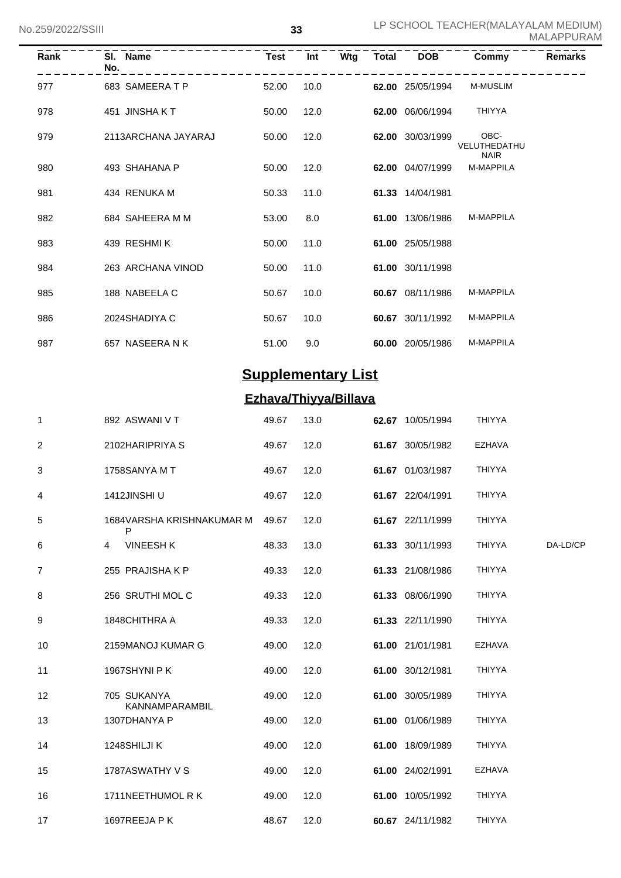| Rank | SI. Name<br>No.     | <b>Test</b> | Int  | Wtg | Total | <b>DOB</b>       | Commy                               | <b>Remarks</b> |
|------|---------------------|-------------|------|-----|-------|------------------|-------------------------------------|----------------|
| 977  | 683 SAMEERATP       | 52.00       | 10.0 |     |       | 62.00 25/05/1994 | <b>M-MUSLIM</b>                     |                |
| 978  | 451 JINSHAKT        | 50.00       | 12.0 |     |       | 62.00 06/06/1994 | <b>THIYYA</b>                       |                |
| 979  | 2113ARCHANA JAYARAJ | 50.00       | 12.0 |     | 62.00 | 30/03/1999       | OBC-<br>VELUTHEDATHU<br><b>NAIR</b> |                |
| 980  | 493 SHAHANA P       | 50.00       | 12.0 |     |       | 62.00 04/07/1999 | <b>M-MAPPILA</b>                    |                |
| 981  | 434 RENUKA M        | 50.33       | 11.0 |     |       | 61.33 14/04/1981 |                                     |                |
| 982  | 684 SAHEERA M M     | 53.00       | 8.0  |     |       | 61.00 13/06/1986 | <b>M-MAPPILA</b>                    |                |
| 983  | 439 RESHMIK         | 50.00       | 11.0 |     |       | 61.00 25/05/1988 |                                     |                |
| 984  | 263 ARCHANA VINOD   | 50.00       | 11.0 |     |       | 61.00 30/11/1998 |                                     |                |
| 985  | 188 NABEELA C       | 50.67       | 10.0 |     |       | 60.67 08/11/1986 | <b>M-MAPPILA</b>                    |                |
| 986  | 2024SHADIYA C       | 50.67       | 10.0 |     |       | 60.67 30/11/1992 | <b>M-MAPPILA</b>                    |                |
| 987  | 657 NASEERANK       | 51.00       | 9.0  |     |       | 60.00 20/05/1986 | <b>M-MAPPILA</b>                    |                |

## **Supplementary List**

## **Ezhava/Thiyya/Billava**

| 1  | 892 ASWANI V T                 | 49.67 | 13.0 | 62.67 10/05/1994 | <b>THIYYA</b> |          |
|----|--------------------------------|-------|------|------------------|---------------|----------|
| 2  | 2102HARIPRIYA S                | 49.67 | 12.0 | 61.67 30/05/1982 | <b>EZHAVA</b> |          |
| 3  | 1758SANYA MT                   | 49.67 | 12.0 | 61.67 01/03/1987 | THIYYA        |          |
| 4  | 1412JINSHI U                   | 49.67 | 12.0 | 61.67 22/04/1991 | THIYYA        |          |
| 5  | 1684VARSHA KRISHNAKUMAR M<br>P | 49.67 | 12.0 | 61.67 22/11/1999 | <b>THIYYA</b> |          |
| 6  | <b>VINEESH K</b><br>4          | 48.33 | 13.0 | 61.33 30/11/1993 | <b>THIYYA</b> | DA-LD/CP |
| 7  | 255 PRAJISHA K P               | 49.33 | 12.0 | 61.33 21/08/1986 | <b>THIYYA</b> |          |
| 8  | 256 SRUTHI MOL C               | 49.33 | 12.0 | 61.33 08/06/1990 | <b>THIYYA</b> |          |
| 9  | 1848CHITHRA A                  | 49.33 | 12.0 | 61.33 22/11/1990 | <b>THIYYA</b> |          |
| 10 | 2159MANOJ KUMAR G              | 49.00 | 12.0 | 61.00 21/01/1981 | <b>EZHAVA</b> |          |
| 11 | 1967SHYNI P K                  | 49.00 | 12.0 | 61.00 30/12/1981 | <b>THIYYA</b> |          |
| 12 | 705 SUKANYA<br>KANNAMPARAMBIL  | 49.00 | 12.0 | 61.00 30/05/1989 | <b>THIYYA</b> |          |
| 13 | 1307DHANYA P                   | 49.00 | 12.0 | 61.00 01/06/1989 | THIYYA        |          |
| 14 | 1248SHILJI K                   | 49.00 | 12.0 | 61.00 18/09/1989 | <b>THIYYA</b> |          |
| 15 | 1787ASWATHY V S                | 49.00 | 12.0 | 61.00 24/02/1991 | <b>EZHAVA</b> |          |
| 16 | 1711NEETHUMOL R K              | 49.00 | 12.0 | 61.00 10/05/1992 | <b>THIYYA</b> |          |
| 17 | 1697REEJA P K                  | 48.67 | 12.0 | 60.67 24/11/1982 | <b>THIYYA</b> |          |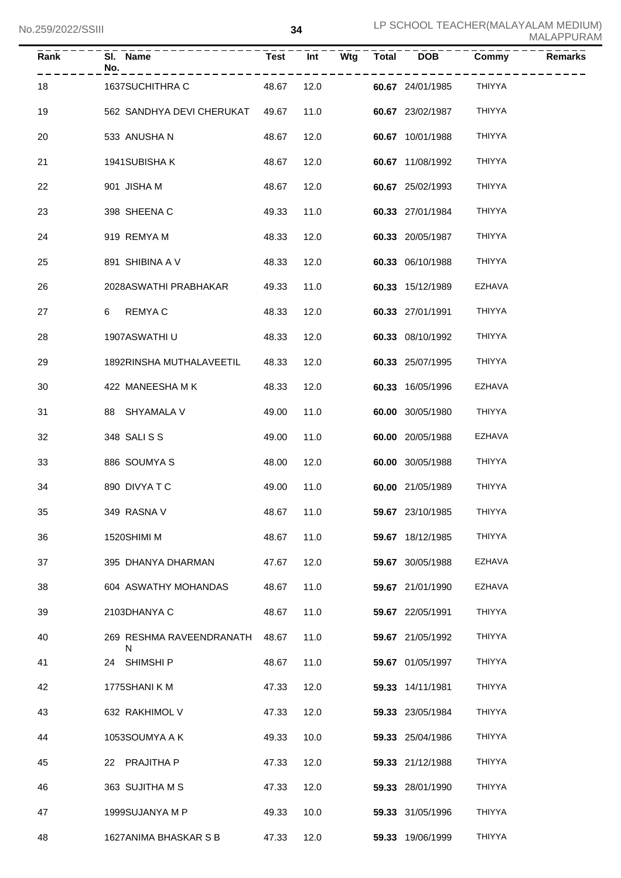| Rank | SI. Name<br>No.<br>- - - - - - - - - - - - - |            |            |                  | Test Int Wtg Total DOB Commy | <b>Remarks</b> |
|------|----------------------------------------------|------------|------------|------------------|------------------------------|----------------|
| 18   | 1637SUCHITHRA C                              |            | 48.67 12.0 | 60.67 24/01/1985 | THIYYA                       |                |
| 19   | 562 SANDHYA DEVI CHERUKAT 49.67              |            | 11.0       | 60.67 23/02/1987 | THIYYA                       |                |
| 20   | 533 ANUSHA N                                 | 48.67      | 12.0       | 60.67 10/01/1988 | THIYYA                       |                |
| 21   | 1941SUBISHAK                                 | 48.67      | 12.0       | 60.67 11/08/1992 | THIYYA                       |                |
| 22   | 901 JISHA M                                  | 48.67      | 12.0       | 60.67 25/02/1993 | THIYYA                       |                |
| 23   | 398 SHEENA C                                 | 49.33      | 11.0       | 60.33 27/01/1984 | THIYYA                       |                |
| 24   | 919 REMYA M                                  | 48.33      | 12.0       | 60.33 20/05/1987 | THIYYA                       |                |
| 25   | 891 SHIBINA A V                              | 48.33      | 12.0       | 60.33 06/10/1988 | THIYYA                       |                |
| 26   | 2028ASWATHI PRABHAKAR                        | 49.33      | 11.0       | 60.33 15/12/1989 | <b>EZHAVA</b>                |                |
| 27   | REMYA C<br>6                                 | 48.33      | 12.0       | 60.33 27/01/1991 | THIYYA                       |                |
| 28   | 1907ASWATHI U                                | 48.33      | 12.0       | 60.33 08/10/1992 | THIYYA                       |                |
| 29   | 1892RINSHA MUTHALAVEETIL                     | 48.33      | 12.0       | 60.33 25/07/1995 | THIYYA                       |                |
| 30   | 422 MANEESHA M K                             | 48.33      | 12.0       | 60.33 16/05/1996 | <b>EZHAVA</b>                |                |
| 31   | 88 SHYAMALA V                                | 49.00      | 11.0       | 60.00 30/05/1980 | THIYYA                       |                |
| 32   | 348 SALISS                                   | 49.00      | 11.0       | 60.00 20/05/1988 | <b>EZHAVA</b>                |                |
| 33   | 886 SOUMYA S                                 | 48.00      | 12.0       | 60.00 30/05/1988 | THIYYA                       |                |
| 34   | 890 DIVYA T C                                | 49.00      | 11.0       | 60.00 21/05/1989 | THIYYA                       |                |
| 35   | 349 RASNA V                                  | 48.67 11.0 |            | 59.67 23/10/1985 | THIYYA                       |                |
| 36   | 1520SHIMI M                                  | 48.67      | 11.0       | 59.67 18/12/1985 | THIYYA                       |                |
| 37   | 395 DHANYA DHARMAN                           | 47.67      | 12.0       | 59.67 30/05/1988 | EZHAVA                       |                |
| 38   | 604 ASWATHY MOHANDAS                         | 48.67      | 11.0       | 59.67 21/01/1990 | EZHAVA                       |                |
| 39   | 2103DHANYA C                                 | 48.67      | 11.0       | 59.67 22/05/1991 | THIYYA                       |                |
| 40   | 269 RESHMA RAVEENDRANATH<br>N                | 48.67      | 11.0       | 59.67 21/05/1992 | THIYYA                       |                |
| 41   | 24 SHIMSHI P                                 | 48.67      | 11.0       | 59.67 01/05/1997 | THIYYA                       |                |
| 42   | 1775SHANI K M                                | 47.33      | 12.0       | 59.33 14/11/1981 | THIYYA                       |                |
| 43   | 632 RAKHIMOL V                               | 47.33      | 12.0       | 59.33 23/05/1984 | THIYYA                       |                |
| 44   | 1053SOUMYA A K                               | 49.33      | 10.0       | 59.33 25/04/1986 | THIYYA                       |                |
| 45   | 22 PRAJITHA P                                | 47.33      | 12.0       | 59.33 21/12/1988 | THIYYA                       |                |
| 46   | 363 SUJITHA M S                              | 47.33      | 12.0       | 59.33 28/01/1990 | THIYYA                       |                |
| 47   | 1999SUJANYA M P                              | 49.33      | 10.0       | 59.33 31/05/1996 | THIYYA                       |                |
| 48   | 1627ANIMA BHASKAR S B                        | 47.33      | 12.0       | 59.33 19/06/1999 | THIYYA                       |                |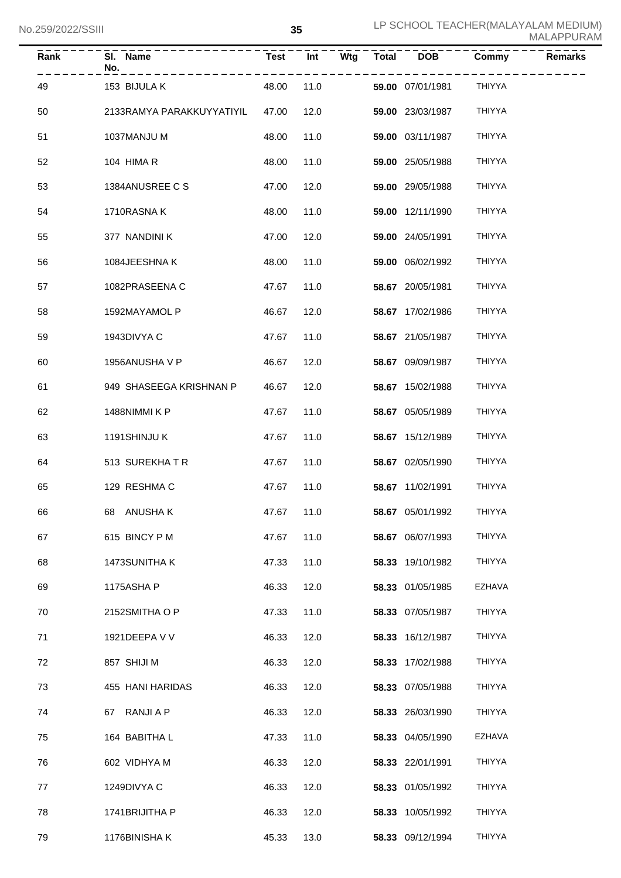| Rank | SI. Name<br>No.           | Test  | $\overline{Int}$ | $\overline{W}$ tg $\overline{V}$ Total $\overline{V}$ | $\overline{DOB}$        | Commy         | Remarks |
|------|---------------------------|-------|------------------|-------------------------------------------------------|-------------------------|---------------|---------|
| 49   | 153 BIJULA K              | 48.00 | 11.0             |                                                       | <b>59.00</b> 07/01/1981 | <b>THIYYA</b> |         |
| 50   | 2133RAMYA PARAKKUYYATIYIL | 47.00 | 12.0             |                                                       | 59.00 23/03/1987        | <b>THIYYA</b> |         |
| 51   | 1037MANJU M               | 48.00 | 11.0             |                                                       | 59.00 03/11/1987        | <b>THIYYA</b> |         |
| 52   | 104 HIMA R                | 48.00 | 11.0             |                                                       | 59.00 25/05/1988        | <b>THIYYA</b> |         |
| 53   | 1384ANUSREE C S           | 47.00 | 12.0             |                                                       | 59.00 29/05/1988        | <b>THIYYA</b> |         |
| 54   | 1710RASNAK                | 48.00 | 11.0             |                                                       | 59.00 12/11/1990        | <b>THIYYA</b> |         |
| 55   | 377 NANDINI K             | 47.00 | 12.0             |                                                       | 59.00 24/05/1991        | <b>THIYYA</b> |         |
| 56   | 1084JEESHNAK              | 48.00 | 11.0             |                                                       | 59.00 06/02/1992        | <b>THIYYA</b> |         |
| 57   | 1082PRASEENA C            | 47.67 | 11.0             |                                                       | 58.67 20/05/1981        | <b>THIYYA</b> |         |
| 58   | 1592MAYAMOL P             | 46.67 | 12.0             |                                                       | 58.67 17/02/1986        | <b>THIYYA</b> |         |
| 59   | 1943DIVYA C               | 47.67 | 11.0             |                                                       | 58.67 21/05/1987        | <b>THIYYA</b> |         |
| 60   | 1956ANUSHA V P            | 46.67 | 12.0             |                                                       | 58.67 09/09/1987        | <b>THIYYA</b> |         |
| 61   | 949 SHASEEGA KRISHNAN P   | 46.67 | 12.0             |                                                       | 58.67 15/02/1988        | <b>THIYYA</b> |         |
| 62   | 1488NIMMI K P             | 47.67 | 11.0             |                                                       | 58.67 05/05/1989        | <b>THIYYA</b> |         |
| 63   | 1191SHINJU K              | 47.67 | 11.0             |                                                       | 58.67 15/12/1989        | <b>THIYYA</b> |         |
| 64   | 513 SUREKHATR             | 47.67 | 11.0             |                                                       | 58.67 02/05/1990        | <b>THIYYA</b> |         |
| 65   | 129 RESHMA C              | 47.67 | 11.0             |                                                       | 58.67 11/02/1991        | <b>THIYYA</b> |         |
| 66   | 68 ANUSHAK                |       | 47.67 11.0       |                                                       | 58.67 05/01/1992        | THIYYA        |         |
| 67   | 615 BINCY P M             | 47.67 | 11.0             |                                                       | 58.67 06/07/1993        | THIYYA        |         |
| 68   | 1473SUNITHA K             | 47.33 | 11.0             |                                                       | 58.33 19/10/1982        | THIYYA        |         |
| 69   | 1175ASHAP                 | 46.33 | 12.0             |                                                       | 58.33 01/05/1985        | EZHAVA        |         |
| 70   | 2152SMITHA O P            | 47.33 | 11.0             |                                                       | 58.33 07/05/1987        | <b>THIYYA</b> |         |
| 71   | 1921DEEPA V V             | 46.33 | 12.0             |                                                       | 58.33 16/12/1987        | <b>THIYYA</b> |         |
| 72   | 857 SHIJI M               | 46.33 | 12.0             |                                                       | 58.33 17/02/1988        | THIYYA        |         |
| 73   | 455 HANI HARIDAS          | 46.33 | 12.0             |                                                       | 58.33 07/05/1988        | THIYYA        |         |
| 74   | 67 RANJI A P              | 46.33 | 12.0             |                                                       | 58.33 26/03/1990        | THIYYA        |         |
| 75   | 164 BABITHA L             | 47.33 | 11.0             |                                                       | 58.33 04/05/1990        | EZHAVA        |         |
| 76   | 602 VIDHYA M              | 46.33 | 12.0             |                                                       | 58.33 22/01/1991        | THIYYA        |         |
| 77   | 1249DIVYA C               | 46.33 | 12.0             |                                                       | 58.33 01/05/1992        | THIYYA        |         |
| 78   | 1741BRIJITHA P            | 46.33 | 12.0             |                                                       | 58.33 10/05/1992        | <b>THIYYA</b> |         |
| 79   | 1176BINISHAK              | 45.33 | 13.0             |                                                       | 58.33 09/12/1994        | THIYYA        |         |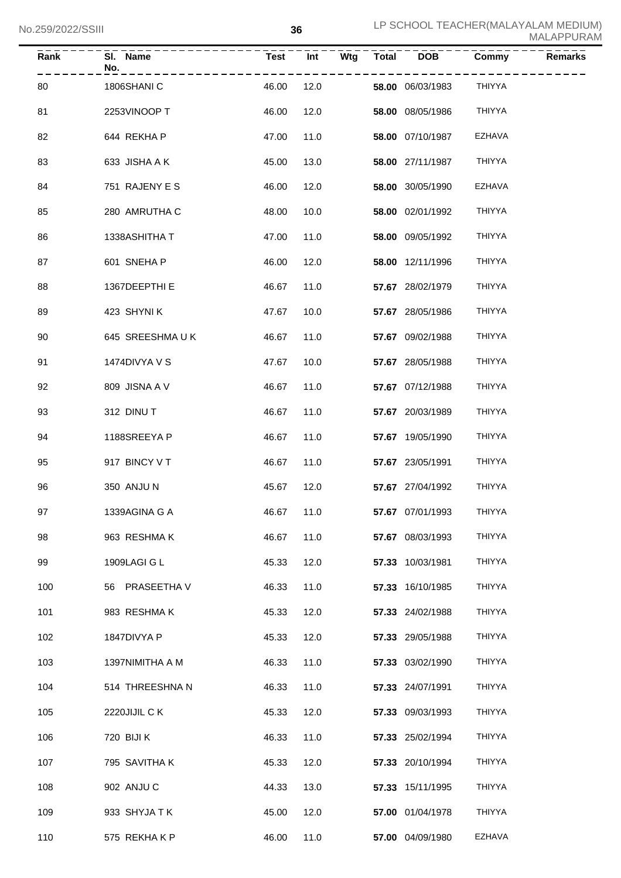| Rank | SI. Name<br>No. | <b>Test</b> | Int  | Wtg | $\overline{\text{Total}}$ | $\overline{DOB}$        | Commy         | <b>Remarks</b> |
|------|-----------------|-------------|------|-----|---------------------------|-------------------------|---------------|----------------|
| 80   | 1806SHANI C     | 46.00       | 12.0 |     |                           | <b>58.00</b> 06/03/1983 | <b>THIYYA</b> |                |
| 81   | 2253VINOOP T    | 46.00       | 12.0 |     |                           | 58.00 08/05/1986        | <b>THIYYA</b> |                |
| 82   | 644 REKHA P     | 47.00       | 11.0 |     |                           | 58.00 07/10/1987        | <b>EZHAVA</b> |                |
| 83   | 633 JISHA A K   | 45.00       | 13.0 |     |                           | 58.00 27/11/1987        | <b>THIYYA</b> |                |
| 84   | 751 RAJENY E S  | 46.00       | 12.0 |     |                           | 58.00 30/05/1990        | <b>EZHAVA</b> |                |
| 85   | 280 AMRUTHA C   | 48.00       | 10.0 |     |                           | 58.00 02/01/1992        | <b>THIYYA</b> |                |
| 86   | 1338ASHITHA T   | 47.00       | 11.0 |     |                           | 58.00 09/05/1992        | <b>THIYYA</b> |                |
| 87   | 601 SNEHA P     | 46.00       | 12.0 |     |                           | 58.00 12/11/1996        | <b>THIYYA</b> |                |
| 88   | 1367DEEPTHIE    | 46.67       | 11.0 |     |                           | 57.67 28/02/1979        | <b>THIYYA</b> |                |
| 89   | 423 SHYNIK      | 47.67       | 10.0 |     |                           | 57.67 28/05/1986        | <b>THIYYA</b> |                |
| 90   | 645 SREESHMAUK  | 46.67       | 11.0 |     |                           | 57.67 09/02/1988        | <b>THIYYA</b> |                |
| 91   | 1474DIVYA V S   | 47.67       | 10.0 |     |                           | 57.67 28/05/1988        | <b>THIYYA</b> |                |
| 92   | 809 JISNA A V   | 46.67       | 11.0 |     |                           | 57.67 07/12/1988        | <b>THIYYA</b> |                |
| 93   | 312 DINUT       | 46.67       | 11.0 |     |                           | 57.67 20/03/1989        | <b>THIYYA</b> |                |
| 94   | 1188SREEYA P    | 46.67       | 11.0 |     |                           | 57.67 19/05/1990        | <b>THIYYA</b> |                |
| 95   | 917 BINCY V T   | 46.67       | 11.0 |     |                           | 57.67 23/05/1991        | <b>THIYYA</b> |                |
| 96   | 350 ANJUN       | 45.67       | 12.0 |     |                           | 57.67 27/04/1992        | THIYYA        |                |
| 97   | 1339AGINA G A   | 46.67 11.0  |      |     |                           | 57.67 07/01/1993        | <b>THIYYA</b> |                |
| 98   | 963 RESHMAK     | 46.67       | 11.0 |     |                           | 57.67 08/03/1993        | THIYYA        |                |
| 99   | 1909LAGI G L    | 45.33       | 12.0 |     |                           | 57.33 10/03/1981        | THIYYA        |                |
| 100  | 56 PRASEETHA V  | 46.33       | 11.0 |     |                           | 57.33 16/10/1985        | THIYYA        |                |
| 101  | 983 RESHMAK     | 45.33       | 12.0 |     |                           | 57.33 24/02/1988        | THIYYA        |                |
| 102  | 1847DIVYA P     | 45.33       | 12.0 |     |                           | 57.33 29/05/1988        | THIYYA        |                |
| 103  | 1397NIMITHA A M | 46.33       | 11.0 |     |                           | 57.33 03/02/1990        | THIYYA        |                |
| 104  | 514 THREESHNA N | 46.33       | 11.0 |     |                           | 57.33 24/07/1991        | THIYYA        |                |
| 105  | 2220JIJIL C K   | 45.33       | 12.0 |     |                           | 57.33 09/03/1993        | THIYYA        |                |
| 106  | 720 BIJI K      | 46.33       | 11.0 |     |                           | 57.33 25/02/1994        | THIYYA        |                |
| 107  | 795 SAVITHA K   | 45.33       | 12.0 |     |                           | 57.33 20/10/1994        | THIYYA        |                |
| 108  | 902 ANJU C      | 44.33       | 13.0 |     |                           | 57.33 15/11/1995        | THIYYA        |                |
| 109  | 933 SHYJATK     | 45.00       | 12.0 |     |                           | 57.00 01/04/1978        | THIYYA        |                |
| 110  | 575 REKHAKP     | 46.00       | 11.0 |     |                           | 57.00 04/09/1980        | EZHAVA        |                |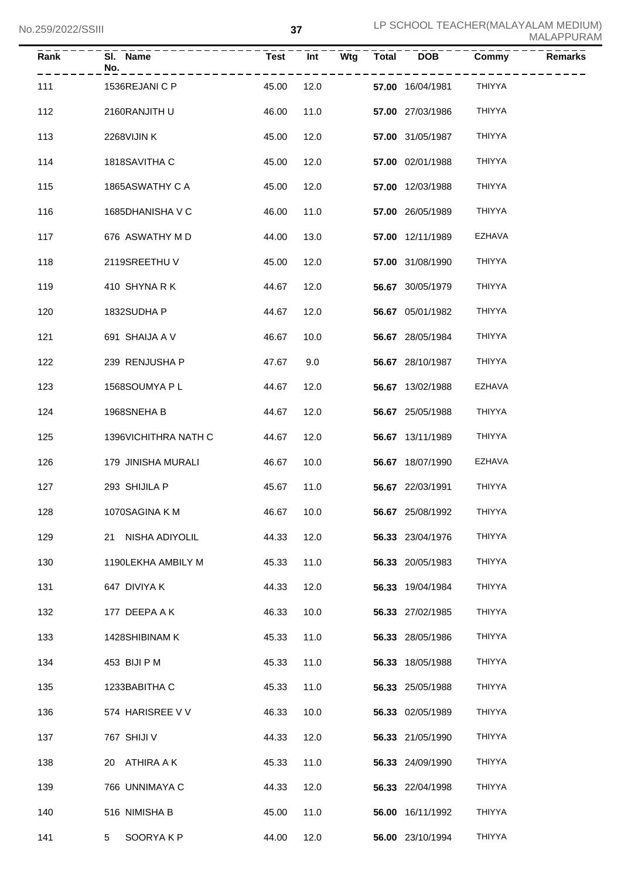| $\overline{Rank}$ | SI. Name<br>No.      | <b>Test</b> | Int  | Wtg | $\overline{\text{Total}}$ | <b>DOB</b>       | Commy         | <b>Remarks</b> |
|-------------------|----------------------|-------------|------|-----|---------------------------|------------------|---------------|----------------|
| 111               | 1536REJANI C P       | 45.00       | 12.0 |     |                           | 57.00 16/04/1981 | <b>THIYYA</b> |                |
| 112               | 2160RANJITH U        | 46.00       | 11.0 |     |                           | 57.00 27/03/1986 | <b>THIYYA</b> |                |
| 113               | 2268VIJINK           | 45.00       | 12.0 |     |                           | 57.00 31/05/1987 | <b>THIYYA</b> |                |
| 114               | 1818SAVITHA C        | 45.00       | 12.0 |     |                           | 57.00 02/01/1988 | <b>THIYYA</b> |                |
| 115               | 1865ASWATHY C A      | 45.00       | 12.0 |     |                           | 57.00 12/03/1988 | <b>THIYYA</b> |                |
| 116               | 1685DHANISHA V C     | 46.00       | 11.0 |     |                           | 57.00 26/05/1989 | <b>THIYYA</b> |                |
| 117               | 676 ASWATHY M D      | 44.00       | 13.0 |     |                           | 57.00 12/11/1989 | <b>EZHAVA</b> |                |
| 118               | 2119SREETHUV         | 45.00       | 12.0 |     |                           | 57.00 31/08/1990 | <b>THIYYA</b> |                |
| 119               | 410 SHYNARK          | 44.67       | 12.0 |     |                           | 56.67 30/05/1979 | <b>THIYYA</b> |                |
| 120               | 1832SUDHA P          | 44.67       | 12.0 |     |                           | 56.67 05/01/1982 | <b>THIYYA</b> |                |
| 121               | 691 SHAIJA A V       | 46.67       | 10.0 |     |                           | 56.67 28/05/1984 | <b>THIYYA</b> |                |
| 122               | 239 RENJUSHA P       | 47.67       | 9.0  |     |                           | 56.67 28/10/1987 | <b>THIYYA</b> |                |
| 123               | 1568SOUMYA P L       | 44.67       | 12.0 |     |                           | 56.67 13/02/1988 | <b>EZHAVA</b> |                |
| 124               | 1968SNEHA B          | 44.67       | 12.0 |     |                           | 56.67 25/05/1988 | <b>THIYYA</b> |                |
| 125               | 1396VICHITHRA NATH C | 44.67       | 12.0 |     |                           | 56.67 13/11/1989 | <b>THIYYA</b> |                |
| 126               | 179 JINISHA MURALI   | 46.67       | 10.0 |     |                           | 56.67 18/07/1990 | <b>EZHAVA</b> |                |
| 127               | 293 SHIJILA P        | 45.67       | 11.0 |     |                           | 56.67 22/03/1991 | <b>THIYYA</b> |                |
| 128               | 1070SAGINA K M       | 46.67 10.0  |      |     |                           | 56.67 25/08/1992 | <b>THIYYA</b> |                |
| 129               | 21 NISHA ADIYOLIL    | 44.33       | 12.0 |     |                           | 56.33 23/04/1976 | THIYYA        |                |
| 130               | 1190LEKHA AMBILY M   | 45.33       | 11.0 |     |                           | 56.33 20/05/1983 | THIYYA        |                |
| 131               | 647 DIVIYA K         | 44.33       | 12.0 |     |                           | 56.33 19/04/1984 | THIYYA        |                |
| 132               | 177 DEEPA A K        | 46.33       | 10.0 |     |                           | 56.33 27/02/1985 | <b>THIYYA</b> |                |
| 133               | 1428SHIBINAM K       | 45.33       | 11.0 |     |                           | 56.33 28/05/1986 | THIYYA        |                |
| 134               | 453 BIJI P M         | 45.33       | 11.0 |     |                           | 56.33 18/05/1988 | THIYYA        |                |
| 135               | 1233BABITHA C        | 45.33       | 11.0 |     |                           | 56.33 25/05/1988 | THIYYA        |                |
| 136               | 574 HARISREE V V     | 46.33       | 10.0 |     |                           | 56.33 02/05/1989 | THIYYA        |                |
| 137               | 767 SHIJI V          | 44.33       | 12.0 |     |                           | 56.33 21/05/1990 | THIYYA        |                |
| 138               | 20 ATHIRA A K        | 45.33       | 11.0 |     |                           | 56.33 24/09/1990 | THIYYA        |                |
| 139               | 766 UNNIMAYA C       | 44.33       | 12.0 |     |                           | 56.33 22/04/1998 | THIYYA        |                |
| 140               | 516 NIMISHA B        | 45.00       | 11.0 |     |                           | 56.00 16/11/1992 | THIYYA        |                |
| 141               | SOORYAKP<br>5        | 44.00       | 12.0 |     |                           | 56.00 23/10/1994 | THIYYA        |                |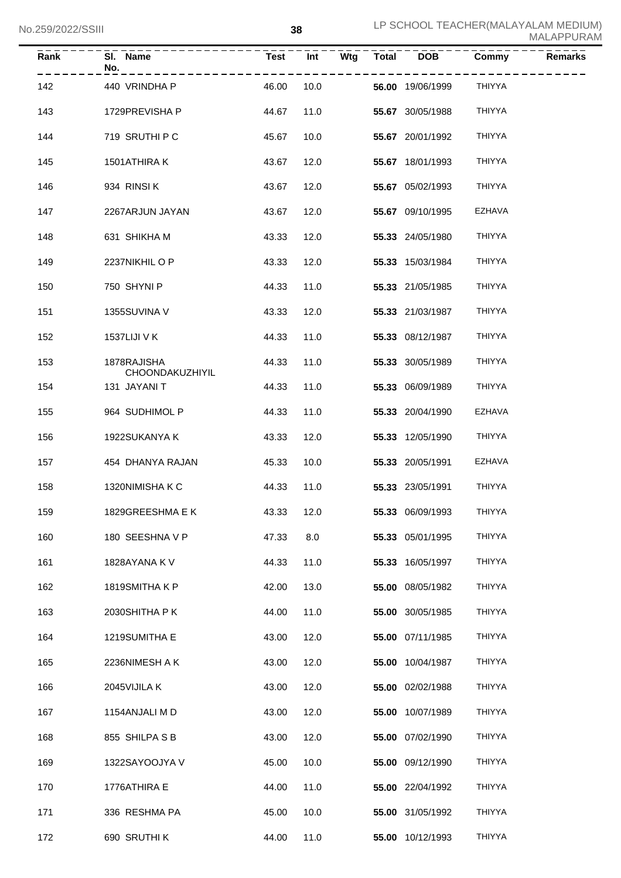| <b>Rank</b> | SI. Name<br>No.                | <b>Test</b> | Int  | Wtg | Total | <b>DOB</b>       | $\overline{\mathrm{Commy}}$ | <b>Remarks</b> |
|-------------|--------------------------------|-------------|------|-----|-------|------------------|-----------------------------|----------------|
| 142         | 440 VRINDHA P                  | 46.00       | 10.0 |     |       | 56.00 19/06/1999 | <b>THIYYA</b>               |                |
| 143         | 1729PREVISHA P                 | 44.67       | 11.0 |     |       | 55.67 30/05/1988 | <b>THIYYA</b>               |                |
| 144         | 719 SRUTHI P C                 | 45.67       | 10.0 |     |       | 55.67 20/01/1992 | <b>THIYYA</b>               |                |
| 145         | 1501ATHIRA K                   | 43.67       | 12.0 |     |       | 55.67 18/01/1993 | <b>THIYYA</b>               |                |
| 146         | 934 RINSIK                     | 43.67       | 12.0 |     |       | 55.67 05/02/1993 | <b>THIYYA</b>               |                |
| 147         | 2267ARJUN JAYAN                | 43.67       | 12.0 |     |       | 55.67 09/10/1995 | <b>EZHAVA</b>               |                |
| 148         | 631 SHIKHA M                   | 43.33       | 12.0 |     |       | 55.33 24/05/1980 | <b>THIYYA</b>               |                |
| 149         | 2237NIKHIL O P                 | 43.33       | 12.0 |     |       | 55.33 15/03/1984 | <b>THIYYA</b>               |                |
| 150         | 750 SHYNI P                    | 44.33       | 11.0 |     |       | 55.33 21/05/1985 | <b>THIYYA</b>               |                |
| 151         | 1355SUVINA V                   | 43.33       | 12.0 |     |       | 55.33 21/03/1987 | <b>THIYYA</b>               |                |
| 152         | 1537LIJI V K                   | 44.33       | 11.0 |     |       | 55.33 08/12/1987 | <b>THIYYA</b>               |                |
| 153         | 1878RAJISHA<br>CHOONDAKUZHIYIL | 44.33       | 11.0 |     |       | 55.33 30/05/1989 | <b>THIYYA</b>               |                |
| 154         | 131 JAYANI T                   | 44.33       | 11.0 |     |       | 55.33 06/09/1989 | <b>THIYYA</b>               |                |
| 155         | 964 SUDHIMOL P                 | 44.33       | 11.0 |     |       | 55.33 20/04/1990 | <b>EZHAVA</b>               |                |
| 156         | 1922SUKANYA K                  | 43.33       | 12.0 |     |       | 55.33 12/05/1990 | THIYYA                      |                |
| 157         | 454 DHANYA RAJAN               | 45.33       | 10.0 |     |       | 55.33 20/05/1991 | <b>EZHAVA</b>               |                |
| 158         | 1320NIMISHAKC                  | 44.33       | 11.0 |     |       | 55.33 23/05/1991 | <b>THIYYA</b>               |                |
| 159         | 1829GREESHMA E K               | 43.33 12.0  |      |     |       | 55.33 06/09/1993 | THIYYA                      |                |
| 160         | 180 SEESHNA V P                | 47.33       | 8.0  |     |       | 55.33 05/01/1995 | THIYYA                      |                |
| 161         | 1828AYANA KV                   | 44.33       | 11.0 |     |       | 55.33 16/05/1997 | <b>THIYYA</b>               |                |
| 162         | 1819SMITHAKP                   | 42.00       | 13.0 |     |       | 55.00 08/05/1982 | <b>THIYYA</b>               |                |
| 163         | 2030SHITHA PK                  | 44.00       | 11.0 |     |       | 55.00 30/05/1985 | <b>THIYYA</b>               |                |
| 164         | 1219SUMITHA E                  | 43.00       | 12.0 |     |       | 55.00 07/11/1985 | <b>THIYYA</b>               |                |
| 165         | 2236NIMESH A K                 | 43.00       | 12.0 |     |       | 55.00 10/04/1987 | <b>THIYYA</b>               |                |
| 166         | 2045VIJILA K                   | 43.00       | 12.0 |     |       | 55.00 02/02/1988 | <b>THIYYA</b>               |                |
| 167         | 1154ANJALI M D                 | 43.00       | 12.0 |     |       | 55.00 10/07/1989 | <b>THIYYA</b>               |                |
| 168         | 855 SHILPA S B                 | 43.00       | 12.0 |     |       | 55.00 07/02/1990 | <b>THIYYA</b>               |                |
| 169         | 1322SAYOOJYA V                 | 45.00       | 10.0 |     |       | 55.00 09/12/1990 | THIYYA                      |                |
| 170         | 1776ATHIRA E                   | 44.00       | 11.0 |     |       | 55.00 22/04/1992 | THIYYA                      |                |
| 171         | 336 RESHMA PA                  | 45.00       | 10.0 |     |       | 55.00 31/05/1992 | THIYYA                      |                |
| 172         | 690 SRUTHI K                   | 44.00       | 11.0 |     |       | 55.00 10/12/1993 | THIYYA                      |                |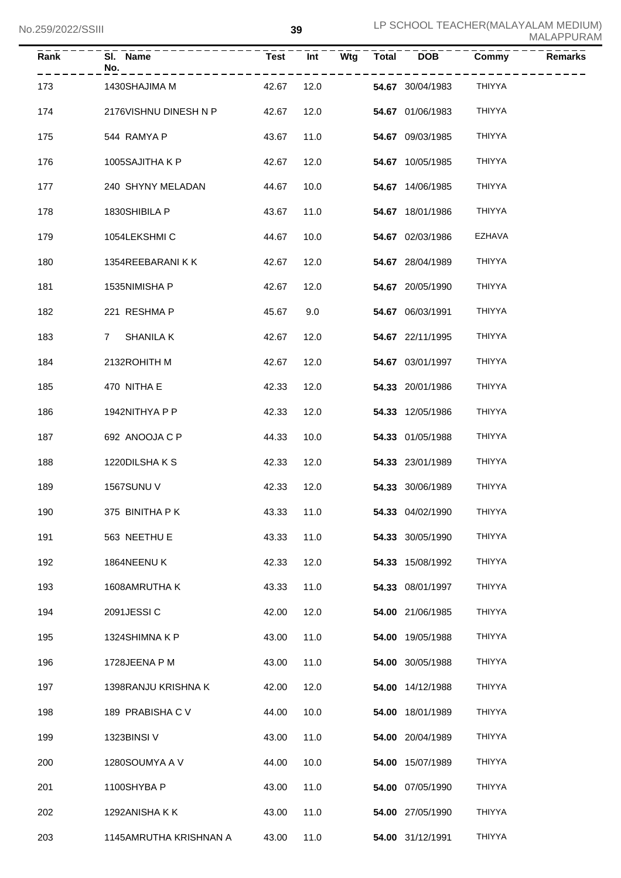| Rank | SI. Name<br>No.<br>. <u>.</u> . |            | Test Int |  | $Wtg$ Total DOB  | Commy         | <b>Remarks</b> |
|------|---------------------------------|------------|----------|--|------------------|---------------|----------------|
| 173  | 1430SHAJIMA M                   | 42.67      | 12.0     |  | 54.67 30/04/1983 | THIYYA        |                |
| 174  | 2176VISHNU DINESH N P           | 42.67      | 12.0     |  | 54.67 01/06/1983 | <b>THIYYA</b> |                |
| 175  | 544 RAMYA P                     | 43.67      | 11.0     |  | 54.67 09/03/1985 | <b>THIYYA</b> |                |
| 176  | 1005SAJITHA K P                 | 42.67      | 12.0     |  | 54.67 10/05/1985 | <b>THIYYA</b> |                |
| 177  | 240 SHYNY MELADAN               | 44.67      | 10.0     |  | 54.67 14/06/1985 | <b>THIYYA</b> |                |
| 178  | 1830SHIBILA P                   | 43.67      | 11.0     |  | 54.67 18/01/1986 | <b>THIYYA</b> |                |
| 179  | 1054LEKSHMIC                    | 44.67      | 10.0     |  | 54.67 02/03/1986 | EZHAVA        |                |
| 180  | 1354REEBARANI K K               | 42.67      | 12.0     |  | 54.67 28/04/1989 | <b>THIYYA</b> |                |
| 181  | 1535NIMISHA P                   | 42.67      | 12.0     |  | 54.67 20/05/1990 | <b>THIYYA</b> |                |
| 182  | 221 RESHMA P                    | 45.67      | 9.0      |  | 54.67 06/03/1991 | <b>THIYYA</b> |                |
| 183  | 7 SHANILA K                     | 42.67      | 12.0     |  | 54.67 22/11/1995 | <b>THIYYA</b> |                |
| 184  | 2132ROHITH M                    | 42.67      | 12.0     |  | 54.67 03/01/1997 | <b>THIYYA</b> |                |
| 185  | 470 NITHA E                     | 42.33      | 12.0     |  | 54.33 20/01/1986 | <b>THIYYA</b> |                |
| 186  | 1942NITHYA P P                  | 42.33      | 12.0     |  | 54.33 12/05/1986 | <b>THIYYA</b> |                |
| 187  | 692 ANOOJA C P                  | 44.33      | 10.0     |  | 54.33 01/05/1988 | <b>THIYYA</b> |                |
| 188  | 1220DILSHAKS                    | 42.33      | 12.0     |  | 54.33 23/01/1989 | <b>THIYYA</b> |                |
| 189  | <b>1567SUNU V</b>               | 42.33      | 12.0     |  | 54.33 30/06/1989 | <b>THIYYA</b> |                |
| 190  | 375 BINITHA P K                 | 43.33 11.0 |          |  | 54.33 04/02/1990 | THIYYA        |                |
| 191  | 563 NEETHU E                    | 43.33      | 11.0     |  | 54.33 30/05/1990 | THIYYA        |                |
| 192  | 1864NEENU K                     | 42.33      | 12.0     |  | 54.33 15/08/1992 | THIYYA        |                |
| 193  | 1608AMRUTHA K                   | 43.33      | 11.0     |  | 54.33 08/01/1997 | THIYYA        |                |
| 194  | 2091JESSIC                      | 42.00      | 12.0     |  | 54.00 21/06/1985 | THIYYA        |                |
| 195  | 1324SHIMNA K P                  | 43.00      | 11.0     |  | 54.00 19/05/1988 | THIYYA        |                |
| 196  | 1728JEENA P M                   | 43.00      | 11.0     |  | 54.00 30/05/1988 | THIYYA        |                |
| 197  | 1398RANJU KRISHNA K             | 42.00      | 12.0     |  | 54.00 14/12/1988 | THIYYA        |                |
| 198  | 189 PRABISHA C V                | 44.00      | 10.0     |  | 54.00 18/01/1989 | THIYYA        |                |
| 199  | 1323BINSI V                     | 43.00      | 11.0     |  | 54.00 20/04/1989 | THIYYA        |                |
| 200  | 1280SOUMYA A V                  | 44.00      | 10.0     |  | 54.00 15/07/1989 | THIYYA        |                |
| 201  | 1100SHYBA P                     | 43.00      | 11.0     |  | 54.00 07/05/1990 | THIYYA        |                |
| 202  | 1292ANISHA K K                  | 43.00      | 11.0     |  | 54.00 27/05/1990 | THIYYA        |                |
| 203  | 1145AMRUTHA KRISHNAN A          | 43.00      | 11.0     |  | 54.00 31/12/1991 | THIYYA        |                |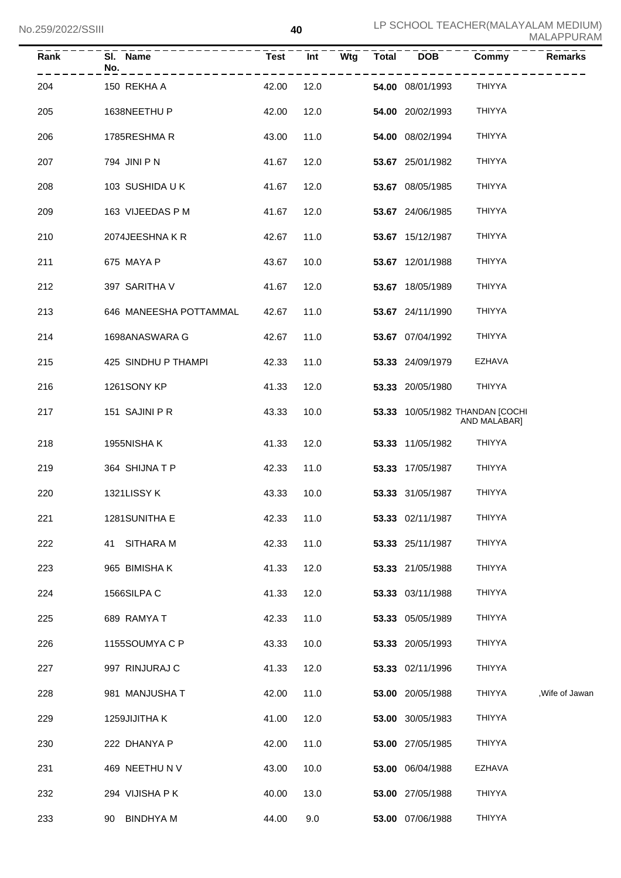| Rank | SI. Name<br>No.        | <b>Test</b> | Int  | Wtg | <b>Total</b> | <b>DOB</b>       | Commy                                           | <b>Remarks</b>  |
|------|------------------------|-------------|------|-----|--------------|------------------|-------------------------------------------------|-----------------|
| 204  | 150 REKHA A            | 42.00       | 12.0 |     |              | 54.00 08/01/1993 | THIYYA                                          |                 |
| 205  | 1638NEETHU P           | 42.00       | 12.0 |     |              | 54.00 20/02/1993 | <b>THIYYA</b>                                   |                 |
| 206  | 1785RESHMAR            | 43.00       | 11.0 |     |              | 54.00 08/02/1994 | <b>THIYYA</b>                                   |                 |
| 207  | 794 JINI P N           | 41.67       | 12.0 |     |              | 53.67 25/01/1982 | <b>THIYYA</b>                                   |                 |
| 208  | 103 SUSHIDA U K        | 41.67       | 12.0 |     |              | 53.67 08/05/1985 | <b>THIYYA</b>                                   |                 |
| 209  | 163 VIJEEDAS P M       | 41.67       | 12.0 |     |              | 53.67 24/06/1985 | <b>THIYYA</b>                                   |                 |
| 210  | 2074JEESHNAKR          | 42.67       | 11.0 |     |              | 53.67 15/12/1987 | <b>THIYYA</b>                                   |                 |
| 211  | 675 MAYA P             | 43.67       | 10.0 |     |              | 53.67 12/01/1988 | <b>THIYYA</b>                                   |                 |
| 212  | 397 SARITHA V          | 41.67       | 12.0 |     |              | 53.67 18/05/1989 | <b>THIYYA</b>                                   |                 |
| 213  | 646 MANEESHA POTTAMMAL | 42.67       | 11.0 |     |              | 53.67 24/11/1990 | <b>THIYYA</b>                                   |                 |
| 214  | 1698ANASWARA G         | 42.67       | 11.0 |     |              | 53.67 07/04/1992 | <b>THIYYA</b>                                   |                 |
| 215  | 425 SINDHU P THAMPI    | 42.33       | 11.0 |     |              | 53.33 24/09/1979 | <b>EZHAVA</b>                                   |                 |
| 216  | 1261SONY KP            | 41.33       | 12.0 |     |              | 53.33 20/05/1980 | <b>THIYYA</b>                                   |                 |
| 217  | 151 SAJINI P R         | 43.33       | 10.0 |     |              |                  | 53.33 10/05/1982 THANDAN [COCHI<br>AND MALABAR] |                 |
| 218  | 1955NISHA K            | 41.33       | 12.0 |     |              | 53.33 11/05/1982 | <b>THIYYA</b>                                   |                 |
| 219  | 364 SHIJNATP           | 42.33       | 11.0 |     |              | 53.33 17/05/1987 | <b>THIYYA</b>                                   |                 |
| 220  | 1321LISSY K            | 43.33       | 10.0 |     |              | 53.33 31/05/1987 | <b>THIYYA</b>                                   |                 |
| 221  | 1281SUNITHA E          | 42.33       | 11.0 |     |              | 53.33 02/11/1987 | <b>THIYYA</b>                                   |                 |
| 222  | <b>SITHARA M</b><br>41 | 42.33       | 11.0 |     |              | 53.33 25/11/1987 | <b>THIYYA</b>                                   |                 |
| 223  | 965 BIMISHA K          | 41.33       | 12.0 |     |              | 53.33 21/05/1988 | <b>THIYYA</b>                                   |                 |
| 224  | 1566SILPAC             | 41.33       | 12.0 |     |              | 53.33 03/11/1988 | <b>THIYYA</b>                                   |                 |
| 225  | 689 RAMYA T            | 42.33       | 11.0 |     |              | 53.33 05/05/1989 | <b>THIYYA</b>                                   |                 |
| 226  | 1155SOUMYA C P         | 43.33       | 10.0 |     |              | 53.33 20/05/1993 | <b>THIYYA</b>                                   |                 |
| 227  | 997 RINJURAJ C         | 41.33       | 12.0 |     |              | 53.33 02/11/1996 | <b>THIYYA</b>                                   |                 |
| 228  | 981 MANJUSHA T         | 42.00       | 11.0 |     |              | 53.00 20/05/1988 | THIYYA                                          | , Wife of Jawan |
| 229  | 1259JIJITHA K          | 41.00       | 12.0 |     |              | 53.00 30/05/1983 | <b>THIYYA</b>                                   |                 |
| 230  | 222 DHANYA P           | 42.00       | 11.0 |     |              | 53.00 27/05/1985 | <b>THIYYA</b>                                   |                 |
| 231  | 469 NEETHU N V         | 43.00       | 10.0 |     |              | 53.00 06/04/1988 | <b>EZHAVA</b>                                   |                 |
| 232  | 294 VIJISHA PK         | 40.00       | 13.0 |     |              | 53.00 27/05/1988 | <b>THIYYA</b>                                   |                 |
| 233  | 90 BINDHYA M           | 44.00       | 9.0  |     |              | 53.00 07/06/1988 | <b>THIYYA</b>                                   |                 |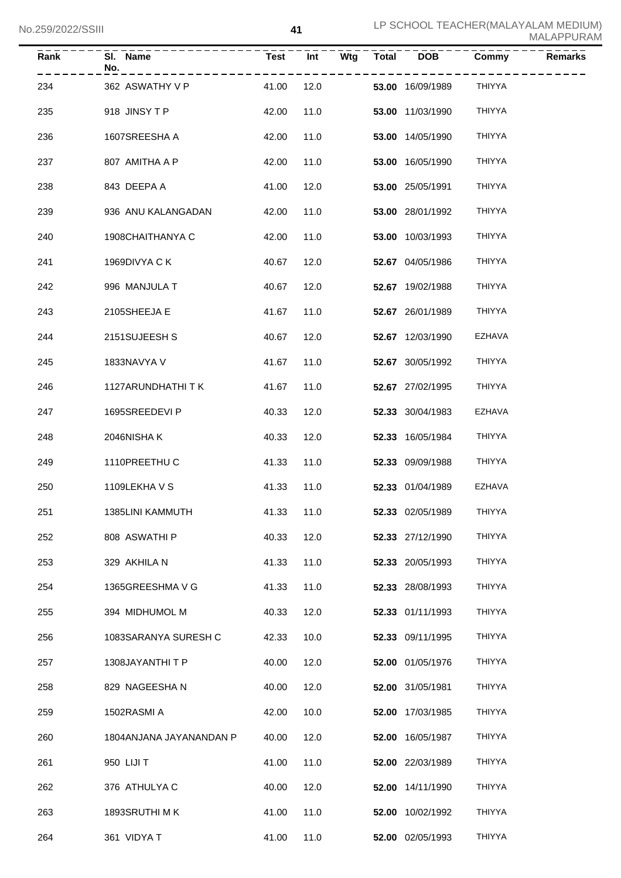| Rank | SI. Name<br>No.<br>- - - - - - - - - - - |            |                |  |                  | Commy          | <b>Remarks</b> |
|------|------------------------------------------|------------|----------------|--|------------------|----------------|----------------|
| 234  | 362 ASWATHY V P                          | 41.00      | $   -$<br>12.0 |  | 53.00 16/09/1989 | ----<br>THIYYA |                |
| 235  | 918 JINSYTP                              | 42.00      | 11.0           |  | 53.00 11/03/1990 | <b>THIYYA</b>  |                |
| 236  | 1607SREESHA A                            | 42.00      | 11.0           |  | 53.00 14/05/1990 | <b>THIYYA</b>  |                |
| 237  | 807 AMITHA A P                           | 42.00      | 11.0           |  | 53.00 16/05/1990 | <b>THIYYA</b>  |                |
| 238  | 843 DEEPA A                              | 41.00      | 12.0           |  | 53.00 25/05/1991 | <b>THIYYA</b>  |                |
| 239  | 936 ANU KALANGADAN                       | 42.00      | 11.0           |  | 53.00 28/01/1992 | <b>THIYYA</b>  |                |
| 240  | 1908CHAITHANYA C                         | 42.00      | 11.0           |  | 53.00 10/03/1993 | <b>THIYYA</b>  |                |
| 241  | 1969DIVYA CK                             | 40.67      | 12.0           |  | 52.67 04/05/1986 | <b>THIYYA</b>  |                |
| 242  | 996 MANJULA T                            | 40.67      | 12.0           |  | 52.67 19/02/1988 | <b>THIYYA</b>  |                |
| 243  | 2105SHEEJA E                             | 41.67      | 11.0           |  | 52.67 26/01/1989 | <b>THIYYA</b>  |                |
| 244  | 2151SUJEESH S                            | 40.67      | 12.0           |  | 52.67 12/03/1990 | <b>EZHAVA</b>  |                |
| 245  | 1833NAVYA V                              | 41.67      | 11.0           |  | 52.67 30/05/1992 | <b>THIYYA</b>  |                |
| 246  | 1127ARUNDHATHI T K                       | 41.67      | 11.0           |  | 52.67 27/02/1995 | <b>THIYYA</b>  |                |
| 247  | 1695SREEDEVI P                           | 40.33      | 12.0           |  | 52.33 30/04/1983 | <b>EZHAVA</b>  |                |
| 248  | 2046NISHAK                               | 40.33      | 12.0           |  | 52.33 16/05/1984 | <b>THIYYA</b>  |                |
| 249  | 1110PREETHU C                            | 41.33      | 11.0           |  | 52.33 09/09/1988 | <b>THIYYA</b>  |                |
| 250  | 1109LEKHA V S                            | 41.33      | 11.0           |  | 52.33 01/04/1989 | <b>EZHAVA</b>  |                |
| 251  | 1385LINI KAMMUTH                         | 41.33 11.0 |                |  | 52.33 02/05/1989 | THIYYA         |                |
| 252  | 808 ASWATHI P                            | 40.33      | 12.0           |  | 52.33 27/12/1990 | <b>THIYYA</b>  |                |
| 253  | 329 AKHILA N                             | 41.33      | 11.0           |  | 52.33 20/05/1993 | <b>THIYYA</b>  |                |
| 254  | 1365GREESHMA V G                         | 41.33      | 11.0           |  | 52.33 28/08/1993 | <b>THIYYA</b>  |                |
| 255  | 394 MIDHUMOL M                           | 40.33      | 12.0           |  | 52.33 01/11/1993 | <b>THIYYA</b>  |                |
| 256  | 1083SARANYA SURESH C                     | 42.33      | 10.0           |  | 52.33 09/11/1995 | <b>THIYYA</b>  |                |
| 257  | 1308JAYANTHIT P                          | 40.00      | 12.0           |  | 52.00 01/05/1976 | THIYYA         |                |
| 258  | 829 NAGEESHA N                           | 40.00      | 12.0           |  | 52.00 31/05/1981 | THIYYA         |                |
| 259  | 1502RASMI A                              | 42.00      | 10.0           |  | 52.00 17/03/1985 | THIYYA         |                |
| 260  | 1804ANJANA JAYANANDAN P                  | 40.00      | 12.0           |  | 52.00 16/05/1987 | THIYYA         |                |
| 261  | 950 LIJI T                               | 41.00      | 11.0           |  | 52.00 22/03/1989 | THIYYA         |                |
| 262  | 376 ATHULYA C                            | 40.00      | 12.0           |  | 52.00 14/11/1990 | THIYYA         |                |
| 263  | 1893SRUTHI M K                           | 41.00      | 11.0           |  | 52.00 10/02/1992 | THIYYA         |                |
| 264  | 361 VIDYA T                              | 41.00      | 11.0           |  | 52.00 02/05/1993 | THIYYA         |                |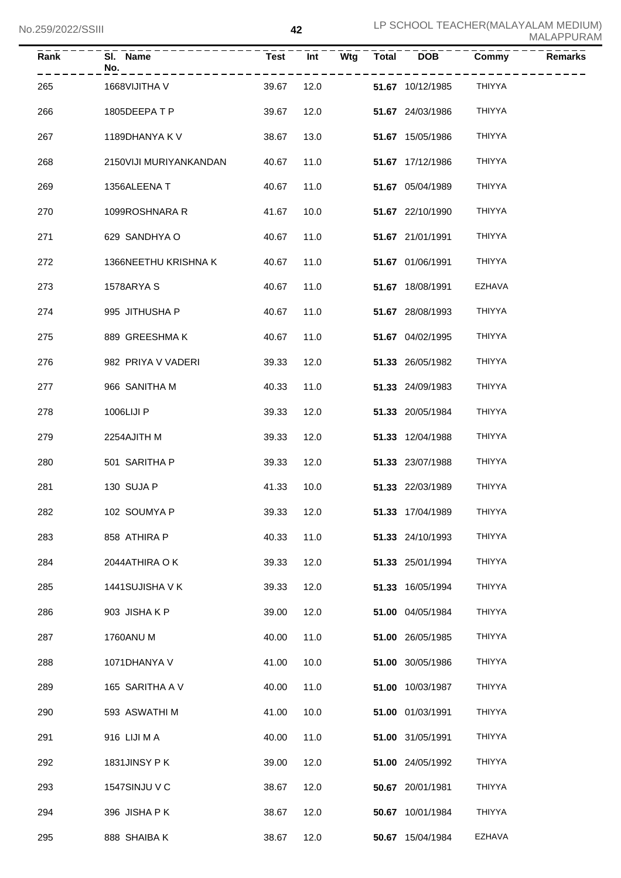| <b>Rank</b> | SI. Name<br>No.        | <b>Test</b> | Int  | Wtg $\overline{\phantom{a}}$ Total | $\overline{DOB}$        | Commy         | <b>Remarks</b> |
|-------------|------------------------|-------------|------|------------------------------------|-------------------------|---------------|----------------|
| 265         | 1668VIJITHA V          | 39.67       | 12.0 |                                    | <b>51.67</b> 10/12/1985 | <b>THIYYA</b> |                |
| 266         | 1805DEEPATP            | 39.67       | 12.0 |                                    | 51.67 24/03/1986        | <b>THIYYA</b> |                |
| 267         | 1189DHANYA K V         | 38.67       | 13.0 |                                    | 51.67 15/05/1986        | <b>THIYYA</b> |                |
| 268         | 2150VIJI MURIYANKANDAN | 40.67       | 11.0 |                                    | 51.67 17/12/1986        | <b>THIYYA</b> |                |
| 269         | 1356ALEENA T           | 40.67       | 11.0 |                                    | 51.67 05/04/1989        | <b>THIYYA</b> |                |
| 270         | 1099ROSHNARA R         | 41.67       | 10.0 |                                    | 51.67 22/10/1990        | <b>THIYYA</b> |                |
| 271         | 629 SANDHYA O          | 40.67       | 11.0 |                                    | 51.67 21/01/1991        | <b>THIYYA</b> |                |
| 272         | 1366NEETHU KRISHNA K   | 40.67       | 11.0 |                                    | 51.67 01/06/1991        | <b>THIYYA</b> |                |
| 273         | 1578ARYA S             | 40.67       | 11.0 |                                    | 51.67 18/08/1991        | <b>EZHAVA</b> |                |
| 274         | 995 JITHUSHA P         | 40.67       | 11.0 |                                    | 51.67 28/08/1993        | <b>THIYYA</b> |                |
| 275         | 889 GREESHMA K         | 40.67       | 11.0 |                                    | 51.67 04/02/1995        | <b>THIYYA</b> |                |
| 276         | 982 PRIYA V VADERI     | 39.33       | 12.0 |                                    | 51.33 26/05/1982        | <b>THIYYA</b> |                |
| 277         | 966 SANITHA M          | 40.33       | 11.0 |                                    | 51.33 24/09/1983        | <b>THIYYA</b> |                |
| 278         | 1006LIJI P             | 39.33       | 12.0 |                                    | 51.33 20/05/1984        | <b>THIYYA</b> |                |
| 279         | 2254AJITH M            | 39.33       | 12.0 |                                    | 51.33 12/04/1988        | <b>THIYYA</b> |                |
| 280         | 501 SARITHA P          | 39.33       | 12.0 |                                    | 51.33 23/07/1988        | <b>THIYYA</b> |                |
| 281         | 130 SUJA P             | 41.33       | 10.0 |                                    | 51.33 22/03/1989        | <b>THIYYA</b> |                |
| 282         | 102 SOUMYA P           | 39.33 12.0  |      |                                    | 51.33 17/04/1989        | <b>THIYYA</b> |                |
| 283         | 858 ATHIRA P           | 40.33       | 11.0 |                                    | 51.33 24/10/1993        | <b>THIYYA</b> |                |
| 284         | 2044ATHIRA O K         | 39.33       | 12.0 |                                    | 51.33 25/01/1994        | THIYYA        |                |
| 285         | 1441SUJISHA V K        | 39.33       | 12.0 |                                    | 51.33 16/05/1994        | THIYYA        |                |
| 286         | 903 JISHAKP            | 39.00       | 12.0 |                                    | 51.00 04/05/1984        | THIYYA        |                |
| 287         | 1760ANU M              | 40.00       | 11.0 |                                    | 51.00 26/05/1985        | THIYYA        |                |
| 288         | 1071DHANYA V           | 41.00       | 10.0 |                                    | 51.00 30/05/1986        | THIYYA        |                |
| 289         | 165 SARITHA A V        | 40.00       | 11.0 |                                    | 51.00 10/03/1987        | THIYYA        |                |
| 290         | 593 ASWATHI M          | 41.00       | 10.0 |                                    | 51.00 01/03/1991        | THIYYA        |                |
| 291         | 916 LIJI MA            | 40.00       | 11.0 |                                    | 51.00 31/05/1991        | <b>THIYYA</b> |                |
| 292         | 1831JINSY PK           | 39.00       | 12.0 |                                    | 51.00 24/05/1992        | <b>THIYYA</b> |                |
| 293         | <b>1547SINJU V C</b>   | 38.67       | 12.0 |                                    | 50.67 20/01/1981        | <b>THIYYA</b> |                |
| 294         | 396 JISHA P K          | 38.67       | 12.0 |                                    | 50.67 10/01/1984        | THIYYA        |                |
| 295         | 888 SHAIBA K           | 38.67       | 12.0 |                                    | 50.67 15/04/1984        | EZHAVA        |                |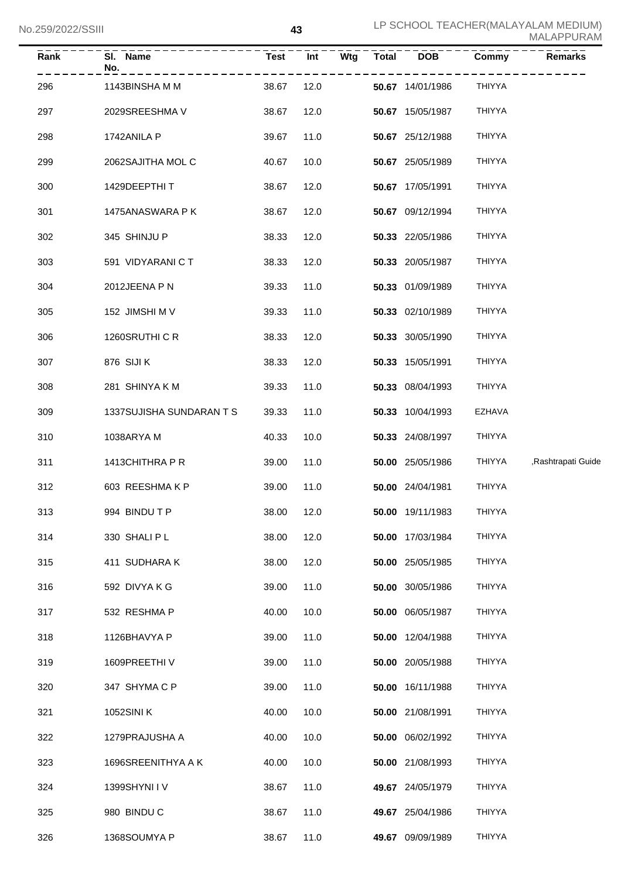| Rank | SI. Name<br>No.          | <b>Test</b> | Int<br>Wtg | <b>Total</b> | <b>DOB</b>       | Commy         | <b>Remarks</b>     |
|------|--------------------------|-------------|------------|--------------|------------------|---------------|--------------------|
| 296  | 1143BINSHAMM             | 38.67       | 12.0       |              | 50.67 14/01/1986 | <b>THIYYA</b> |                    |
| 297  | 2029SREESHMA V           | 38.67       | 12.0       |              | 50.67 15/05/1987 | THIYYA        |                    |
| 298  | 1742ANILA P              | 39.67       | 11.0       |              | 50.67 25/12/1988 | <b>THIYYA</b> |                    |
| 299  | 2062SAJITHA MOL C        | 40.67       | 10.0       |              | 50.67 25/05/1989 | <b>THIYYA</b> |                    |
| 300  | 1429DEEPTHIT             | 38.67       | 12.0       |              | 50.67 17/05/1991 | <b>THIYYA</b> |                    |
| 301  | 1475ANASWARA P K         | 38.67       | 12.0       |              | 50.67 09/12/1994 | <b>THIYYA</b> |                    |
| 302  | 345 SHINJU P             | 38.33       | 12.0       |              | 50.33 22/05/1986 | <b>THIYYA</b> |                    |
| 303  | 591 VIDYARANI C T        | 38.33       | 12.0       |              | 50.33 20/05/1987 | <b>THIYYA</b> |                    |
| 304  | 2012JEENA P N            | 39.33       | 11.0       |              | 50.33 01/09/1989 | <b>THIYYA</b> |                    |
| 305  | 152 JIMSHI M V           | 39.33       | 11.0       |              | 50.33 02/10/1989 | <b>THIYYA</b> |                    |
| 306  | 1260SRUTHI C R           | 38.33       | 12.0       |              | 50.33 30/05/1990 | <b>THIYYA</b> |                    |
| 307  | 876 SIJI K               | 38.33       | 12.0       |              | 50.33 15/05/1991 | <b>THIYYA</b> |                    |
| 308  | 281 SHINYA K M           | 39.33       | 11.0       |              | 50.33 08/04/1993 | <b>THIYYA</b> |                    |
| 309  | 1337SUJISHA SUNDARAN T S | 39.33       | 11.0       |              | 50.33 10/04/1993 | <b>EZHAVA</b> |                    |
| 310  | 1038ARYAM                | 40.33       | 10.0       |              | 50.33 24/08/1997 | THIYYA        |                    |
| 311  | 1413CHITHRA P R          | 39.00       | 11.0       |              | 50.00 25/05/1986 | THIYYA        | Rashtrapati Guide, |
| 312  | 603 REESHMAKP            | 39.00       | 11.0       |              | 50.00 24/04/1981 | THIYYA        |                    |
| 313  | 994 BINDU T P            | 38.00       | 12.0       |              | 50.00 19/11/1983 | THIYYA        |                    |
| 314  | 330 SHALIPL              | 38.00       | 12.0       |              | 50.00 17/03/1984 | <b>THIYYA</b> |                    |
| 315  | 411 SUDHARA K            | 38.00       | 12.0       |              | 50.00 25/05/1985 | <b>THIYYA</b> |                    |
| 316  | 592 DIVYA K G            | 39.00       | 11.0       |              | 50.00 30/05/1986 | <b>THIYYA</b> |                    |
| 317  | 532 RESHMA P             | 40.00       | 10.0       |              | 50.00 06/05/1987 | <b>THIYYA</b> |                    |
| 318  | 1126BHAVYA P             | 39.00       | 11.0       |              | 50.00 12/04/1988 | <b>THIYYA</b> |                    |
| 319  | 1609PREETHIV             | 39.00       | 11.0       |              | 50.00 20/05/1988 | <b>THIYYA</b> |                    |
| 320  | 347 SHYMA C P            | 39.00       | 11.0       |              | 50.00 16/11/1988 | <b>THIYYA</b> |                    |
| 321  | 1052SINI K               | 40.00       | 10.0       |              | 50.00 21/08/1991 | <b>THIYYA</b> |                    |
| 322  | 1279PRAJUSHA A           | 40.00       | 10.0       |              | 50.00 06/02/1992 | <b>THIYYA</b> |                    |
| 323  | 1696SREENITHYA A K       | 40.00       | 10.0       |              | 50.00 21/08/1993 | <b>THIYYA</b> |                    |
| 324  | 1399SHYNI I V            | 38.67       | 11.0       |              | 49.67 24/05/1979 | <b>THIYYA</b> |                    |
| 325  | 980 BINDU C              | 38.67       | 11.0       |              | 49.67 25/04/1986 | THIYYA        |                    |
| 326  | 1368SOUMYA P             | 38.67       | 11.0       |              | 49.67 09/09/1989 | <b>THIYYA</b> |                    |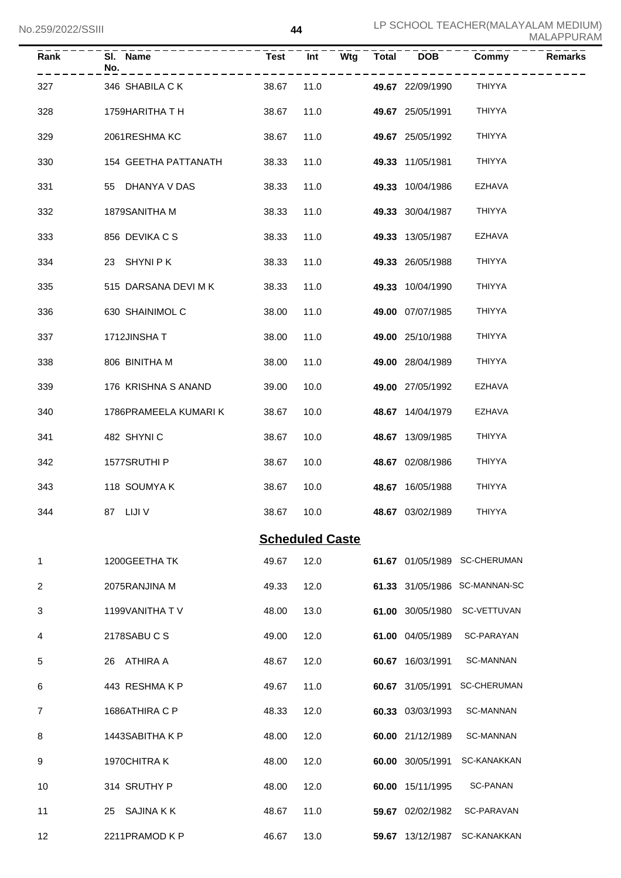| Rank | SI. Name<br>No.       | <b>Test</b> | Int                    | Wtg | <b>Total</b> | <b>DOB</b>       | Commy                         | <b>Remarks</b> |
|------|-----------------------|-------------|------------------------|-----|--------------|------------------|-------------------------------|----------------|
| 327  | 346 SHABILA CK        | 38.67       | 11.0                   |     |              | 49.67 22/09/1990 | THIYYA                        |                |
| 328  | 1759HARITHA T H       | 38.67       | 11.0                   |     |              | 49.67 25/05/1991 | <b>THIYYA</b>                 |                |
| 329  | 2061RESHMA KC         | 38.67       | 11.0                   |     |              | 49.67 25/05/1992 | <b>THIYYA</b>                 |                |
| 330  | 154 GEETHA PATTANATH  | 38.33       | 11.0                   |     |              | 49.33 11/05/1981 | <b>THIYYA</b>                 |                |
| 331  | 55 DHANYA V DAS       | 38.33       | 11.0                   |     |              | 49.33 10/04/1986 | <b>EZHAVA</b>                 |                |
| 332  | 1879SANITHA M         | 38.33       | 11.0                   |     |              | 49.33 30/04/1987 | <b>THIYYA</b>                 |                |
| 333  | 856 DEVIKA C S        | 38.33       | 11.0                   |     |              | 49.33 13/05/1987 | EZHAVA                        |                |
| 334  | 23 SHYNIPK            | 38.33       | 11.0                   |     |              | 49.33 26/05/1988 | <b>THIYYA</b>                 |                |
| 335  | 515 DARSANA DEVI M K  | 38.33       | 11.0                   |     |              | 49.33 10/04/1990 | <b>THIYYA</b>                 |                |
| 336  | 630 SHAINIMOL C       | 38.00       | 11.0                   |     |              | 49.00 07/07/1985 | <b>THIYYA</b>                 |                |
| 337  | 1712JINSHAT           | 38.00       | 11.0                   |     |              | 49.00 25/10/1988 | <b>THIYYA</b>                 |                |
| 338  | 806 BINITHA M         | 38.00       | 11.0                   |     |              | 49.00 28/04/1989 | <b>THIYYA</b>                 |                |
| 339  | 176 KRISHNA S ANAND   | 39.00       | 10.0                   |     |              | 49.00 27/05/1992 | EZHAVA                        |                |
| 340  | 1786PRAMEELA KUMARI K | 38.67       | 10.0                   |     |              | 48.67 14/04/1979 | EZHAVA                        |                |
| 341  | 482 SHYNIC            | 38.67       | 10.0                   |     |              | 48.67 13/09/1985 | <b>THIYYA</b>                 |                |
| 342  | 1577SRUTHI P          | 38.67       | 10.0                   |     |              | 48.67 02/08/1986 | <b>THIYYA</b>                 |                |
| 343  | 118 SOUMYAK           | 38.67       | 10.0                   |     |              | 48.67 16/05/1988 | <b>THIYYA</b>                 |                |
| 344  | 87 LIJI V             | 38.67 10.0  |                        |     |              | 48.67 03/02/1989 | <b>THIYYA</b>                 |                |
|      |                       |             | <b>Scheduled Caste</b> |     |              |                  |                               |                |
| 1    | 1200GEETHA TK         | 49.67       | 12.0                   |     |              |                  | 61.67 01/05/1989 SC-CHERUMAN  |                |
| 2    | 2075RANJINA M         | 49.33       | 12.0                   |     |              |                  | 61.33 31/05/1986 SC-MANNAN-SC |                |
| 3    | 1199VANITHA TV        | 48.00       | 13.0                   |     |              | 61.00 30/05/1980 | SC-VETTUVAN                   |                |
| 4    | 2178SABU C S          | 49.00       | 12.0                   |     |              | 61.00 04/05/1989 | SC-PARAYAN                    |                |
| 5    | 26 ATHIRA A           | 48.67       | 12.0                   |     |              | 60.67 16/03/1991 | SC-MANNAN                     |                |
| 6    | 443 RESHMAKP          | 49.67       | 11.0                   |     |              | 60.67 31/05/1991 | <b>SC-CHERUMAN</b>            |                |
| 7    | 1686ATHIRA C P        | 48.33       | 12.0                   |     |              | 60.33 03/03/1993 | SC-MANNAN                     |                |
| 8    | 1443SABITHA K P       | 48.00       | 12.0                   |     |              | 60.00 21/12/1989 | SC-MANNAN                     |                |
| 9    | 1970CHITRAK           | 48.00       | 12.0                   |     |              | 60.00 30/05/1991 | SC-KANAKKAN                   |                |
| 10   | 314 SRUTHY P          | 48.00       | 12.0                   |     |              | 60.00 15/11/1995 | SC-PANAN                      |                |
| 11   | 25 SAJINA K K         | 48.67       | 11.0                   |     |              | 59.67 02/02/1982 | SC-PARAVAN                    |                |
| 12   | 2211PRAMOD K P        | 46.67       | 13.0                   |     |              | 59.67 13/12/1987 | SC-KANAKKAN                   |                |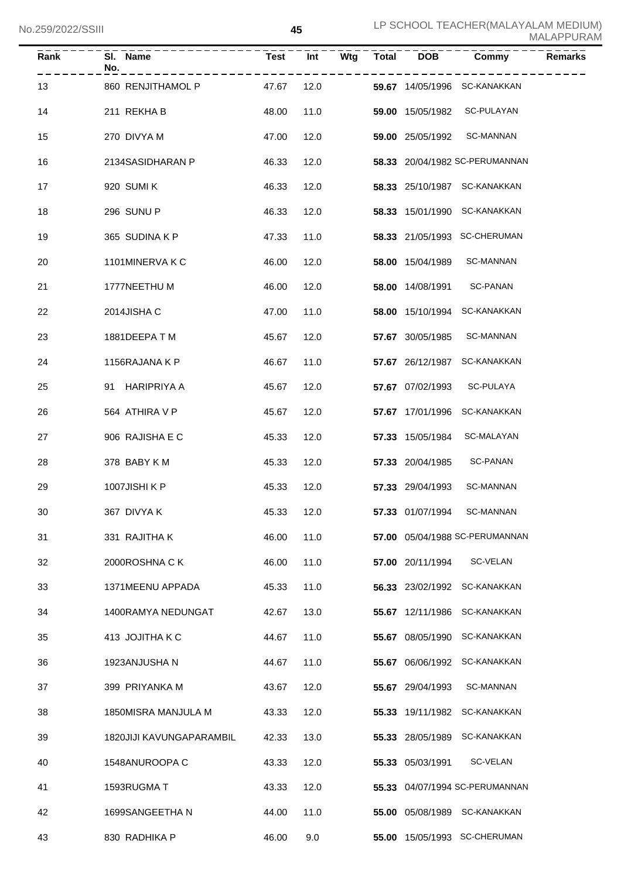| LZJYZUZZ/JJIII |                          |             | 40   |     |       |                         |                                | MALAPPURAM     |
|----------------|--------------------------|-------------|------|-----|-------|-------------------------|--------------------------------|----------------|
| Rank           | SI. Name<br>No.          | <b>Test</b> | Int  | Wtg | Total | <b>DOB</b>              | Commy                          | <b>Remarks</b> |
| 13             | 860 RENJITHAMOL P        | 47.67       | 12.0 |     |       |                         | 59.67 14/05/1996 SC-KANAKKAN   |                |
| 14             | 211 REKHAB               | 48.00       | 11.0 |     |       | 59.00 15/05/1982        | SC-PULAYAN                     |                |
| 15             | 270 DIVYA M              | 47.00       | 12.0 |     |       | <b>59.00</b> 25/05/1992 | <b>SC-MANNAN</b>               |                |
| 16             | 2134SASIDHARAN P         | 46.33       | 12.0 |     |       |                         | 58.33 20/04/1982 SC-PERUMANNAN |                |
| 17             | 920 SUMI K               | 46.33       | 12.0 |     |       |                         | 58.33 25/10/1987 SC-KANAKKAN   |                |
| 18             | 296 SUNU P               | 46.33       | 12.0 |     |       |                         | 58.33 15/01/1990 SC-KANAKKAN   |                |
| 19             | 365 SUDINA K P           | 47.33       | 11.0 |     |       |                         | 58.33 21/05/1993 SC-CHERUMAN   |                |
| 20             | 1101MINERVAKC            | 46.00       | 12.0 |     |       | 58.00 15/04/1989        | <b>SC-MANNAN</b>               |                |
| 21             | 1777NEETHU M             | 46.00       | 12.0 |     |       | 58.00 14/08/1991        | <b>SC-PANAN</b>                |                |
| 22             | 2014JISHA C              | 47.00       | 11.0 |     |       |                         | 58.00 15/10/1994 SC-KANAKKAN   |                |
| 23             | 1881DEEPATM              | 45.67       | 12.0 |     |       | 57.67 30/05/1985        | SC-MANNAN                      |                |
| 24             | 1156RAJANA K P           | 46.67       | 11.0 |     |       |                         | 57.67 26/12/1987 SC-KANAKKAN   |                |
| 25             | 91 HARIPRIYA A           | 45.67       | 12.0 |     |       | 57.67 07/02/1993        | SC-PULAYA                      |                |
| 26             | 564 ATHIRA V P           | 45.67       | 12.0 |     |       |                         | 57.67 17/01/1996 SC-KANAKKAN   |                |
| 27             | 906 RAJISHA E C          | 45.33       | 12.0 |     |       | 57.33 15/05/1984        | SC-MALAYAN                     |                |
| 28             | 378 BABY K M             | 45.33       | 12.0 |     |       | 57.33 20/04/1985        | SC-PANAN                       |                |
| 29             | 1007JISHI K P            | 45.33       | 12.0 |     |       | 57.33 29/04/1993        | <b>SC-MANNAN</b>               |                |
| 30             | 367 DIVYA K              | 45.33       | 12.0 |     |       | 57.33 01/07/1994        | SC-MANNAN                      |                |
| 31             | 331 RAJITHA K            | 46.00       | 11.0 |     |       |                         | 57.00 05/04/1988 SC-PERUMANNAN |                |
| 32             | 2000ROSHNA CK            | 46.00       | 11.0 |     |       | 57.00 20/11/1994        | SC-VELAN                       |                |
| 33             | 1371MEENU APPADA         | 45.33       | 11.0 |     |       | 56.33 23/02/1992        | SC-KANAKKAN                    |                |
| 34             | 1400RAMYA NEDUNGAT       | 42.67       | 13.0 |     |       | 55.67 12/11/1986        | SC-KANAKKAN                    |                |
| 35             | 413 JOJITHA K C          | 44.67       | 11.0 |     |       | 55.67 08/05/1990        | SC-KANAKKAN                    |                |
| 36             | 1923ANJUSHA N            | 44.67       | 11.0 |     |       | 55.67 06/06/1992        | SC-KANAKKAN                    |                |
| 37             | 399 PRIYANKA M           | 43.67       | 12.0 |     |       | 55.67 29/04/1993        | <b>SC-MANNAN</b>               |                |
| 38             | 1850MISRA MANJULA M      | 43.33       | 12.0 |     |       | 55.33 19/11/1982        | SC-KANAKKAN                    |                |
| 39             | 1820JIJI KAVUNGAPARAMBIL | 42.33       | 13.0 |     |       | 55.33 28/05/1989        | SC-KANAKKAN                    |                |
| 40             | 1548ANUROOPA C           | 43.33       | 12.0 |     |       | 55.33 05/03/1991        | SC-VELAN                       |                |
| 41             | 1593RUGMA T              | 43.33       | 12.0 |     |       |                         | 55.33 04/07/1994 SC-PERUMANNAN |                |
| 42             | 1699SANGEETHA N          | 44.00       | 11.0 |     |       |                         | 55.00 05/08/1989 SC-KANAKKAN   |                |
| 43             | 830 RADHIKA P            | 46.00       | 9.0  |     |       |                         | 55.00 15/05/1993 SC-CHERUMAN   |                |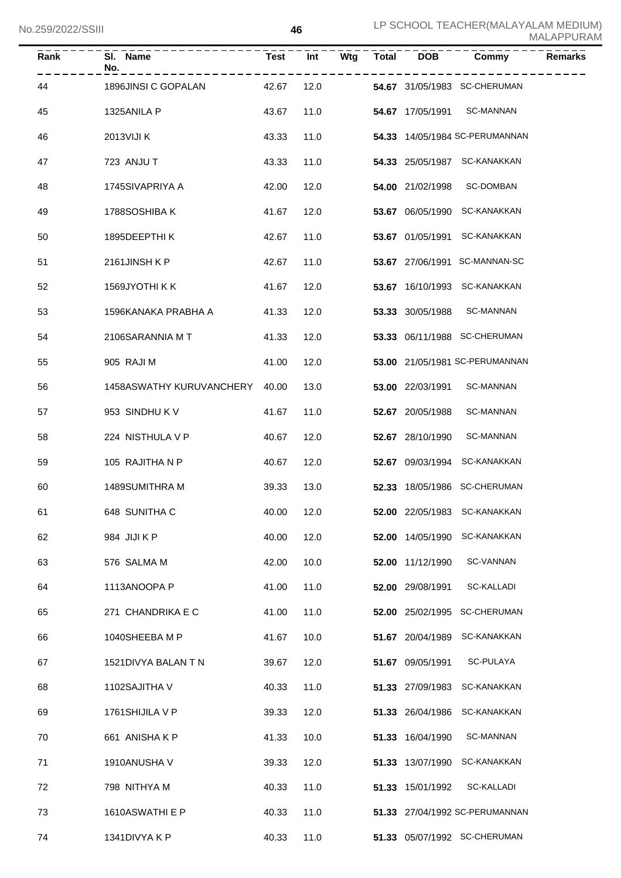| וווטט <i>ובבא</i> ראי |                          |             |      |     |              |                  |                                | MALAPPURAM     |
|-----------------------|--------------------------|-------------|------|-----|--------------|------------------|--------------------------------|----------------|
| Rank                  | SI. Name<br>No.          | <b>Test</b> | Int  | Wtg | <b>Total</b> | <b>DOB</b>       | Commy                          | <b>Remarks</b> |
| 44                    | 1896JINSI C GOPALAN      | 42.67       | 12.0 |     |              |                  | 54.67 31/05/1983 SC-CHERUMAN   |                |
| 45                    | 1325ANILA P              | 43.67       | 11.0 |     |              | 54.67 17/05/1991 | <b>SC-MANNAN</b>               |                |
| 46                    | 2013VIJI K               | 43.33       | 11.0 |     |              |                  | 54.33 14/05/1984 SC-PERUMANNAN |                |
| 47                    | 723 ANJU T               | 43.33       | 11.0 |     |              |                  | 54.33 25/05/1987 SC-KANAKKAN   |                |
| 48                    | 1745SIVAPRIYA A          | 42.00       | 12.0 |     |              | 54.00 21/02/1998 | SC-DOMBAN                      |                |
| 49                    | 1788SOSHIBA K            | 41.67       | 12.0 |     |              | 53.67 06/05/1990 | SC-KANAKKAN                    |                |
| 50                    | 1895DEEPTHIK             | 42.67       | 11.0 |     |              | 53.67 01/05/1991 | <b>SC-KANAKKAN</b>             |                |
| 51                    | 2161JINSH K P            | 42.67       | 11.0 |     |              |                  | 53.67 27/06/1991 SC-MANNAN-SC  |                |
| 52                    | 1569JYOTHI K K           | 41.67       | 12.0 |     |              |                  | 53.67 16/10/1993 SC-KANAKKAN   |                |
| 53                    | 1596KANAKA PRABHA A      | 41.33       | 12.0 |     |              | 53.33 30/05/1988 | <b>SC-MANNAN</b>               |                |
| 54                    | 2106SARANNIA MT          | 41.33       | 12.0 |     |              |                  | 53.33 06/11/1988 SC-CHERUMAN   |                |
| 55                    | 905 RAJI M               | 41.00       | 12.0 |     |              |                  | 53.00 21/05/1981 SC-PERUMANNAN |                |
| 56                    | 1458ASWATHY KURUVANCHERY | 40.00       | 13.0 |     |              | 53.00 22/03/1991 | <b>SC-MANNAN</b>               |                |
| 57                    | 953 SINDHU K V           | 41.67       | 11.0 |     |              | 52.67 20/05/1988 | SC-MANNAN                      |                |
| 58                    | 224 NISTHULA V P         | 40.67       | 12.0 |     |              | 52.67 28/10/1990 | SC-MANNAN                      |                |
| 59                    | 105 RAJITHA N P          | 40.67       | 12.0 |     |              | 52.67 09/03/1994 | SC-KANAKKAN                    |                |
| 60                    | 1489SUMITHRA M           | 39.33       | 13.0 |     |              |                  | 52.33 18/05/1986 SC-CHERUMAN   |                |
| 61                    | 648 SUNITHA C            | 40.00       | 12.0 |     |              |                  | 52.00 22/05/1983 SC-KANAKKAN   |                |
| 62                    | 984 JIJI K P             | 40.00       | 12.0 |     |              | 52.00 14/05/1990 | <b>SC-KANAKKAN</b>             |                |
| 63                    | 576 SALMA M              | 42.00       | 10.0 |     |              | 52.00 11/12/1990 | SC-VANNAN                      |                |
| 64                    | 1113ANOOPA P             | 41.00       | 11.0 |     |              | 52.00 29/08/1991 | SC-KALLADI                     |                |
| 65                    | 271 CHANDRIKA E C        | 41.00       | 11.0 |     |              |                  | 52.00 25/02/1995 SC-CHERUMAN   |                |
| 66                    | 1040SHEEBA M P           | 41.67       | 10.0 |     |              | 51.67 20/04/1989 | SC-KANAKKAN                    |                |
| 67                    | 1521DIVYA BALAN T N      | 39.67       | 12.0 |     |              | 51.67 09/05/1991 | SC-PULAYA                      |                |
| 68                    | 1102SAJITHA V            | 40.33       | 11.0 |     |              | 51.33 27/09/1983 | SC-KANAKKAN                    |                |
| 69                    | 1761 SHIJILA V P         | 39.33       | 12.0 |     |              | 51.33 26/04/1986 | SC-KANAKKAN                    |                |
| 70                    | 661 ANISHA K P           | 41.33       | 10.0 |     |              | 51.33 16/04/1990 | <b>SC-MANNAN</b>               |                |
| 71                    | 1910ANUSHA V             | 39.33       | 12.0 |     |              | 51.33 13/07/1990 | SC-KANAKKAN                    |                |
| 72                    | 798 NITHYA M             | 40.33       | 11.0 |     |              | 51.33 15/01/1992 | SC-KALLADI                     |                |
| 73                    | 1610ASWATHI E P          | 40.33       | 11.0 |     |              |                  | 51.33 27/04/1992 SC-PERUMANNAN |                |
| 74                    | 1341DIVYA K P            | 40.33       | 11.0 |     |              |                  | 51.33 05/07/1992 SC-CHERUMAN   |                |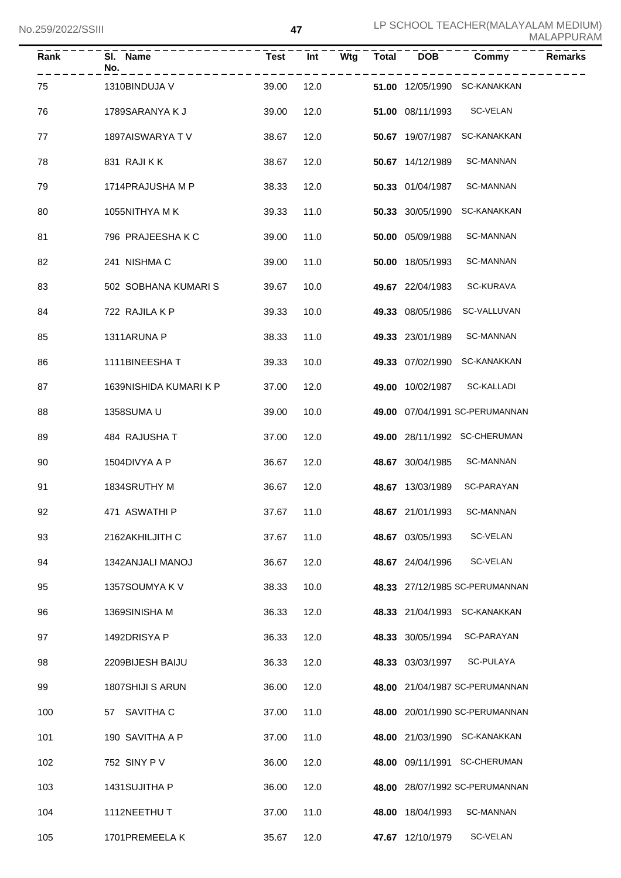| LUCC/SSUZZ/JU |                        |             |      |     |              |                  |                                | MALAPPURAM     |
|---------------|------------------------|-------------|------|-----|--------------|------------------|--------------------------------|----------------|
| Rank          | SI. Name<br>No.        | <b>Test</b> | Int  | Wtg | <b>Total</b> | <b>DOB</b>       | Commy                          | <b>Remarks</b> |
| 75            | 1310BINDUJA V          | 39.00       | 12.0 |     |              |                  | 51.00 12/05/1990 SC-KANAKKAN   |                |
| 76            | 1789SARANYA K J        | 39.00       | 12.0 |     |              | 51.00 08/11/1993 | SC-VELAN                       |                |
| 77            | 1897AISWARYA TV        | 38.67       | 12.0 |     |              | 50.67 19/07/1987 | SC-KANAKKAN                    |                |
| 78            | 831 RAJI K K           | 38.67       | 12.0 |     |              | 50.67 14/12/1989 | <b>SC-MANNAN</b>               |                |
| 79            | 1714PRAJUSHA M P       | 38.33       | 12.0 |     |              | 50.33 01/04/1987 | SC-MANNAN                      |                |
| 80            | 1055NITHYA MK          | 39.33       | 11.0 |     |              | 50.33 30/05/1990 | SC-KANAKKAN                    |                |
| 81            | 796 PRAJEESHA K C      | 39.00       | 11.0 |     |              | 50.00 05/09/1988 | SC-MANNAN                      |                |
| 82            | 241 NISHMA C           | 39.00       | 11.0 |     |              | 50.00 18/05/1993 | <b>SC-MANNAN</b>               |                |
| 83            | 502 SOBHANA KUMARI S   | 39.67       | 10.0 |     |              | 49.67 22/04/1983 | SC-KURAVA                      |                |
| 84            | 722 RAJILA K P         | 39.33       | 10.0 |     |              | 49.33 08/05/1986 | SC-VALLUVAN                    |                |
| 85            | 1311ARUNA P            | 38.33       | 11.0 |     |              | 49.33 23/01/1989 | SC-MANNAN                      |                |
| 86            | 1111BINEESHAT          | 39.33       | 10.0 |     |              | 49.33 07/02/1990 | SC-KANAKKAN                    |                |
| 87            | 1639NISHIDA KUMARI K P | 37.00       | 12.0 |     |              | 49.00 10/02/1987 | SC-KALLADI                     |                |
| 88            | 1358SUMA U             | 39.00       | 10.0 |     |              |                  | 49.00 07/04/1991 SC-PERUMANNAN |                |
| 89            | 484 RAJUSHA T          | 37.00       | 12.0 |     |              |                  | 49.00 28/11/1992 SC-CHERUMAN   |                |
| 90            | 1504DIVYA A P          | 36.67       | 12.0 |     |              | 48.67 30/04/1985 | SC-MANNAN                      |                |
| 91            | 1834SRUTHY M           | 36.67       | 12.0 |     |              | 48.67 13/03/1989 | <b>SC-PARAYAN</b>              |                |
| 92            | 471 ASWATHI P          | 37.67       | 11.0 |     |              | 48.67 21/01/1993 | SC-MANNAN                      |                |
| 93            | 2162AKHILJITH C        | 37.67       | 11.0 |     |              | 48.67 03/05/1993 | SC-VELAN                       |                |
| 94            | 1342ANJALI MANOJ       | 36.67       | 12.0 |     |              | 48.67 24/04/1996 | SC-VELAN                       |                |
| 95            | 1357SOUMYA K V         | 38.33       | 10.0 |     |              |                  | 48.33 27/12/1985 SC-PERUMANNAN |                |
| 96            | 1369SINISHA M          | 36.33       | 12.0 |     |              |                  | 48.33 21/04/1993 SC-KANAKKAN   |                |
| 97            | 1492DRISYA P           | 36.33       | 12.0 |     |              | 48.33 30/05/1994 | SC-PARAYAN                     |                |
| 98            | 2209BIJESH BAIJU       | 36.33       | 12.0 |     |              | 48.33 03/03/1997 | SC-PULAYA                      |                |
| 99            | 1807SHIJI S ARUN       | 36.00       | 12.0 |     |              |                  | 48.00 21/04/1987 SC-PERUMANNAN |                |
| 100           | 57 SAVITHA C           | 37.00       | 11.0 |     |              |                  | 48.00 20/01/1990 SC-PERUMANNAN |                |
| 101           | 190 SAVITHA A P        | 37.00       | 11.0 |     |              |                  | 48.00 21/03/1990 SC-KANAKKAN   |                |
| 102           | 752 SINY P V           | 36.00       | 12.0 |     |              |                  | 48.00 09/11/1991 SC-CHERUMAN   |                |
| 103           | 1431SUJITHA P          | 36.00       | 12.0 |     |              |                  | 48.00 28/07/1992 SC-PERUMANNAN |                |
| 104           | 1112NEETHUT            | 37.00       | 11.0 |     |              | 48.00 18/04/1993 | SC-MANNAN                      |                |
| 105           | 1701PREMEELAK          | 35.67       | 12.0 |     |              | 47.67 12/10/1979 | SC-VELAN                       |                |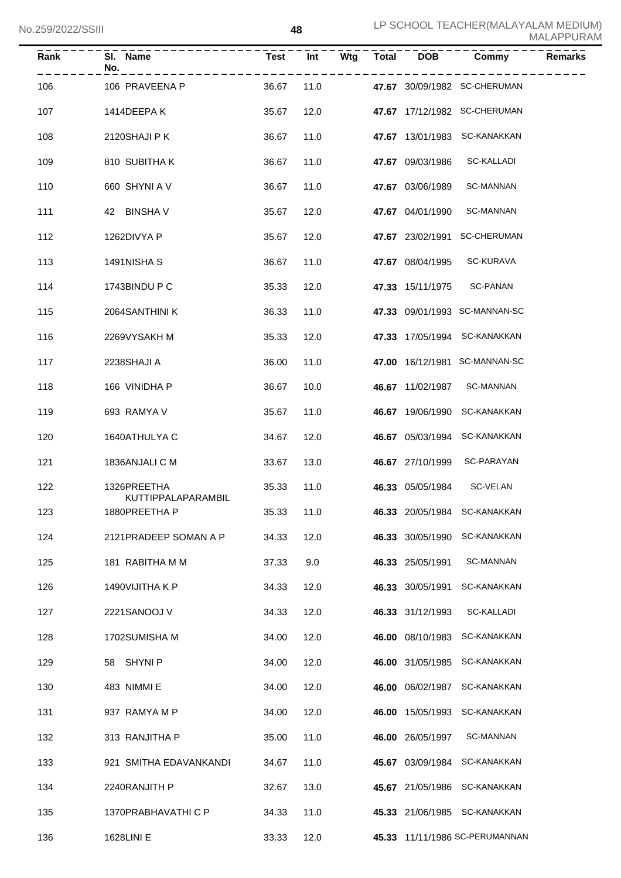| Rank | SI. Name<br>No.                   | Test       | Int  | Wtg | <b>Total</b> | <b>DOB</b>       | Commy                          | <b>Remarks</b> |
|------|-----------------------------------|------------|------|-----|--------------|------------------|--------------------------------|----------------|
| 106  | 106 PRAVEENA P                    | 36.67      | 11.0 |     |              |                  | 47.67 30/09/1982 SC-CHERUMAN   |                |
| 107  | 1414DEEPA K                       | 35.67      | 12.0 |     |              |                  | 47.67 17/12/1982 SC-CHERUMAN   |                |
| 108  | 2120SHAJI P K                     | 36.67      | 11.0 |     |              |                  | 47.67 13/01/1983 SC-KANAKKAN   |                |
| 109  | 810 SUBITHAK                      | 36.67      | 11.0 |     |              | 47.67 09/03/1986 | <b>SC-KALLADI</b>              |                |
| 110  | 660 SHYNI A V                     | 36.67      | 11.0 |     |              | 47.67 03/06/1989 | <b>SC-MANNAN</b>               |                |
| 111  | 42 BINSHAV                        | 35.67      | 12.0 |     |              | 47.67 04/01/1990 | <b>SC-MANNAN</b>               |                |
| 112  | 1262DIVYA P                       | 35.67      | 12.0 |     |              | 47.67 23/02/1991 | <b>SC-CHERUMAN</b>             |                |
| 113  | 1491NISHA S                       | 36.67      | 11.0 |     |              | 47.67 08/04/1995 | SC-KURAVA                      |                |
| 114  | 1743BINDU P C                     | 35.33      | 12.0 |     |              | 47.33 15/11/1975 | <b>SC-PANAN</b>                |                |
| 115  | 2064SANTHINI K                    | 36.33      | 11.0 |     |              |                  | 47.33 09/01/1993 SC-MANNAN-SC  |                |
| 116  | 2269VYSAKH M                      | 35.33      | 12.0 |     |              |                  | 47.33 17/05/1994 SC-KANAKKAN   |                |
| 117  | 2238SHAJI A                       | 36.00      | 11.0 |     |              |                  | 47.00 16/12/1981 SC-MANNAN-SC  |                |
| 118  | 166 VINIDHA P                     | 36.67      | 10.0 |     |              | 46.67 11/02/1987 | <b>SC-MANNAN</b>               |                |
| 119  | 693 RAMYA V                       | 35.67      | 11.0 |     |              | 46.67 19/06/1990 | SC-KANAKKAN                    |                |
| 120  | 1640ATHULYA C                     | 34.67      | 12.0 |     |              | 46.67 05/03/1994 | SC-KANAKKAN                    |                |
| 121  | 1836ANJALI C M                    | 33.67      | 13.0 |     |              | 46.67 27/10/1999 | SC-PARAYAN                     |                |
| 122  | 1326PREETHA<br>KUTTIPPALAPARAMBIL | 35.33      | 11.0 |     |              | 46.33 05/05/1984 | SC-VELAN                       |                |
| 123  | 1880PREETHA P                     | 35.33 11.0 |      |     |              |                  | 46.33 20/05/1984 SC-KANAKKAN   |                |
| 124  | 2121PRADEEP SOMAN A P             | 34.33      | 12.0 |     |              | 46.33 30/05/1990 | SC-KANAKKAN                    |                |
| 125  | 181 RABITHA M M                   | 37.33      | 9.0  |     |              | 46.33 25/05/1991 | SC-MANNAN                      |                |
| 126  | 1490VIJITHA K P                   | 34.33      | 12.0 |     |              | 46.33 30/05/1991 | SC-KANAKKAN                    |                |
| 127  | 2221SANOOJ V                      | 34.33      | 12.0 |     |              | 46.33 31/12/1993 | SC-KALLADI                     |                |
| 128  | 1702SUMISHA M                     | 34.00      | 12.0 |     |              | 46.00 08/10/1983 | SC-KANAKKAN                    |                |
| 129  | 58 SHYNIP                         | 34.00      | 12.0 |     |              | 46.00 31/05/1985 | SC-KANAKKAN                    |                |
| 130  | 483 NIMMI E                       | 34.00      | 12.0 |     |              | 46.00 06/02/1987 | SC-KANAKKAN                    |                |
| 131  | 937 RAMYA M P                     | 34.00      | 12.0 |     |              | 46.00 15/05/1993 | SC-KANAKKAN                    |                |
| 132  | 313 RANJITHA P                    | 35.00      | 11.0 |     |              | 46.00 26/05/1997 | SC-MANNAN                      |                |
| 133  | 921 SMITHA EDAVANKANDI            | 34.67      | 11.0 |     |              | 45.67 03/09/1984 | SC-KANAKKAN                    |                |
| 134  | 2240RANJITH P                     | 32.67      | 13.0 |     |              | 45.67 21/05/1986 | SC-KANAKKAN                    |                |
| 135  | 1370PRABHAVATHI C P               | 34.33      | 11.0 |     |              | 45.33 21/06/1985 | SC-KANAKKAN                    |                |
| 136  | 1628LINI E                        | 33.33      | 12.0 |     |              |                  | 45.33 11/11/1986 SC-PERUMANNAN |                |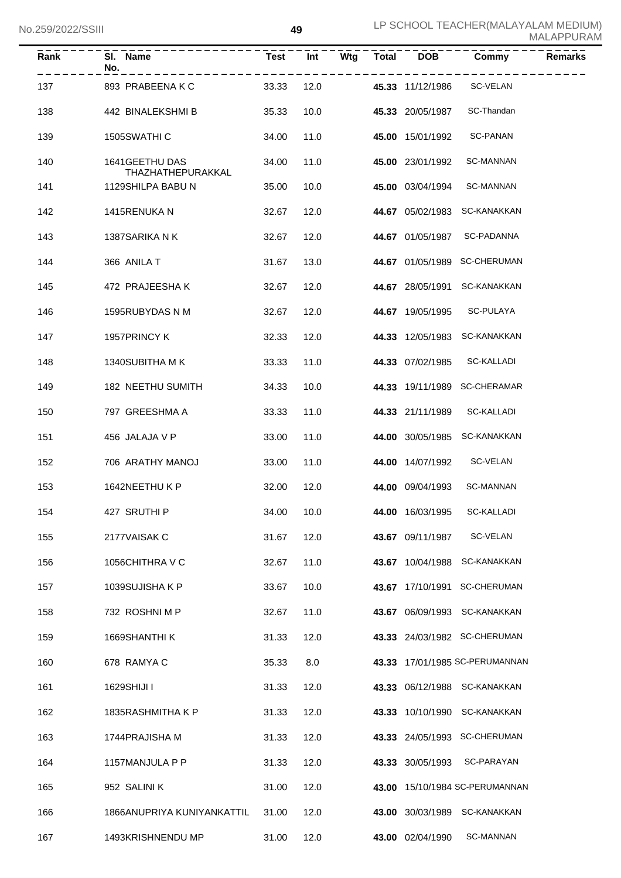| Rank | SI. Name<br>No.                     | <b>Test</b> | Int  | Wtg | <b>Total</b> | <b>DOB</b>       | Commy                          | <b>Remarks</b> |
|------|-------------------------------------|-------------|------|-----|--------------|------------------|--------------------------------|----------------|
| 137  | 893 PRABEENA K C                    | 33.33       | 12.0 |     |              | 45.33 11/12/1986 | SC-VELAN                       |                |
| 138  | 442 BINALEKSHMI B                   | 35.33       | 10.0 |     |              | 45.33 20/05/1987 | SC-Thandan                     |                |
| 139  | 1505SWATHI C                        | 34.00       | 11.0 |     |              | 45.00 15/01/1992 | <b>SC-PANAN</b>                |                |
| 140  | 1641GEETHU DAS<br>THAZHATHEPURAKKAL | 34.00       | 11.0 |     |              | 45.00 23/01/1992 | <b>SC-MANNAN</b>               |                |
| 141  | 1129SHILPA BABU N                   | 35.00       | 10.0 |     |              | 45.00 03/04/1994 | <b>SC-MANNAN</b>               |                |
| 142  | 1415RENUKA N                        | 32.67       | 12.0 |     |              | 44.67 05/02/1983 | SC-KANAKKAN                    |                |
| 143  | 1387SARIKA N K                      | 32.67       | 12.0 |     |              | 44.67 01/05/1987 | SC-PADANNA                     |                |
| 144  | 366 ANILA T                         | 31.67       | 13.0 |     |              |                  | 44.67 01/05/1989 SC-CHERUMAN   |                |
| 145  | 472 PRAJEESHA K                     | 32.67       | 12.0 |     |              | 44.67 28/05/1991 | SC-KANAKKAN                    |                |
| 146  | 1595RUBYDAS N M                     | 32.67       | 12.0 |     |              | 44.67 19/05/1995 | SC-PULAYA                      |                |
| 147  | 1957PRINCY K                        | 32.33       | 12.0 |     |              | 44.33 12/05/1983 | <b>SC-KANAKKAN</b>             |                |
| 148  | 1340SUBITHA M K                     | 33.33       | 11.0 |     |              | 44.33 07/02/1985 | SC-KALLADI                     |                |
| 149  | 182 NEETHU SUMITH                   | 34.33       | 10.0 |     |              |                  | 44.33 19/11/1989 SC-CHERAMAR   |                |
| 150  | 797 GREESHMA A                      | 33.33       | 11.0 |     |              | 44.33 21/11/1989 | SC-KALLADI                     |                |
| 151  | 456 JALAJA V P                      | 33.00       | 11.0 |     |              | 44.00 30/05/1985 | SC-KANAKKAN                    |                |
| 152  | 706 ARATHY MANOJ                    | 33.00       | 11.0 |     |              | 44.00 14/07/1992 | SC-VELAN                       |                |
| 153  | 1642NEETHU K P                      | 32.00       | 12.0 |     |              | 44.00 09/04/1993 | <b>SC-MANNAN</b>               |                |
| 154  | 427 SRUTHI P                        | 34.00 10.0  |      |     |              | 44.00 16/03/1995 | SC-KALLADI                     |                |
| 155  | 2177VAISAK C                        | 31.67       | 12.0 |     |              | 43.67 09/11/1987 | SC-VELAN                       |                |
| 156  | 1056CHITHRA V C                     | 32.67       | 11.0 |     |              | 43.67 10/04/1988 | SC-KANAKKAN                    |                |
| 157  | 1039SUJISHA K P                     | 33.67       | 10.0 |     |              |                  | 43.67 17/10/1991 SC-CHERUMAN   |                |
| 158  | 732 ROSHNI M P                      | 32.67       | 11.0 |     |              |                  | 43.67 06/09/1993 SC-KANAKKAN   |                |
| 159  | 1669SHANTHI K                       | 31.33       | 12.0 |     |              |                  | 43.33 24/03/1982 SC-CHERUMAN   |                |
| 160  | 678 RAMYA C                         | 35.33       | 8.0  |     |              |                  | 43.33 17/01/1985 SC-PERUMANNAN |                |
| 161  | 1629SHIJI I                         | 31.33       | 12.0 |     |              |                  | 43.33 06/12/1988 SC-KANAKKAN   |                |
| 162  | 1835RASHMITHA K P                   | 31.33       | 12.0 |     |              | 43.33 10/10/1990 | SC-KANAKKAN                    |                |
| 163  | 1744 PRAJISHA M                     | 31.33       | 12.0 |     |              |                  | 43.33 24/05/1993 SC-CHERUMAN   |                |
| 164  | 1157MANJULA P P                     | 31.33       | 12.0 |     |              | 43.33 30/05/1993 | SC-PARAYAN                     |                |
| 165  | 952 SALINI K                        | 31.00       | 12.0 |     |              |                  | 43.00 15/10/1984 SC-PERUMANNAN |                |
| 166  | 1866ANUPRIYA KUNIYANKATTIL          | 31.00       | 12.0 |     |              |                  | 43.00 30/03/1989 SC-KANAKKAN   |                |
| 167  | 1493KRISHNENDU MP                   | 31.00       | 12.0 |     |              | 43.00 02/04/1990 | <b>SC-MANNAN</b>               |                |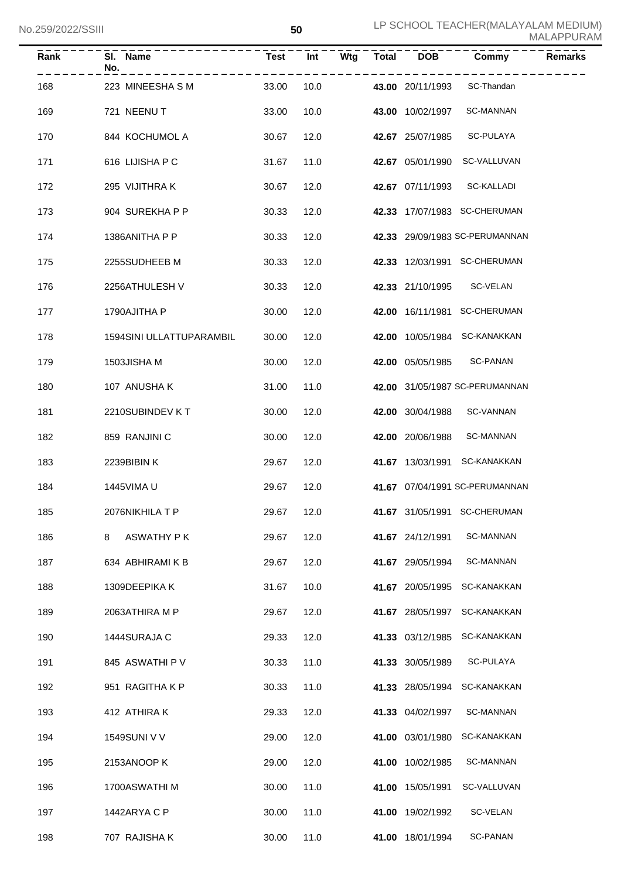| Rank | SI. Name<br>No.                 | <b>Test</b> | Int  | Wtg | <b>Total</b> | DOB              | Commy                          | <b>Remarks</b> |
|------|---------------------------------|-------------|------|-----|--------------|------------------|--------------------------------|----------------|
| 168  | 223 MINEESHASM                  | 33.00       | 10.0 |     |              | 43.00 20/11/1993 | SC-Thandan                     |                |
| 169  | 721 NEENUT                      | 33.00       | 10.0 |     |              | 43.00 10/02/1997 | <b>SC-MANNAN</b>               |                |
| 170  | 844 KOCHUMOL A                  | 30.67       | 12.0 |     |              | 42.67 25/07/1985 | SC-PULAYA                      |                |
| 171  | 616 LIJISHA P C                 | 31.67       | 11.0 |     |              | 42.67 05/01/1990 | SC-VALLUVAN                    |                |
| 172  | 295 VIJITHRA K                  | 30.67       | 12.0 |     |              | 42.67 07/11/1993 | SC-KALLADI                     |                |
| 173  | 904 SUREKHA P P                 | 30.33       | 12.0 |     |              |                  | 42.33 17/07/1983 SC-CHERUMAN   |                |
| 174  | 1386ANITHA P P                  | 30.33       | 12.0 |     |              |                  | 42.33 29/09/1983 SC-PERUMANNAN |                |
| 175  | 2255SUDHEEB M                   | 30.33       | 12.0 |     |              |                  | 42.33 12/03/1991 SC-CHERUMAN   |                |
| 176  | 2256ATHULESH V                  | 30.33       | 12.0 |     |              | 42.33 21/10/1995 | SC-VELAN                       |                |
| 177  | 1790AJITHA P                    | 30.00       | 12.0 |     |              |                  | 42.00 16/11/1981 SC-CHERUMAN   |                |
| 178  | <b>1594SINI ULLATTUPARAMBIL</b> | 30.00       | 12.0 |     |              |                  | 42.00 10/05/1984 SC-KANAKKAN   |                |
| 179  | 1503JISHA M                     | 30.00       | 12.0 |     |              | 42.00 05/05/1985 | SC-PANAN                       |                |
| 180  | 107 ANUSHA K                    | 31.00       | 11.0 |     |              |                  | 42.00 31/05/1987 SC-PERUMANNAN |                |
| 181  | 2210SUBINDEV KT                 | 30.00       | 12.0 |     |              | 42.00 30/04/1988 | SC-VANNAN                      |                |
| 182  | 859 RANJINI C                   | 30.00       | 12.0 |     |              | 42.00 20/06/1988 | <b>SC-MANNAN</b>               |                |
| 183  | 2239BIBINK                      | 29.67       | 12.0 |     |              |                  | 41.67 13/03/1991 SC-KANAKKAN   |                |
| 184  | <b>1445VIMA U</b>               | 29.67       | 12.0 |     |              |                  | 41.67 07/04/1991 SC-PERUMANNAN |                |
| 185  | 2076NIKHILA T P                 | 29.67 12.0  |      |     |              |                  | 41.67 31/05/1991 SC-CHERUMAN   |                |
| 186  | 8<br>ASWATHY P K                | 29.67       | 12.0 |     |              | 41.67 24/12/1991 | SC-MANNAN                      |                |
| 187  | 634 ABHIRAMI K B                | 29.67       | 12.0 |     |              | 41.67 29/05/1994 | SC-MANNAN                      |                |
| 188  | 1309DEEPIKA K                   | 31.67       | 10.0 |     |              | 41.67 20/05/1995 | SC-KANAKKAN                    |                |
| 189  | 2063ATHIRA M P                  | 29.67       | 12.0 |     |              | 41.67 28/05/1997 | SC-KANAKKAN                    |                |
| 190  | 1444SURAJA C                    | 29.33       | 12.0 |     |              | 41.33 03/12/1985 | SC-KANAKKAN                    |                |
| 191  | 845 ASWATHI P V                 | 30.33       | 11.0 |     |              | 41.33 30/05/1989 | SC-PULAYA                      |                |
| 192  | 951 RAGITHA K P                 | 30.33       | 11.0 |     |              | 41.33 28/05/1994 | SC-KANAKKAN                    |                |
| 193  | 412 ATHIRA K                    | 29.33       | 12.0 |     |              | 41.33 04/02/1997 | <b>SC-MANNAN</b>               |                |
| 194  | 1549SUNI V V                    | 29.00       | 12.0 |     |              | 41.00 03/01/1980 | <b>SC-KANAKKAN</b>             |                |
| 195  | 2153ANOOP K                     | 29.00       | 12.0 |     |              | 41.00 10/02/1985 | <b>SC-MANNAN</b>               |                |
| 196  | 1700ASWATHI M                   | 30.00       | 11.0 |     |              | 41.00 15/05/1991 | SC-VALLUVAN                    |                |
| 197  | 1442ARYA C P                    | 30.00       | 11.0 |     |              | 41.00 19/02/1992 | SC-VELAN                       |                |
| 198  | 707 RAJISHA K                   | 30.00       | 11.0 |     |              | 41.00 18/01/1994 | <b>SC-PANAN</b>                |                |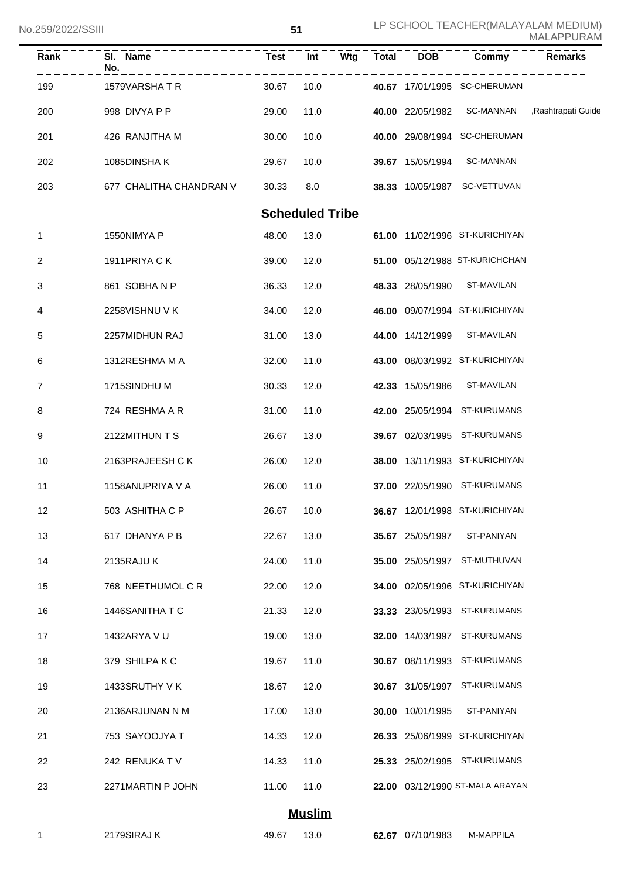No.259/2022/SSIII

| Rank | SI. Name<br>No.         | <b>Test</b> | Int                    | Wtg | <b>Total</b> | <b>DOB</b>              | Commy                           | <b>Remarks</b>                |
|------|-------------------------|-------------|------------------------|-----|--------------|-------------------------|---------------------------------|-------------------------------|
| 199  | 1579VARSHATR            | 30.67       | 10.0                   |     |              |                         | 40.67 17/01/1995 SC-CHERUMAN    |                               |
| 200  | 998 DIVYA P P           | 29.00       | 11.0                   |     |              | 40.00 22/05/1982        |                                 | SC-MANNAN , Rashtrapati Guide |
| 201  | 426 RANJITHA M          | 30.00       | 10.0                   |     |              |                         | 40.00 29/08/1994 SC-CHERUMAN    |                               |
| 202  | 1085DINSHAK             | 29.67       | 10.0                   |     |              | 39.67 15/05/1994        | <b>SC-MANNAN</b>                |                               |
| 203  | 677 CHALITHA CHANDRAN V | 30.33       | 8.0                    |     |              |                         | 38.33 10/05/1987 SC-VETTUVAN    |                               |
|      |                         |             | <b>Scheduled Tribe</b> |     |              |                         |                                 |                               |
| 1    | 1550NIMYA P             | 48.00       | 13.0                   |     |              |                         | 61.00 11/02/1996 ST-KURICHIYAN  |                               |
| 2    | 1911PRIYA CK            | 39.00       | 12.0                   |     |              |                         | 51.00 05/12/1988 ST-KURICHCHAN  |                               |
| 3    | 861 SOBHANP             | 36.33       | 12.0                   |     |              | 48.33 28/05/1990        | ST-MAVILAN                      |                               |
| 4    | 2258VISHNU V K          | 34.00       | 12.0                   |     |              |                         | 46.00 09/07/1994 ST-KURICHIYAN  |                               |
| 5    | 2257MIDHUN RAJ          | 31.00       | 13.0                   |     |              | 44.00 14/12/1999        | ST-MAVILAN                      |                               |
| 6    | 1312RESHMA M A          | 32.00       | 11.0                   |     |              |                         | 43.00 08/03/1992 ST-KURICHIYAN  |                               |
| 7    | 1715SINDHU M            | 30.33       | 12.0                   |     |              | 42.33 15/05/1986        | ST-MAVILAN                      |                               |
| 8    | 724 RESHMA A R          | 31.00       | 11.0                   |     |              |                         | 42.00 25/05/1994 ST-KURUMANS    |                               |
| 9    | 2122MITHUN T S          | 26.67       | 13.0                   |     |              |                         | 39.67 02/03/1995 ST-KURUMANS    |                               |
| 10   | 2163PRAJEESH CK         | 26.00       | 12.0                   |     |              |                         | 38.00 13/11/1993 ST-KURICHIYAN  |                               |
| 11   | 1158ANUPRIYA V A        | 26.00       | 11.0                   |     |              |                         | 37.00 22/05/1990 ST-KURUMANS    |                               |
| 12   | 503 ASHITHA C P         | 26.67       | 10.0                   |     |              |                         | 36.67 12/01/1998 ST-KURICHIYAN  |                               |
| 13   | 617 DHANYA P B          | 22.67       | 13.0                   |     |              | <b>35.67</b> 25/05/1997 | ST-PANIYAN                      |                               |
| 14   | 2135RAJU K              | 24.00       | 11.0                   |     |              |                         | 35.00 25/05/1997 ST-MUTHUVAN    |                               |
| 15   | 768 NEETHUMOL C R       | 22.00       | 12.0                   |     |              |                         | 34.00 02/05/1996 ST-KURICHIYAN  |                               |
| 16   | 1446SANITHA T C         | 21.33       | 12.0                   |     |              |                         | 33.33 23/05/1993 ST-KURUMANS    |                               |
| 17   | 1432ARYA V U            | 19.00       | 13.0                   |     |              |                         | 32.00 14/03/1997 ST-KURUMANS    |                               |
| 18   | 379 SHILPAKC            | 19.67       | 11.0                   |     |              |                         | 30.67 08/11/1993 ST-KURUMANS    |                               |
| 19   | 1433SRUTHY V K          | 18.67       | 12.0                   |     |              |                         | 30.67 31/05/1997 ST-KURUMANS    |                               |
| 20   | 2136ARJUNAN N M         | 17.00       | 13.0                   |     |              | 30.00 10/01/1995        | ST-PANIYAN                      |                               |
| 21   | 753 SAYOOJYA T          | 14.33       | 12.0                   |     |              |                         | 26.33 25/06/1999 ST-KURICHIYAN  |                               |
| 22   | 242 RENUKA TV           | 14.33       | 11.0                   |     |              |                         | 25.33 25/02/1995 ST-KURUMANS    |                               |
| 23   | 2271MARTIN P JOHN       | 11.00       | 11.0                   |     |              |                         | 22.00 03/12/1990 ST-MALA ARAYAN |                               |
|      |                         |             | <b>Muslim</b>          |     |              |                         |                                 |                               |
| -1   | 2179SIRAJ K             | 49.67       | 13.0                   |     |              | 62.67 07/10/1983        | M-MAPPILA                       |                               |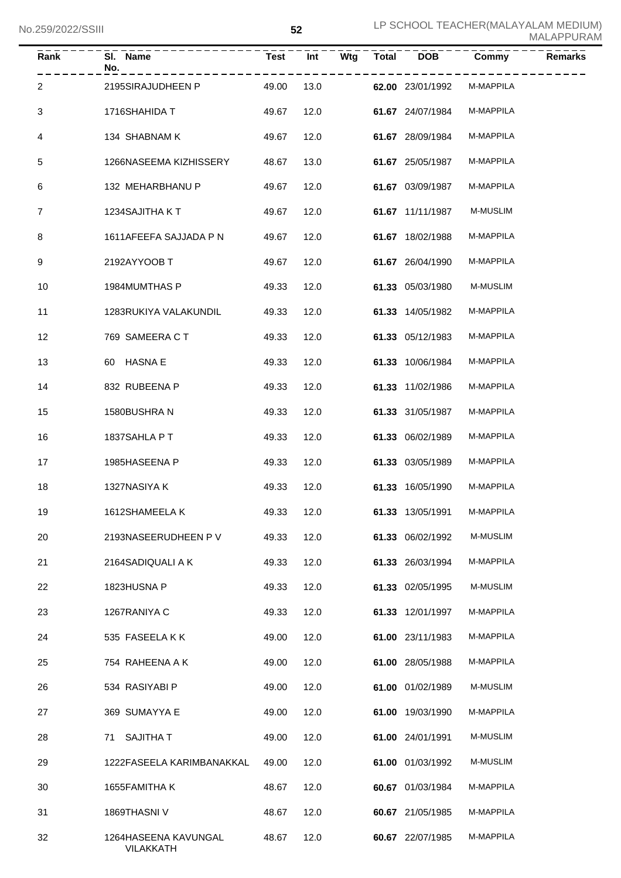| Rank           | SI. Name<br>No.<br>---------      | $Test$ <sup><math>-</math></sup> | $\overline{Int}$ | Wtg | <b>Total</b> | <b>DOB</b>       | Commy           | <b>Remarks</b> |
|----------------|-----------------------------------|----------------------------------|------------------|-----|--------------|------------------|-----------------|----------------|
| 2              | 2195SIRAJUDHEEN P                 | 49.00                            | 13.0             |     |              | 62.00 23/01/1992 | M-MAPPILA       |                |
| 3              | 1716SHAHIDA T                     | 49.67                            | 12.0             |     |              | 61.67 24/07/1984 | M-MAPPILA       |                |
| 4              | 134 SHABNAM K                     | 49.67                            | 12.0             |     |              | 61.67 28/09/1984 | M-MAPPILA       |                |
| 5              | 1266NASEEMA KIZHISSERY            | 48.67                            | 13.0             |     |              | 61.67 25/05/1987 | M-MAPPILA       |                |
| 6              | 132 MEHARBHANU P                  | 49.67                            | 12.0             |     |              | 61.67 03/09/1987 | M-MAPPILA       |                |
| $\overline{7}$ | 1234SAJITHA KT                    | 49.67                            | 12.0             |     |              | 61.67 11/11/1987 | <b>M-MUSLIM</b> |                |
| 8              | 1611AFEEFA SAJJADA P N            | 49.67                            | 12.0             |     |              | 61.67 18/02/1988 | M-MAPPILA       |                |
| 9              | 2192AYYOOB T                      | 49.67                            | 12.0             |     |              | 61.67 26/04/1990 | M-MAPPILA       |                |
| 10             | 1984MUMTHAS P                     | 49.33                            | 12.0             |     |              | 61.33 05/03/1980 | <b>M-MUSLIM</b> |                |
| 11             | 1283RUKIYA VALAKUNDIL             | 49.33                            | 12.0             |     |              | 61.33 14/05/1982 | M-MAPPILA       |                |
| 12             | 769 SAMEERA C T                   | 49.33                            | 12.0             |     |              | 61.33 05/12/1983 | M-MAPPILA       |                |
| 13             | 60 HASNA E                        | 49.33                            | 12.0             |     |              | 61.33 10/06/1984 | M-MAPPILA       |                |
| 14             | 832 RUBEENA P                     | 49.33                            | 12.0             |     |              | 61.33 11/02/1986 | M-MAPPILA       |                |
| 15             | 1580BUSHRAN                       | 49.33                            | 12.0             |     |              | 61.33 31/05/1987 | M-MAPPILA       |                |
| 16             | 1837SAHLA P T                     | 49.33                            | 12.0             |     |              | 61.33 06/02/1989 | M-MAPPILA       |                |
| 17             | 1985HASEENA P                     | 49.33                            | 12.0             |     |              | 61.33 03/05/1989 | M-MAPPILA       |                |
| 18             | 1327NASIYA K                      | 49.33                            | 12.0             |     |              | 61.33 16/05/1990 | M-MAPPILA       |                |
| 19             | 1612SHAMEELA K                    | 49.33 12.0                       |                  |     |              | 61.33 13/05/1991 | M-MAPPILA       |                |
| 20             | 2193NASEERUDHEEN P V              | 49.33                            | 12.0             |     |              | 61.33 06/02/1992 | M-MUSLIM        |                |
| 21             | 2164SADIQUALI A K                 | 49.33                            | 12.0             |     |              | 61.33 26/03/1994 | M-MAPPILA       |                |
| 22             | 1823HUSNA P                       | 49.33                            | 12.0             |     |              | 61.33 02/05/1995 | M-MUSLIM        |                |
| 23             | 1267RANIYA C                      | 49.33                            | 12.0             |     |              | 61.33 12/01/1997 | M-MAPPILA       |                |
| 24             | 535 FASEELAKK                     | 49.00                            | 12.0             |     |              | 61.00 23/11/1983 | M-MAPPILA       |                |
| 25             | 754 RAHEENA A K                   | 49.00                            | 12.0             |     |              | 61.00 28/05/1988 | M-MAPPILA       |                |
| 26             | 534 RASIYABI P                    | 49.00                            | 12.0             |     |              | 61.00 01/02/1989 | M-MUSLIM        |                |
| 27             | 369 SUMAYYA E                     | 49.00                            | 12.0             |     |              | 61.00 19/03/1990 | M-MAPPILA       |                |
| 28             | <b>SAJITHA T</b><br>71            | 49.00                            | 12.0             |     |              | 61.00 24/01/1991 | M-MUSLIM        |                |
| 29             | 1222FASEELA KARIMBANAKKAL         | 49.00                            | 12.0             |     |              | 61.00 01/03/1992 | M-MUSLIM        |                |
| 30             | 1655FAMITHA K                     | 48.67                            | 12.0             |     |              | 60.67 01/03/1984 | M-MAPPILA       |                |
| 31             | 1869THASNI V                      | 48.67                            | 12.0             |     |              | 60.67 21/05/1985 | M-MAPPILA       |                |
| 32             | 1264HASEENA KAVUNGAL<br>VILAKKATH | 48.67                            | 12.0             |     |              | 60.67 22/07/1985 | M-MAPPILA       |                |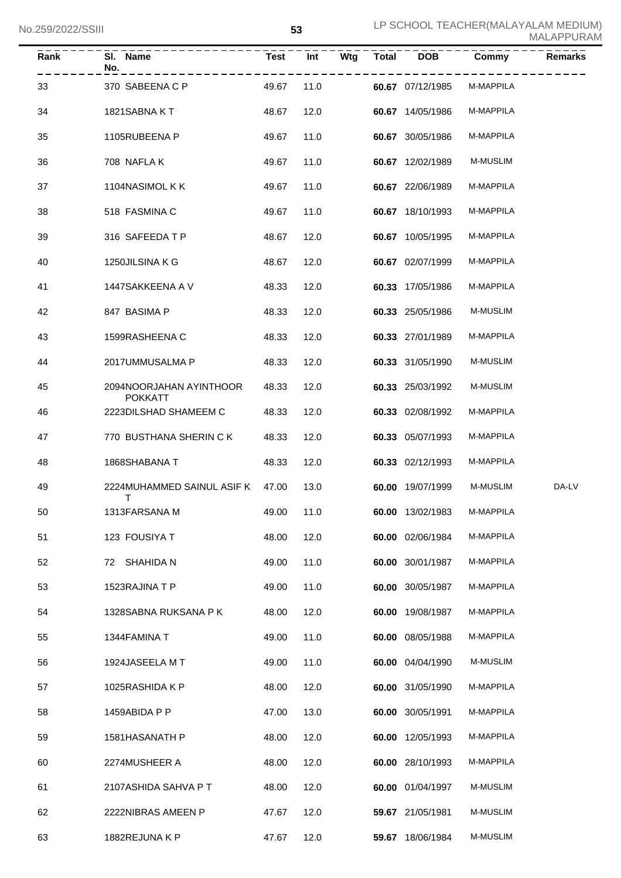| Rank | SI. Name<br>No.                         | <b>Test</b> | Int  | Wtg | <b>Total</b> | <b>DOB</b>       | Commy           | <b>Remarks</b> |
|------|-----------------------------------------|-------------|------|-----|--------------|------------------|-----------------|----------------|
| 33   | 370 SABEENA C P                         | 49.67       | 11.0 |     |              | 60.67 07/12/1985 | M-MAPPILA       |                |
| 34   | 1821SABNAKT                             | 48.67       | 12.0 |     |              | 60.67 14/05/1986 | M-MAPPILA       |                |
| 35   | 1105RUBEENA P                           | 49.67       | 11.0 |     |              | 60.67 30/05/1986 | M-MAPPILA       |                |
| 36   | 708 NAFLAK                              | 49.67       | 11.0 |     |              | 60.67 12/02/1989 | M-MUSLIM        |                |
| 37   | 1104NASIMOL K K                         | 49.67       | 11.0 |     |              | 60.67 22/06/1989 | M-MAPPILA       |                |
| 38   | 518 FASMINA C                           | 49.67       | 11.0 |     |              | 60.67 18/10/1993 | M-MAPPILA       |                |
| 39   | 316 SAFEEDA T P                         | 48.67       | 12.0 |     |              | 60.67 10/05/1995 | M-MAPPILA       |                |
| 40   | 1250JILSINA K G                         | 48.67       | 12.0 |     |              | 60.67 02/07/1999 | M-MAPPILA       |                |
| 41   | 1447SAKKEENA A V                        | 48.33       | 12.0 |     |              | 60.33 17/05/1986 | M-MAPPILA       |                |
| 42   | 847 BASIMA P                            | 48.33       | 12.0 |     |              | 60.33 25/05/1986 | <b>M-MUSLIM</b> |                |
| 43   | 1599RASHEENA C                          | 48.33       | 12.0 |     |              | 60.33 27/01/1989 | M-MAPPILA       |                |
| 44   | 2017UMMUSALMA P                         | 48.33       | 12.0 |     |              | 60.33 31/05/1990 | M-MUSLIM        |                |
| 45   | 2094NOORJAHAN AYINTHOOR                 | 48.33       | 12.0 |     |              | 60.33 25/03/1992 | M-MUSLIM        |                |
| 46   | <b>POKKATT</b><br>2223DILSHAD SHAMEEM C | 48.33       | 12.0 |     |              | 60.33 02/08/1992 | M-MAPPILA       |                |
| 47   | 770 BUSTHANA SHERIN C K                 | 48.33       | 12.0 |     |              | 60.33 05/07/1993 | M-MAPPILA       |                |
| 48   | 1868SHABANA T                           | 48.33       | 12.0 |     |              | 60.33 02/12/1993 | M-MAPPILA       |                |
| 49   | 2224MUHAMMED SAINUL ASIF K 47.00        |             | 13.0 |     |              | 60.00 19/07/1999 | <b>M-MUSLIM</b> | DA-LV          |
| 50   | т<br>1313FARSANA M                      | 49.00       | 11.0 |     |              | 60.00 13/02/1983 | M-MAPPILA       |                |
| 51   | 123 FOUSIYA T                           | 48.00       | 12.0 |     |              | 60.00 02/06/1984 | M-MAPPILA       |                |
| 52   | 72 SHAHIDA N                            | 49.00       | 11.0 |     |              | 60.00 30/01/1987 | M-MAPPILA       |                |
| 53   | 1523RAJINA T P                          | 49.00       | 11.0 |     |              | 60.00 30/05/1987 | M-MAPPILA       |                |
| 54   | 1328SABNA RUKSANA P K                   | 48.00       | 12.0 |     |              | 60.00 19/08/1987 | M-MAPPILA       |                |
| 55   | 1344FAMINA T                            | 49.00       | 11.0 |     |              | 60.00 08/05/1988 | M-MAPPILA       |                |
| 56   | 1924JASEELA M T                         | 49.00       | 11.0 |     |              | 60.00 04/04/1990 | M-MUSLIM        |                |
| 57   | 1025RASHIDA K P                         | 48.00       | 12.0 |     |              | 60.00 31/05/1990 | M-MAPPILA       |                |
| 58   | 1459ABIDA P P                           | 47.00       | 13.0 |     |              | 60.00 30/05/1991 | M-MAPPILA       |                |
| 59   | 1581HASANATH P                          | 48.00       | 12.0 |     |              | 60.00 12/05/1993 | M-MAPPILA       |                |
| 60   | 2274MUSHEER A                           | 48.00       | 12.0 |     |              | 60.00 28/10/1993 | M-MAPPILA       |                |
| 61   | 2107ASHIDA SAHVA P T                    | 48.00       | 12.0 |     |              | 60.00 01/04/1997 | M-MUSLIM        |                |
| 62   | 2222NIBRAS AMEEN P                      | 47.67       | 12.0 |     |              | 59.67 21/05/1981 | M-MUSLIM        |                |
| 63   | 1882REJUNA K P                          | 47.67       | 12.0 |     |              | 59.67 18/06/1984 | M-MUSLIM        |                |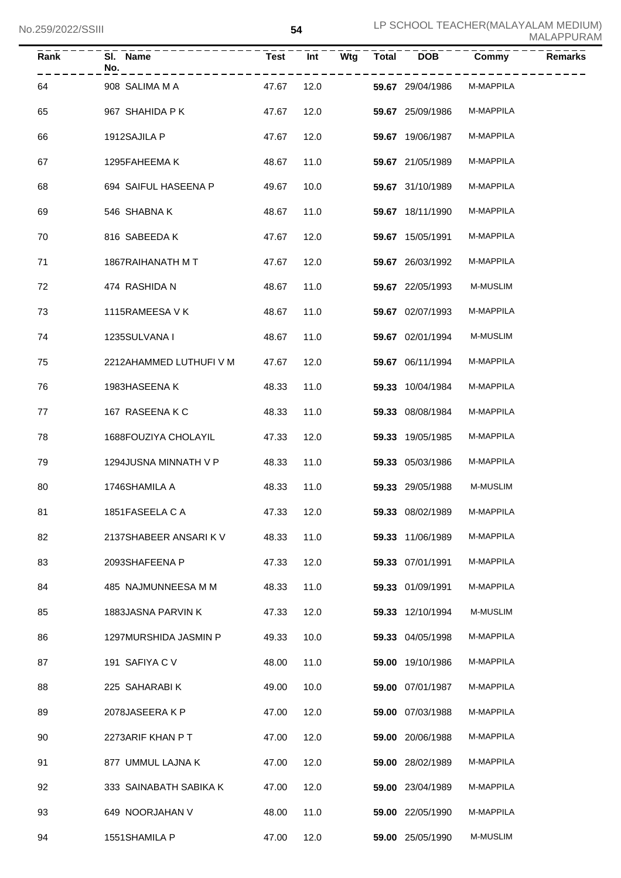| Rank | SI. Name<br>No.         | <b>Test</b> | Int  | Wtg | <b>Total</b> | <b>DOB</b>       | Commy     | <b>Remarks</b> |
|------|-------------------------|-------------|------|-----|--------------|------------------|-----------|----------------|
| 64   | 908 SALIMA M A          | 47.67       | 12.0 |     |              | 59.67 29/04/1986 | M-MAPPILA |                |
| 65   | 967 SHAHIDA P K         | 47.67       | 12.0 |     |              | 59.67 25/09/1986 | M-MAPPILA |                |
| 66   | 1912SAJILA P            | 47.67       | 12.0 |     |              | 59.67 19/06/1987 | M-MAPPILA |                |
| 67   | 1295FAHEEMA K           | 48.67       | 11.0 |     |              | 59.67 21/05/1989 | M-MAPPILA |                |
| 68   | 694 SAIFUL HASEENA P    | 49.67       | 10.0 |     |              | 59.67 31/10/1989 | M-MAPPILA |                |
| 69   | 546 SHABNA K            | 48.67       | 11.0 |     |              | 59.67 18/11/1990 | M-MAPPILA |                |
| 70   | 816 SABEEDA K           | 47.67       | 12.0 |     |              | 59.67 15/05/1991 | M-MAPPILA |                |
| 71   | 1867RAIHANATH M T       | 47.67       | 12.0 |     |              | 59.67 26/03/1992 | M-MAPPILA |                |
| 72   | 474 RASHIDA N           | 48.67       | 11.0 |     |              | 59.67 22/05/1993 | M-MUSLIM  |                |
| 73   | 1115RAMEESA V K         | 48.67       | 11.0 |     |              | 59.67 02/07/1993 | M-MAPPILA |                |
| 74   | 1235SULVANA I           | 48.67       | 11.0 |     |              | 59.67 02/01/1994 | M-MUSLIM  |                |
| 75   | 2212AHAMMED LUTHUFI V M | 47.67       | 12.0 |     |              | 59.67 06/11/1994 | M-MAPPILA |                |
| 76   | 1983HASEENAK            | 48.33       | 11.0 |     |              | 59.33 10/04/1984 | M-MAPPILA |                |
| 77   | 167 RASEENAKC           | 48.33       | 11.0 |     |              | 59.33 08/08/1984 | M-MAPPILA |                |
| 78   | 1688FOUZIYA CHOLAYIL    | 47.33       | 12.0 |     |              | 59.33 19/05/1985 | M-MAPPILA |                |
| 79   | 1294JUSNA MINNATH V P   | 48.33       | 11.0 |     |              | 59.33 05/03/1986 | M-MAPPILA |                |
| 80   | 1746SHAMILA A           | 48.33       | 11.0 |     |              | 59.33 29/05/1988 | M-MUSLIM  |                |
| 81   | 1851FASEELA C A         | 47.33 12.0  |      |     |              | 59.33 08/02/1989 | M-MAPPILA |                |
| 82   | 2137SHABEER ANSARIK V   | 48.33       | 11.0 |     |              | 59.33 11/06/1989 | M-MAPPILA |                |
| 83   | 2093SHAFEENA P          | 47.33       | 12.0 |     |              | 59.33 07/01/1991 | M-MAPPILA |                |
| 84   | 485 NAJMUNNEESA M M     | 48.33       | 11.0 |     |              | 59.33 01/09/1991 | M-MAPPILA |                |
| 85   | 1883JASNA PARVIN K      | 47.33       | 12.0 |     |              | 59.33 12/10/1994 | M-MUSLIM  |                |
| 86   | 1297MURSHIDA JASMIN P   | 49.33       | 10.0 |     |              | 59.33 04/05/1998 | M-MAPPILA |                |
| 87   | 191 SAFIYA C V          | 48.00       | 11.0 |     |              | 59.00 19/10/1986 | M-MAPPILA |                |
| 88   | 225 SAHARABI K          | 49.00       | 10.0 |     |              | 59.00 07/01/1987 | M-MAPPILA |                |
| 89   | 2078JASEERA K P         | 47.00       | 12.0 |     |              | 59.00 07/03/1988 | M-MAPPILA |                |
| 90   | 2273ARIF KHAN P T       | 47.00       | 12.0 |     |              | 59.00 20/06/1988 | M-MAPPILA |                |
| 91   | 877 UMMUL LAJNA K       | 47.00       | 12.0 |     |              | 59.00 28/02/1989 | M-MAPPILA |                |
| 92   | 333 SAINABATH SABIKA K  | 47.00       | 12.0 |     |              | 59.00 23/04/1989 | M-MAPPILA |                |
| 93   | 649 NOORJAHAN V         | 48.00       | 11.0 |     |              | 59.00 22/05/1990 | M-MAPPILA |                |
| 94   | 1551SHAMILA P           | 47.00       | 12.0 |     |              | 59.00 25/05/1990 | M-MUSLIM  |                |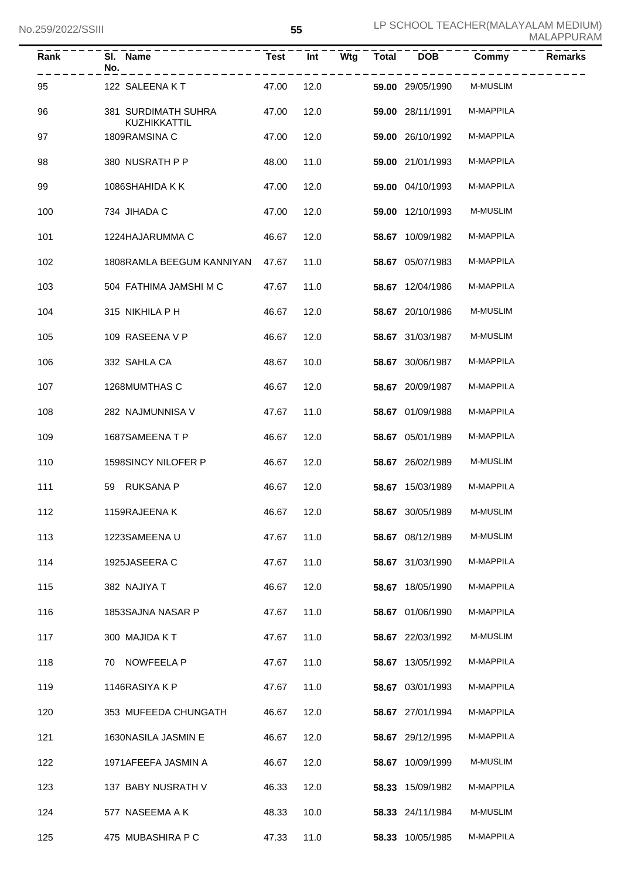| Rank | SI. Name<br>No.                     | <b>Test</b> | Int  | Wtg | <b>Total</b> | <b>DOB</b>       | Commy           | <b>Remarks</b> |
|------|-------------------------------------|-------------|------|-----|--------------|------------------|-----------------|----------------|
| 95   | 122 SALEENA KT                      | 47.00       | 12.0 |     |              | 59.00 29/05/1990 | <b>M-MUSLIM</b> |                |
| 96   | 381 SURDIMATH SUHRA<br>KUZHIKKATTIL | 47.00       | 12.0 |     |              | 59.00 28/11/1991 | M-MAPPILA       |                |
| 97   | 1809RAMSINA C                       | 47.00       | 12.0 |     |              | 59.00 26/10/1992 | M-MAPPILA       |                |
| 98   | 380 NUSRATH P P                     | 48.00       | 11.0 |     |              | 59.00 21/01/1993 | M-MAPPILA       |                |
| 99   | 1086SHAHIDA K K                     | 47.00       | 12.0 |     |              | 59.00 04/10/1993 | M-MAPPILA       |                |
| 100  | 734 JIHADA C                        | 47.00       | 12.0 |     |              | 59.00 12/10/1993 | <b>M-MUSLIM</b> |                |
| 101  | 1224HAJARUMMA C                     | 46.67       | 12.0 |     |              | 58.67 10/09/1982 | M-MAPPILA       |                |
| 102  | 1808RAMLA BEEGUM KANNIYAN           | 47.67       | 11.0 |     |              | 58.67 05/07/1983 | M-MAPPILA       |                |
| 103  | 504 FATHIMA JAMSHI M C              | 47.67       | 11.0 |     |              | 58.67 12/04/1986 | M-MAPPILA       |                |
| 104  | 315 NIKHILA P H                     | 46.67       | 12.0 |     |              | 58.67 20/10/1986 | <b>M-MUSLIM</b> |                |
| 105  | 109 RASEENA V P                     | 46.67       | 12.0 |     |              | 58.67 31/03/1987 | <b>M-MUSLIM</b> |                |
| 106  | 332 SAHLA CA                        | 48.67       | 10.0 |     |              | 58.67 30/06/1987 | M-MAPPILA       |                |
| 107  | 1268MUMTHAS C                       | 46.67       | 12.0 |     |              | 58.67 20/09/1987 | M-MAPPILA       |                |
| 108  | 282 NAJMUNNISA V                    | 47.67       | 11.0 |     |              | 58.67 01/09/1988 | M-MAPPILA       |                |
| 109  | 1687SAMEENATP                       | 46.67       | 12.0 |     |              | 58.67 05/01/1989 | M-MAPPILA       |                |
| 110  | 1598SINCY NILOFER P                 | 46.67       | 12.0 |     |              | 58.67 26/02/1989 | <b>M-MUSLIM</b> |                |
| 111  | 59 RUKSANA P                        | 46.67       | 12.0 |     |              | 58.67 15/03/1989 | M-MAPPILA       |                |
| 112  | 1159RAJEENA K                       | 46.67 12.0  |      |     |              | 58.67 30/05/1989 | M-MUSLIM        |                |
| 113  | 1223SAMEENAU                        | 47.67       | 11.0 |     |              | 58.67 08/12/1989 | <b>M-MUSLIM</b> |                |
| 114  | 1925JASEERA C                       | 47.67       | 11.0 |     |              | 58.67 31/03/1990 | M-MAPPILA       |                |
| 115  | 382 NAJIYA T                        | 46.67       | 12.0 |     |              | 58.67 18/05/1990 | M-MAPPILA       |                |
| 116  | 1853SAJNA NASAR P                   | 47.67       | 11.0 |     |              | 58.67 01/06/1990 | M-MAPPILA       |                |
| 117  | 300 MAJIDA KT                       | 47.67       | 11.0 |     |              | 58.67 22/03/1992 | M-MUSLIM        |                |
| 118  | 70 NOWFEELA P                       | 47.67       | 11.0 |     |              | 58.67 13/05/1992 | M-MAPPILA       |                |
| 119  | 1146RASIYA K P                      | 47.67       | 11.0 |     |              | 58.67 03/01/1993 | M-MAPPILA       |                |
| 120  | 353 MUFEEDA CHUNGATH                | 46.67       | 12.0 |     |              | 58.67 27/01/1994 | M-MAPPILA       |                |
| 121  | 1630NASILA JASMIN E                 | 46.67       | 12.0 |     |              | 58.67 29/12/1995 | M-MAPPILA       |                |
| 122  | 1971AFEEFA JASMIN A                 | 46.67       | 12.0 |     |              | 58.67 10/09/1999 | M-MUSLIM        |                |
| 123  | 137 BABY NUSRATH V                  | 46.33       | 12.0 |     |              | 58.33 15/09/1982 | M-MAPPILA       |                |
| 124  | 577 NASEEMA A K                     | 48.33       | 10.0 |     |              | 58.33 24/11/1984 | M-MUSLIM        |                |
| 125  | 475 MUBASHIRA P C                   | 47.33       | 11.0 |     |              | 58.33 10/05/1985 | M-MAPPILA       |                |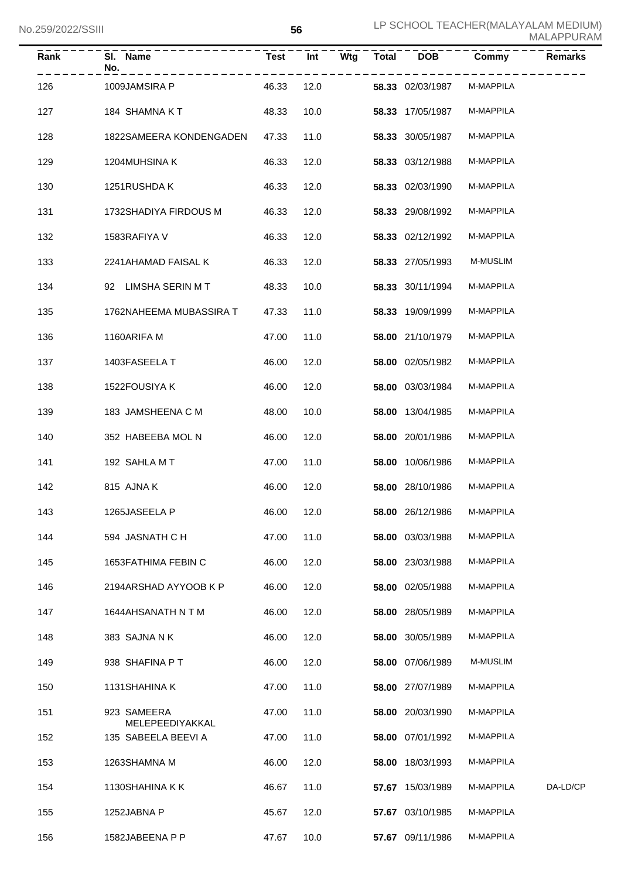| Rank | SI. Name<br>No.                | <b>Test</b> | Int  | Wtg | <b>Total</b> | <b>DOB</b>       | Commy     | <b>Remarks</b> |
|------|--------------------------------|-------------|------|-----|--------------|------------------|-----------|----------------|
| 126  | 1009JAMSIRA P                  | 46.33       | 12.0 |     |              | 58.33 02/03/1987 | M-MAPPILA |                |
| 127  | 184 SHAMNA KT                  | 48.33       | 10.0 |     |              | 58.33 17/05/1987 | M-MAPPILA |                |
| 128  | 1822SAMEERA KONDENGADEN        | 47.33       | 11.0 |     |              | 58.33 30/05/1987 | M-MAPPILA |                |
| 129  | 1204MUHSINA K                  | 46.33       | 12.0 |     |              | 58.33 03/12/1988 | M-MAPPILA |                |
| 130  | 1251RUSHDA K                   | 46.33       | 12.0 |     |              | 58.33 02/03/1990 | M-MAPPILA |                |
| 131  | 1732SHADIYA FIRDOUS M          | 46.33       | 12.0 |     |              | 58.33 29/08/1992 | M-MAPPILA |                |
| 132  | 1583RAFIYA V                   | 46.33       | 12.0 |     |              | 58.33 02/12/1992 | M-MAPPILA |                |
| 133  | 2241AHAMAD FAISAL K            | 46.33       | 12.0 |     |              | 58.33 27/05/1993 | M-MUSLIM  |                |
| 134  | 92 LIMSHA SERIN M T            | 48.33       | 10.0 |     |              | 58.33 30/11/1994 | M-MAPPILA |                |
| 135  | 1762NAHEEMA MUBASSIRA T        | 47.33       | 11.0 |     |              | 58.33 19/09/1999 | M-MAPPILA |                |
| 136  | 1160ARIFA M                    | 47.00       | 11.0 |     |              | 58.00 21/10/1979 | M-MAPPILA |                |
| 137  | 1403FASEELA T                  | 46.00       | 12.0 |     |              | 58.00 02/05/1982 | M-MAPPILA |                |
| 138  | 1522FOUSIYA K                  | 46.00       | 12.0 |     |              | 58.00 03/03/1984 | M-MAPPILA |                |
| 139  | 183 JAMSHEENA C M              | 48.00       | 10.0 |     |              | 58.00 13/04/1985 | M-MAPPILA |                |
| 140  | 352 HABEEBA MOL N              | 46.00       | 12.0 |     |              | 58.00 20/01/1986 | M-MAPPILA |                |
| 141  | 192 SAHLA MT                   | 47.00       | 11.0 |     |              | 58.00 10/06/1986 | M-MAPPILA |                |
| 142  | 815 AJNA K                     | 46.00       | 12.0 |     |              | 58.00 28/10/1986 | M-MAPPILA |                |
| 143  | 1265JASEELA P                  | 46.00 12.0  |      |     |              | 58.00 26/12/1986 | M-MAPPILA |                |
| 144  | 594 JASNATH C H                | 47.00       | 11.0 |     |              | 58.00 03/03/1988 | M-MAPPILA |                |
| 145  | 1653FATHIMA FEBIN C            | 46.00       | 12.0 |     |              | 58.00 23/03/1988 | M-MAPPILA |                |
| 146  | 2194ARSHAD AYYOOB K P          | 46.00       | 12.0 |     |              | 58.00 02/05/1988 | M-MAPPILA |                |
| 147  | 1644AHSANATH N T M             | 46.00       | 12.0 |     |              | 58.00 28/05/1989 | M-MAPPILA |                |
| 148  | 383 SAJNA N K                  | 46.00       | 12.0 |     |              | 58.00 30/05/1989 | M-MAPPILA |                |
| 149  | 938 SHAFINA P T                | 46.00       | 12.0 |     |              | 58.00 07/06/1989 | M-MUSLIM  |                |
| 150  | 1131 SHAHINA K                 | 47.00       | 11.0 |     |              | 58.00 27/07/1989 | M-MAPPILA |                |
| 151  | 923 SAMEERA<br>MELEPEEDIYAKKAL | 47.00       | 11.0 |     |              | 58.00 20/03/1990 | M-MAPPILA |                |
| 152  | 135 SABEELA BEEVI A            | 47.00       | 11.0 |     |              | 58.00 07/01/1992 | M-MAPPILA |                |
| 153  | 1263SHAMNA M                   | 46.00       | 12.0 |     |              | 58.00 18/03/1993 | M-MAPPILA |                |
| 154  | 1130SHAHINA K K                | 46.67       | 11.0 |     |              | 57.67 15/03/1989 | M-MAPPILA | DA-LD/CP       |
| 155  | 1252JABNA P                    | 45.67       | 12.0 |     |              | 57.67 03/10/1985 | M-MAPPILA |                |
| 156  | 1582JABEENA P P                | 47.67       | 10.0 |     |              | 57.67 09/11/1986 | M-MAPPILA |                |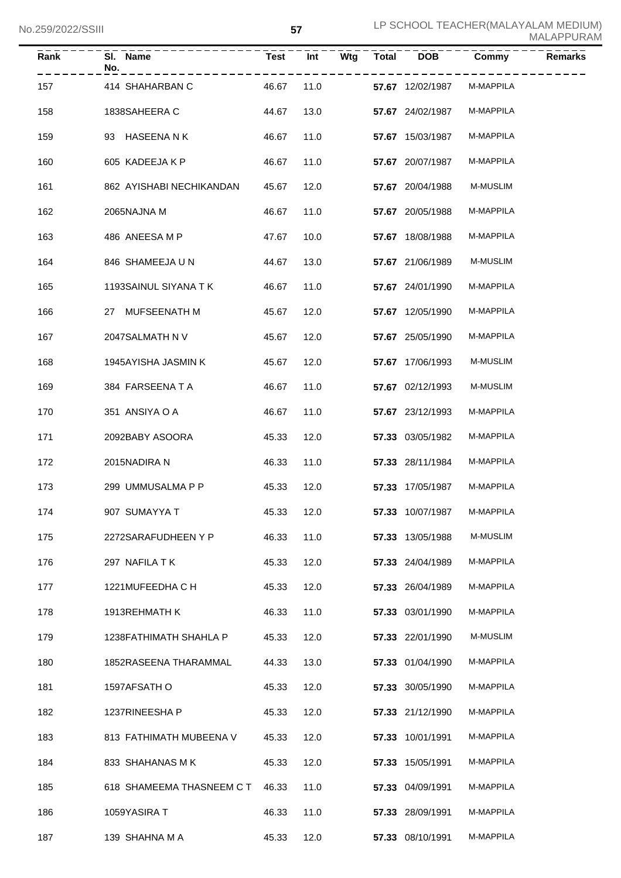| Rank | SI. Name<br>No.                 | Test       | Int  | Wtg | <b>Total</b> | <b>DOB</b>                 | Commy           | <b>Remarks</b> |
|------|---------------------------------|------------|------|-----|--------------|----------------------------|-----------------|----------------|
| 157  | 414 SHAHARBAN C                 | 46.67      | 11.0 |     |              | 57.67 12/02/1987           | M-MAPPILA       |                |
| 158  | 1838SAHEERA C                   | 44.67      | 13.0 |     |              | 57.67 24/02/1987           | M-MAPPILA       |                |
| 159  | 93 HASEENANK                    | 46.67      | 11.0 |     |              | 57.67 15/03/1987           | M-MAPPILA       |                |
| 160  | 605 KADEEJA K P                 | 46.67      | 11.0 |     |              | 57.67 20/07/1987           | M-MAPPILA       |                |
| 161  | 862 AYISHABI NECHIKANDAN        | 45.67      | 12.0 |     |              | 57.67 20/04/1988           | <b>M-MUSLIM</b> |                |
| 162  | 2065NAJNA M                     | 46.67      | 11.0 |     |              | 57.67 20/05/1988           | M-MAPPILA       |                |
| 163  | 486 ANEESA M P                  | 47.67      | 10.0 |     |              | 57.67 18/08/1988           | M-MAPPILA       |                |
| 164  | 846 SHAMEEJA U N                | 44.67      | 13.0 |     |              | 57.67 21/06/1989           | M-MUSLIM        |                |
| 165  | 1193SAINUL SIYANA T K           | 46.67      | 11.0 |     |              | 57.67 24/01/1990           | M-MAPPILA       |                |
| 166  | 27 MUFSEENATH M                 | 45.67      | 12.0 |     |              | 57.67 12/05/1990           | M-MAPPILA       |                |
| 167  | 2047SALMATH N V                 | 45.67      | 12.0 |     |              | 57.67 25/05/1990           | M-MAPPILA       |                |
| 168  | 1945AYISHA JASMIN K             | 45.67      | 12.0 |     |              | 57.67 17/06/1993           | M-MUSLIM        |                |
| 169  | 384 FARSEENATA                  | 46.67      | 11.0 |     |              | 57.67 02/12/1993           | M-MUSLIM        |                |
| 170  | 351 ANSIYA O A                  | 46.67      | 11.0 |     |              | 57.67 23/12/1993           | M-MAPPILA       |                |
| 171  | 2092BABY ASOORA                 | 45.33      | 12.0 |     |              | 57.33 03/05/1982           | M-MAPPILA       |                |
| 172  | 2015NADIRA N                    | 46.33      | 11.0 |     |              | 57.33 28/11/1984           | M-MAPPILA       |                |
| 173  | 299 UMMUSALMA P P               | 45.33      | 12.0 |     |              | 57.33 17/05/1987           | M-MAPPILA       |                |
| 174  | 907 SUMAYYA T                   | 45.33 12.0 |      |     |              | 57.33 10/07/1987 M-MAPPILA |                 |                |
| 175  | 2272SARAFUDHEEN Y P             | 46.33      | 11.0 |     |              | 57.33 13/05/1988           | <b>M-MUSLIM</b> |                |
| 176  | 297 NAFILA TK                   | 45.33      | 12.0 |     |              | 57.33 24/04/1989           | M-MAPPILA       |                |
| 177  | 1221MUFEEDHA C H                | 45.33      | 12.0 |     |              | 57.33 26/04/1989           | M-MAPPILA       |                |
| 178  | 1913REHMATH K                   | 46.33      | 11.0 |     |              | 57.33 03/01/1990           | M-MAPPILA       |                |
| 179  | 1238FATHIMATH SHAHLA P          | 45.33      | 12.0 |     |              | 57.33 22/01/1990           | M-MUSLIM        |                |
| 180  | 1852RASEENA THARAMMAL           | 44.33      | 13.0 |     |              | 57.33 01/04/1990           | M-MAPPILA       |                |
| 181  | 1597AFSATH O                    | 45.33      | 12.0 |     |              | 57.33 30/05/1990           | M-MAPPILA       |                |
| 182  | 1237RINEESHA P                  | 45.33      | 12.0 |     |              | 57.33 21/12/1990           | M-MAPPILA       |                |
| 183  | 813 FATHIMATH MUBEENA V         | 45.33      | 12.0 |     |              | 57.33 10/01/1991           | M-MAPPILA       |                |
| 184  | 833 SHAHANAS M K                | 45.33      | 12.0 |     |              | 57.33 15/05/1991           | M-MAPPILA       |                |
| 185  | 618 SHAMEEMA THASNEEM C T 46.33 |            | 11.0 |     |              | 57.33 04/09/1991           | M-MAPPILA       |                |
| 186  | 1059YASIRA T                    | 46.33      | 11.0 |     |              | 57.33 28/09/1991           | M-MAPPILA       |                |
| 187  | 139 SHAHNA M A                  | 45.33      | 12.0 |     |              | 57.33 08/10/1991           | M-MAPPILA       |                |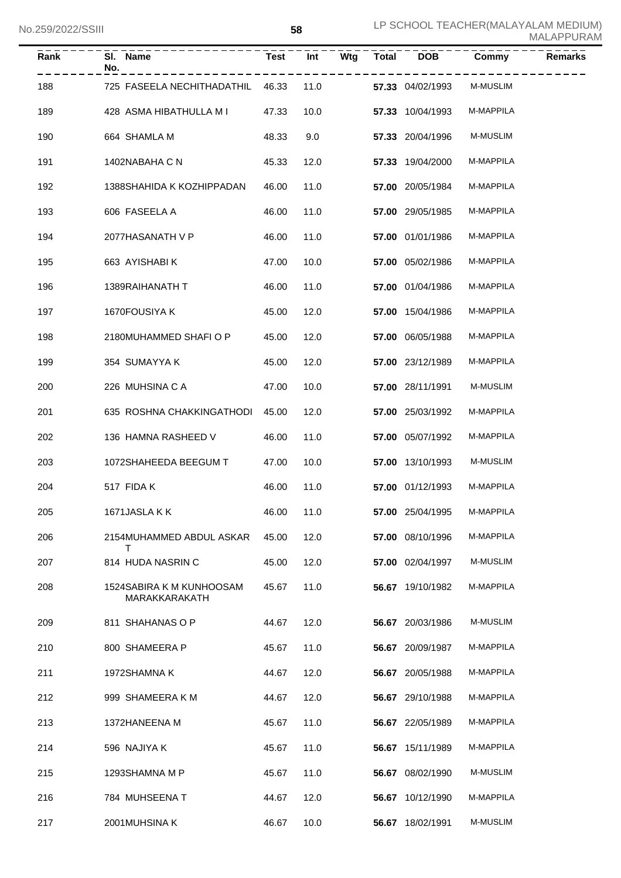| Rank | SI. Name<br>No.                           | Test       | Int  |  |                  | Wtg Total DOB Commy | <b>Remarks</b> |
|------|-------------------------------------------|------------|------|--|------------------|---------------------|----------------|
| 188  | 725 FASEELA NECHITHADATHIL 46.33          |            | 11.0 |  | 57.33 04/02/1993 | M-MUSLIM            |                |
| 189  | 428 ASMA HIBATHULLA M I                   | 47.33      | 10.0 |  | 57.33 10/04/1993 | M-MAPPILA           |                |
| 190  | 664 SHAMLA M                              | 48.33      | 9.0  |  | 57.33 20/04/1996 | <b>M-MUSLIM</b>     |                |
| 191  | 1402NABAHA C N                            | 45.33      | 12.0 |  | 57.33 19/04/2000 | M-MAPPILA           |                |
| 192  | 1388SHAHIDA K KOZHIPPADAN                 | 46.00      | 11.0 |  | 57.00 20/05/1984 | M-MAPPILA           |                |
| 193  | 606 FASEELA A                             | 46.00      | 11.0 |  | 57.00 29/05/1985 | M-MAPPILA           |                |
| 194  | 2077HASANATH V P                          | 46.00      | 11.0 |  | 57.00 01/01/1986 | M-MAPPILA           |                |
| 195  | 663 AYISHABI K                            | 47.00      | 10.0 |  | 57.00 05/02/1986 | M-MAPPILA           |                |
| 196  | 1389RAIHANATH T                           | 46.00      | 11.0 |  | 57.00 01/04/1986 | M-MAPPILA           |                |
| 197  | 1670FOUSIYA K                             | 45.00      | 12.0 |  | 57.00 15/04/1986 | M-MAPPILA           |                |
| 198  | 2180MUHAMMED SHAFI O P                    | 45.00      | 12.0 |  | 57.00 06/05/1988 | M-MAPPILA           |                |
| 199  | 354 SUMAYYA K                             | 45.00      | 12.0 |  | 57.00 23/12/1989 | M-MAPPILA           |                |
| 200  | 226 MUHSINA C A                           | 47.00      | 10.0 |  | 57.00 28/11/1991 | <b>M-MUSLIM</b>     |                |
| 201  | 635 ROSHNA CHAKKINGATHODI 45.00           |            | 12.0 |  | 57.00 25/03/1992 | M-MAPPILA           |                |
| 202  | 136 HAMNA RASHEED V                       | 46.00      | 11.0 |  | 57.00 05/07/1992 | M-MAPPILA           |                |
| 203  | 1072SHAHEEDA BEEGUM T                     | 47.00      | 10.0 |  | 57.00 13/10/1993 | <b>M-MUSLIM</b>     |                |
| 204  | 517 FIDA K                                | 46.00      | 11.0 |  | 57.00 01/12/1993 | M-MAPPILA           |                |
| 205  | 1671JASLA K K                             | 46.00 11.0 |      |  | 57.00 25/04/1995 | <b>M-MAPPILA</b>    |                |
| 206  | 2154MUHAMMED ABDUL ASKAR 45.00<br>Т       |            | 12.0 |  | 57.00 08/10/1996 | M-MAPPILA           |                |
| 207  | 814 HUDA NASRIN C                         | 45.00      | 12.0 |  | 57.00 02/04/1997 | M-MUSLIM            |                |
| 208  | 1524SABIRA K M KUNHOOSAM<br>MARAKKARAKATH | 45.67      | 11.0 |  | 56.67 19/10/1982 | M-MAPPILA           |                |
| 209  | 811 SHAHANAS O P                          | 44.67      | 12.0 |  | 56.67 20/03/1986 | M-MUSLIM            |                |
| 210  | 800 SHAMEERA P                            | 45.67      | 11.0 |  | 56.67 20/09/1987 | M-MAPPILA           |                |
| 211  | 1972SHAMNA K                              | 44.67      | 12.0 |  | 56.67 20/05/1988 | M-MAPPILA           |                |
| 212  | 999 SHAMEERA K M                          | 44.67      | 12.0 |  | 56.67 29/10/1988 | M-MAPPILA           |                |
| 213  | 1372HANEENA M                             | 45.67      | 11.0 |  | 56.67 22/05/1989 | M-MAPPILA           |                |
| 214  | 596 NAJIYA K                              | 45.67      | 11.0 |  | 56.67 15/11/1989 | M-MAPPILA           |                |
| 215  | 1293SHAMNA M P                            | 45.67      | 11.0 |  | 56.67 08/02/1990 | M-MUSLIM            |                |
| 216  | 784 MUHSEENA T                            | 44.67      | 12.0 |  | 56.67 10/12/1990 | M-MAPPILA           |                |
| 217  | 2001MUHSINA K                             | 46.67      | 10.0 |  | 56.67 18/02/1991 | M-MUSLIM            |                |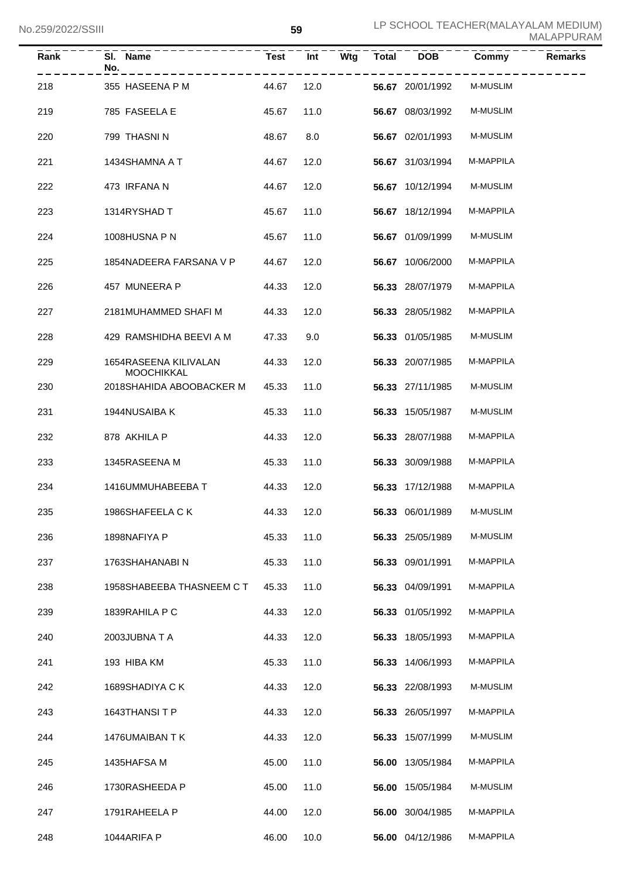| Rank | SI. Name<br>No.                            | <b>Test</b> | Int  | Wtg | <b>Total</b> | <b>DOB</b>       | Commy     | <b>Remarks</b> |
|------|--------------------------------------------|-------------|------|-----|--------------|------------------|-----------|----------------|
| 218  | 355 HASEENA P M                            | 44.67       | 12.0 |     |              | 56.67 20/01/1992 | M-MUSLIM  |                |
| 219  | 785 FASEELA E                              | 45.67       | 11.0 |     |              | 56.67 08/03/1992 | M-MUSLIM  |                |
| 220  | 799 THASNIN                                | 48.67       | 8.0  |     |              | 56.67 02/01/1993 | M-MUSLIM  |                |
| 221  | 1434SHAMNA A T                             | 44.67       | 12.0 |     |              | 56.67 31/03/1994 | M-MAPPILA |                |
| 222  | 473 IRFANA N                               | 44.67       | 12.0 |     |              | 56.67 10/12/1994 | M-MUSLIM  |                |
| 223  | 1314RYSHAD T                               | 45.67       | 11.0 |     |              | 56.67 18/12/1994 | M-MAPPILA |                |
| 224  | 1008HUSNA P N                              | 45.67       | 11.0 |     |              | 56.67 01/09/1999 | M-MUSLIM  |                |
| 225  | 1854NADEERA FARSANA V P                    | 44.67       | 12.0 |     |              | 56.67 10/06/2000 | M-MAPPILA |                |
| 226  | 457 MUNEERA P                              | 44.33       | 12.0 |     |              | 56.33 28/07/1979 | M-MAPPILA |                |
| 227  | 2181MUHAMMED SHAFI M                       | 44.33       | 12.0 |     |              | 56.33 28/05/1982 | M-MAPPILA |                |
| 228  | 429 RAMSHIDHA BEEVI A M                    | 47.33       | 9.0  |     |              | 56.33 01/05/1985 | M-MUSLIM  |                |
| 229  | 1654RASEENA KILIVALAN<br><b>MOOCHIKKAL</b> | 44.33       | 12.0 |     |              | 56.33 20/07/1985 | M-MAPPILA |                |
| 230  | 2018SHAHIDA ABOOBACKER M                   | 45.33       | 11.0 |     |              | 56.33 27/11/1985 | M-MUSLIM  |                |
| 231  | 1944NUSAIBA K                              | 45.33       | 11.0 |     |              | 56.33 15/05/1987 | M-MUSLIM  |                |
| 232  | 878 AKHILA P                               | 44.33       | 12.0 |     |              | 56.33 28/07/1988 | M-MAPPILA |                |
| 233  | 1345RASEENA M                              | 45.33       | 11.0 |     |              | 56.33 30/09/1988 | M-MAPPILA |                |
| 234  | 1416UMMUHABEEBA T                          | 44.33       | 12.0 |     |              | 56.33 17/12/1988 | M-MAPPILA |                |
| 235  | 1986SHAFEELA CK                            | 44.33 12.0  |      |     |              | 56.33 06/01/1989 | M-MUSLIM  |                |
| 236  | 1898NAFIYA P                               | 45.33       | 11.0 |     |              | 56.33 25/05/1989 | M-MUSLIM  |                |
| 237  | 1763SHAHANABI N                            | 45.33       | 11.0 |     |              | 56.33 09/01/1991 | M-MAPPILA |                |
| 238  | 1958SHABEEBA THASNEEM C T                  | 45.33       | 11.0 |     |              | 56.33 04/09/1991 | M-MAPPILA |                |
| 239  | 1839RAHILA P C                             | 44.33       | 12.0 |     |              | 56.33 01/05/1992 | M-MAPPILA |                |
| 240  | 2003JUBNA T A                              | 44.33       | 12.0 |     |              | 56.33 18/05/1993 | M-MAPPILA |                |
| 241  | 193 HIBA KM                                | 45.33       | 11.0 |     |              | 56.33 14/06/1993 | M-MAPPILA |                |
| 242  | 1689SHADIYA C K                            | 44.33       | 12.0 |     |              | 56.33 22/08/1993 | M-MUSLIM  |                |
| 243  | 1643THANSITP                               | 44.33       | 12.0 |     |              | 56.33 26/05/1997 | M-MAPPILA |                |
| 244  | 1476UMAIBAN T K                            | 44.33       | 12.0 |     |              | 56.33 15/07/1999 | M-MUSLIM  |                |
| 245  | 1435HAFSA M                                | 45.00       | 11.0 |     |              | 56.00 13/05/1984 | M-MAPPILA |                |
| 246  | 1730RASHEEDA P                             | 45.00       | 11.0 |     |              | 56.00 15/05/1984 | M-MUSLIM  |                |
| 247  | 1791RAHEELA P                              | 44.00       | 12.0 |     |              | 56.00 30/04/1985 | M-MAPPILA |                |
| 248  | 1044ARIFA P                                | 46.00       | 10.0 |     |              | 56.00 04/12/1986 | M-MAPPILA |                |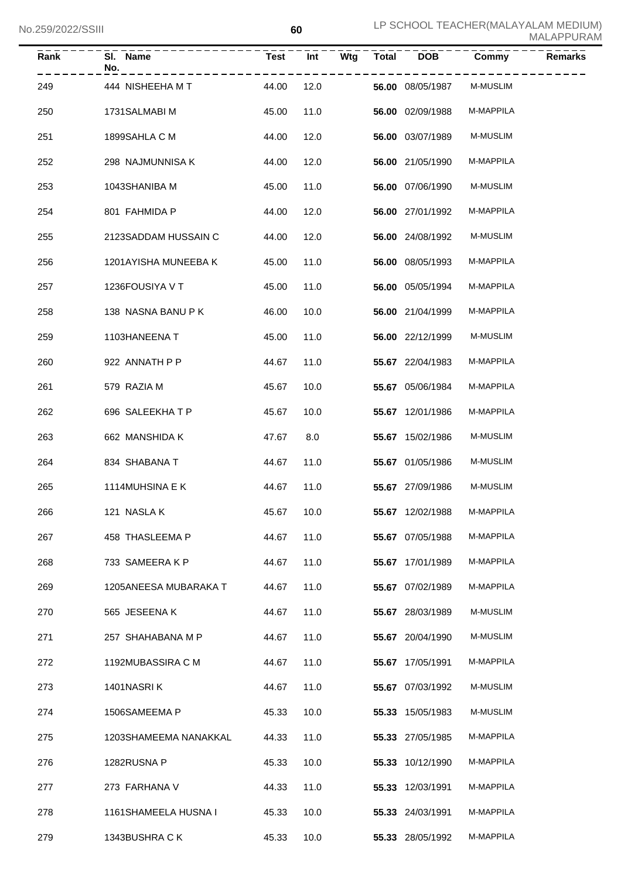| Rank | SI. Name<br>No.       | <b>Test</b> | Int  | Wtg | <b>Total</b> | <b>DOB</b>       | Commy     | <b>Remarks</b> |
|------|-----------------------|-------------|------|-----|--------------|------------------|-----------|----------------|
| 249  | 444 NISHEEHA M T      | 44.00       | 12.0 |     |              | 56.00 08/05/1987 | M-MUSLIM  |                |
| 250  | 1731SALMABI M         | 45.00       | 11.0 |     |              | 56.00 02/09/1988 | M-MAPPILA |                |
| 251  | 1899SAHLA C M         | 44.00       | 12.0 |     |              | 56.00 03/07/1989 | M-MUSLIM  |                |
| 252  | 298 NAJMUNNISA K      | 44.00       | 12.0 |     |              | 56.00 21/05/1990 | M-MAPPILA |                |
| 253  | 1043SHANIBA M         | 45.00       | 11.0 |     |              | 56.00 07/06/1990 | M-MUSLIM  |                |
| 254  | 801 FAHMIDA P         | 44.00       | 12.0 |     |              | 56.00 27/01/1992 | M-MAPPILA |                |
| 255  | 2123SADDAM HUSSAIN C  | 44.00       | 12.0 |     |              | 56.00 24/08/1992 | M-MUSLIM  |                |
| 256  | 1201AYISHA MUNEEBA K  | 45.00       | 11.0 |     |              | 56.00 08/05/1993 | M-MAPPILA |                |
| 257  | 1236FOUSIYA V T       | 45.00       | 11.0 |     |              | 56.00 05/05/1994 | M-MAPPILA |                |
| 258  | 138 NASNA BANU P K    | 46.00       | 10.0 |     |              | 56.00 21/04/1999 | M-MAPPILA |                |
| 259  | 1103HANEENA T         | 45.00       | 11.0 |     |              | 56.00 22/12/1999 | M-MUSLIM  |                |
| 260  | 922 ANNATH P P        | 44.67       | 11.0 |     |              | 55.67 22/04/1983 | M-MAPPILA |                |
| 261  | 579 RAZIA M           | 45.67       | 10.0 |     |              | 55.67 05/06/1984 | M-MAPPILA |                |
| 262  | 696 SALEEKHATP        | 45.67       | 10.0 |     |              | 55.67 12/01/1986 | M-MAPPILA |                |
| 263  | 662 MANSHIDA K        | 47.67       | 8.0  |     |              | 55.67 15/02/1986 | M-MUSLIM  |                |
| 264  | 834 SHABANA T         | 44.67       | 11.0 |     |              | 55.67 01/05/1986 | M-MUSLIM  |                |
| 265  | 1114MUHSINA E K       | 44.67       | 11.0 |     |              | 55.67 27/09/1986 | M-MUSLIM  |                |
| 266  | 121 NASLA K           | 45.67 10.0  |      |     |              | 55.67 12/02/1988 | M-MAPPILA |                |
| 267  | 458 THASLEEMA P       | 44.67       | 11.0 |     |              | 55.67 07/05/1988 | M-MAPPILA |                |
| 268  | 733 SAMEERAKP         | 44.67       | 11.0 |     |              | 55.67 17/01/1989 | M-MAPPILA |                |
| 269  | 1205ANEESA MUBARAKA T | 44.67       | 11.0 |     |              | 55.67 07/02/1989 | M-MAPPILA |                |
| 270  | 565 JESEENA K         | 44.67       | 11.0 |     |              | 55.67 28/03/1989 | M-MUSLIM  |                |
| 271  | 257 SHAHABANA M P     | 44.67       | 11.0 |     |              | 55.67 20/04/1990 | M-MUSLIM  |                |
| 272  | 1192MUBASSIRA C M     | 44.67       | 11.0 |     |              | 55.67 17/05/1991 | M-MAPPILA |                |
| 273  | 1401NASRIK            | 44.67       | 11.0 |     |              | 55.67 07/03/1992 | M-MUSLIM  |                |
| 274  | 1506SAMEEMA P         | 45.33       | 10.0 |     |              | 55.33 15/05/1983 | M-MUSLIM  |                |
| 275  | 1203SHAMEEMA NANAKKAL | 44.33       | 11.0 |     |              | 55.33 27/05/1985 | M-MAPPILA |                |
| 276  | 1282RUSNA P           | 45.33       | 10.0 |     |              | 55.33 10/12/1990 | M-MAPPILA |                |
| 277  | 273 FARHANA V         | 44.33       | 11.0 |     |              | 55.33 12/03/1991 | M-MAPPILA |                |
| 278  | 1161SHAMEELA HUSNA I  | 45.33       | 10.0 |     |              | 55.33 24/03/1991 | M-MAPPILA |                |
| 279  | 1343BUSHRA CK         | 45.33       | 10.0 |     |              | 55.33 28/05/1992 | M-MAPPILA |                |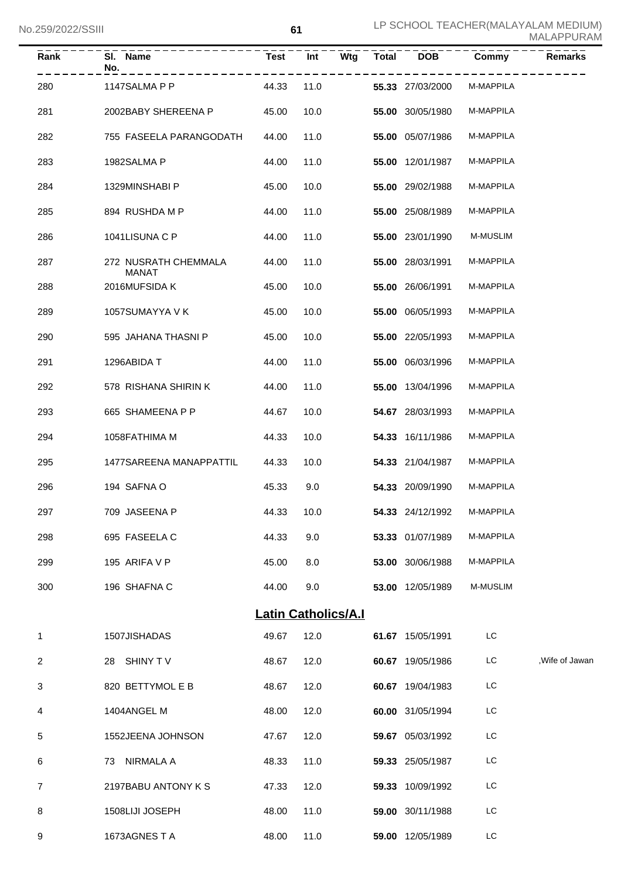| Rank           | SI. Name<br>No.                      | <b>Test</b> | Int<br>Wtg                 | <b>Total</b> | <b>DOB</b>       | Commy     | Remarks       |
|----------------|--------------------------------------|-------------|----------------------------|--------------|------------------|-----------|---------------|
| 280            | 1147SALMA P P                        | 44.33       | 11.0                       |              | 55.33 27/03/2000 | M-MAPPILA |               |
| 281            | 2002BABY SHEREENA P                  | 45.00       | 10.0                       |              | 55.00 30/05/1980 | M-MAPPILA |               |
| 282            | 755 FASEELA PARANGODATH              | 44.00       | 11.0                       |              | 55.00 05/07/1986 | M-MAPPILA |               |
| 283            | 1982SALMA P                          | 44.00       | 11.0                       |              | 55.00 12/01/1987 | M-MAPPILA |               |
| 284            | 1329MINSHABI P                       | 45.00       | 10.0                       |              | 55.00 29/02/1988 | M-MAPPILA |               |
| 285            | 894 RUSHDA M P                       | 44.00       | 11.0                       |              | 55.00 25/08/1989 | M-MAPPILA |               |
| 286            | 1041LISUNA C P                       | 44.00       | 11.0                       |              | 55.00 23/01/1990 | M-MUSLIM  |               |
| 287            | 272 NUSRATH CHEMMALA<br><b>MANAT</b> | 44.00       | 11.0                       |              | 55.00 28/03/1991 | M-MAPPILA |               |
| 288            | 2016MUFSIDA K                        | 45.00       | 10.0                       |              | 55.00 26/06/1991 | M-MAPPILA |               |
| 289            | 1057SUMAYYA V K                      | 45.00       | 10.0                       |              | 55.00 06/05/1993 | M-MAPPILA |               |
| 290            | 595 JAHANA THASNI P                  | 45.00       | 10.0                       |              | 55.00 22/05/1993 | M-MAPPILA |               |
| 291            | 1296ABIDA T                          | 44.00       | 11.0                       |              | 55.00 06/03/1996 | M-MAPPILA |               |
| 292            | 578 RISHANA SHIRIN K                 | 44.00       | 11.0                       |              | 55.00 13/04/1996 | M-MAPPILA |               |
| 293            | 665 SHAMEENA P P                     | 44.67       | 10.0                       |              | 54.67 28/03/1993 | M-MAPPILA |               |
| 294            | 1058FATHIMA M                        | 44.33       | 10.0                       |              | 54.33 16/11/1986 | M-MAPPILA |               |
| 295            | 1477SAREENA MANAPPATTIL              | 44.33       | 10.0                       |              | 54.33 21/04/1987 | M-MAPPILA |               |
| 296            | 194 SAFNA O                          | 45.33       | 9.0                        |              | 54.33 20/09/1990 | M-MAPPILA |               |
| 297            | 709 JASEENA P                        | 44.33       | 10.0                       |              | 54.33 24/12/1992 | M-MAPPILA |               |
| 298            | 695 FASEELA C                        | 44.33       | 9.0                        |              | 53.33 01/07/1989 | M-MAPPILA |               |
| 299            | 195 ARIFA V P                        | 45.00       | 8.0                        |              | 53.00 30/06/1988 | M-MAPPILA |               |
| 300            | 196 SHAFNA C                         | 44.00       | 9.0                        |              | 53.00 12/05/1989 | M-MUSLIM  |               |
|                |                                      |             | <b>Latin Catholics/A.I</b> |              |                  |           |               |
| 1              | 1507JISHADAS                         | 49.67       | 12.0                       |              | 61.67 15/05/1991 | LC        |               |
| 2              | 28 SHINY TV                          | 48.67       | 12.0                       |              | 60.67 19/05/1986 | LC        | Wife of Jawan |
| 3              | 820 BETTYMOL E B                     | 48.67       | 12.0                       |              | 60.67 19/04/1983 | LC        |               |
| 4              | 1404ANGEL M                          | 48.00       | 12.0                       |              | 60.00 31/05/1994 | LC        |               |
| 5              | 1552JEENA JOHNSON                    | 47.67       | 12.0                       |              | 59.67 05/03/1992 | LC        |               |
| 6              | 73 NIRMALA A                         | 48.33       | 11.0                       |              | 59.33 25/05/1987 | LC        |               |
| $\overline{7}$ | 2197BABU ANTONY K S                  | 47.33       | 12.0                       |              | 59.33 10/09/1992 | LC        |               |
| 8              | 1508LIJI JOSEPH                      | 48.00       | 11.0                       |              | 59.00 30/11/1988 | LC        |               |
| 9              | 1673AGNESTA                          | 48.00       | 11.0                       |              | 59.00 12/05/1989 | LC        |               |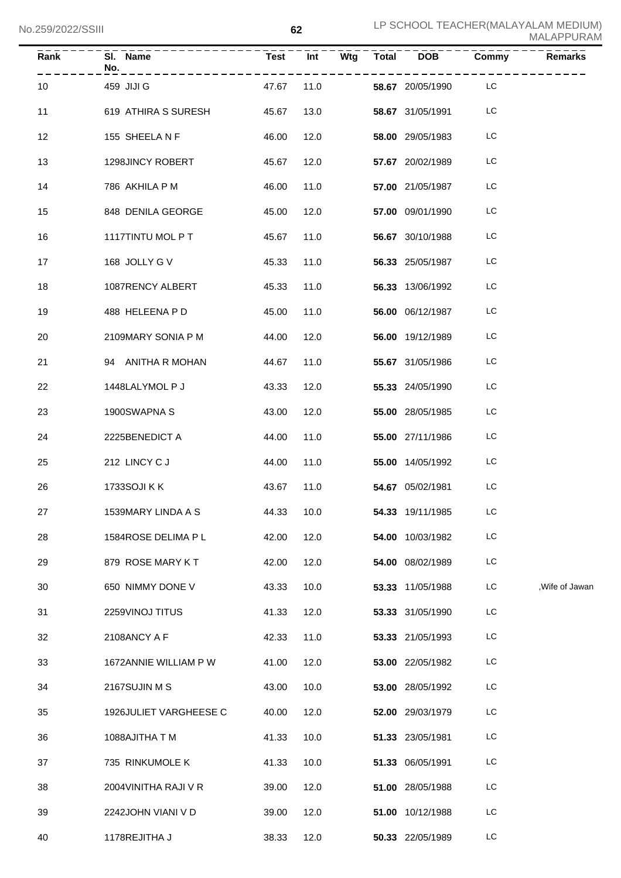| Rank | SI. Name<br>No.        |            | $\frac{1}{2}$ Test $\frac{1}{2}$ $\frac{1}{2}$ Test $\frac{1}{2}$ |  | $\overline{W}$ tg Total DOB | Commy     | <b>Remarks</b>  |
|------|------------------------|------------|-------------------------------------------------------------------|--|-----------------------------|-----------|-----------------|
| 10   | 459 JIJI G             | 47.67      | 11.0                                                              |  | 58.67 20/05/1990 LC         |           |                 |
| 11   | 619 ATHIRA S SURESH    | 45.67      | 13.0                                                              |  | 58.67 31/05/1991            | LC        |                 |
| 12   | 155 SHEELA N F         | 46.00      | 12.0                                                              |  | 58.00 29/05/1983            | LC        |                 |
| 13   | 1298JINCY ROBERT       | 45.67      | 12.0                                                              |  | 57.67 20/02/1989            | LC        |                 |
| 14   | 786 AKHILA P M         | 46.00      | 11.0                                                              |  | 57.00 21/05/1987            | LC        |                 |
| 15   | 848 DENILA GEORGE      | 45.00      | 12.0                                                              |  | 57.00 09/01/1990            | LC        |                 |
| 16   | 1117TINTU MOL P T      | 45.67      | 11.0                                                              |  | 56.67 30/10/1988            | LC        |                 |
| 17   | 168 JOLLY G V          | 45.33      | 11.0                                                              |  | 56.33 25/05/1987            | LC        |                 |
| 18   | 1087RENCY ALBERT       | 45.33      | 11.0                                                              |  | 56.33 13/06/1992            | LC        |                 |
| 19   | 488 HELEENA P D        | 45.00      | 11.0                                                              |  | 56.00 06/12/1987            | LC        |                 |
| 20   | 2109MARY SONIA P M     | 44.00      | 12.0                                                              |  | 56.00 19/12/1989            | LC        |                 |
| 21   | 94 ANITHA R MOHAN      | 44.67      | 11.0                                                              |  | 55.67 31/05/1986            | LC        |                 |
| 22   | 1448LALYMOL P J        | 43.33      | 12.0                                                              |  | 55.33 24/05/1990            | LC        |                 |
| 23   | 1900SWAPNA S           | 43.00      | 12.0                                                              |  | 55.00 28/05/1985            | LC        |                 |
| 24   | 2225BENEDICT A         | 44.00      | 11.0                                                              |  | 55.00 27/11/1986            | LC        |                 |
| 25   | 212 LINCY CJ           | 44.00      | 11.0                                                              |  | 55.00 14/05/1992            | LC        |                 |
| 26   | 1733SOJI K K           | 43.67      | 11.0                                                              |  | 54.67 05/02/1981            | LC        |                 |
| 27   | 1539MARY LINDA A S     | 44.33 10.0 |                                                                   |  | <b>54.33</b> 19/11/1985     | <b>LC</b> |                 |
| 28   | 1584ROSE DELIMA P L    | 42.00      | 12.0                                                              |  | 54.00 10/03/1982            | LC        |                 |
| 29   | 879 ROSE MARY KT       | 42.00      | 12.0                                                              |  | 54.00 08/02/1989            | LC        |                 |
| 30   | 650 NIMMY DONE V       | 43.33      | 10.0                                                              |  | 53.33 11/05/1988            | LC        | , Wife of Jawan |
| 31   | 2259VINOJ TITUS        | 41.33      | 12.0                                                              |  | 53.33 31/05/1990            | LC        |                 |
| 32   | 2108ANCY A F           | 42.33      | 11.0                                                              |  | 53.33 21/05/1993            | LC        |                 |
| 33   | 1672ANNIE WILLIAM P W  | 41.00      | 12.0                                                              |  | 53.00 22/05/1982            | LC        |                 |
| 34   | 2167SUJIN M S          | 43.00      | 10.0                                                              |  | 53.00 28/05/1992            | LC        |                 |
| 35   | 1926JULIET VARGHEESE C | 40.00      | 12.0                                                              |  | 52.00 29/03/1979            | LC        |                 |
| 36   | 1088AJITHA T M         | 41.33      | 10.0                                                              |  | 51.33 23/05/1981            | LC        |                 |
| 37   | 735 RINKUMOLE K        | 41.33      | 10.0                                                              |  | 51.33 06/05/1991            | LC        |                 |
| 38   | 2004 VINITHA RAJI V R  | 39.00      | 12.0                                                              |  | 51.00 28/05/1988            | LC        |                 |
| 39   | 2242JOHN VIANI V D     | 39.00      | 12.0                                                              |  | 51.00 10/12/1988            | LC        |                 |
| 40   | 1178REJITHA J          | 38.33      | 12.0                                                              |  | 50.33 22/05/1989            | LC        |                 |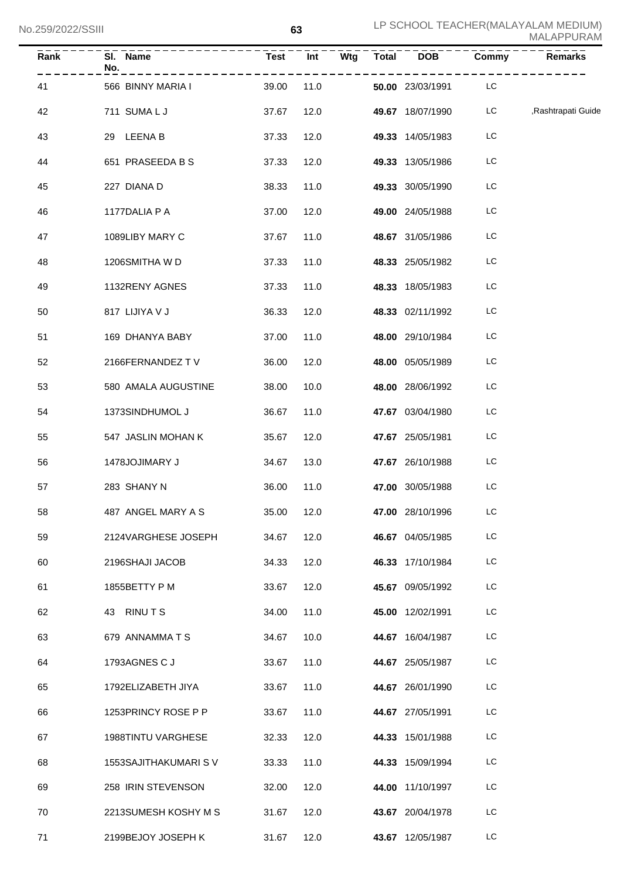| Rank | SI. Name<br>No.           | Test<br>. | <b>Int</b> |  | Wtg Total DOB Commy     |     | Remarks               |
|------|---------------------------|-----------|------------|--|-------------------------|-----|-----------------------|
| 41   | 566 BINNY MARIA I         | 39.00     | 11.0       |  | 50.00 23/03/1991 LC     |     |                       |
| 42   | 711 SUMALJ                | 37.67     | 12.0       |  | <b>49.67</b> 18/07/1990 |     | LC ,Rashtrapati Guide |
| 43   | 29 LEENA B                | 37.33     | 12.0       |  | 49.33 14/05/1983        | LC. |                       |
| 44   | 651 PRASEEDA B S          | 37.33     | 12.0       |  | 49.33 13/05/1986        | LC. |                       |
| 45   | 227 DIANA D               | 38.33     | 11.0       |  | 49.33 30/05/1990        | LC. |                       |
| 46   | 1177DALIA P A             | 37.00     | 12.0       |  | 49.00 24/05/1988        | LC  |                       |
| 47   | 1089LIBY MARY C           | 37.67     | 11.0       |  | 48.67 31/05/1986        | LC. |                       |
| 48   | 1206SMITHA W D            | 37.33     | 11.0       |  | 48.33 25/05/1982        | LC. |                       |
| 49   | 1132RENY AGNES            | 37.33     | 11.0       |  | 48.33 18/05/1983        | LC  |                       |
| 50   | 817 LIJIYA V J            | 36.33     | 12.0       |  | 48.33 02/11/1992        | LC. |                       |
| 51   | 169 DHANYA BABY           | 37.00     | 11.0       |  | 48.00 29/10/1984        | LC. |                       |
| 52   | 2166FERNANDEZ TV          | 36.00     | 12.0       |  | 48.00 05/05/1989        | LC. |                       |
| 53   | 580 AMALA AUGUSTINE       | 38.00     | 10.0       |  | 48.00 28/06/1992        | LC. |                       |
| 54   | 1373SINDHUMOL J           | 36.67     | 11.0       |  | 47.67 03/04/1980        | LC. |                       |
| 55   | 547 JASLIN MOHAN K        | 35.67     | 12.0       |  | 47.67 25/05/1981        | LC. |                       |
| 56   | 1478JOJIMARY J            | 34.67     | 13.0       |  | 47.67 26/10/1988        | LC. |                       |
| 57   | 283 SHANY N               | 36.00     | 11.0       |  | 47.00 30/05/1988        | LC. |                       |
| 58   | 487 ANGEL MARY A S        | 35.00     | 12.0       |  | 47.00 28/10/1996        | LC  |                       |
| 59   | 2124VARGHESE JOSEPH       | 34.67     | 12.0       |  | 46.67 04/05/1985        | LC  |                       |
| 60   | 2196SHAJI JACOB           | 34.33     | 12.0       |  | 46.33 17/10/1984        | LC. |                       |
| 61   | 1855BETTY P M             | 33.67     | 12.0       |  | 45.67 09/05/1992        | LC  |                       |
| 62   | <b>RINUTS</b><br>43       | 34.00     | 11.0       |  | 45.00 12/02/1991        | LC  |                       |
| 63   | 679 ANNAMMATS             | 34.67     | 10.0       |  | 44.67 16/04/1987        | LC  |                       |
| 64   | 1793AGNES C J             | 33.67     | 11.0       |  | 44.67 25/05/1987        | LC  |                       |
| 65   | 1792ELIZABETH JIYA        | 33.67     | 11.0       |  | 44.67 26/01/1990        | LC  |                       |
| 66   | 1253PRINCY ROSE P P       | 33.67     | 11.0       |  | 44.67 27/05/1991        | LC  |                       |
| 67   | <b>1988TINTU VARGHESE</b> | 32.33     | 12.0       |  | 44.33 15/01/1988        | LC  |                       |
| 68   | 1553 SAJITHAKUMARI S V    | 33.33     | 11.0       |  | 44.33 15/09/1994        | LC  |                       |
| 69   | 258 IRIN STEVENSON        | 32.00     | 12.0       |  | 44.00 11/10/1997        | LC  |                       |
| 70   | 2213SUMESH KOSHY M S      | 31.67     | 12.0       |  | 43.67 20/04/1978        | LC  |                       |
| 71   | 2199BEJOY JOSEPH K        | 31.67     | 12.0       |  | 43.67 12/05/1987        | LC. |                       |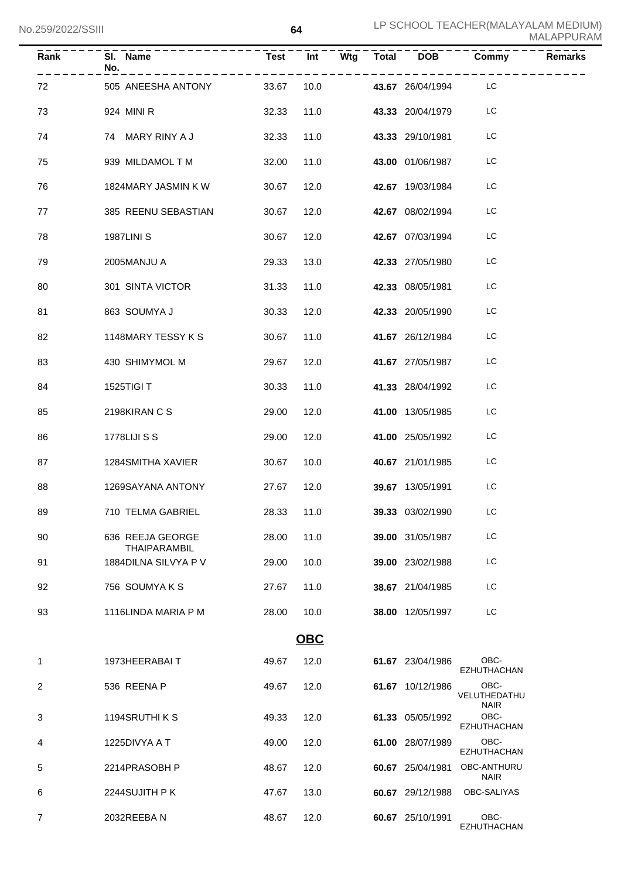| Rank           | SI. Name<br>No.<br>------------------------ |            |      |            |                     | Test Int Wtg Total DOB Commy<br>------- | <b>Remarks</b> |
|----------------|---------------------------------------------|------------|------|------------|---------------------|-----------------------------------------|----------------|
| 72             | 505 ANEESHA ANTONY                          |            |      | 33.67 10.0 | 43.67 26/04/1994 LC |                                         |                |
| 73             | 924 MINI R                                  | 32.33      |      | 11.0       | 43.33 20/04/1979    | LC                                      |                |
| 74             | 74 MARY RINY A J                            | 32.33      |      | 11.0       | 43.33 29/10/1981    | LC                                      |                |
| 75             | 939 MILDAMOL T M                            | 32.00      | 11.0 |            | 43.00 01/06/1987    | LC                                      |                |
| 76             | 1824MARY JASMIN K W                         | 30.67      | 12.0 |            | 42.67 19/03/1984    | LC                                      |                |
| 77             | 385 REENU SEBASTIAN                         | 30.67      | 12.0 |            | 42.67 08/02/1994    | LC                                      |                |
| 78             | <b>1987LINI S</b>                           | 30.67      | 12.0 |            | 42.67 07/03/1994    | LC                                      |                |
| 79             | 2005MANJU A                                 | 29.33      | 13.0 |            | 42.33 27/05/1980    | LC                                      |                |
| 80             | 301 SINTA VICTOR                            | 31.33      | 11.0 |            | 42.33 08/05/1981    | LC                                      |                |
| 81             | 863 SOUMYA J                                | 30.33      |      | 12.0       | 42.33 20/05/1990    | LC                                      |                |
| 82             | 1148MARY TESSY K S                          | 30.67      | 11.0 |            | 41.67 26/12/1984    | LC                                      |                |
| 83             | 430 SHIMYMOL M                              | 29.67      | 12.0 |            | 41.67 27/05/1987    | LC                                      |                |
| 84             | 1525TIGI T                                  | 30.33      | 11.0 |            | 41.33 28/04/1992    | LC                                      |                |
| 85             | 2198KIRAN C S                               | 29.00      | 12.0 |            | 41.00 13/05/1985    | LC                                      |                |
| 86             | <b>1778LIJI S S</b>                         | 29.00      | 12.0 |            | 41.00 25/05/1992    | LC                                      |                |
| 87             | 1284SMITHA XAVIER                           | 30.67      | 10.0 |            | 40.67 21/01/1985    | LC                                      |                |
| 88             | 1269SAYANA ANTONY                           | 27.67      | 12.0 |            | 39.67 13/05/1991    | LC                                      |                |
| 89             | 710 TELMA GABRIEL                           | 28.33 11.0 |      |            | 39.33 03/02/1990    | LC.                                     |                |
| 90             | 636 REEJA GEORGE<br><b>THAIPARAMBIL</b>     | 28.00      | 11.0 |            | 39.00 31/05/1987    | LC                                      |                |
| 91             | 1884DILNA SILVYA P V                        | 29.00      | 10.0 |            | 39.00 23/02/1988    | LC                                      |                |
| 92             | 756 SOUMYAKS                                | 27.67      | 11.0 |            | 38.67 21/04/1985    | LC                                      |                |
| 93             | 1116LINDA MARIA P M                         | 28.00      | 10.0 |            | 38.00 12/05/1997    | LC                                      |                |
|                |                                             |            | OBC  |            |                     |                                         |                |
| $\mathbf{1}$   | 1973HEERABAIT                               | 49.67      | 12.0 |            | 61.67 23/04/1986    | OBC-<br><b>EZHUTHACHAN</b>              |                |
| 2              | 536 REENA P                                 | 49.67      | 12.0 |            | 61.67 10/12/1986    | OBC-<br>VELUTHEDATHU<br><b>NAIR</b>     |                |
| 3              | 1194SRUTHI K S                              | 49.33      | 12.0 |            | 61.33 05/05/1992    | OBC-<br><b>EZHUTHACHAN</b>              |                |
| 4              | 1225DIVYA A T                               | 49.00      | 12.0 |            | 61.00 28/07/1989    | OBC-<br>EZHUTHACHAN                     |                |
| 5              | 2214PRASOBH P                               | 48.67      | 12.0 |            | 60.67 25/04/1981    | OBC-ANTHURU<br><b>NAIR</b>              |                |
| 6              | 2244SUJITH PK                               | 47.67      | 13.0 |            | 60.67 29/12/1988    | OBC-SALIYAS                             |                |
| $\overline{7}$ | 2032REEBAN                                  | 48.67      | 12.0 |            | 60.67 25/10/1991    | OBC-<br><b>EZHUTHACHAN</b>              |                |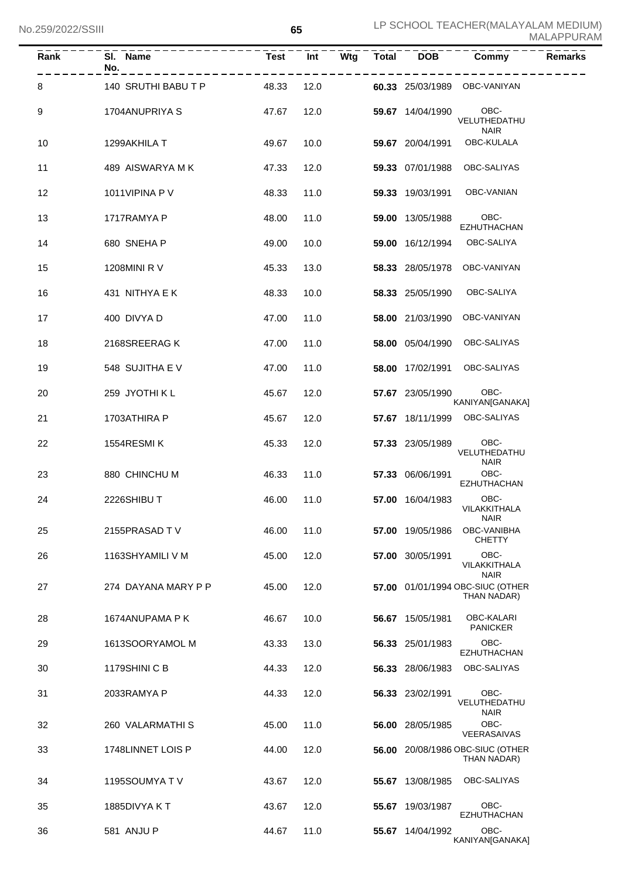| Rank              | SI. Name<br>No.<br>--------------------- |       |      |  |                       |                                                 |  |
|-------------------|------------------------------------------|-------|------|--|-----------------------|-------------------------------------------------|--|
| 8                 | 140 SRUTHI BABU T P 48.33 12.0           |       |      |  |                       | 60.33 25/03/1989 OBC-VANIYAN                    |  |
| 9                 | 1704ANUPRIYA S<br>47.67                  |       | 12.0 |  | 59.67 14/04/1990 OBC- | VELUTHEDATHU<br><b>NAIR</b>                     |  |
| 10                | 1299AKHILA T                             | 49.67 | 10.0 |  |                       | 59.67 20/04/1991 OBC-KULALA                     |  |
| 11                | 489 AISWARYA M K                         | 47.33 | 12.0 |  |                       | 59.33 07/01/1988 OBC-SALIYAS                    |  |
| $12 \overline{ }$ | 1011VIPINA P V                           | 48.33 | 11.0 |  |                       | 59.33 19/03/1991 OBC-VANIAN                     |  |
| 13                | 1717RAMYA P                              | 48.00 | 11.0 |  | 59.00 13/05/1988 OBC- | EZHUTHACHAN                                     |  |
| 14                | 680 SNEHA P                              | 49.00 | 10.0 |  |                       | 59.00 16/12/1994 OBC-SALIYA                     |  |
| 15                | 1208MINI R V                             | 45.33 | 13.0 |  |                       | 58.33 28/05/1978 OBC-VANIYAN                    |  |
| 16                | 431 NITHYA E K                           | 48.33 | 10.0 |  |                       | 58.33 25/05/1990 OBC-SALIYA                     |  |
| 17                | 400 DIVYA D                              | 47.00 | 11.0 |  |                       | 58.00 21/03/1990 OBC-VANIYAN                    |  |
| 18                | 2168SREERAG K                            | 47.00 | 11.0 |  |                       | 58.00 05/04/1990 OBC-SALIYAS                    |  |
| 19                | 548 SUJITHA E V                          | 47.00 | 11.0 |  |                       | 58.00 17/02/1991 OBC-SALIYAS                    |  |
| 20                | 259 JYOTHI K L                           | 45.67 | 12.0 |  | 57.67 23/05/1990 OBC- | KANIYAN[GANAKA]                                 |  |
| 21                | 1703ATHIRA P                             | 45.67 | 12.0 |  |                       | 57.67 18/11/1999 OBC-SALIYAS                    |  |
| 22                | 1554RESMIK                               | 45.33 | 12.0 |  | 57.33 23/05/1989 OBC- | VELUTHEDATHU<br><b>NAIR</b>                     |  |
| 23                | 880 CHINCHU M                            | 46.33 | 11.0 |  | 57.33 06/06/1991 OBC- | EZHUTHACHAN                                     |  |
| 24                | 2226SHIBUT                               | 46.00 | 11.0 |  | 57.00 16/04/1983      | OBC-<br>VILAKKITHALA<br><b>NAIR</b>             |  |
| 25                | 2155PRASAD TV                            | 46.00 | 11.0 |  | 57.00 19/05/1986      | OBC-VANIBHA<br><b>CHETTY</b>                    |  |
| 26                | 1163SHYAMILI V M                         | 45.00 | 12.0 |  | 57.00 30/05/1991      | OBC-<br>VILAKKITHALA<br><b>NAIR</b>             |  |
| 27                | 274 DAYANA MARY P P                      | 45.00 | 12.0 |  |                       | 57.00 01/01/1994 OBC-SIUC (OTHER<br>THAN NADAR) |  |
| 28                | 1674ANUPAMA P K                          | 46.67 | 10.0 |  | 56.67 15/05/1981      | OBC-KALARI<br><b>PANICKER</b>                   |  |
| 29                | 1613SOORYAMOL M                          | 43.33 | 13.0 |  | 56.33 25/01/1983      | OBC-<br><b>EZHUTHACHAN</b>                      |  |
| 30                | 1179SHINI C B                            | 44.33 | 12.0 |  | 56.33 28/06/1983      | OBC-SALIYAS                                     |  |
| 31                | 2033RAMYA P                              | 44.33 | 12.0 |  | 56.33 23/02/1991      | OBC-<br>VELUTHEDATHU<br><b>NAIR</b>             |  |
| 32                | 260 VALARMATHI S                         | 45.00 | 11.0 |  | 56.00 28/05/1985      | OBC-<br>VEERASAIVAS                             |  |
| 33                | 1748LINNET LOIS P                        | 44.00 | 12.0 |  |                       | 56.00 20/08/1986 OBC-SIUC (OTHER<br>THAN NADAR) |  |
| 34                | 1195SOUMYA T V                           | 43.67 | 12.0 |  | 55.67 13/08/1985      | OBC-SALIYAS                                     |  |
| 35                | 1885DIVYA KT                             | 43.67 | 12.0 |  | 55.67 19/03/1987      | OBC-<br><b>EZHUTHACHAN</b>                      |  |
| 36                | 581 ANJU P                               | 44.67 | 11.0 |  | 55.67 14/04/1992      | OBC-<br>KANIYAN[GANAKA]                         |  |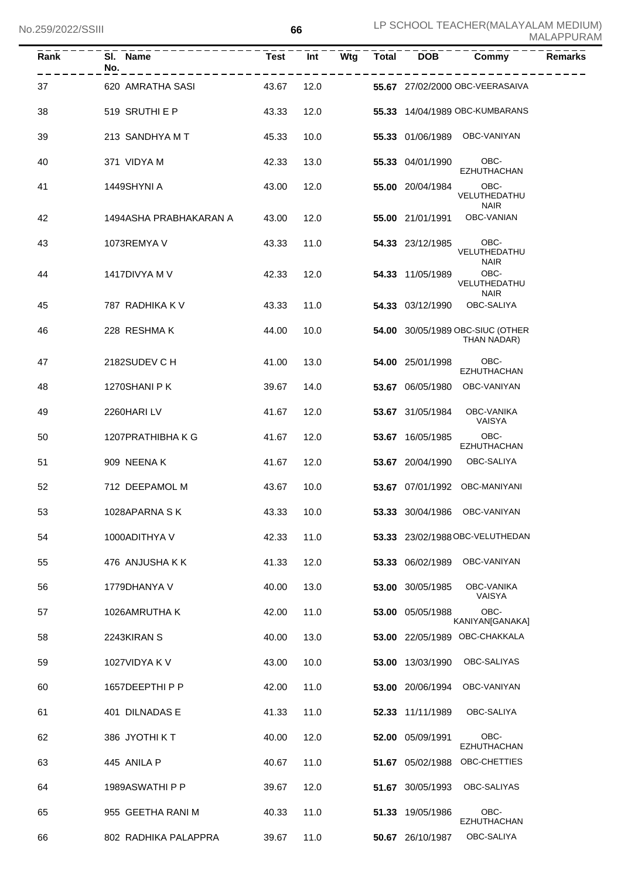| Rank | SI. Name<br>No.        | <b>Test</b> | Int  | Wtg | <b>Total</b> | <b>DOB</b>       | Commy                                           | <b>Remarks</b> |
|------|------------------------|-------------|------|-----|--------------|------------------|-------------------------------------------------|----------------|
| 37   | 620 AMRATHA SASI       | 43.67       | 12.0 |     |              |                  | 55.67 27/02/2000 OBC-VEERASAIVA                 |                |
| 38   | 519 SRUTHI E P         | 43.33       | 12.0 |     |              |                  | 55.33 14/04/1989 OBC-KUMBARANS                  |                |
| 39   | 213 SANDHYA M T        | 45.33       | 10.0 |     |              |                  | 55.33 01/06/1989 OBC-VANIYAN                    |                |
| 40   | 371 VIDYA M            | 42.33       | 13.0 |     |              | 55.33 04/01/1990 | OBC-<br><b>EZHUTHACHAN</b>                      |                |
| 41   | 1449SHYNI A            | 43.00       | 12.0 |     |              | 55.00 20/04/1984 | OBC-<br>VELUTHEDATHU<br><b>NAIR</b>             |                |
| 42   | 1494ASHA PRABHAKARAN A | 43.00       | 12.0 |     |              |                  | 55.00 21/01/1991 OBC-VANIAN                     |                |
| 43   | 1073REMYA V            | 43.33       | 11.0 |     |              | 54.33 23/12/1985 | OBC-<br>VELUTHEDATHU<br><b>NAIR</b>             |                |
| 44   | 1417DIVYA M V          | 42.33       | 12.0 |     |              | 54.33 11/05/1989 | OBC-<br>VELUTHEDATHU                            |                |
| 45   | 787 RADHIKA K V        | 43.33       | 11.0 |     |              | 54.33 03/12/1990 | <b>NAIR</b><br>OBC-SALIYA                       |                |
| 46   | 228 RESHMAK            | 44.00       | 10.0 |     |              |                  | 54.00 30/05/1989 OBC-SIUC (OTHER<br>THAN NADAR) |                |
| 47   | 2182SUDEV C H          | 41.00       | 13.0 |     |              | 54.00 25/01/1998 | OBC-<br><b>EZHUTHACHAN</b>                      |                |
| 48   | 1270SHANI P K          | 39.67       | 14.0 |     |              | 53.67 06/05/1980 | OBC-VANIYAN                                     |                |
| 49   | 2260HARILV             | 41.67       | 12.0 |     |              | 53.67 31/05/1984 | OBC-VANIKA<br>VAISYA                            |                |
| 50   | 1207PRATHIBHA K G      | 41.67       | 12.0 |     |              | 53.67 16/05/1985 | OBC-<br><b>EZHUTHACHAN</b>                      |                |
| 51   | 909 NEENAK             | 41.67       | 12.0 |     |              | 53.67 20/04/1990 | OBC-SALIYA                                      |                |
| 52   | 712 DEEPAMOL M         | 43.67       | 10.0 |     |              |                  | 53.67 07/01/1992 OBC-MANIYANI                   |                |
| 53   | 1028APARNA SK          | 43.33 10.0  |      |     |              |                  | 53.33 30/04/1986 OBC-VANIYAN                    |                |
| 54   | 1000ADITHYA V          | 42.33       | 11.0 |     |              |                  | 53.33 23/02/1988 OBC-VELUTHEDAN                 |                |
| 55   | 476 ANJUSHA K K        | 41.33       | 12.0 |     |              | 53.33 06/02/1989 | OBC-VANIYAN                                     |                |
| 56   | 1779DHANYA V           | 40.00       | 13.0 |     |              | 53.00 30/05/1985 | OBC-VANIKA<br>VAISYA                            |                |
| 57   | 1026AMRUTHA K          | 42.00       | 11.0 |     | 53.00        | 05/05/1988       | OBC-<br>KANIYAN[GANAKA]                         |                |
| 58   | 2243KIRAN S            | 40.00       | 13.0 |     |              |                  | 53.00 22/05/1989 OBC-CHAKKALA                   |                |
| 59   | 1027VIDYA K V          | 43.00       | 10.0 |     |              | 53.00 13/03/1990 | OBC-SALIYAS                                     |                |
| 60   | 1657DEEPTHI P P        | 42.00       | 11.0 |     |              | 53.00 20/06/1994 | OBC-VANIYAN                                     |                |
| 61   | 401 DILNADAS E         | 41.33       | 11.0 |     |              | 52.33 11/11/1989 | OBC-SALIYA                                      |                |
| 62   | 386 JYOTHI KT          | 40.00       | 12.0 |     |              | 52.00 05/09/1991 | OBC-<br>EZHUTHACHAN                             |                |
| 63   | 445 ANILA P            | 40.67       | 11.0 |     |              | 51.67 05/02/1988 | OBC-CHETTIES                                    |                |
| 64   | 1989ASWATHI P P        | 39.67       | 12.0 |     | 51.67        | 30/05/1993       | OBC-SALIYAS                                     |                |
| 65   | 955 GEETHA RANI M      | 40.33       | 11.0 |     | 51.33        | 19/05/1986       | OBC-<br>EZHUTHACHAN                             |                |
| 66   | 802 RADHIKA PALAPPRA   | 39.67       | 11.0 |     |              | 50.67 26/10/1987 | OBC-SALIYA                                      |                |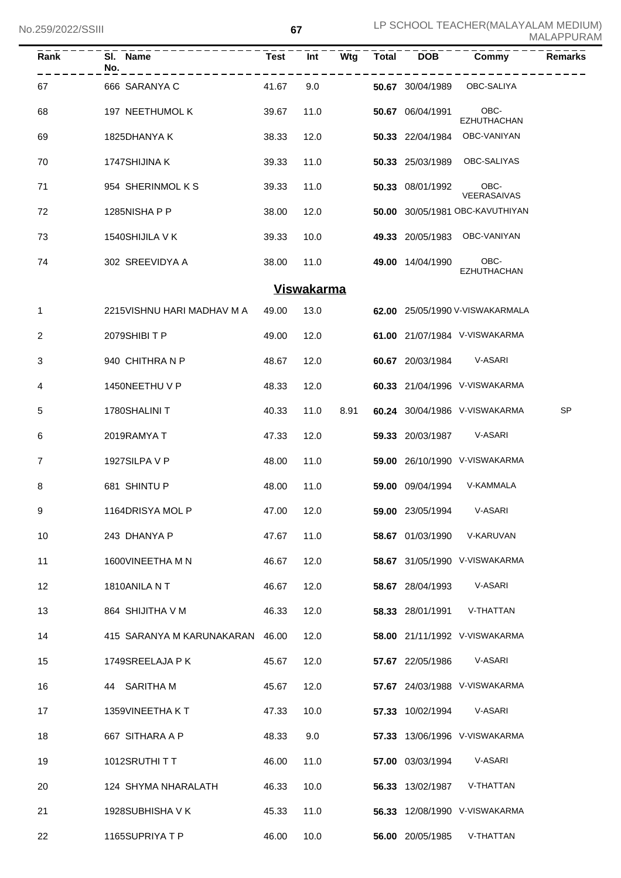| Rank           | SI. Name<br>No.<br>---------------------- | Test Int |                   |      |                         | Wtg Total DOB Commy<br>-------  | <b>Remarks</b> |
|----------------|-------------------------------------------|----------|-------------------|------|-------------------------|---------------------------------|----------------|
| 67             | 666 SARANYA C                             | 41.67    | 9.0               |      |                         | 50.67 30/04/1989 OBC-SALIYA     |                |
| 68             | 197 NEETHUMOL K                           | 39.67    | 11.0              |      | 50.67 06/04/1991 OBC-   | EZHUTHACHAN                     |                |
| 69             | 1825DHANYA K                              | 38.33    | 12.0              |      |                         | 50.33 22/04/1984 OBC-VANIYAN    |                |
| 70             | 1747SHIJINA K                             | 39.33    | 11.0              |      |                         | 50.33 25/03/1989 OBC-SALIYAS    |                |
| 71             | 954 SHERINMOLKS                           | 39.33    | 11.0              |      | 50.33 08/01/1992 OBC-   | VEERASAIVAS                     |                |
| 72             | 1285NISHA P P                             | 38.00    | 12.0              |      |                         | 50.00 30/05/1981 OBC-KAVUTHIYAN |                |
| 73             | 1540SHIJILA V K                           | 39.33    | 10.0              |      |                         | 49.33 20/05/1983 OBC-VANIYAN    |                |
| 74             | 302 SREEVIDYA A                           | 38.00    | 11.0              |      | 49.00 14/04/1990 OBC-   | <b>EZHUTHACHAN</b>              |                |
|                |                                           |          | <b>Viswakarma</b> |      |                         |                                 |                |
| $\mathbf{1}$   | 2215VISHNU HARI MADHAV M A                | 49.00    | 13.0              |      |                         | 62.00 25/05/1990 V-VISWAKARMALA |                |
| 2              | 2079SHIBITP                               | 49.00    | 12.0              |      |                         | 61.00 21/07/1984 V-VISWAKARMA   |                |
| 3              | 940 CHITHRANP                             | 48.67    | 12.0              |      |                         | 60.67 20/03/1984 V-ASARI        |                |
| 4              | 1450NEETHU V P                            | 48.33    | 12.0              |      |                         | 60.33 21/04/1996 V-VISWAKARMA   |                |
| 5              | 1780SHALINI T                             | 40.33    | 11.0              | 8.91 |                         | 60.24 30/04/1986 V-VISWAKARMA   | SP             |
| 6              | 2019RAMYA T                               | 47.33    | 12.0              |      |                         | 59.33 20/03/1987 V-ASARI        |                |
| $\overline{7}$ | 1927SILPA V P                             | 48.00    | 11.0              |      |                         | 59.00 26/10/1990 V-VISWAKARMA   |                |
| 8              | 681 SHINTU P                              | 48.00    | 11.0              |      |                         | 59.00 09/04/1994 V-KAMMALA      |                |
| 9              | 1164DRISYA MOL P                          | 47.00    | 12.0              |      | <b>59.00</b> 23/05/1994 | V-ASARI                         |                |
| 10             | 243 DHANYA P                              | 47.67    | 11.0              |      | 58.67 01/03/1990        | V-KARUVAN                       |                |
| 11             | 1600VINEETHA M N                          | 46.67    | 12.0              |      |                         | 58.67 31/05/1990 V-VISWAKARMA   |                |
| 12             | 1810ANILA NT                              | 46.67    | 12.0              |      | 58.67 28/04/1993        | V-ASARI                         |                |
| 13             | 864 SHIJITHA V M                          | 46.33    | 12.0              |      | 58.33 28/01/1991        | V-THATTAN                       |                |
| 14             | 415 SARANYA M KARUNAKARAN                 | 46.00    | 12.0              |      |                         | 58.00 21/11/1992 V-VISWAKARMA   |                |
| 15             | 1749SREELAJA P K                          | 45.67    | 12.0              |      | 57.67 22/05/1986        | V-ASARI                         |                |
| 16             | SARITHA M<br>44                           | 45.67    | 12.0              |      |                         | 57.67 24/03/1988 V-VISWAKARMA   |                |
| 17             | 1359VINEETHA KT                           | 47.33    | 10.0              |      | 57.33 10/02/1994        | V-ASARI                         |                |
| 18             | 667 SITHARA A P                           | 48.33    | 9.0               |      |                         | 57.33 13/06/1996 V-VISWAKARMA   |                |
| 19             | 1012SRUTHITT                              | 46.00    | 11.0              |      | <b>57.00</b> 03/03/1994 | V-ASARI                         |                |
| 20             | 124 SHYMA NHARALATH                       | 46.33    | 10.0              |      | 56.33 13/02/1987        | V-THATTAN                       |                |
| 21             | 1928SUBHISHA V K                          | 45.33    | 11.0              |      |                         | 56.33 12/08/1990 V-VISWAKARMA   |                |
| 22             | 1165SUPRIYATP                             | 46.00    | 10.0              |      | 56.00 20/05/1985        | V-THATTAN                       |                |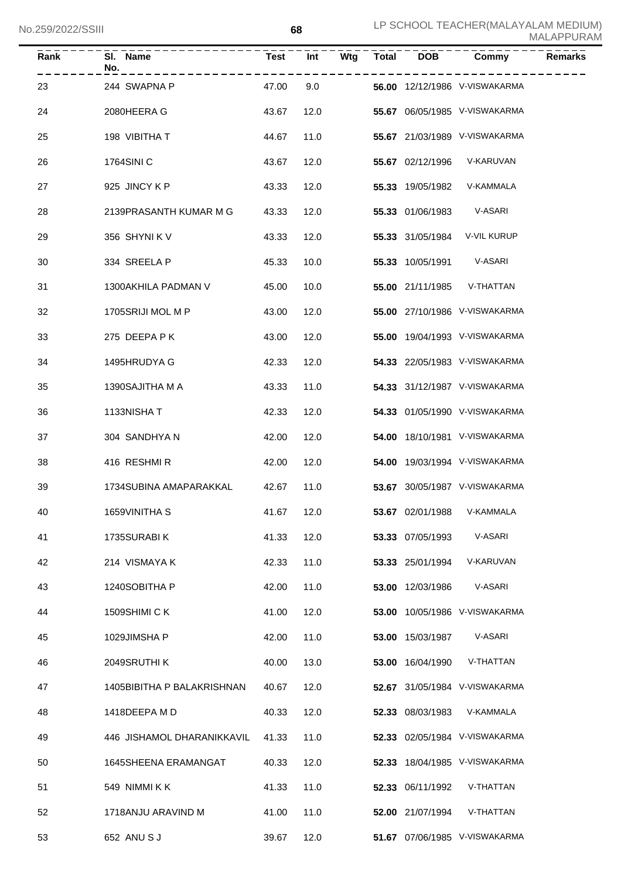| וווטט <i>ובבא</i> ראי |                            |             | υo   |     |              |                  |                               | <b>MALAPPURAM</b> |
|-----------------------|----------------------------|-------------|------|-----|--------------|------------------|-------------------------------|-------------------|
| Rank                  | SI. Name<br>No.            | <b>Test</b> | Int  | Wtg | <b>Total</b> | <b>DOB</b>       | Commy                         | <b>Remarks</b>    |
| 23                    | 244 SWAPNA P               | 47.00       | 9.0  |     |              |                  | 56.00 12/12/1986 V-VISWAKARMA |                   |
| 24                    | 2080HEERA G                | 43.67       | 12.0 |     |              |                  | 55.67 06/05/1985 V-VISWAKARMA |                   |
| 25                    | 198 VIBITHA T              | 44.67       | 11.0 |     |              |                  | 55.67 21/03/1989 V-VISWAKARMA |                   |
| 26                    | 1764SINI C                 | 43.67       | 12.0 |     |              | 55.67 02/12/1996 | V-KARUVAN                     |                   |
| 27                    | 925 JINCY K P              | 43.33       | 12.0 |     |              | 55.33 19/05/1982 | V-KAMMALA                     |                   |
| 28                    | 2139PRASANTH KUMAR M G     | 43.33       | 12.0 |     |              | 55.33 01/06/1983 | V-ASARI                       |                   |
| 29                    | 356 SHYNIK V               | 43.33       | 12.0 |     |              | 55.33 31/05/1984 | V-VIL KURUP                   |                   |
| 30                    | 334 SREELA P               | 45.33       | 10.0 |     |              | 55.33 10/05/1991 | V-ASARI                       |                   |
| 31                    | 1300AKHILA PADMAN V        | 45.00       | 10.0 |     |              | 55.00 21/11/1985 | V-THATTAN                     |                   |
| 32                    | 1705SRIJI MOL M P          | 43.00       | 12.0 |     |              |                  | 55.00 27/10/1986 V-VISWAKARMA |                   |
| 33                    | 275 DEEPA P K              | 43.00       | 12.0 |     |              |                  | 55.00 19/04/1993 V-VISWAKARMA |                   |
| 34                    | 1495HRUDYA G               | 42.33       | 12.0 |     |              |                  | 54.33 22/05/1983 V-VISWAKARMA |                   |
| 35                    | 1390SAJITHA M A            | 43.33       | 11.0 |     |              |                  | 54.33 31/12/1987 V-VISWAKARMA |                   |
| 36                    | 1133NISHAT                 | 42.33       | 12.0 |     |              |                  | 54.33 01/05/1990 V-VISWAKARMA |                   |
| 37                    | 304 SANDHYA N              | 42.00       | 12.0 |     |              |                  | 54.00 18/10/1981 V-VISWAKARMA |                   |
| 38                    | 416 RESHMIR                | 42.00       | 12.0 |     |              |                  | 54.00 19/03/1994 V-VISWAKARMA |                   |
| 39                    | 1734SUBINA AMAPARAKKAL     | 42.67       | 11.0 |     |              |                  | 53.67 30/05/1987 V-VISWAKARMA |                   |
| 40                    | 1659VINITHA S              | 41.67       | 12.0 |     |              | 53.67 02/01/1988 | V-KAMMALA                     |                   |
| 41                    | 1735SURABIK                | 41.33       | 12.0 |     |              | 53.33 07/05/1993 | V-ASARI                       |                   |
| 42                    | 214 VISMAYA K              | 42.33       | 11.0 |     |              | 53.33 25/01/1994 | V-KARUVAN                     |                   |
| 43                    | 1240SOBITHA P              | 42.00       | 11.0 |     |              | 53.00 12/03/1986 | V-ASARI                       |                   |
| 44                    | 1509SHIMI C K              | 41.00       | 12.0 |     |              |                  | 53.00 10/05/1986 V-VISWAKARMA |                   |
| 45                    | 1029JIMSHA P               | 42.00       | 11.0 |     |              | 53.00 15/03/1987 | V-ASARI                       |                   |
| 46                    | 2049SRUTHI K               | 40.00       | 13.0 |     |              | 53.00 16/04/1990 | V-THATTAN                     |                   |
| 47                    | 1405BIBITHA P BALAKRISHNAN | 40.67       | 12.0 |     |              |                  | 52.67 31/05/1984 V-VISWAKARMA |                   |
| 48                    | 1418DEEPA M D              | 40.33       | 12.0 |     |              | 52.33 08/03/1983 | V-KAMMALA                     |                   |
| 49                    | 446 JISHAMOL DHARANIKKAVIL | 41.33       | 11.0 |     |              |                  | 52.33 02/05/1984 V-VISWAKARMA |                   |
| 50                    | 1645SHEENA ERAMANGAT       | 40.33       | 12.0 |     |              |                  | 52.33 18/04/1985 V-VISWAKARMA |                   |
| 51                    | 549 NIMMI K K              | 41.33       | 11.0 |     |              | 52.33 06/11/1992 | V-THATTAN                     |                   |
| 52                    | 1718ANJU ARAVIND M         | 41.00       | 11.0 |     |              | 52.00 21/07/1994 | V-THATTAN                     |                   |
| 53                    | 652 ANU S J                | 39.67       | 12.0 |     |              |                  | 51.67 07/06/1985 V-VISWAKARMA |                   |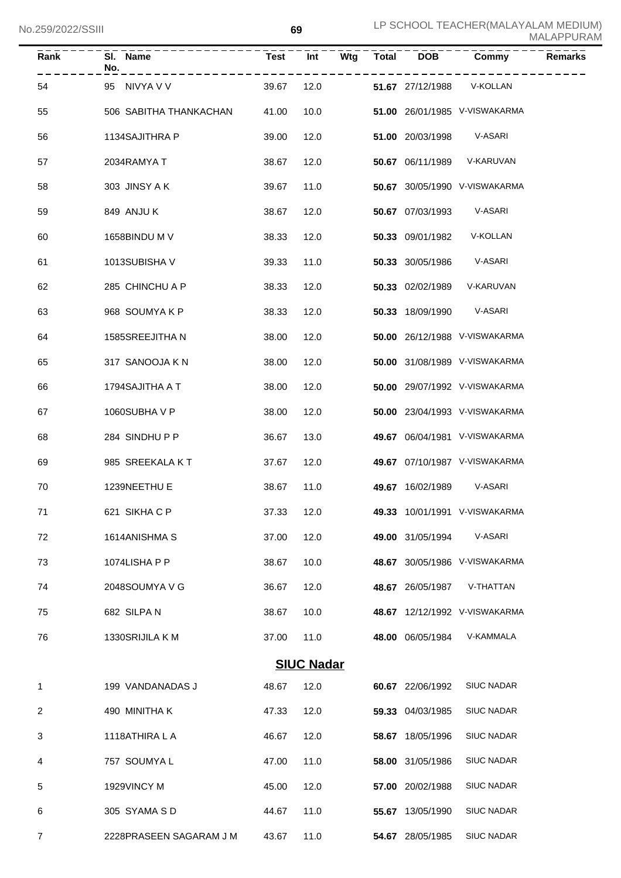| Rank           | SI. Name<br>No.         | <b>Test</b> | Int               | Wtg | <b>Total</b> | <b>DOB</b>       | Commy                         | <b>Remarks</b> |
|----------------|-------------------------|-------------|-------------------|-----|--------------|------------------|-------------------------------|----------------|
| 54             | 95<br>NIVYA V V         | 39.67       | 12.0              |     |              | 51.67 27/12/1988 | V-KOLLAN                      |                |
| 55             | 506 SABITHA THANKACHAN  | 41.00       | 10.0              |     |              |                  | 51.00 26/01/1985 V-VISWAKARMA |                |
| 56             | 1134SAJITHRA P          | 39.00       | 12.0              |     |              | 51.00 20/03/1998 | V-ASARI                       |                |
| 57             | 2034RAMYA T             | 38.67       | 12.0              |     |              | 50.67 06/11/1989 | V-KARUVAN                     |                |
| 58             | 303 JINSY A K           | 39.67       | 11.0              |     |              |                  | 50.67 30/05/1990 V-VISWAKARMA |                |
| 59             | 849 ANJU K              | 38.67       | 12.0              |     |              | 50.67 07/03/1993 | V-ASARI                       |                |
| 60             | 1658BINDU M V           | 38.33       | 12.0              |     |              | 50.33 09/01/1982 | V-KOLLAN                      |                |
| 61             | 1013SUBISHA V           | 39.33       | 11.0              |     |              | 50.33 30/05/1986 | V-ASARI                       |                |
| 62             | 285 CHINCHU A P         | 38.33       | 12.0              |     |              | 50.33 02/02/1989 | V-KARUVAN                     |                |
| 63             | 968 SOUMYAKP            | 38.33       | 12.0              |     |              | 50.33 18/09/1990 | V-ASARI                       |                |
| 64             | 1585SREEJITHA N         | 38.00       | 12.0              |     |              |                  | 50.00 26/12/1988 V-VISWAKARMA |                |
| 65             | 317 SANOOJA K N         | 38.00       | 12.0              |     |              |                  | 50.00 31/08/1989 V-VISWAKARMA |                |
| 66             | 1794SAJITHA A T         | 38.00       | 12.0              |     |              |                  | 50.00 29/07/1992 V-VISWAKARMA |                |
| 67             | 1060SUBHA V P           | 38.00       | 12.0              |     |              |                  | 50.00 23/04/1993 V-VISWAKARMA |                |
| 68             | 284 SINDHUPP            | 36.67       | 13.0              |     |              |                  | 49.67 06/04/1981 V-VISWAKARMA |                |
| 69             | 985 SREEKALA KT         | 37.67       | 12.0              |     |              |                  | 49.67 07/10/1987 V-VISWAKARMA |                |
| 70             | 1239NEETHU E            | 38.67       | 11.0              |     |              | 49.67 16/02/1989 | V-ASARI                       |                |
| 71             | 621 SIKHA C P           | 37.33       | 12.0              |     |              |                  | 49.33 10/01/1991 V-VISWAKARMA |                |
| 72             | 1614ANISHMA S           | 37.00       | 12.0              |     |              | 49.00 31/05/1994 | V-ASARI                       |                |
| 73             | 1074LISHA P P           | 38.67       | 10.0              |     |              |                  | 48.67 30/05/1986 V-VISWAKARMA |                |
| 74             | 2048SOUMYA V G          | 36.67       | 12.0              |     |              | 48.67 26/05/1987 | V-THATTAN                     |                |
| 75             | 682 SILPAN              | 38.67       | 10.0              |     |              |                  | 48.67 12/12/1992 V-VISWAKARMA |                |
| 76             | 1330SRIJILA K M         | 37.00       | 11.0              |     |              | 48.00 06/05/1984 | V-KAMMALA                     |                |
|                |                         |             | <b>SIUC Nadar</b> |     |              |                  |                               |                |
| 1              | 199 VANDANADAS J        | 48.67       | 12.0              |     |              | 60.67 22/06/1992 | <b>SIUC NADAR</b>             |                |
| 2              | 490 MINITHA K           | 47.33       | 12.0              |     |              | 59.33 04/03/1985 | <b>SIUC NADAR</b>             |                |
| 3              | 1118ATHIRA L A          | 46.67       | 12.0              |     |              | 58.67 18/05/1996 | <b>SIUC NADAR</b>             |                |
| 4              | 757 SOUMYA L            | 47.00       | 11.0              |     |              | 58.00 31/05/1986 | <b>SIUC NADAR</b>             |                |
| 5              | 1929VINCY M             | 45.00       | 12.0              |     |              | 57.00 20/02/1988 | <b>SIUC NADAR</b>             |                |
| 6              | 305 SYAMA S D           | 44.67       | 11.0              |     |              | 55.67 13/05/1990 | <b>SIUC NADAR</b>             |                |
| $\overline{7}$ | 2228PRASEEN SAGARAM J M | 43.67       | 11.0              |     |              | 54.67 28/05/1985 | <b>SIUC NADAR</b>             |                |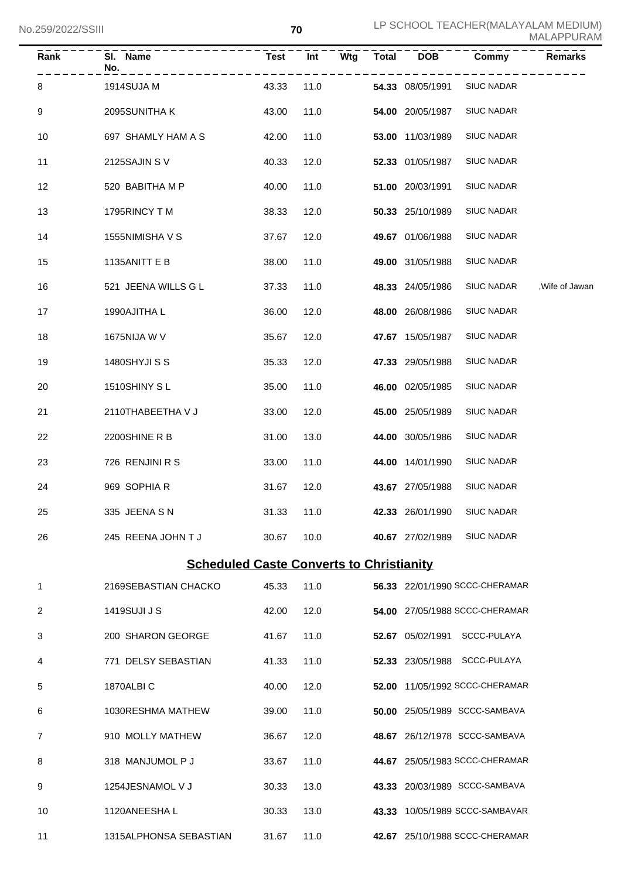| Rank           | SI. Name<br>No.                                 | <b>Test</b> | Wtg<br>Int | <b>Total</b> | <b>DOB</b>       | Commy                          | Remarks         |
|----------------|-------------------------------------------------|-------------|------------|--------------|------------------|--------------------------------|-----------------|
| 8              | 1914SUJA M                                      | 43.33       | 11.0       |              | 54.33 08/05/1991 | <b>SIUC NADAR</b>              |                 |
| 9              | 2095SUNITHA K                                   | 43.00       | 11.0       |              | 54.00 20/05/1987 | <b>SIUC NADAR</b>              |                 |
| 10             | 697 SHAMLY HAM A S                              | 42.00       | 11.0       |              | 53.00 11/03/1989 | <b>SIUC NADAR</b>              |                 |
| 11             | 2125SAJIN SV                                    | 40.33       | 12.0       |              | 52.33 01/05/1987 | <b>SIUC NADAR</b>              |                 |
| 12             | 520 BABITHA M P                                 | 40.00       | 11.0       |              | 51.00 20/03/1991 | <b>SIUC NADAR</b>              |                 |
| 13             | 1795RINCY TM                                    | 38.33       | 12.0       |              | 50.33 25/10/1989 | <b>SIUC NADAR</b>              |                 |
| 14             | 1555NIMISHA V S                                 | 37.67       | 12.0       |              | 49.67 01/06/1988 | <b>SIUC NADAR</b>              |                 |
| 15             | 1135ANITT E B                                   | 38.00       | 11.0       |              | 49.00 31/05/1988 | <b>SIUC NADAR</b>              |                 |
| 16             | 521 JEENA WILLS G L                             | 37.33       | 11.0       |              | 48.33 24/05/1986 | <b>SIUC NADAR</b>              | , Wife of Jawan |
| 17             | 1990AJITHA L                                    | 36.00       | 12.0       |              | 48.00 26/08/1986 | <b>SIUC NADAR</b>              |                 |
| 18             | 1675NIJA W V                                    | 35.67       | 12.0       |              | 47.67 15/05/1987 | <b>SIUC NADAR</b>              |                 |
| 19             | 1480SHYJI S S                                   | 35.33       | 12.0       |              | 47.33 29/05/1988 | <b>SIUC NADAR</b>              |                 |
| 20             | 1510SHINY SL                                    | 35.00       | 11.0       |              | 46.00 02/05/1985 | <b>SIUC NADAR</b>              |                 |
| 21             | 2110THABEETHA V J                               | 33.00       | 12.0       |              | 45.00 25/05/1989 | <b>SIUC NADAR</b>              |                 |
| 22             | 2200SHINE R B                                   | 31.00       | 13.0       |              | 44.00 30/05/1986 | <b>SIUC NADAR</b>              |                 |
| 23             | 726 RENJINI R S                                 | 33.00       | 11.0       |              | 44.00 14/01/1990 | <b>SIUC NADAR</b>              |                 |
| 24             | 969 SOPHIA R                                    | 31.67       | 12.0       |              | 43.67 27/05/1988 | <b>SIUC NADAR</b>              |                 |
| 25             | 335 JEENA S N                                   | 31.33       | 11.0       |              | 42.33 26/01/1990 | <b>SIUC NADAR</b>              |                 |
| 26             | 245 REENA JOHN T J                              | 30.67       | 10.0       |              | 40.67 27/02/1989 | <b>SIUC NADAR</b>              |                 |
|                | <b>Scheduled Caste Converts to Christianity</b> |             |            |              |                  |                                |                 |
| $\mathbf{1}$   | 2169SEBASTIAN CHACKO                            | 45.33       | 11.0       |              |                  | 56.33 22/01/1990 SCCC-CHERAMAR |                 |
| 2              | 1419SUJI J S                                    | 42.00       | 12.0       |              |                  | 54.00 27/05/1988 SCCC-CHERAMAR |                 |
| 3              | 200 SHARON GEORGE                               | 41.67       | 11.0       |              |                  | 52.67 05/02/1991 SCCC-PULAYA   |                 |
| 4              | 771 DELSY SEBASTIAN                             | 41.33       | 11.0       |              |                  | 52.33 23/05/1988 SCCC-PULAYA   |                 |
| 5              | 1870ALBIC                                       | 40.00       | 12.0       |              |                  | 52.00 11/05/1992 SCCC-CHERAMAR |                 |
| 6              | 1030RESHMA MATHEW                               | 39.00       | 11.0       |              |                  | 50.00 25/05/1989 SCCC-SAMBAVA  |                 |
| $\overline{7}$ | 910 MOLLY MATHEW                                | 36.67       | 12.0       |              |                  | 48.67 26/12/1978 SCCC-SAMBAVA  |                 |
| 8              | 318 MANJUMOL P J                                | 33.67       | 11.0       |              |                  | 44.67 25/05/1983 SCCC-CHERAMAR |                 |
| 9              | 1254JESNAMOL V J                                | 30.33       | 13.0       |              |                  | 43.33 20/03/1989 SCCC-SAMBAVA  |                 |
| 10             | 1120ANEESHA L                                   | 30.33       | 13.0       |              |                  | 43.33 10/05/1989 SCCC-SAMBAVAR |                 |
| 11             | 1315ALPHONSA SEBASTIAN                          | 31.67       | 11.0       |              |                  | 42.67 25/10/1988 SCCC-CHERAMAR |                 |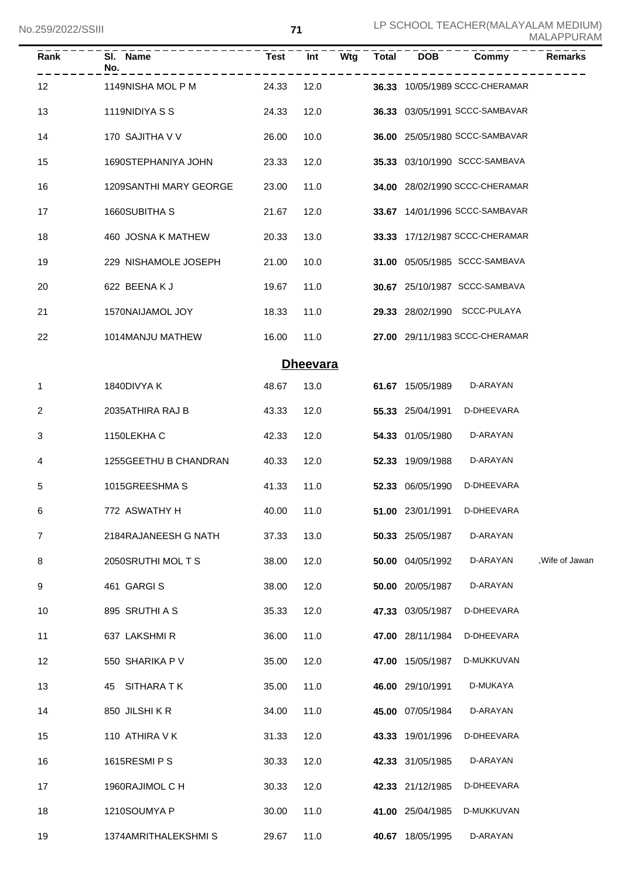| Rank              | SI. Name<br>No.        | <b>Test</b> | Int             | Wtg | <b>Total</b> | <b>DOB</b>       | Commy                          | <b>Remarks</b>  |
|-------------------|------------------------|-------------|-----------------|-----|--------------|------------------|--------------------------------|-----------------|
| $12 \overline{ }$ | 1149NISHA MOL P M      | 24.33       | 12.0            |     |              |                  | 36.33 10/05/1989 SCCC-CHERAMAR |                 |
| 13                | 1119NIDIYA S S         | 24.33       | 12.0            |     |              |                  | 36.33 03/05/1991 SCCC-SAMBAVAR |                 |
| 14                | 170 SAJITHA V V        | 26.00       | 10.0            |     |              |                  | 36.00 25/05/1980 SCCC-SAMBAVAR |                 |
| 15                | 1690STEPHANIYA JOHN    | 23.33       | 12.0            |     |              |                  | 35.33 03/10/1990 SCCC-SAMBAVA  |                 |
| 16                | 1209SANTHI MARY GEORGE | 23.00       | 11.0            |     |              |                  | 34.00 28/02/1990 SCCC-CHERAMAR |                 |
| 17                | 1660SUBITHA S          | 21.67       | 12.0            |     |              |                  | 33.67 14/01/1996 SCCC-SAMBAVAR |                 |
| 18                | 460 JOSNA K MATHEW     | 20.33       | 13.0            |     |              |                  | 33.33 17/12/1987 SCCC-CHERAMAR |                 |
| 19                | 229 NISHAMOLE JOSEPH   | 21.00       | 10.0            |     |              |                  | 31.00 05/05/1985 SCCC-SAMBAVA  |                 |
| 20                | 622 BEENAKJ            | 19.67       | 11.0            |     |              |                  | 30.67 25/10/1987 SCCC-SAMBAVA  |                 |
| 21                | 1570NAIJAMOL JOY       | 18.33       | 11.0            |     |              |                  | 29.33 28/02/1990 SCCC-PULAYA   |                 |
| 22                | 1014MANJU MATHEW       | 16.00       | 11.0            |     |              |                  | 27.00 29/11/1983 SCCC-CHERAMAR |                 |
|                   |                        |             | <b>Dheevara</b> |     |              |                  |                                |                 |
| 1                 | 1840DIVYA K            | 48.67       | 13.0            |     |              | 61.67 15/05/1989 | D-ARAYAN                       |                 |
| 2                 | 2035ATHIRA RAJ B       | 43.33       | 12.0            |     |              | 55.33 25/04/1991 | D-DHEEVARA                     |                 |
| 3                 | 1150LEKHA C            | 42.33       | 12.0            |     |              | 54.33 01/05/1980 | D-ARAYAN                       |                 |
| 4                 | 1255GEETHU B CHANDRAN  | 40.33       | 12.0            |     |              | 52.33 19/09/1988 | D-ARAYAN                       |                 |
| 5                 | 1015GREESHMAS          | 41.33       | 11.0            |     |              | 52.33 06/05/1990 | D-DHEEVARA                     |                 |
| 6                 | 772 ASWATHY H          | 40.00 11.0  |                 |     |              |                  | 51.00 23/01/1991 D-DHEEVARA    |                 |
| $\overline{7}$    | 2184RAJANEESH G NATH   | 37.33       | 13.0            |     |              | 50.33 25/05/1987 | D-ARAYAN                       |                 |
| 8                 | 2050SRUTHI MOL T S     | 38.00       | 12.0            |     |              | 50.00 04/05/1992 | D-ARAYAN                       | , Wife of Jawan |
| 9                 | 461 GARGIS             | 38.00       | 12.0            |     |              | 50.00 20/05/1987 | D-ARAYAN                       |                 |
| 10                | 895 SRUTHI A S         | 35.33       | 12.0            |     |              | 47.33 03/05/1987 | D-DHEEVARA                     |                 |
| 11                | 637 LAKSHMIR           | 36.00       | 11.0            |     |              | 47.00 28/11/1984 | D-DHEEVARA                     |                 |
| 12                | 550 SHARIKA P V        | 35.00       | 12.0            |     |              | 47.00 15/05/1987 | D-MUKKUVAN                     |                 |
| 13                | 45 SITHARA T K         | 35.00       | 11.0            |     |              | 46.00 29/10/1991 | D-MUKAYA                       |                 |
| 14                | 850 JILSHIKR           | 34.00       | 11.0            |     |              | 45.00 07/05/1984 | D-ARAYAN                       |                 |
| 15                | 110 ATHIRA V K         | 31.33       | 12.0            |     |              | 43.33 19/01/1996 | D-DHEEVARA                     |                 |
| 16                | 1615RESMI P S          | 30.33       | 12.0            |     |              | 42.33 31/05/1985 | D-ARAYAN                       |                 |
| 17                | 1960RAJIMOL C H        | 30.33       | 12.0            |     |              | 42.33 21/12/1985 | D-DHEEVARA                     |                 |
| 18                | 1210SOUMYA P           | 30.00       | 11.0            |     |              | 41.00 25/04/1985 | D-MUKKUVAN                     |                 |
| 19                | 1374AMRITHALEKSHMIS    | 29.67       | 11.0            |     |              | 40.67 18/05/1995 | D-ARAYAN                       |                 |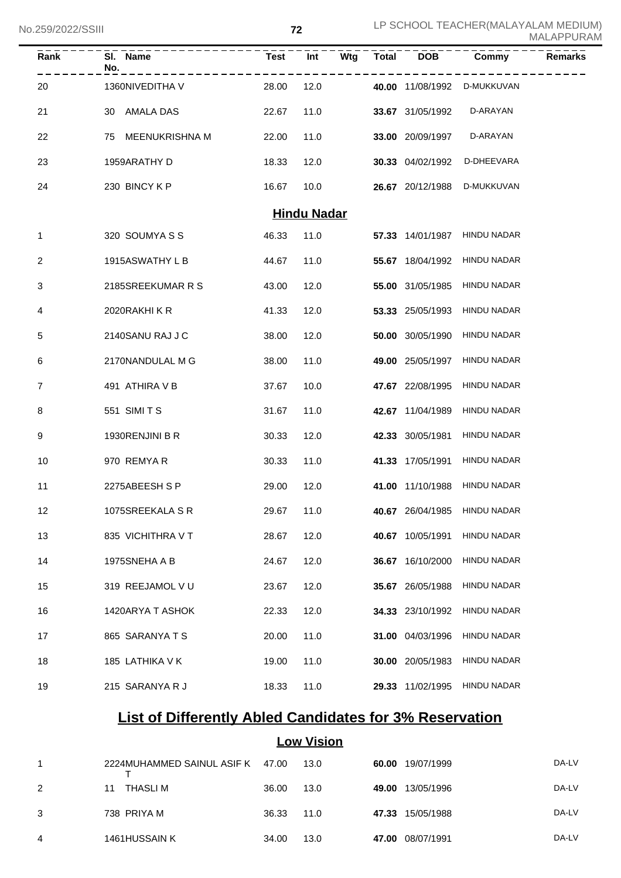No.259/2022/SSIII

| $\bar{R}$ ank      | SI. Name<br>No.      | <b>Test</b> | $\overline{Int}$ | $\overline{\mathsf{W}}$ tg | $\overline{\text{Total}}$ | DOB              | Commy                        | <b>Remarks</b> |  |  |
|--------------------|----------------------|-------------|------------------|----------------------------|---------------------------|------------------|------------------------------|----------------|--|--|
| 20                 | 1360NIVEDITHA V      | 28.00       | 12.0             |                            |                           | 40.00 11/08/1992 | D-MUKKUVAN                   |                |  |  |
| 21                 | AMALA DAS<br>30      | 22.67       | 11.0             |                            |                           | 33.67 31/05/1992 | D-ARAYAN                     |                |  |  |
| 22                 | MEENUKRISHNA M<br>75 | 22.00       | 11.0             |                            |                           | 33.00 20/09/1997 | D-ARAYAN                     |                |  |  |
| 23                 | 1959ARATHY D         | 18.33       | 12.0             |                            |                           | 30.33 04/02/1992 | D-DHEEVARA                   |                |  |  |
| 24                 | 230 BINCY K P        | 16.67       | 10.0             |                            |                           | 26.67 20/12/1988 | D-MUKKUVAN                   |                |  |  |
| <b>Hindu Nadar</b> |                      |             |                  |                            |                           |                  |                              |                |  |  |
| 1                  | 320 SOUMYA S S       | 46.33       | 11.0             |                            |                           | 57.33 14/01/1987 | <b>HINDU NADAR</b>           |                |  |  |
| 2                  | 1915ASWATHY L B      | 44.67       | 11.0             |                            |                           | 55.67 18/04/1992 | <b>HINDU NADAR</b>           |                |  |  |
| 3                  | 2185SREEKUMAR R S    | 43.00       | 12.0             |                            |                           | 55.00 31/05/1985 | <b>HINDU NADAR</b>           |                |  |  |
| 4                  | 2020RAKHIKR          | 41.33       | 12.0             |                            |                           | 53.33 25/05/1993 | <b>HINDU NADAR</b>           |                |  |  |
| 5                  | 2140SANU RAJ J C     | 38.00       | 12.0             |                            |                           | 50.00 30/05/1990 | <b>HINDU NADAR</b>           |                |  |  |
| 6                  | 2170NANDULAL M G     | 38.00       | 11.0             |                            |                           | 49.00 25/05/1997 | <b>HINDU NADAR</b>           |                |  |  |
| 7                  | 491 ATHIRA V B       | 37.67       | 10.0             |                            |                           | 47.67 22/08/1995 | <b>HINDU NADAR</b>           |                |  |  |
| 8                  | 551 SIMITS           | 31.67       | 11.0             |                            |                           | 42.67 11/04/1989 | <b>HINDU NADAR</b>           |                |  |  |
| 9                  | 1930RENJINI B R      | 30.33       | 12.0             |                            |                           | 42.33 30/05/1981 | <b>HINDU NADAR</b>           |                |  |  |
| 10                 | 970 REMYAR           | 30.33       | 11.0             |                            |                           | 41.33 17/05/1991 | <b>HINDU NADAR</b>           |                |  |  |
| 11                 | 2275ABEESH S P       | 29.00       | 12.0             |                            |                           | 41.00 11/10/1988 | <b>HINDU NADAR</b>           |                |  |  |
| 12                 | 1075SREEKALA SR      | 29.67 11.0  |                  |                            |                           |                  | 40.67 26/04/1985 HINDU NADAR |                |  |  |
| 13                 | 835 VICHITHRA V T    | 28.67       | 12.0             |                            |                           | 40.67 10/05/1991 | <b>HINDU NADAR</b>           |                |  |  |
| 14                 | 1975SNEHA A B        | 24.67       | 12.0             |                            |                           | 36.67 16/10/2000 | <b>HINDU NADAR</b>           |                |  |  |
| 15                 | 319 REEJAMOL V U     | 23.67       | 12.0             |                            |                           | 35.67 26/05/1988 | <b>HINDU NADAR</b>           |                |  |  |
| 16                 | 1420ARYA T ASHOK     | 22.33       | 12.0             |                            |                           | 34.33 23/10/1992 | HINDU NADAR                  |                |  |  |
| 17                 | 865 SARANYA T S      | 20.00       | 11.0             |                            |                           | 31.00 04/03/1996 | <b>HINDU NADAR</b>           |                |  |  |
| 18                 | 185 LATHIKA V K      | 19.00       | 11.0             |                            |                           | 30.00 20/05/1983 | <b>HINDU NADAR</b>           |                |  |  |
| 19                 | 215 SARANYA R J      | 18.33       | 11.0             |                            |                           | 29.33 11/02/1995 | HINDU NADAR                  |                |  |  |

## **List of Differently Abled Candidates for 3% Reservation**

## **Low Vision**

| 1 | 2224MUHAMMED SAINUL ASIF K 47.00 |       | 13.0 | 60.00 | 19/07/1999       | DA-LV |
|---|----------------------------------|-------|------|-------|------------------|-------|
| 2 | THASLI M<br>11                   | 36.00 | 13.0 | 49.00 | 13/05/1996       | DA-LV |
| 3 | 738 PRIYA M                      | 36.33 | 11.0 |       | 47.33 15/05/1988 | DA-LV |
| 4 | 1461HUSSAIN K                    | 34.00 | 13.0 | 47.00 | 08/07/1991       | DA-LV |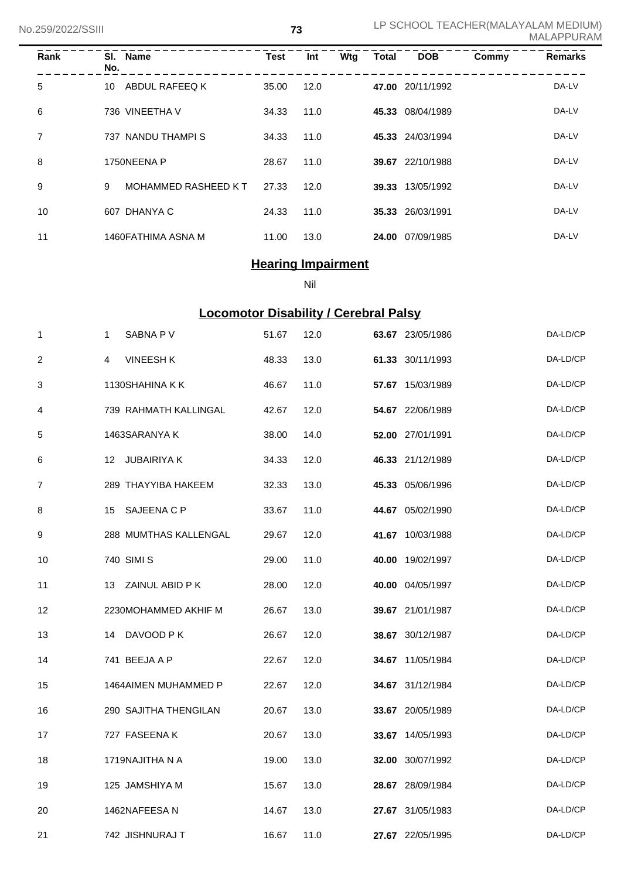| Rank           | No. | SI. Name                   | <b>Test</b> | Int  | Wtg | <b>Total</b> | <b>DOB</b>       | Commy | <b>Remarks</b> |
|----------------|-----|----------------------------|-------------|------|-----|--------------|------------------|-------|----------------|
| 5              | 10  | ABDUL RAFEEQ K             | 35.00       | 12.0 |     |              | 47.00 20/11/1992 |       | DA-LV          |
| 6              |     | 736 VINEETHA V             | 34.33       | 11.0 |     |              | 45.33 08/04/1989 |       | DA-LV          |
| $\overline{7}$ |     | 737 NANDU THAMPI S         | 34.33       | 11.0 |     |              | 45.33 24/03/1994 |       | DA-LV          |
| 8              |     | 1750NEENA P                | 28.67       | 11.0 |     |              | 39.67 22/10/1988 |       | DA-LV          |
| 9              | 9   | <b>MOHAMMED RASHEED KT</b> | 27.33       | 12.0 |     |              | 39.33 13/05/1992 |       | DA-LV          |
| 10             |     | 607 DHANYA C               | 24.33       | 11.0 |     |              | 35.33 26/03/1991 |       | DA-LV          |
| 11             |     | 1460FATHIMA ASNA M         | 11.00       | 13.0 |     |              | 24.00 07/09/1985 |       | DA-LV          |

# **Hearing Impairment**

Nil

# **Locomotor Disability / Cerebral Palsy**

| 1                | 1  | SABNA P V             | 51.67 | 12.0 | 63.67 23/05/1986 | DA-LD/CP |
|------------------|----|-----------------------|-------|------|------------------|----------|
| $\boldsymbol{2}$ | 4  | <b>VINEESH K</b>      | 48.33 | 13.0 | 61.33 30/11/1993 | DA-LD/CP |
| 3                |    | 1130SHAHINA K K       | 46.67 | 11.0 | 57.67 15/03/1989 | DA-LD/CP |
| 4                |    | 739 RAHMATH KALLINGAL | 42.67 | 12.0 | 54.67 22/06/1989 | DA-LD/CP |
| 5                |    | 1463SARANYA K         | 38.00 | 14.0 | 52.00 27/01/1991 | DA-LD/CP |
| 6                |    | 12 JUBAIRIYA K        | 34.33 | 12.0 | 46.33 21/12/1989 | DA-LD/CP |
| $\overline{7}$   |    | 289 THAYYIBA HAKEEM   | 32.33 | 13.0 | 45.33 05/06/1996 | DA-LD/CP |
| 8                | 15 | SAJEENA C P           | 33.67 | 11.0 | 44.67 05/02/1990 | DA-LD/CP |
| 9                |    | 288 MUMTHAS KALLENGAL | 29.67 | 12.0 | 41.67 10/03/1988 | DA-LD/CP |
| 10               |    | 740 SIMI S            | 29.00 | 11.0 | 40.00 19/02/1997 | DA-LD/CP |
| 11               |    | 13 ZAINUL ABID P K    | 28.00 | 12.0 | 40.00 04/05/1997 | DA-LD/CP |
| 12               |    | 2230MOHAMMED AKHIF M  | 26.67 | 13.0 | 39.67 21/01/1987 | DA-LD/CP |
| 13               | 14 | DAVOOD P K            | 26.67 | 12.0 | 38.67 30/12/1987 | DA-LD/CP |
| 14               |    | 741 BEEJA A P         | 22.67 | 12.0 | 34.67 11/05/1984 | DA-LD/CP |
| 15               |    | 1464AIMEN MUHAMMED P  | 22.67 | 12.0 | 34.67 31/12/1984 | DA-LD/CP |
| 16               |    | 290 SAJITHA THENGILAN | 20.67 | 13.0 | 33.67 20/05/1989 | DA-LD/CP |
| 17               |    | 727 FASEENA K         | 20.67 | 13.0 | 33.67 14/05/1993 | DA-LD/CP |
| 18               |    | 1719NAJITHA N A       | 19.00 | 13.0 | 32.00 30/07/1992 | DA-LD/CP |
| 19               |    | 125 JAMSHIYA M        | 15.67 | 13.0 | 28.67 28/09/1984 | DA-LD/CP |
| 20               |    | 1462NAFEESA N         | 14.67 | 13.0 | 27.67 31/05/1983 | DA-LD/CP |
| 21               |    | 742 JISHNURAJ T       | 16.67 | 11.0 | 27.67 22/05/1995 | DA-LD/CP |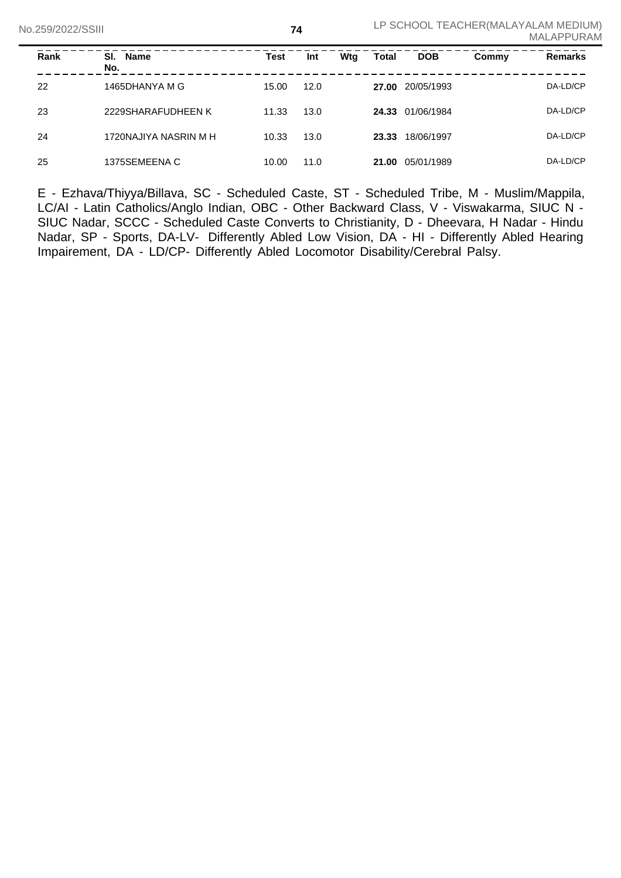| Rank | SI. Name<br>No.       | Test  | Int  | Wtg | <b>Total</b> | <b>DOB</b>       | Commy | <b>Remarks</b> |
|------|-----------------------|-------|------|-----|--------------|------------------|-------|----------------|
| 22   | 1465DHANYA M G        | 15.00 | 12.0 |     | 27.00        | 20/05/1993       |       | DA-LD/CP       |
| 23   | 2229SHARAFUDHEEN K    | 11.33 | 13.0 |     |              | 24.33 01/06/1984 |       | DA-LD/CP       |
| 24   | 1720NAJIYA NASRIN M H | 10.33 | 13.0 |     | 23.33        | 18/06/1997       |       | DA-LD/CP       |
| 25   | 1375SEMEENA C         | 10.00 | 11.0 |     | 21.00        | 05/01/1989       |       | DA-LD/CP       |

E - Ezhava/Thiyya/Billava, SC - Scheduled Caste, ST - Scheduled Tribe, M - Muslim/Mappila, LC/AI - Latin Catholics/Anglo Indian, OBC - Other Backward Class, V - Viswakarma, SIUC N - SIUC Nadar, SCCC - Scheduled Caste Converts to Christianity, D - Dheevara, H Nadar - Hindu Nadar, SP - Sports, DA-LV- Differently Abled Low Vision, DA - HI - Differently Abled Hearing Impairement, DA - LD/CP- Differently Abled Locomotor Disability/Cerebral Palsy.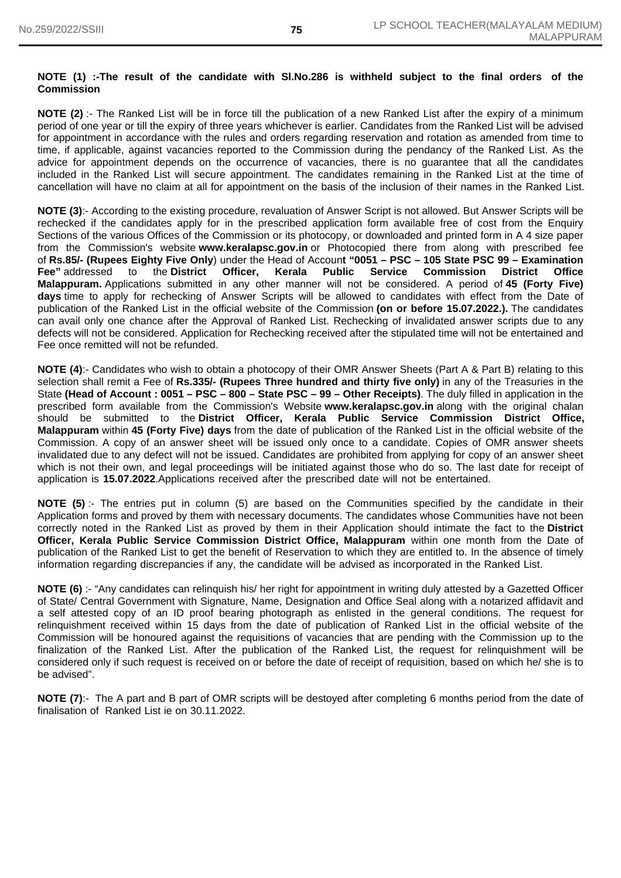#### **NOTE (1) :-The result of the candidate with Sl.No.286 is withheld subject to the final orders of the Commission**

**NOTE (2)** :- The Ranked List will be in force till the publication of a new Ranked List after the expiry of a minimum period of one year or till the expiry of three years whichever is earlier. Candidates from the Ranked List will be advised for appointment in accordance with the rules and orders regarding reservation and rotation as amended from time to time, if applicable, against vacancies reported to the Commission during the pendancy of the Ranked List. As the advice for appointment depends on the occurrence of vacancies, there is no guarantee that all the candidates included in the Ranked List will secure appointment. The candidates remaining in the Ranked List at the time of cancellation will have no claim at all for appointment on the basis of the inclusion of their names in the Ranked List.

**NOTE (3)**:- According to the existing procedure, revaluation of Answer Script is not allowed. But Answer Scripts will be rechecked if the candidates apply for in the prescribed application form available free of cost from the Enquiry Sections of the various Offices of the Commission or its photocopy, or downloaded and printed form in A 4 size paper from the Commission's website **www.keralapsc.gov.in** or Photocopied there from along with prescribed fee of **Rs.85/- (Rupees Eighty Five Only**) under the Head of Accoun**t "0051 – PSC – 105 State PSC 99 – Examination Fee"** addressed to the **District Officer, Kerala Public Service Commission District Office Malappuram.** Applications submitted in any other manner will not be considered. A period of **45 (Forty Five) days** time to apply for rechecking of Answer Scripts will be allowed to candidates with effect from the Date of publication of the Ranked List in the official website of the Commission **(on or before 15.07.2022.).** The candidates can avail only one chance after the Approval of Ranked List. Rechecking of invalidated answer scripts due to any defects will not be considered. Application for Rechecking received after the stipulated time will not be entertained and Fee once remitted will not be refunded.

**NOTE (4)**:- Candidates who wish to obtain a photocopy of their OMR Answer Sheets (Part A & Part B) relating to this selection shall remit a Fee of **Rs.335/- (Rupees Three hundred and thirty five only)** in any of the Treasuries in the State **(Head of Account : 0051 – PSC – 800 – State PSC – 99 – Other Receipts)**. The duly filled in application in the prescribed form available from the Commission's Website **www.keralapsc.gov.in** along with the original chalan should be submitted to the **District Officer, Kerala Public Service Commission District Office, Malappuram** within **45 (Forty Five) days** from the date of publication of the Ranked List in the official website of the Commission. A copy of an answer sheet will be issued only once to a candidate. Copies of OMR answer sheets invalidated due to any defect will not be issued. Candidates are prohibited from applying for copy of an answer sheet which is not their own, and legal proceedings will be initiated against those who do so. The last date for receipt of application is **15.07.2022**.Applications received after the prescribed date will not be entertained.

**NOTE (5)** :- The entries put in column (5) are based on the Communities specified by the candidate in their Application forms and proved by them with necessary documents. The candidates whose Communities have not been correctly noted in the Ranked List as proved by them in their Application should intimate the fact to the **District Officer, Kerala Public Service Commission District Office, Malappuram** within one month from the Date of publication of the Ranked List to get the benefit of Reservation to which they are entitled to. In the absence of timely information regarding discrepancies if any, the candidate will be advised as incorporated in the Ranked List.

**NOTE (6)** :- "Any candidates can relinquish his/ her right for appointment in writing duly attested by a Gazetted Officer of State/ Central Government with Signature, Name, Designation and Office Seal along with a notarized affidavit and a self attested copy of an ID proof bearing photograph as enlisted in the general conditions. The request for relinquishment received within 15 days from the date of publication of Ranked List in the official website of the Commission will be honoured against the requisitions of vacancies that are pending with the Commission up to the finalization of the Ranked List. After the publication of the Ranked List, the request for relinquishment will be considered only if such request is received on or before the date of receipt of requisition, based on which he/ she is to be advised".

**NOTE (7)**:- The A part and B part of OMR scripts will be destoyed after completing 6 months period from the date of finalisation of Ranked List ie on 30.11.2022.